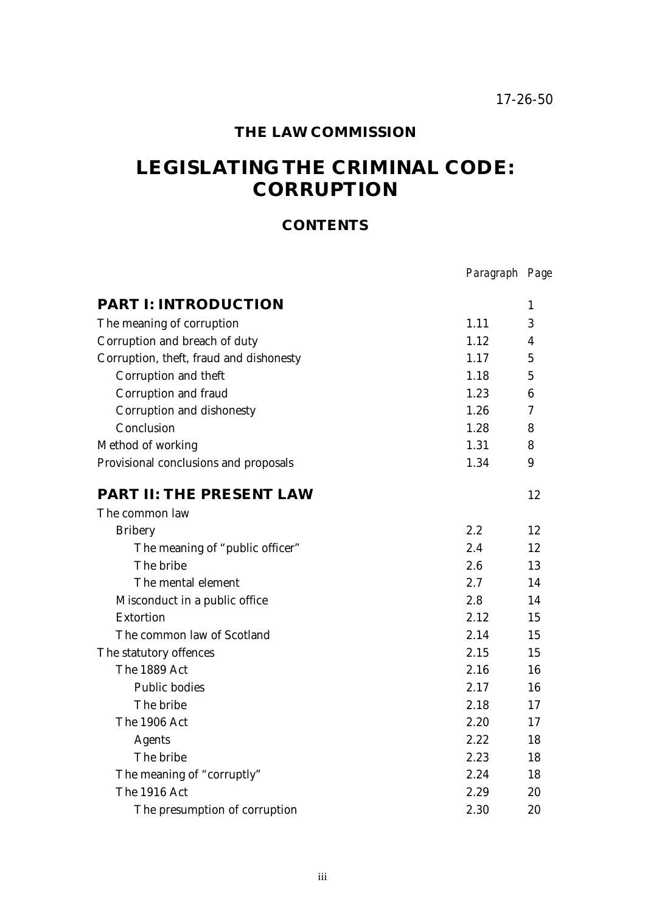# **THE LAW COMMISSION**

# **LEGISLATING THE CRIMINAL CODE: CORRUPTION**

# **CONTENTS**

*Paragraph Page*

| <b>PART I: INTRODUCTION</b>             |      | $\mathbf{1}$     |
|-----------------------------------------|------|------------------|
| The meaning of corruption               | 1.11 | 3                |
| Corruption and breach of duty           | 1.12 | 4                |
| Corruption, theft, fraud and dishonesty | 1.17 | 5                |
| Corruption and theft                    | 1.18 | $\overline{5}$   |
| Corruption and fraud                    | 1.23 | $\boldsymbol{6}$ |
| Corruption and dishonesty               | 1.26 | 7                |
| Conclusion                              | 1.28 | 8                |
| Method of working                       | 1.31 | 8                |
| Provisional conclusions and proposals   | 1.34 | 9                |
| <b>PART II: THE PRESENT LAW</b>         |      | 12               |
| The common law                          |      |                  |
| <b>Bribery</b>                          | 2.2  | 12               |
| The meaning of "public officer"         | 2.4  | 12               |
| The bribe                               | 2.6  | 13               |
| The mental element                      | 2.7  | 14               |
| Misconduct in a public office           | 2.8  | 14               |
| <b>Extortion</b>                        | 2.12 | 15               |
| The common law of Scotland              | 2.14 | 15               |
| The statutory offences                  | 2.15 | 15               |
| <b>The 1889 Act</b>                     | 2.16 | 16               |
| <b>Public bodies</b>                    | 2.17 | 16               |
| The bribe                               | 2.18 | 17               |
| <b>The 1906 Act</b>                     | 2.20 | 17               |
| <b>Agents</b>                           | 2.22 | 18               |
| The bribe                               | 2.23 | 18               |
| The meaning of "corruptly"              | 2.24 | 18               |
| <b>The 1916 Act</b>                     | 2.29 | 20               |
| The presumption of corruption           | 2.30 | 20               |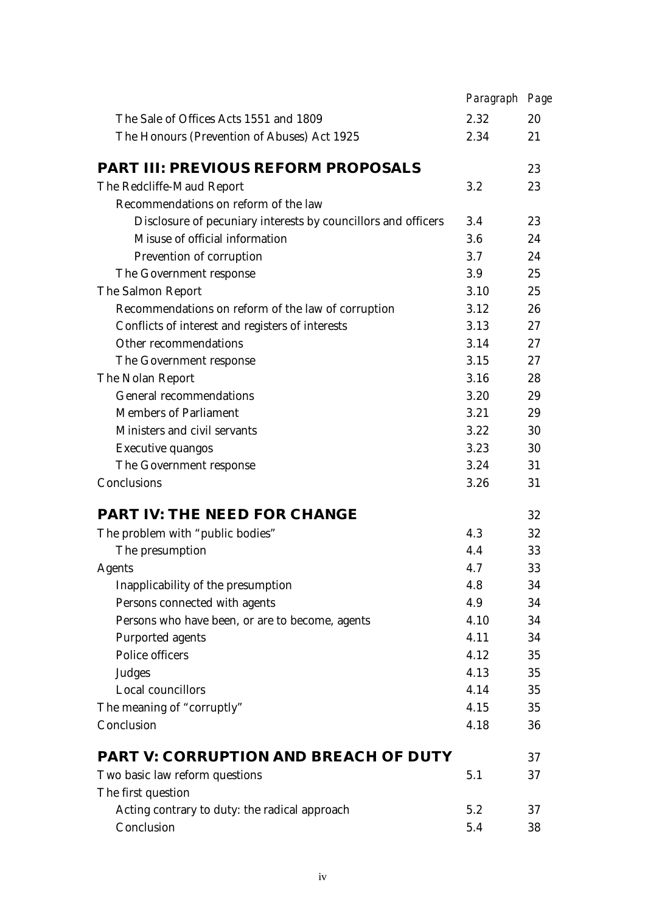|                                                               | Paragraph Page |    |
|---------------------------------------------------------------|----------------|----|
| The Sale of Offices Acts 1551 and 1809                        | 2.32           | 20 |
| The Honours (Prevention of Abuses) Act 1925                   | 2.34           | 21 |
| <b>PART III: PREVIOUS REFORM PROPOSALS</b>                    |                | 23 |
| The Redcliffe-Maud Report                                     | 3.2            | 23 |
| Recommendations on reform of the law                          |                |    |
| Disclosure of pecuniary interests by councillors and officers | 3.4            | 23 |
| Misuse of official information                                | 3.6            | 24 |
| Prevention of corruption                                      | 3.7            | 24 |
| The Government response                                       | 3.9            | 25 |
| The Salmon Report                                             | 3.10           | 25 |
| Recommendations on reform of the law of corruption            | 3.12           | 26 |
| Conflicts of interest and registers of interests              | 3.13           | 27 |
| Other recommendations                                         | 3.14           | 27 |
| The Government response                                       | 3.15           | 27 |
| The Nolan Report                                              | 3.16           | 28 |
| <b>General recommendations</b>                                | 3.20           | 29 |
| <b>Members of Parliament</b>                                  | 3.21           | 29 |
| Ministers and civil servants                                  | 3.22           | 30 |
| <b>Executive quangos</b>                                      | 3.23           | 30 |
| The Government response                                       | 3.24           | 31 |
| Conclusions                                                   | 3.26           | 31 |
| <b>PART IV: THE NEED FOR CHANGE</b>                           |                | 32 |
| The problem with "public bodies"                              | 4.3            | 32 |
| The presumption                                               | 4.4            | 33 |
| <b>Agents</b>                                                 | 4.7            | 33 |
| Inapplicability of the presumption                            | 4.8            | 34 |
| Persons connected with agents                                 | 4.9            | 34 |
| Persons who have been, or are to become, agents               | 4.10           | 34 |
| <b>Purported agents</b>                                       | 4.11           | 34 |
| Police officers                                               | 4.12           | 35 |
| <b>Judges</b>                                                 | 4.13           | 35 |
| <b>Local councillors</b>                                      | 4.14           | 35 |
| The meaning of "corruptly"                                    | 4.15           | 35 |
| Conclusion                                                    | 4.18           | 36 |
| <b>PART V: CORRUPTION AND BREACH OF DUTY</b>                  |                | 37 |
| Two basic law reform questions                                | 5.1            | 37 |
| The first question                                            |                |    |
| Acting contrary to duty: the radical approach                 | 5.2            | 37 |
| Conclusion                                                    | 5.4            | 38 |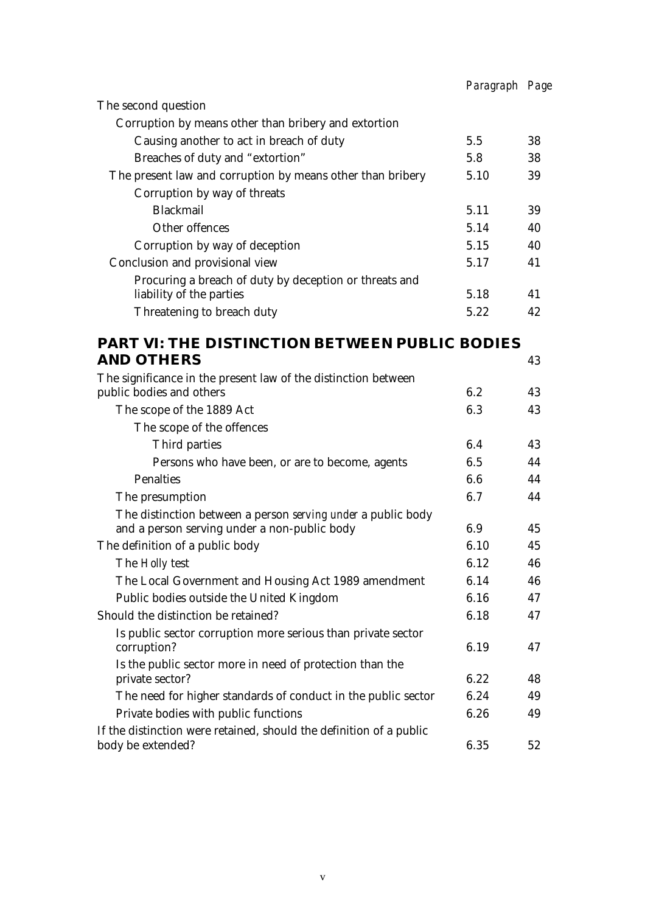| The second question                                                                      |      |    |
|------------------------------------------------------------------------------------------|------|----|
| Corruption by means other than bribery and extortion                                     |      |    |
| Causing another to act in breach of duty                                                 | 5.5  | 38 |
| Breaches of duty and "extortion"                                                         | 5.8  | 38 |
| The present law and corruption by means other than bribery                               | 5.10 | 39 |
| Corruption by way of threats                                                             |      |    |
| <b>Blackmail</b>                                                                         | 5.11 | 39 |
| Other offences                                                                           | 5.14 | 40 |
| Corruption by way of deception                                                           | 5.15 | 40 |
| Conclusion and provisional view                                                          | 5.17 | 41 |
| Procuring a breach of duty by deception or threats and                                   |      |    |
| liability of the parties                                                                 | 5.18 | 41 |
| Threatening to breach duty                                                               | 5.22 | 42 |
| <b>PART VI: THE DISTINCTION BETWEEN PUBLIC BODIES</b>                                    |      |    |
| <b>AND OTHERS</b>                                                                        |      | 43 |
| The significance in the present law of the distinction between                           |      |    |
| public bodies and others                                                                 | 6.2  | 43 |
| The scope of the 1889 Act                                                                | 6.3  | 43 |
| The scope of the offences                                                                |      |    |
| Third parties                                                                            | 6.4  | 43 |
| Persons who have been, or are to become, agents                                          | 6.5  | 44 |
| <b>Penalties</b>                                                                         | 6.6  | 44 |
| The presumption                                                                          | 6.7  | 44 |
| The distinction between a person <i>serving under</i> a public body                      |      |    |
| and a person serving under a non-public body                                             | 6.9  | 45 |
| The definition of a public body                                                          | 6.10 | 45 |
| The <i>Holly</i> test                                                                    | 6.12 | 46 |
| The Local Government and Housing Act 1989 amendment                                      | 6.14 | 46 |
| Public bodies outside the United Kingdom                                                 | 6.16 | 47 |
| Should the distinction be retained?                                                      | 6.18 | 47 |
| Is public sector corruption more serious than private sector                             |      |    |
| corruption?                                                                              | 6.19 | 47 |
| Is the public sector more in need of protection than the                                 |      |    |
| private sector?                                                                          | 6.22 | 48 |
| The need for higher standards of conduct in the public sector                            | 6.24 | 49 |
| Private bodies with public functions                                                     | 6.26 | 49 |
| If the distinction were retained, should the definition of a public<br>body be extended? | 6.35 | 52 |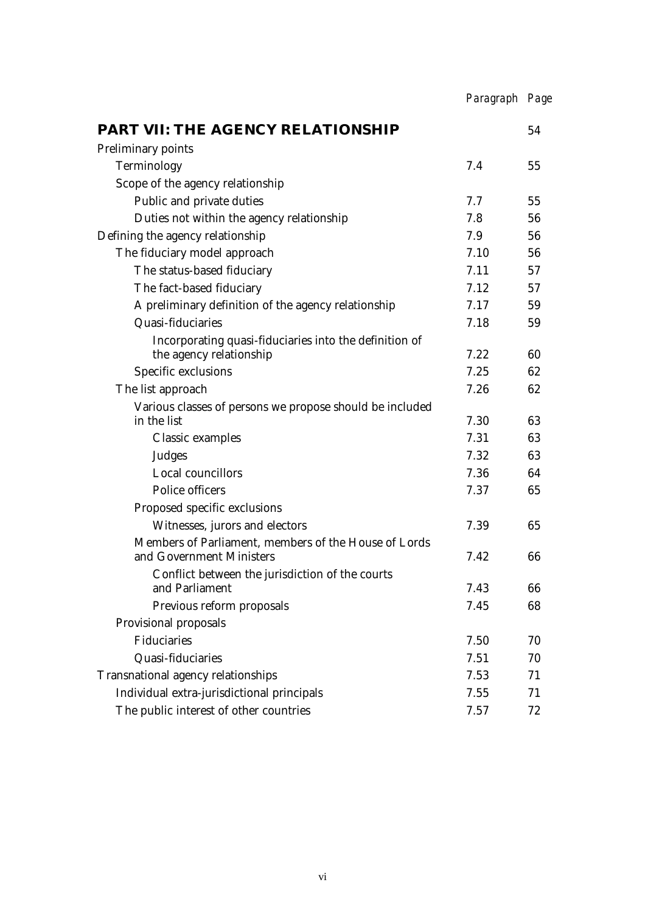| Paragraph | Page |
|-----------|------|
|-----------|------|

| <b>PART VII: THE AGENCY RELATIONSHIP</b>                          |      | 54 |
|-------------------------------------------------------------------|------|----|
| Preliminary points                                                |      |    |
| <b>Terminology</b>                                                | 7.4  | 55 |
| Scope of the agency relationship                                  |      |    |
| Public and private duties                                         | 7.7  | 55 |
| Duties not within the agency relationship                         | 7.8  | 56 |
| Defining the agency relationship                                  | 7.9  | 56 |
| The fiduciary model approach                                      | 7.10 | 56 |
| The status-based fiduciary                                        | 7.11 | 57 |
| The fact-based fiduciary                                          | 7.12 | 57 |
| A preliminary definition of the agency relationship               | 7.17 | 59 |
| Quasi-fiduciaries                                                 | 7.18 | 59 |
| Incorporating quasi-fiduciaries into the definition of            |      |    |
| the agency relationship                                           | 7.22 | 60 |
| Specific exclusions                                               | 7.25 | 62 |
| The list approach                                                 | 7.26 | 62 |
| Various classes of persons we propose should be included          |      |    |
| in the list                                                       | 7.30 | 63 |
| Classic examples                                                  | 7.31 | 63 |
| <b>Judges</b>                                                     | 7.32 | 63 |
| <b>Local councillors</b>                                          | 7.36 | 64 |
| Police officers                                                   | 7.37 | 65 |
| Proposed specific exclusions                                      |      |    |
| Witnesses, jurors and electors                                    | 7.39 | 65 |
| Members of Parliament, members of the House of Lords              |      |    |
| and Government Ministers                                          | 7.42 | 66 |
| Conflict between the jurisdiction of the courts<br>and Parliament | 7.43 | 66 |
|                                                                   |      |    |
| Previous reform proposals                                         | 7.45 | 68 |
| Provisional proposals                                             |      |    |
| Fiduciaries                                                       | 7.50 | 70 |
| Quasi-fiduciaries                                                 | 7.51 | 70 |
| <b>Transnational agency relationships</b>                         | 7.53 | 71 |
| Individual extra-jurisdictional principals                        | 7.55 | 71 |
| The public interest of other countries                            | 7.57 | 72 |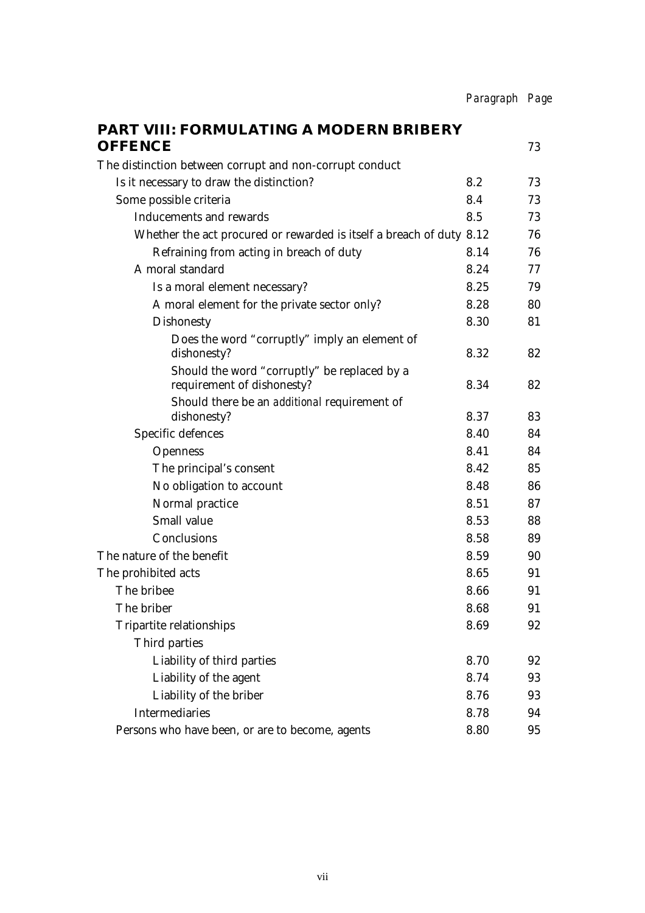|                                                                      | 73                                   |
|----------------------------------------------------------------------|--------------------------------------|
|                                                                      |                                      |
| 8.2                                                                  | 73                                   |
| 8.4                                                                  | 73                                   |
| 8.5                                                                  | 73                                   |
| Whether the act procured or rewarded is itself a breach of duty 8.12 | 76                                   |
| 8.14                                                                 | 76                                   |
| 8.24                                                                 | 77                                   |
| 8.25                                                                 | 79                                   |
| 8.28                                                                 | 80                                   |
| 8.30                                                                 | 81                                   |
|                                                                      |                                      |
| 8.32                                                                 | 82                                   |
|                                                                      |                                      |
|                                                                      | 82                                   |
|                                                                      | 83                                   |
|                                                                      | 84                                   |
|                                                                      | 84                                   |
|                                                                      | 85                                   |
| 8.48                                                                 | 86                                   |
| 8.51                                                                 | 87                                   |
| 8.53                                                                 | 88                                   |
| 8.58                                                                 | 89                                   |
| 8.59                                                                 | 90                                   |
| 8.65                                                                 | 91                                   |
| 8.66                                                                 | 91                                   |
| 8.68                                                                 | 91                                   |
| 8.69                                                                 | 92                                   |
|                                                                      |                                      |
| 8.70                                                                 | 92                                   |
| 8.74                                                                 | 93                                   |
| 8.76                                                                 | 93                                   |
| 8.78                                                                 | 94                                   |
| 8.80                                                                 | 95                                   |
|                                                                      | 8.34<br>8.37<br>8.40<br>8.41<br>8.42 |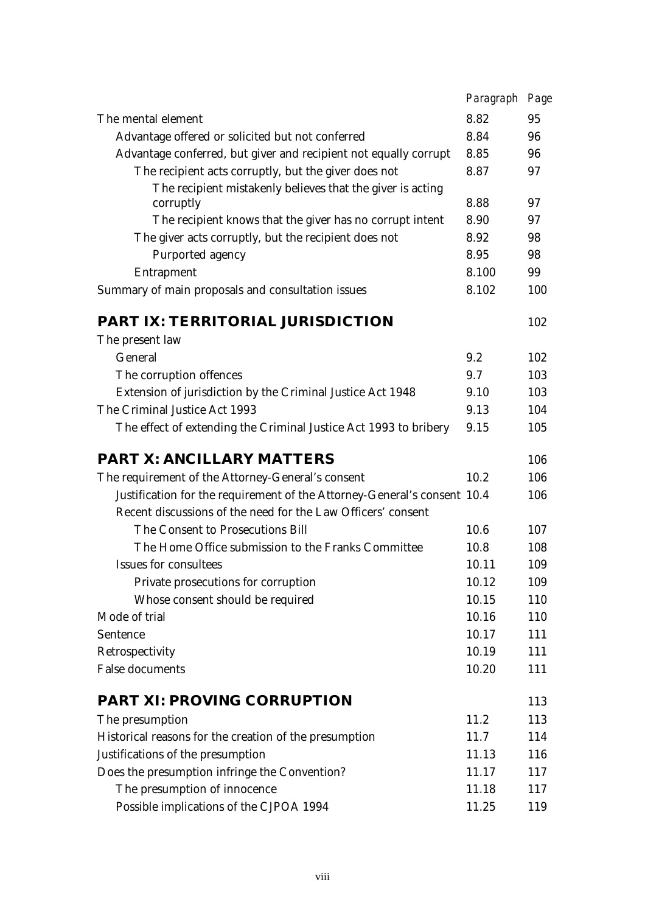|                                                                          | Paragraph Page |     |
|--------------------------------------------------------------------------|----------------|-----|
| The mental element                                                       | 8.82           | 95  |
| Advantage offered or solicited but not conferred                         | 8.84           | 96  |
| Advantage conferred, but giver and recipient not equally corrupt         | 8.85           | 96  |
| The recipient acts corruptly, but the giver does not                     | 8.87           | 97  |
| The recipient mistakenly believes that the giver is acting               |                |     |
| corruptly                                                                | 8.88           | 97  |
| The recipient knows that the giver has no corrupt intent                 | 8.90           | 97  |
| The giver acts corruptly, but the recipient does not                     | 8.92           | 98  |
| Purported agency                                                         | 8.95           | 98  |
| <b>Entrapment</b>                                                        | 8.100          | 99  |
| Summary of main proposals and consultation issues                        | 8.102          | 100 |
| <b>PART IX: TERRITORIAL JURISDICTION</b>                                 |                | 102 |
| The present law                                                          |                |     |
| General                                                                  | 9.2            | 102 |
| The corruption offences                                                  | 9.7            | 103 |
| Extension of jurisdiction by the Criminal Justice Act 1948               | 9.10           | 103 |
| The Criminal Justice Act 1993                                            | 9.13           | 104 |
| The effect of extending the Criminal Justice Act 1993 to bribery         | 9.15           | 105 |
| <b>PART X: ANCILLARY MATTERS</b>                                         |                | 106 |
| The requirement of the Attorney-General's consent                        | 10.2           | 106 |
| Justification for the requirement of the Attorney-General's consent 10.4 |                | 106 |
| Recent discussions of the need for the Law Officers' consent             |                |     |
| The Consent to Prosecutions Bill                                         | 10.6           | 107 |
| The Home Office submission to the Franks Committee                       | 10.8           | 108 |
| <b>Issues for consultees</b>                                             | 10.11          | 109 |
| Private prosecutions for corruption                                      | 10.12          | 109 |
| Whose consent should be required                                         | 10.15          | 110 |
| Mode of trial                                                            | 10.16          | 110 |
| Sentence                                                                 | 10.17          | 111 |
| Retrospectivity                                                          | 10.19          | 111 |
| <b>False documents</b>                                                   | 10.20          | 111 |
| <b>PART XI: PROVING CORRUPTION</b>                                       |                | 113 |
| The presumption                                                          | 11.2           | 113 |
| Historical reasons for the creation of the presumption                   | 11.7           | 114 |
| Justifications of the presumption                                        | 11.13          | 116 |
| Does the presumption infringe the Convention?                            | 11.17          | 117 |
| The presumption of innocence                                             | 11.18          | 117 |
| Possible implications of the CJPOA 1994                                  | 11.25          | 119 |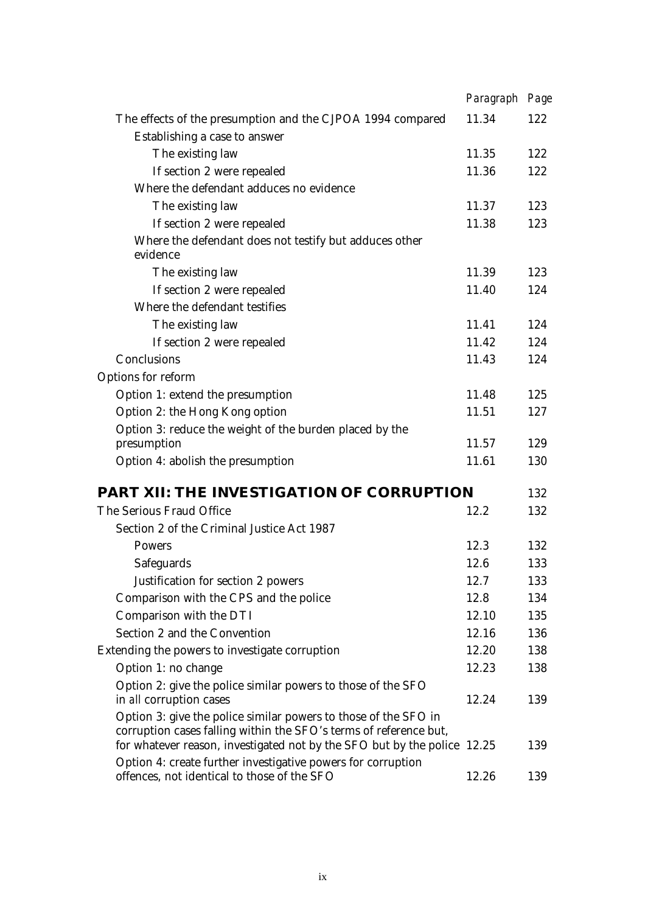|                                                                                                                                      | Paragraph Page |     |
|--------------------------------------------------------------------------------------------------------------------------------------|----------------|-----|
| The effects of the presumption and the CJPOA 1994 compared                                                                           | 11.34          | 122 |
| Establishing a case to answer                                                                                                        |                |     |
| The existing law                                                                                                                     | 11.35          | 122 |
| If section 2 were repealed                                                                                                           | 11.36          | 122 |
| Where the defendant adduces no evidence                                                                                              |                |     |
| The existing law                                                                                                                     | 11.37          | 123 |
| If section 2 were repealed                                                                                                           | 11.38          | 123 |
| Where the defendant does not testify but adduces other<br>evidence                                                                   |                |     |
| The existing law                                                                                                                     | 11.39          | 123 |
| If section 2 were repealed                                                                                                           | 11.40          | 124 |
| Where the defendant testifies                                                                                                        |                |     |
| The existing law                                                                                                                     | 11.41          | 124 |
| If section 2 were repealed                                                                                                           | 11.42          | 124 |
| Conclusions                                                                                                                          | 11.43          | 124 |
| Options for reform                                                                                                                   |                |     |
| Option 1: extend the presumption                                                                                                     | 11.48          | 125 |
| Option 2: the Hong Kong option                                                                                                       | 11.51          | 127 |
| Option 3: reduce the weight of the burden placed by the                                                                              |                |     |
| presumption                                                                                                                          | 11.57          | 129 |
| Option 4: abolish the presumption                                                                                                    | 11.61          | 130 |
| PART XII: THE INVESTIGATION OF CORRUPTION                                                                                            |                | 132 |
| The Serious Fraud Office                                                                                                             | 12.2           | 132 |
| Section 2 of the Criminal Justice Act 1987                                                                                           |                |     |
| <b>Powers</b>                                                                                                                        | 12.3           | 132 |
| Safeguards                                                                                                                           | 12.6           | 133 |
| Justification for section 2 powers                                                                                                   | 12.7           | 133 |
| Comparison with the CPS and the police                                                                                               | 12.8           | 134 |
| Comparison with the DTI                                                                                                              | 12.10          | 135 |
| Section 2 and the Convention                                                                                                         | 12.16          | 136 |
| Extending the powers to investigate corruption                                                                                       | 12.20          | 138 |
| Option 1: no change                                                                                                                  | 12.23          | 138 |
| Option 2: give the police similar powers to those of the SFO                                                                         |                |     |
| in <i>all</i> corruption cases                                                                                                       | 12.24          | 139 |
| Option 3: give the police similar powers to those of the SFO in<br>corruption cases falling within the SFO's terms of reference but, |                |     |
| for whatever reason, investigated not by the SFO but by the police 12.25                                                             |                | 139 |
| Option 4: create further investigative powers for corruption<br>offences, not identical to those of the SFO                          | 12.26          | 139 |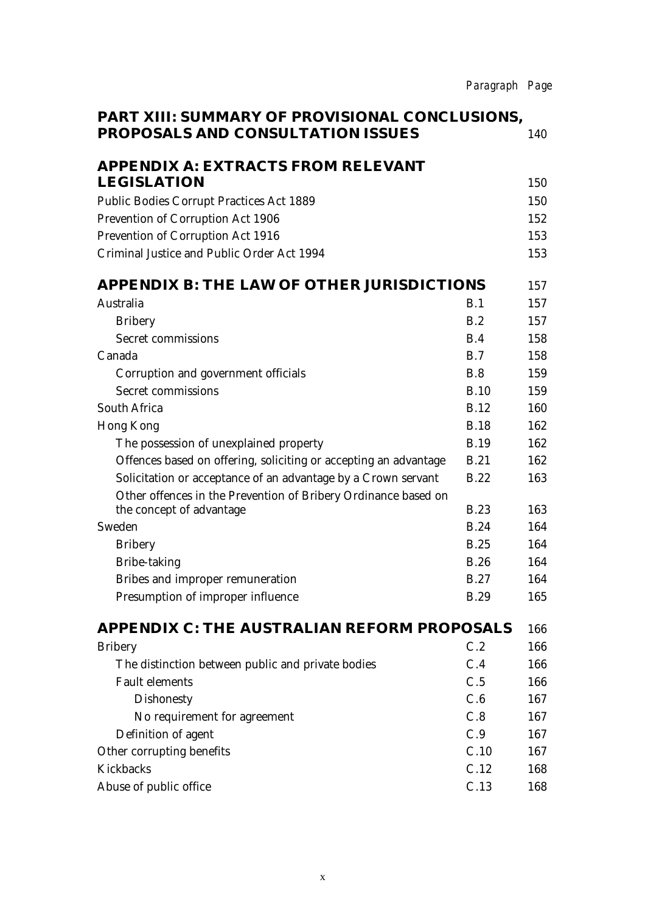| PART XIII: SUMMARY OF PROVISIONAL CONCLUSIONS,                   |             |     |
|------------------------------------------------------------------|-------------|-----|
| PROPOSALS AND CONSULTATION ISSUES                                |             | 140 |
| <b>APPENDIX A: EXTRACTS FROM RELEVANT</b>                        |             |     |
| <b>LEGISLATION</b>                                               |             | 150 |
| Public Bodies Corrupt Practices Act 1889                         |             | 150 |
| Prevention of Corruption Act 1906                                |             | 152 |
| Prevention of Corruption Act 1916                                |             | 153 |
| Criminal Justice and Public Order Act 1994                       |             | 153 |
| <b>APPENDIX B: THE LAW OF OTHER JURISDICTIONS</b>                |             | 157 |
| Australia                                                        | B.1         | 157 |
| <b>Bribery</b>                                                   | B.2         | 157 |
| <b>Secret commissions</b>                                        | B.4         | 158 |
| Canada                                                           | B.7         | 158 |
| Corruption and government officials                              | B.8         | 159 |
| <b>Secret commissions</b>                                        | B.10        | 159 |
| South Africa                                                     | <b>B.12</b> | 160 |
| <b>Hong Kong</b>                                                 | <b>B.18</b> | 162 |
| The possession of unexplained property                           | <b>B.19</b> | 162 |
| Offences based on offering, soliciting or accepting an advantage | <b>B.21</b> | 162 |
| Solicitation or acceptance of an advantage by a Crown servant    | <b>B.22</b> | 163 |
| Other offences in the Prevention of Bribery Ordinance based on   |             |     |
| the concept of advantage                                         | <b>B.23</b> | 163 |
| Sweden                                                           | <b>B.24</b> | 164 |
| <b>Bribery</b>                                                   | <b>B.25</b> | 164 |
| <b>Bribe-taking</b>                                              | <b>B.26</b> | 164 |
| Bribes and improper remuneration                                 | <b>B.27</b> | 164 |
| Presumption of improper influence                                | <b>B.29</b> | 165 |
| <b>APPENDIX C: THE AUSTRALIAN REFORM PROPOSALS</b>               |             | 166 |
| <b>Bribery</b>                                                   | C.2         | 166 |
| The distinction between public and private bodies                | C.4         | 166 |
| <b>Fault elements</b>                                            | C.5         | 166 |
| <b>Dishonesty</b>                                                | C.6         | 167 |
| No requirement for agreement                                     | C.8         | 167 |
| Definition of agent                                              | C.9         | 167 |
| Other corrupting benefits                                        | C.10        | 167 |
| Kickbacks                                                        | C.12        | 168 |
| Abuse of public office                                           | C.13        | 168 |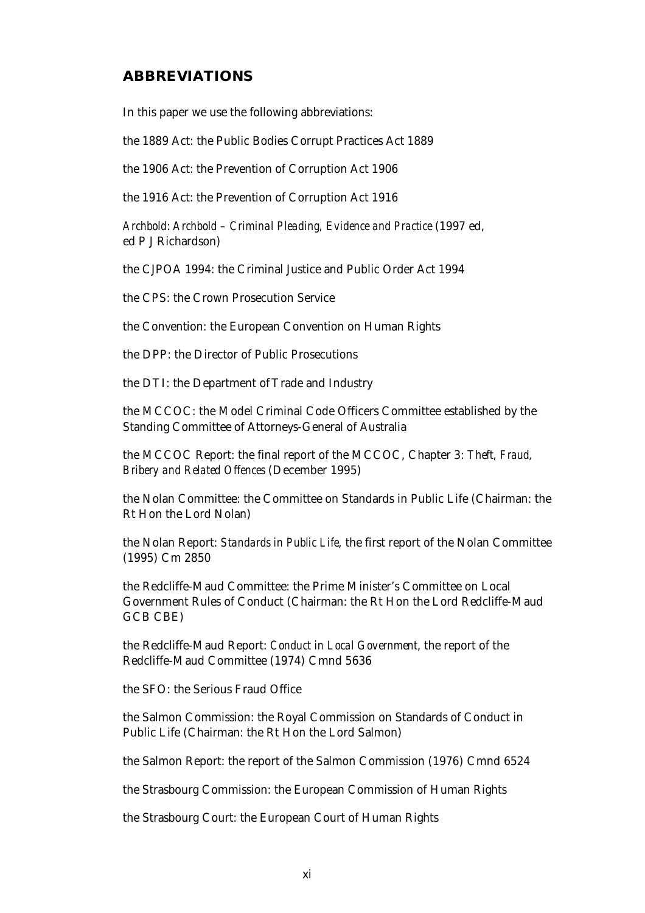# **ABBREVIATIONS**

In this paper we use the following abbreviations:

the 1889 Act: the Public Bodies Corrupt Practices Act 1889

the 1906 Act: the Prevention of Corruption Act 1906

the 1916 Act: the Prevention of Corruption Act 1916

*Archbold*: *Archbold – Criminal Pleading, Evidence and Practice* (1997 ed, ed P J Richardson)

the CJPOA 1994: the Criminal Justice and Public Order Act 1994

the CPS: the Crown Prosecution Service

the Convention: the European Convention on Human Rights

the DPP: the Director of Public Prosecutions

the DTI: the Department of Trade and Industry

the MCCOC: the Model Criminal Code Officers Committee established by the Standing Committee of Attorneys-General of Australia

the MCCOC Report: the final report of the MCCOC, Chapter 3: *Theft, Fraud, Bribery and Related Offences* (December 1995)

the Nolan Committee: the Committee on Standards in Public Life (Chairman: the Rt Hon the Lord Nolan)

the Nolan Report: *Standards in Public Life*, the first report of the Nolan Committee (1995) Cm 2850

the Redcliffe-Maud Committee: the Prime Minister's Committee on Local Government Rules of Conduct (Chairman: the Rt Hon the Lord Redcliffe-Maud GCB CBE)

the Redcliffe-Maud Report: *Conduct in Local Government*, the report of the Redcliffe-Maud Committee (1974) Cmnd 5636

the SFO: the Serious Fraud Office

the Salmon Commission: the Royal Commission on Standards of Conduct in Public Life (Chairman: the Rt Hon the Lord Salmon)

the Salmon Report: the report of the Salmon Commission (1976) Cmnd 6524

the Strasbourg Commission: the European Commission of Human Rights

the Strasbourg Court: the European Court of Human Rights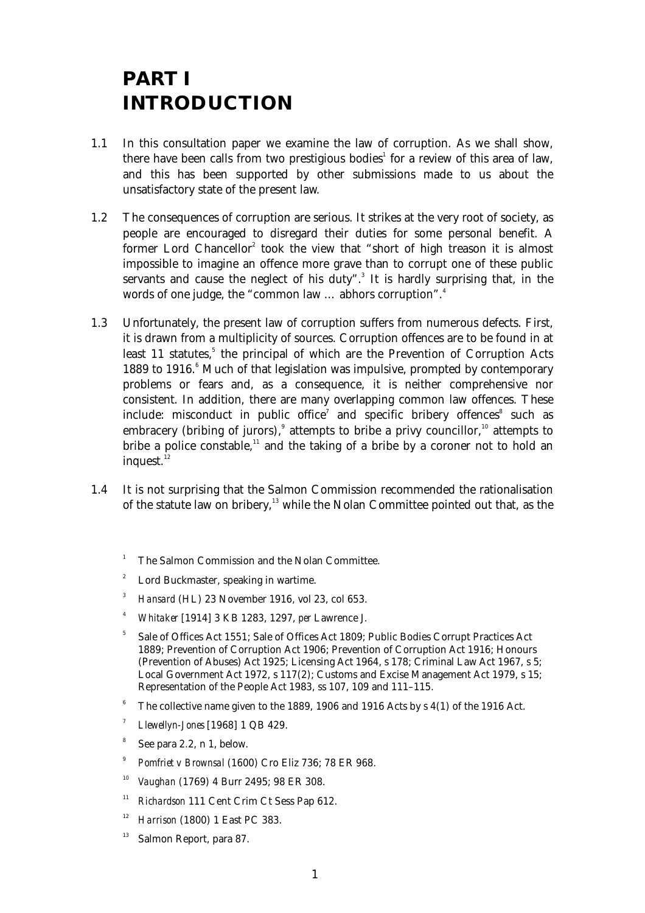# **PART I INTRODUCTION**

- 1.1 In this consultation paper we examine the law of corruption. As we shall show, there have been calls from two prestigious bodies<sup>1</sup> for a review of this area of law, and this has been supported by other submissions made to us about the unsatisfactory state of the present law.
- 1.2 The consequences of corruption are serious. It strikes at the very root of society, as people are encouraged to disregard their duties for some personal benefit. A former Lord Chancellor<sup>2</sup> took the view that "short of high treason it is almost impossible to imagine an offence more grave than to corrupt one of these public servants and cause the neglect of his duty".<sup>3</sup> It is hardly surprising that, in the words of one judge, the "common law … abhors corruption". 4
- 1.3 Unfortunately, the present law of corruption suffers from numerous defects. First, it is drawn from a multiplicity of sources. Corruption offences are to be found in at least 11 statutes,<sup>5</sup> the principal of which are the Prevention of Corruption Acts 1889 to 1916.<sup>6</sup> Much of that legislation was impulsive, prompted by contemporary problems or fears and, as a consequence, it is neither comprehensive nor consistent. In addition, there are many overlapping common law offences. These include: misconduct in public office<sup>7</sup> and specific bribery offences<sup>8</sup> such as embracery (bribing of jurors), $^{\circ}$  attempts to bribe a privy councillor, $^{10}$  attempts to bribe a police constable, $11$  and the taking of a bribe by a coroner not to hold an inquest. $12$
- 1.4 It is not surprising that the Salmon Commission recommended the rationalisation of the statute law on bribery,<sup>13</sup> while the Nolan Committee pointed out that, as the
	- The Salmon Commission and the Nolan Committee.
	- Lord Buckmaster, speaking in wartime.
	- <sup>3</sup> *Hansard* (HL) 23 November 1916, vol 23, col 653.
	- <sup>4</sup> *Whitaker* [1914] 3 KB 1283, 1297, *per* Lawrence J.
	- 5 Sale of Offices Act 1551; Sale of Offices Act 1809; Public Bodies Corrupt Practices Act 1889; Prevention of Corruption Act 1906; Prevention of Corruption Act 1916; Honours (Prevention of Abuses) Act 1925; Licensing Act 1964, s 178; Criminal Law Act 1967, s 5; Local Government Act 1972, s 117(2); Customs and Excise Management Act 1979, s 15; Representation of the People Act 1983, ss 107, 109 and 111–115.
	- The collective name given to the 1889, 1906 and 1916 Acts by  $s$  4(1) of the 1916 Act.
	- 7 *Llewellyn-Jones* [1968] 1 QB 429.
	- 8 See para 2.2, n 1, below.
	- 9 *Pomfriet v Brownsal* (1600) Cro Eliz 736; 78 ER 968.
	- <sup>10</sup> *Vaughan* (1769) 4 Burr 2495; 98 ER 308.
	- <sup>11</sup> *Richardson* 111 Cent Crim Ct Sess Pap 612.
	- <sup>12</sup> *Harrison* (1800) 1 East PC 383.
	- <sup>13</sup> Salmon Report, para 87.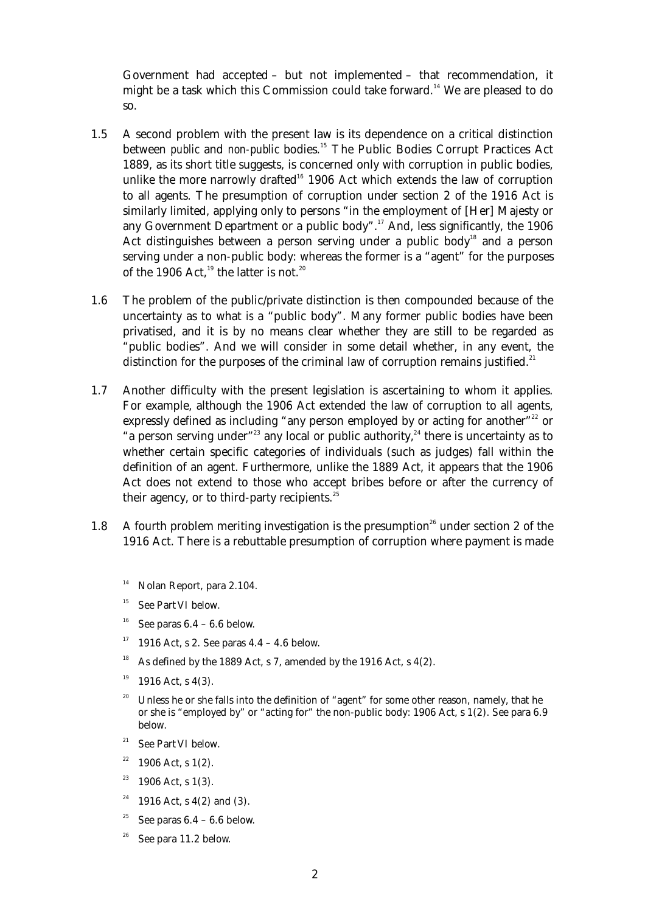Government had accepted – but not implemented – that recommendation, it might be a task which this Commission could take forward.<sup>14</sup> We are pleased to do so.

- 1.5 A second problem with the present law is its dependence on a critical distinction between *public* and *non-public* bodies.<sup>15</sup> The Public Bodies Corrupt Practices Act 1889, as its short title suggests, is concerned only with corruption in public bodies, unlike the more narrowly drafted<sup>16</sup> 1906 Act which extends the law of corruption to all agents. The presumption of corruption under section 2 of the 1916 Act is similarly limited, applying only to persons "in the employment of [Her] Majesty or any Government Department or a public body". <sup>17</sup> And, less significantly, the 1906 Act distinguishes between a person serving under a public body<sup>18</sup> and a person serving under a non*-*public body: whereas the former is a "agent" for the purposes of the 1906 Act,<sup>19</sup> the latter is not.<sup>20</sup>
- 1.6 The problem of the public/private distinction is then compounded because of the uncertainty as to what *is* a "public body". Many former public bodies have been privatised, and it is by no means clear whether they are still to be regarded as "public bodies". And we will consider in some detail whether, in any event, the distinction for the purposes of the criminal law of corruption remains justified.<sup>21</sup>
- 1.7 Another difficulty with the present legislation is ascertaining to whom it applies. For example, although the 1906 Act extended the law of corruption to all agents, expressly defined as including "any person employed by or acting for another"<sup>22</sup> or "a person serving under"<sup>23</sup> any local or public authority, $^{24}$  there is uncertainty as to whether certain specific categories of individuals (such as judges) fall within the definition of an agent. Furthermore, unlike the 1889 Act, it appears that the 1906 Act does not extend to those who accept bribes before or after the currency of their agency, or to third-party recipients. $25$
- 1.8 A fourth problem meriting investigation is the presumption<sup>26</sup> under section 2 of the 1916 Act. There is a rebuttable presumption of corruption where payment is made
	- $14$  Nolan Report, para 2.104.
	- <sup>15</sup> See Part VI below.
	- See paras  $6.4 6.6$  below.
	- $17$  1916 Act, s 2. See paras  $4.4 4.6$  below.
	- <sup>18</sup> As defined by the 1889 Act, s 7, amended by the 1916 Act, s  $4(2)$ .
	- $1916$  Act, s 4(3).
	- <sup>20</sup> Unless he or she falls into the definition of "agent" for some other reason, namely, that he or she is "employed by" or "acting for" the non-public body: 1906 Act, s 1(2). See para 6.9 below.
	- <sup>21</sup> See Part VI below.
	- <sup>22</sup> 1906 Act, s 1(2).
	- <sup>23</sup> 1906 Act, s 1(3).
	- <sup>24</sup> 1916 Act, s 4(2) and (3).
	- <sup>25</sup> See paras  $6.4 6.6$  below.
	- $26$  See para 11.2 below.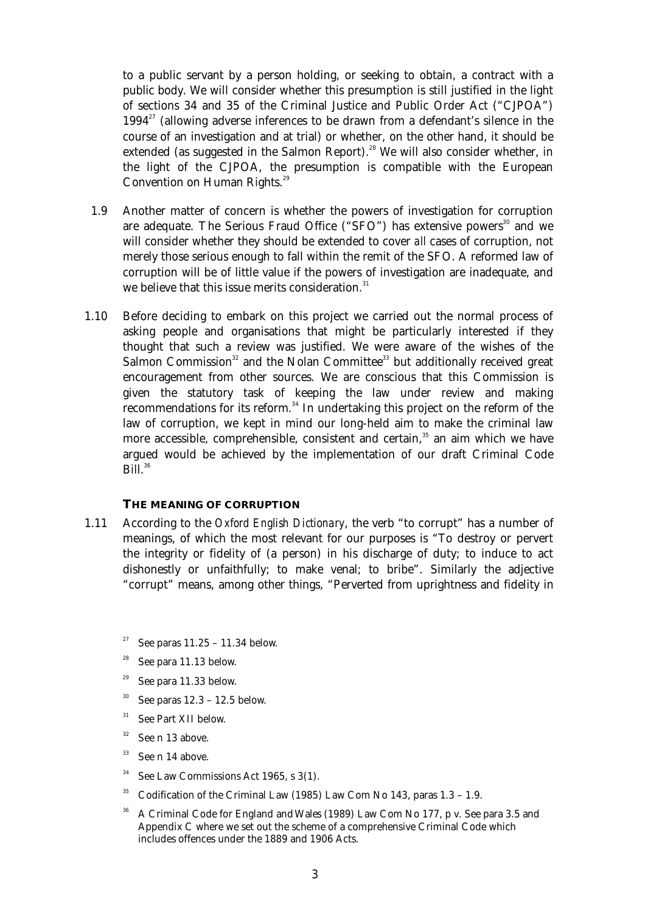to a public servant by a person holding, or seeking to obtain, a contract with a public body. We will consider whether this presumption is still justified in the light of sections 34 and 35 of the Criminal Justice and Public Order Act ("CJPOA")  $1994<sup>27</sup>$  (allowing adverse inferences to be drawn from a defendant's silence in the course of an investigation and at trial) or whether, on the other hand, it should be extended (as suggested in the Salmon Report).<sup>28</sup> We will also consider whether, in the light of the CJPOA, the presumption is compatible with the European Convention on Human Rights.<sup>2</sup>

- 1.9 Another matter of concern is whether the powers of investigation for corruption are adequate. The Serious Fraud Office ("SFO") has extensive powers<sup>30</sup> and we will consider whether they should be extended to cover *all* cases of corruption, not merely those serious enough to fall within the remit of the SFO. A reformed law of corruption will be of little value if the powers of investigation are inadequate, and we believe that this issue merits consideration.<sup>31</sup>
- 1.10 Before deciding to embark on this project we carried out the normal process of asking people and organisations that might be particularly interested if they thought that such a review was justified. We were aware of the wishes of the Salmon Commission<sup>32</sup> and the Nolan Committee<sup>33</sup> but additionally received great encouragement from other sources. We are conscious that this Commission is given the statutory task of keeping the law under review and making recommendations for its reform.<sup>34</sup> In undertaking this project on the reform of the law of corruption, we kept in mind our long-held aim to make the criminal law more accessible, comprehensible, consistent and certain,<sup>35</sup> an aim which we have argued would be achieved by the implementation of our draft Criminal Code  $Bi\tilde{1}$ <sup>36</sup>

#### **THE MEANING OF CORRUPTION**

- 1.11 According to the *Oxford English Dictionary*, the verb "to corrupt" has a number of meanings, of which the most relevant for our purposes is "To destroy or pervert the integrity or fidelity of (a person) in his discharge of duty; to induce to act dishonestly or unfaithfully; to make venal; to bribe". Similarly the adjective "corrupt" means, among other things, "Perverted from uprightness and fidelity in
	- See paras 11.25 11.34 below.
	- $28$  See para 11.13 below.
	- $29$  See para 11.33 below.
	- $30$  See paras  $12.3 12.5$  below.
	- <sup>31</sup> See Part XII below.
	- $32$  See n 13 above.
	- $33$  See n 14 above.
	- $34$  See Law Commissions Act 1965, s 3(1).
	- <sup>35</sup> Codification of the Criminal Law (1985) Law Com No 143, paras  $1.3 1.9$ .
	- <sup>36</sup> A Criminal Code for England and Wales (1989) Law Com No 177, p v. See para 3.5 and Appendix C where we set out the scheme of a comprehensive Criminal Code which includes offences under the 1889 and 1906 Acts.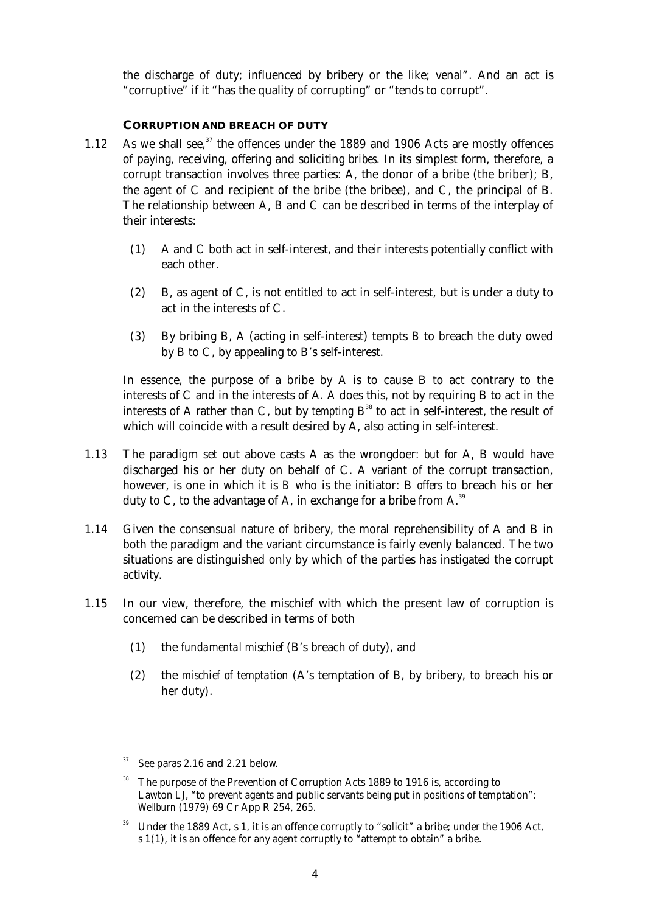the discharge of duty; influenced by bribery or the like; venal". And an act is "corruptive" if it "has the quality of corrupting" or "tends to corrupt".

#### **CORRUPTION AND BREACH OF DUTY**

- 1.12 As we shall see,<sup>37</sup> the offences under the 1889 and 1906 Acts are mostly offences of paying, receiving, offering and soliciting *bribes*. In its simplest form, therefore, a corrupt transaction involves three parties: A, the donor of a bribe (the briber); B, the agent of C and recipient of the bribe (the bribee), and C, the principal of B. The relationship between A, B and C can be described in terms of the interplay of their interests:
	- (1) A and C both act in self-interest, and their interests potentially conflict with each other.
	- (2) B, as agent of C, is not entitled to act in self-interest, but is under a duty to act in the interests of C.
	- (3) By bribing B, A (acting in self-interest) tempts B to breach the duty owed by B to C, by appealing to B's self-interest.

In essence, the purpose of a bribe by A is to cause B to act contrary to the interests of C and in the interests of A. A does this, not by requiring B to act in the interests of A rather than C, but by *tempting*  $B^{38}$  to act in self-interest, the result of which will coincide with a result desired by A, also acting in self-interest.

- 1.13 The paradigm set out above casts A as the wrongdoer: *but for* A, B would have discharged his or her duty on behalf of C. A variant of the corrupt transaction, however, is one in which it is *B* who is the initiator: B *offers* to breach his or her duty to C, to the advantage of A, in exchange for a bribe from  $A$ .<sup>39</sup>
- 1.14 Given the consensual nature of bribery, the moral reprehensibility of A and B in both the paradigm and the variant circumstance is fairly evenly balanced. The two situations are distinguished only by which of the parties has instigated the corrupt activity.
- 1.15 In our view, therefore, the mischief with which the present law of corruption is concerned can be described in terms of both
	- (1) the *fundamental mischief* (B's breach of duty), and
	- (2) the *mischief of temptation* (A's temptation of B, by bribery, to breach his or her duty).

<sup>39</sup> Under the 1889 Act, s 1, it is an offence corruptly to "solicit" a bribe; under the 1906 Act, s 1(1), it is an offence for any agent corruptly to "attempt to obtain" a bribe.

See paras 2.16 and 2.21 below.

<sup>38</sup> The purpose of the Prevention of Corruption Acts 1889 to 1916 is, according to Lawton LJ, "to prevent agents and public servants being put in positions of temptation": *Wellburn* (1979) 69 Cr App R 254, 265.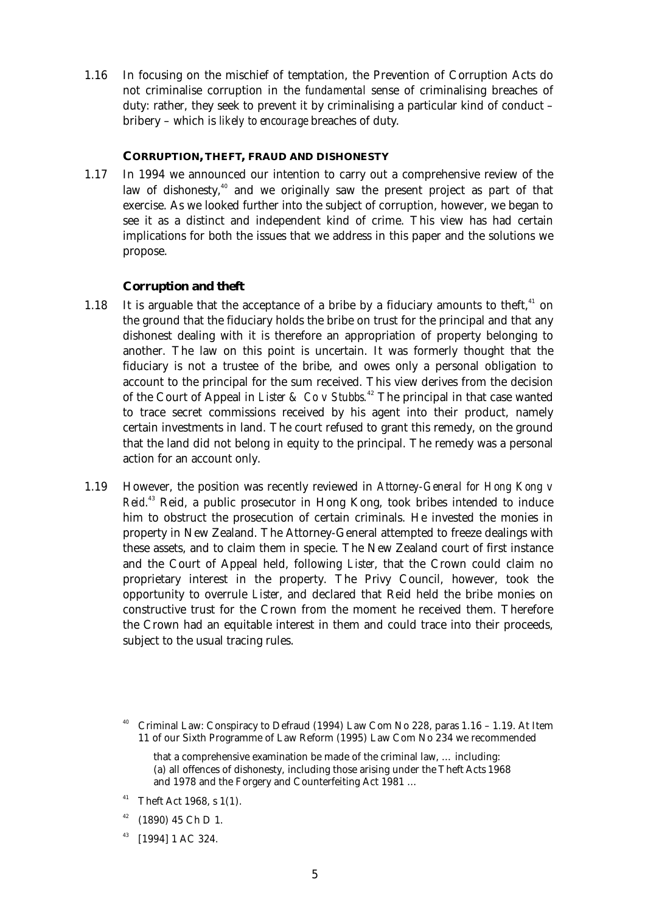1.16 In focusing on the mischief of temptation, the Prevention of Corruption Acts do not criminalise corruption in the *fundamental* sense of criminalising breaches of duty: rather, they seek to prevent it by criminalising a particular kind of conduct – bribery – which is *likely to encourage* breaches of duty.

#### **CORRUPTION, THEFT, FRAUD AND DISHONESTY**

 1.17 In 1994 we announced our intention to carry out a comprehensive review of the law of dishonesty,<sup>40</sup> and we originally saw the present project as part of that exercise. As we looked further into the subject of corruption, however, we began to see it as a distinct and independent kind of crime. This view has had certain implications for both the issues that we address in this paper and the solutions we propose.

#### **Corruption and theft**

- 1.18 It is arguable that the acceptance of a bribe by a fiduciary amounts to theft,  $41$  on the ground that the fiduciary holds the bribe on trust for the principal and that any dishonest dealing with it is therefore an appropriation of property belonging to another. The law on this point is uncertain. It was formerly thought that the fiduciary is not a trustee of the bribe, and owes only a personal obligation to account to the principal for the sum received. This view derives from the decision of the Court of Appeal in *Lister & Co v Stubbs.*<sup>42</sup> The principal in that case wanted to trace secret commissions received by his agent into their product, namely certain investments in land. The court refused to grant this remedy, on the ground that the land did not belong in equity to the principal. The remedy was a personal action for an account only.
	- 1.19 However, the position was recently reviewed in *Attorney-General for Hong Kong v Reid*. <sup>43</sup> Reid, a public prosecutor in Hong Kong, took bribes intended to induce him to obstruct the prosecution of certain criminals. He invested the monies in property in New Zealand. The Attorney-General attempted to freeze dealings with these assets, and to claim them in specie. The New Zealand court of first instance and the Court of Appeal held, following *Lister*, that the Crown could claim no proprietary interest in the property. The Privy Council, however, took the opportunity to overrule *Lister*, and declared that Reid held the bribe monies on constructive trust for the Crown from the moment he received them. Therefore the Crown had an equitable interest in them and could trace into their proceeds, subject to the usual tracing rules.

- $42$  (1890) 45 Ch D 1.
- <sup>43</sup> [1994] 1 AC 324.

<sup>40</sup> Criminal Law: Conspiracy to Defraud (1994) Law Com No 228, paras 1.16 – 1.19. At Item 11 of our Sixth Programme of Law Reform (1995) Law Com No 234 we recommended

that a comprehensive examination be made of the criminal law, … including: (a) all offences of dishonesty, including those arising under the Theft Acts 1968 and 1978 and the Forgery and Counterfeiting Act 1981 …

<sup>&</sup>lt;sup>41</sup> Theft Act 1968, s  $1(1)$ .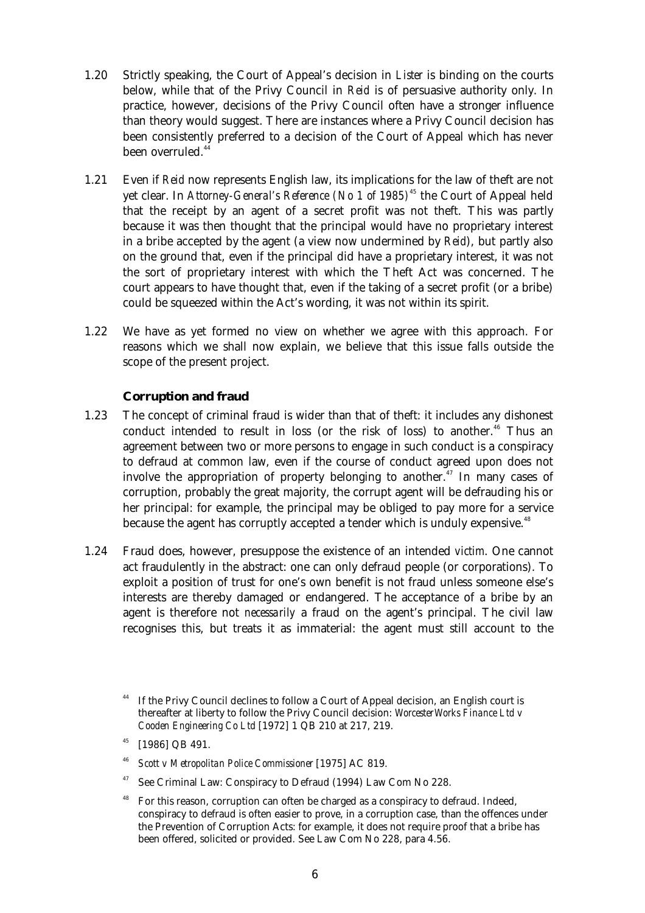- 1.20 Strictly speaking, the Court of Appeal's decision in *Lister* is binding on the courts below, while that of the Privy Council in *Reid* is of persuasive authority only. In practice, however, decisions of the Privy Council often have a stronger influence than theory would suggest. There are instances where a Privy Council decision has been consistently preferred to a decision of the Court of Appeal which has never been overruled.<sup>44</sup>
- 1.21 Even if *Reid* now represents English law, its implications for the law of theft are not yet clear. In *Attorney-General's Reference (No 1 of 1985)*<sup>45</sup> the Court of Appeal held that the receipt by an agent of a secret profit was not theft. This was partly because it was then thought that the principal would have no proprietary interest in a bribe accepted by the agent (a view now undermined by *Reid*), but partly also on the ground that, even if the principal did have a proprietary interest, it was not the sort of proprietary interest with which the Theft Act was concerned. The court appears to have thought that, even if the taking of a secret profit (or a bribe) could be squeezed within the Act's wording, it was not within its spirit.
- 1.22 We have as yet formed no view on whether we agree with this approach. For reasons which we shall now explain, we believe that this issue falls outside the scope of the present project.

## **Corruption and fraud**

- 1.23 The concept of criminal fraud is wider than that of theft: it includes any dishonest conduct intended to result in loss (or the risk of loss) to another.<sup>46</sup> Thus an agreement between two or more persons to engage in such conduct is a conspiracy to defraud at common law, even if the course of conduct agreed upon does not involve the appropriation of property belonging to another.<sup>47</sup> In many cases of corruption, probably the great majority, the corrupt agent will be defrauding his or her principal: for example, the principal may be obliged to pay more for a service because the agent has corruptly accepted a tender which is unduly expensive.<sup>48</sup>
- 1.24 Fraud does, however, presuppose the existence of an intended *victim*. One cannot act fraudulently in the abstract: one can only defraud people (or corporations). To exploit a position of trust for one's own benefit is not fraud unless someone else's interests are thereby damaged or endangered. The acceptance of a bribe by an agent is therefore not *necessarily* a fraud on the agent's principal. The civil law recognises this, but treats it as immaterial: the agent must still account to the

- <sup>46</sup> *Scott v Metropolitan Police Commissioner* [1975] AC 819.
- <sup>47</sup> See Criminal Law: Conspiracy to Defraud (1994) Law Com No 228.
- <sup>48</sup> For this reason, corruption can often be charged as a conspiracy to defraud. Indeed, conspiracy to defraud is often easier to prove, in a corruption case, than the offences under the Prevention of Corruption Acts: for example, it does not require proof that a bribe has been offered, solicited or provided. See Law Com No 228, para 4.56.

<sup>&</sup>lt;sup>44</sup> If the Privy Council declines to follow a Court of Appeal decision, an English court is thereafter at liberty to follow the Privy Council decision: *Worcester Works Finance Ltd v Cooden Engineering Co Ltd* [1972] 1 QB 210 at 217, 219.

 $45$  [1986] QB 491.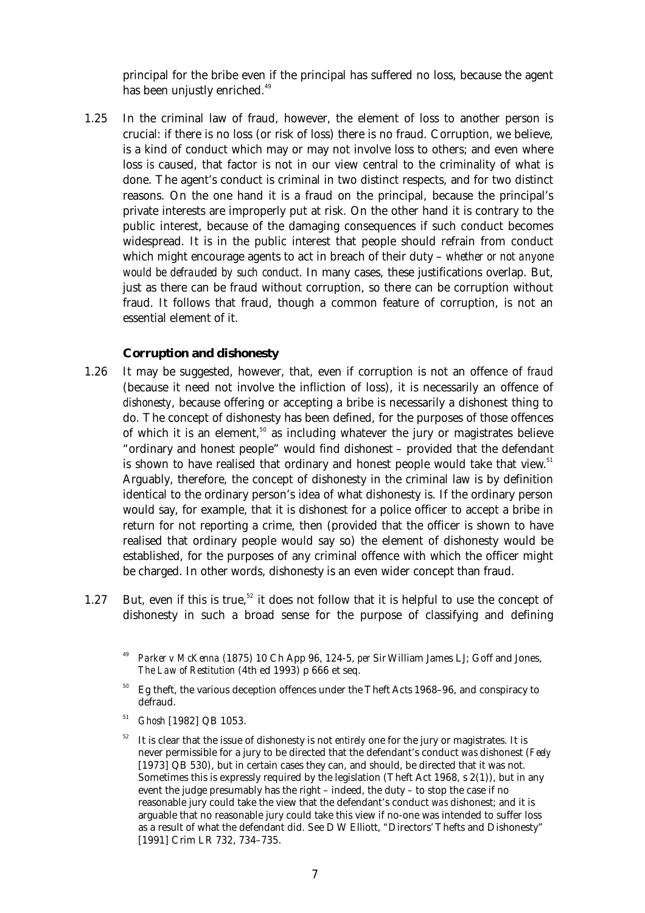principal for the bribe even if the principal has suffered no loss, because the agent has been uniustly enriched.<sup>49</sup>

 1.25 In the criminal law of fraud, however, the element of loss to another person is crucial: if there is no loss (or risk of loss) there is no fraud. Corruption, we believe, is a kind of conduct which may or may not involve loss to others; and even where loss *is* caused, that factor is not in our view central to the criminality of what is done. The agent's conduct is criminal in two distinct respects, and for two distinct reasons. On the one hand it is a fraud on the principal, because the principal's private interests are improperly put at risk. On the other hand it is contrary to the public interest, because of the damaging consequences if such conduct becomes widespread. It is in the public interest that people should refrain from conduct which might encourage agents to act in breach of their duty – *whether or not anyone would be defrauded by such conduct*. In many cases, these justifications overlap. But, just as there can be fraud without corruption, so there can be corruption without fraud. It follows that fraud, though a common feature of corruption, is not an essential element of it.

#### **Corruption and dishonesty**

- 1.26 It may be suggested, however, that, even if corruption is not an offence of *fraud* (because it need not involve the infliction of loss), it is necessarily an offence of *dishonesty*, because offering or accepting a bribe is necessarily a dishonest thing to do. The concept of dishonesty has been defined, for the purposes of those offences of which it is an element,<sup>50</sup> as including whatever the jury or magistrates believe "ordinary and honest people" would find dishonest – provided that the defendant is shown to have realised that ordinary and honest people would take that view.<sup>51</sup> Arguably, therefore, the concept of dishonesty in the criminal law is by definition identical to the ordinary person's idea of what dishonesty is. If the ordinary person would say, for example, that it is dishonest for a police officer to accept a bribe in return for not reporting a crime, then (provided that the officer is shown to have realised that ordinary people would say so) the element of dishonesty would be established, for the purposes of any criminal offence with which the officer might be charged. In other words, dishonesty is an even wider concept than fraud.
- 1.27 But, even if this is true,<sup>52</sup> it does not follow that it is helpful to use the concept of dishonesty in such a broad sense for the purpose of classifying and defining

- <sup>50</sup> Eg theft, the various deception offences under the Theft Acts 1968–96, and conspiracy to defraud.
- <sup>51</sup> *Ghosh* [1982] QB 1053.
- <sup>52</sup> It is clear that the issue of dishonesty is not *entirely* one for the jury or magistrates. It is never permissible for a jury to be directed that the defendant's conduct *was* dishonest (*Feely* [1973] QB 530), but in certain cases they can, and should, be directed that it was not. Sometimes this is expressly required by the legislation (Theft Act 1968, s 2(1)), but in any event the judge presumably has the right – indeed, the duty – to stop the case if no reasonable jury could take the view that the defendant's conduct *was* dishonest; and it is arguable that no reasonable jury could take this view if no-one was intended to suffer loss as a result of what the defendant did. See D W Elliott, "Directors' Thefts and Dishonesty" [1991] Crim LR 732, 734-735.

<sup>49</sup> *Parker v McKenna* (1875) 10 Ch App 96, 124-5, *per* Sir William James LJ; Goff and Jones, *The Law of Restitution* (4th ed 1993) p 666 et seq.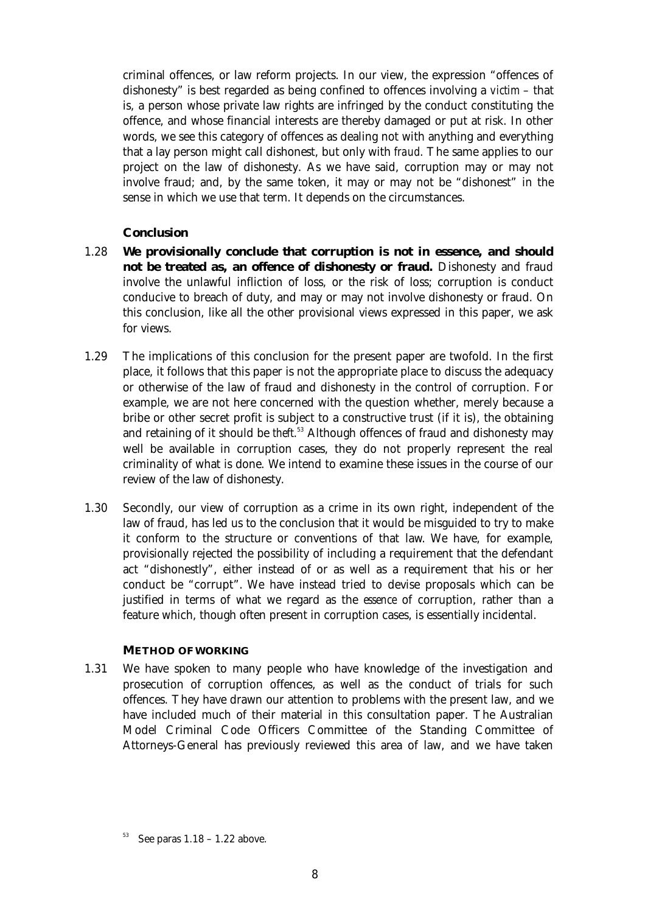criminal offences, or law reform projects. In our view, the expression "offences of dishonesty" is best regarded as being confined to offences involving a *victim* – that is, a person whose private law rights are infringed by the conduct constituting the offence, and whose financial interests are thereby damaged or put at risk. In other words, we see this category of offences as dealing not with anything and everything that a lay person might call dishonest, but only with *fraud*. The same applies to our project on the law of dishonesty. As we have said, corruption may or may not involve fraud; and, by the same token, it may or may not be "dishonest" in the sense in which we use that term. It depends on the circumstances.

## **Conclusion**

- 1.28 **We provisionally conclude that corruption is not in essence, and should not be treated as, an offence of dishonesty or fraud.** Dishonesty and fraud involve the unlawful infliction of loss, or the risk of loss; corruption is conduct conducive to breach of duty, and may or may not involve dishonesty or fraud. On this conclusion, like all the other provisional views expressed in this paper, we ask for views.
- 1.29 The implications of this conclusion for the present paper are twofold. In the first place, it follows that this paper is not the appropriate place to discuss the adequacy or otherwise of the law of fraud and dishonesty in the control of corruption. For example, we are not here concerned with the question whether, merely because a bribe or other secret profit is subject to a constructive trust (if it is), the obtaining and retaining of it should be *theft*. <sup>53</sup> Although offences of fraud and dishonesty may well be available in corruption cases, they do not properly represent the real criminality of what is done. We intend to examine these issues in the course of our review of the law of dishonesty.
- 1.30 Secondly, our view of corruption as a crime in its own right, independent of the law of fraud, has led us to the conclusion that it would be misguided to try to make it conform to the structure or conventions of that law. We have, for example, provisionally rejected the possibility of including a requirement that the defendant act "dishonestly", either instead of or as well as a requirement that his or her conduct be "corrupt". We have instead tried to devise proposals which can be justified in terms of what we regard as the *essence* of corruption, rather than a feature which, though often present in corruption cases, is essentially incidental.

#### **METHOD OF WORKING**

 1.31 We have spoken to many people who have knowledge of the investigation and prosecution of corruption offences, as well as the conduct of trials for such offences. They have drawn our attention to problems with the present law, and we have included much of their material in this consultation paper. The Australian Model Criminal Code Officers Committee of the Standing Committee of Attorneys-General has previously reviewed this area of law, and we have taken

See paras  $1.18 - 1.22$  above.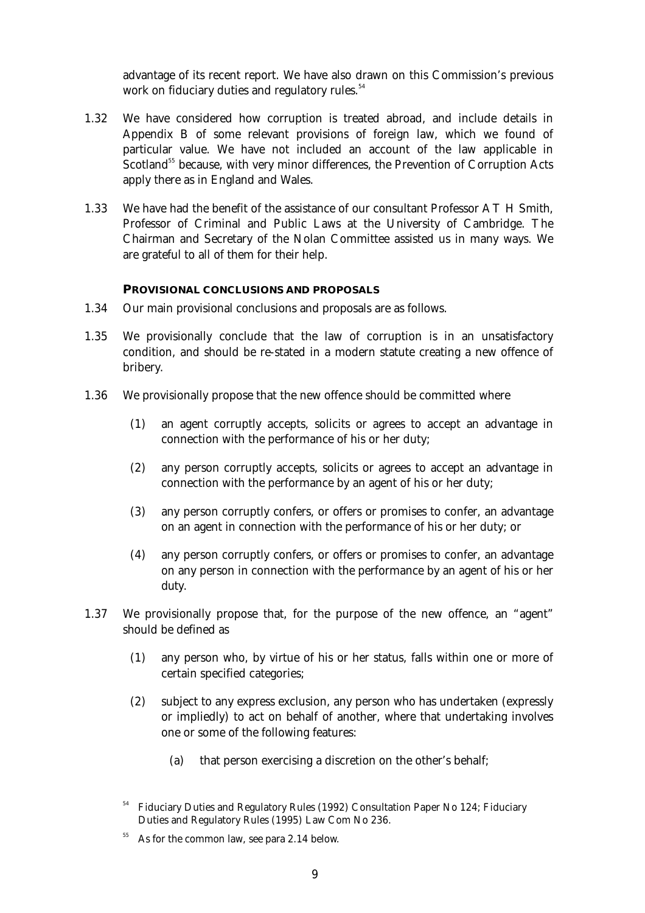advantage of its recent report. We have also drawn on this Commission's previous work on fiduciary duties and regulatory rules.<sup>54</sup>

- 1.32 We have considered how corruption is treated abroad, and include details in Appendix B of some relevant provisions of foreign law, which we found of particular value. We have not included an account of the law applicable in Scotland<sup>55</sup> because, with very minor differences, the Prevention of Corruption Acts apply there as in England and Wales.
- 1.33 We have had the benefit of the assistance of our consultant Professor AT H Smith, Professor of Criminal and Public Laws at the University of Cambridge. The Chairman and Secretary of the Nolan Committee assisted us in many ways. We are grateful to all of them for their help.

#### **PROVISIONAL CONCLUSIONS AND PROPOSALS**

- 1.34 Our main provisional conclusions and proposals are as follows.
- 1.35 We provisionally conclude that the law of corruption is in an unsatisfactory condition, and should be re-stated in a modern statute creating a new offence of bribery.
- 1.36 We provisionally propose that the new offence should be committed where
	- (1) an agent corruptly accepts, solicits or agrees to accept an advantage in connection with the performance of his or her duty;
	- (2) any person corruptly accepts, solicits or agrees to accept an advantage in connection with the performance by an agent of his or her duty;
	- (3) any person corruptly confers, or offers or promises to confer, an advantage on an agent in connection with the performance of his or her duty; or
	- (4) any person corruptly confers, or offers or promises to confer, an advantage on any person in connection with the performance by an agent of his or her duty.
- 1.37 We provisionally propose that, for the purpose of the new offence, an "agent" should be defined as
	- (1) any person who, by virtue of his or her status, falls within one or more of certain specified categories;
	- (2) subject to any express exclusion, any person who has undertaken (expressly or impliedly) to act on behalf of another, where that undertaking involves one or some of the following features:
		- (a) that person exercising a discretion on the other's behalf;

<sup>54</sup> Fiduciary Duties and Regulatory Rules (1992) Consultation Paper No 124; Fiduciary Duties and Regulatory Rules (1995) Law Com No 236.

As for the common law, see para 2.14 below.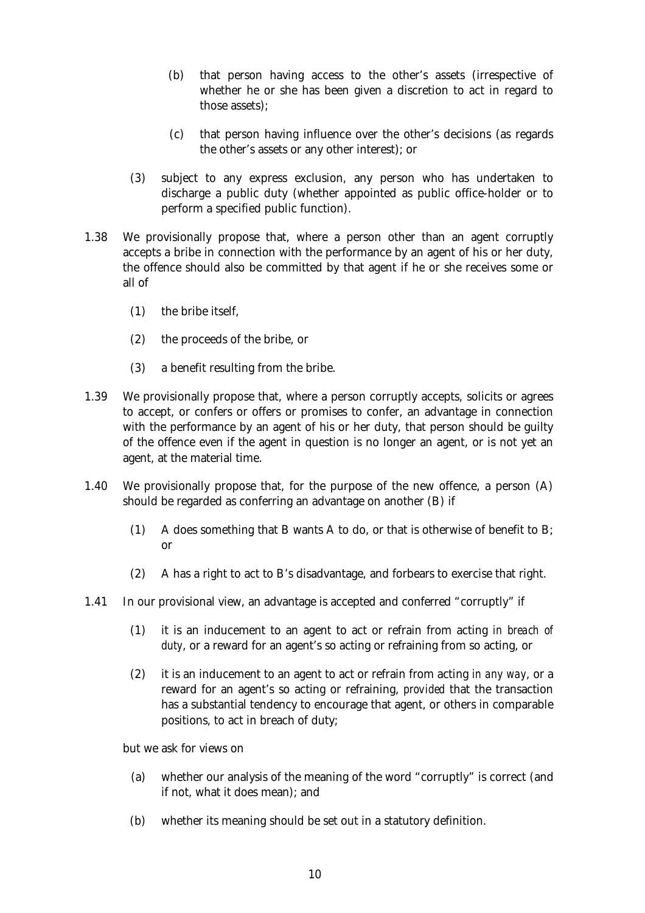- (b) that person having access to the other's assets (irrespective of whether he or she has been given a discretion to act in regard to those assets);
- (c) that person having influence over the other's decisions (as regards the other's assets or any other interest); or
- (3) subject to any express exclusion, any person who has undertaken to discharge a public duty (whether appointed as public office-holder or to perform a specified public function).
- 1.38 We provisionally propose that, where a person other than an agent corruptly accepts a bribe in connection with the performance by an agent of his or her duty, the offence should also be committed by that agent if he or she receives some or all of
	- (1) the bribe itself,
	- (2) the proceeds of the bribe, or
	- (3) a benefit resulting from the bribe.
- 1.39 We provisionally propose that, where a person corruptly accepts, solicits or agrees to accept, or confers or offers or promises to confer, an advantage in connection with the performance by an agent of his or her duty, that person should be guilty of the offence even if the agent in question is no longer an agent, or is not yet an agent, at the material time.
- 1.40 We provisionally propose that, for the purpose of the new offence, a person (A) should be regarded as conferring an advantage on another (B) if
	- (1) A does something that B wants A to do, or that is otherwise of benefit to B; or
	- (2) A has a right to act to B's disadvantage, and forbears to exercise that right.
- 1.41 In our provisional view, an advantage is accepted and conferred "corruptly" if
	- (1) it is an inducement to an agent to act or refrain from acting *in breach of duty*, or a reward for an agent's so acting or refraining from so acting, or
	- (2) it is an inducement to an agent to act or refrain from acting *in any way*, or a reward for an agent's so acting or refraining, *provided* that the transaction has a substantial tendency to encourage that agent, or others in comparable positions, to act in breach of duty;

but we ask for views on

- (a) whether our analysis of the meaning of the word "corruptly" is correct (and if not, what it does mean); and
- (b) whether its meaning should be set out in a statutory definition.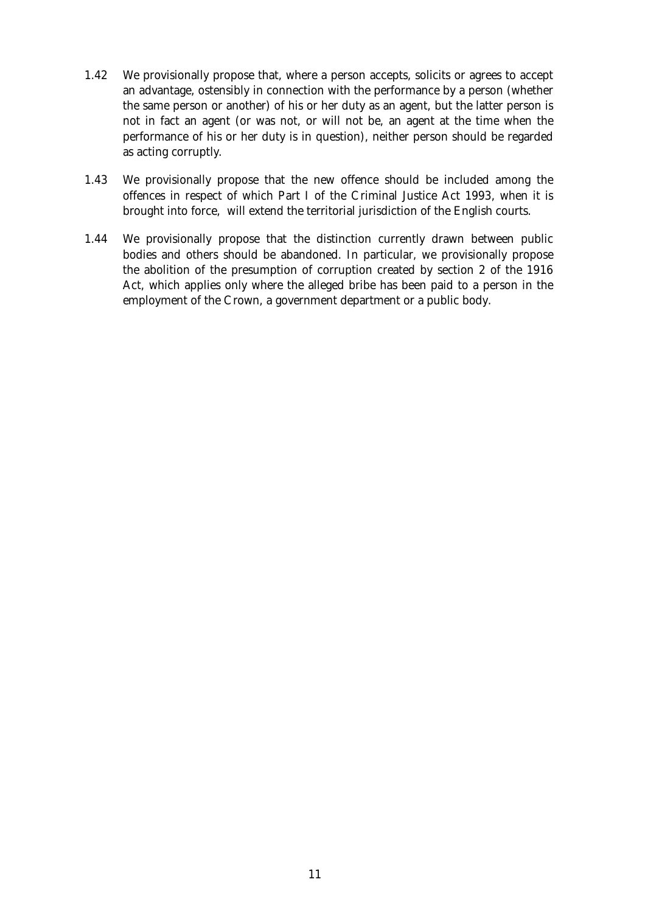- 1.42 We provisionally propose that, where a person accepts, solicits or agrees to accept an advantage, ostensibly in connection with the performance by a person (whether the same person or another) of his or her duty as an agent, but the latter person is not in fact an agent (or was not, or will not be, an agent at the time when the performance of his or her duty is in question), neither person should be regarded as acting corruptly.
- 1.43 We provisionally propose that the new offence should be included among the offences in respect of which Part I of the Criminal Justice Act 1993, when it is brought into force, will extend the territorial jurisdiction of the English courts.
- 1.44 We provisionally propose that the distinction currently drawn between public bodies and others should be abandoned. In particular, we provisionally propose the abolition of the presumption of corruption created by section 2 of the 1916 Act, which applies only where the alleged bribe has been paid to a person in the employment of the Crown, a government department or a public body.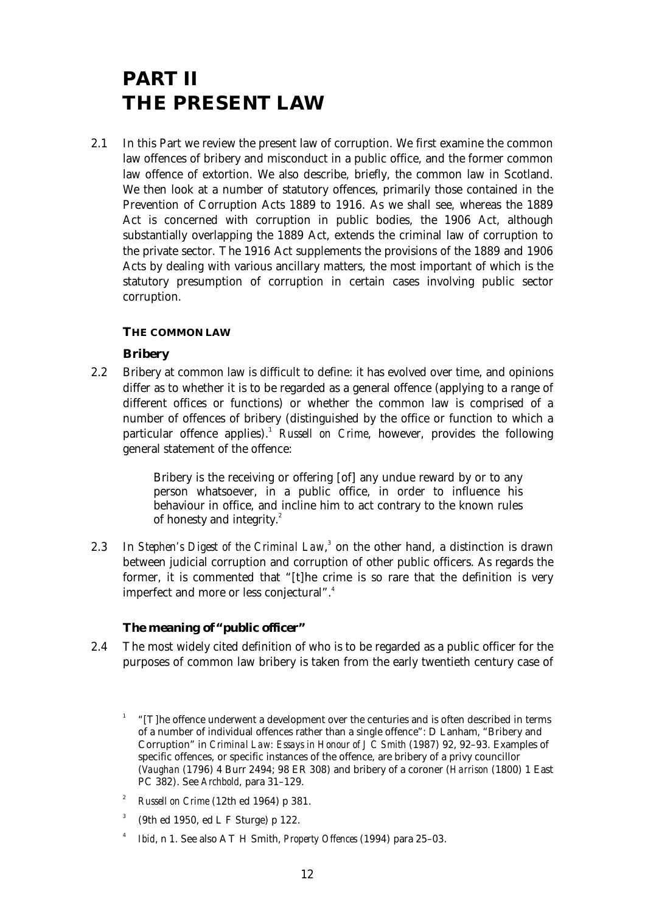# **PART II THE PRESENT LAW**

 2.1 In this Part we review the present law of corruption. We first examine the common law offences of bribery and misconduct in a public office, and the former common law offence of extortion. We also describe, briefly, the common law in Scotland. We then look at a number of statutory offences, primarily those contained in the Prevention of Corruption Acts 1889 to 1916. As we shall see, whereas the 1889 Act is concerned with corruption in public bodies, the 1906 Act, although substantially overlapping the 1889 Act, extends the criminal law of corruption to the private sector. The 1916 Act supplements the provisions of the 1889 and 1906 Acts by dealing with various ancillary matters, the most important of which is the statutory presumption of corruption in certain cases involving public sector corruption.

## **THE COMMON LAW**

## **Bribery**

 2.2 Bribery at common law is difficult to define: it has evolved over time, and opinions differ as to whether it is to be regarded as a general offence (applying to a range of different offices or functions) or whether the common law is comprised of a number of offences of bribery (distinguished by the office or function to which a particular offence applies).<sup>1</sup> *Russell on Crime*, however, provides the following general statement of the offence:

> Bribery is the receiving or offering [of] any undue reward by or to any person whatsoever, in a public office, in order to influence his behaviour in office, and incline him to act contrary to the known rules of honesty and integrity.<sup>2</sup>

2.3 In *Stephen's Digest of the Criminal Law*,<sup>3</sup> on the other hand, a distinction is drawn between judicial corruption and corruption of other public officers. As regards the former, it is commented that "[t]he crime is so rare that the definition is very imperfect and more or less conjectural". 4

## *The meaning of "public officer"*

 2.4 The most widely cited definition of who is to be regarded as a public officer for the purposes of common law bribery is taken from the early twentieth century case of

- 3 (9th ed 1950, ed L F Sturge) p 122.
- 4 *Ibid*, n 1. See also A T H Smith, *Property Offences* (1994) para 25–03.

<sup>1</sup> "[T]he offence underwent a development over the centuries and is often described in terms of a number of individual offences rather than a single offence": D Lanham, "Bribery and Corruption" in *Criminal Law: Essays in Honour of J C Smith* (1987) 92, 92–93. Examples of specific offences, or specific instances of the offence, are bribery of a privy councillor (*Vaughan* (1796) 4 Burr 2494; 98 ER 308) and bribery of a coroner (*Harrison* (1800) 1 East PC 382). See *Archbold*, para 31–129.

<sup>2</sup> *Russell on Crime* (12th ed 1964) p 381.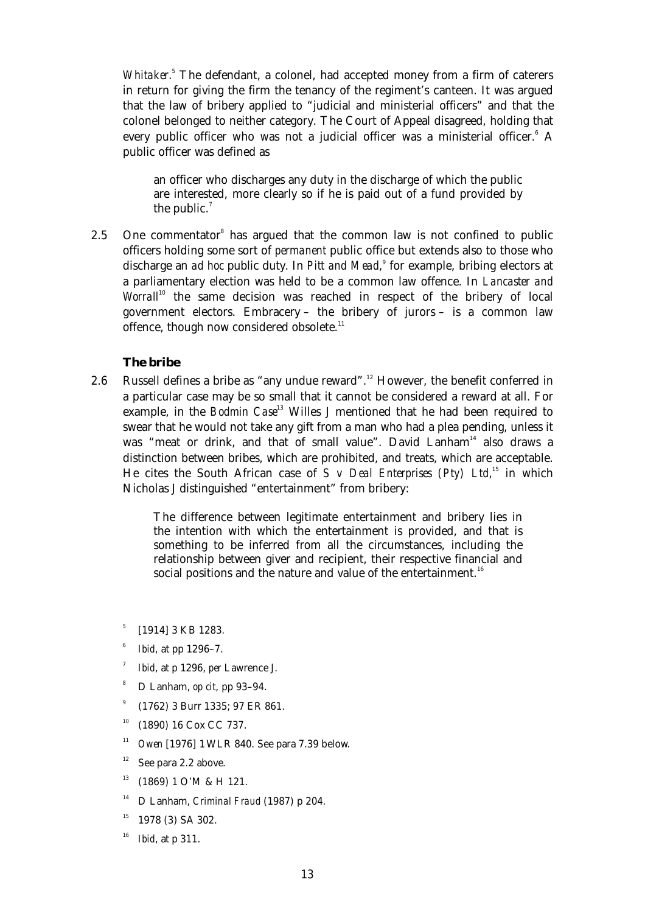Whitaker.<sup>5</sup> The defendant, a colonel, had accepted money from a firm of caterers in return for giving the firm the tenancy of the regiment's canteen. It was argued that the law of bribery applied to "judicial and ministerial officers" and that the colonel belonged to neither category. The Court of Appeal disagreed, holding that every public officer who was not a judicial officer was a ministerial officer.<sup>6</sup> A public officer was defined as

an officer who discharges any duty in the discharge of which the public are interested, more clearly so if he is paid out of a fund provided by the public. $7$ 

2.5 One commentator $^8$  has argued that the common law is not confined to public officers holding some sort of *permanent* public office but extends also to those who discharge an *ad hoc* public duty. In *Pitt and Mead*, 9 for example, bribing electors at a parliamentary election was held to be a common law offence. In *Lancaster and Worrall*<sup>10</sup> the same decision was reached in respect of the bribery of local government electors. Embracery – the bribery of jurors – is a common law offence, though now considered obsolete. $11$ 

#### *The bribe*

2.6 Russell defines a bribe as "any undue reward".<sup>12</sup> However, the benefit conferred in a particular case may be so small that it cannot be considered a reward at all. For example, in the *Bodmin Case*<sup>13</sup> Willes J mentioned that he had been required to swear that he would not take any gift from a man who had a plea pending, unless it was "meat or drink, and that of small value". David Lanham<sup>14</sup> also draws a distinction between bribes, which are prohibited, and treats, which are acceptable. He cites the South African case of *S v Deal Enterprises (Pty) Ltd*,<sup>15</sup> in which Nicholas J distinguished "entertainment" from bribery:

> The difference between legitimate entertainment and bribery lies in the intention with which the entertainment is provided, and that is something to be inferred from all the circumstances, including the relationship between giver and recipient, their respective financial and social positions and the nature and value of the entertainment.<sup>16</sup>

- 5 [1914] 3 KB 1283.
- 6 *Ibid*, at pp 1296–7.
- 7 *Ibid*, at p 1296, *per* Lawrence J.
- <sup>8</sup> D Lanham, *op cit*, pp 93–94.
- 9 (1762) 3 Burr 1335; 97 ER 861.
- $10$  (1890) 16 Cox CC 737.
- <sup>11</sup> *Owen* [1976] 1 WLR 840. See para 7.39 below.
- $12$  See para 2.2 above.
- $13$  (1869) 1 O'M & H 121.
- <sup>14</sup> D Lanham, *Criminal Fraud* (1987) p 204.
- $15$  1978 (3) SA 302.
- <sup>16</sup> *Ibid*, at p 311.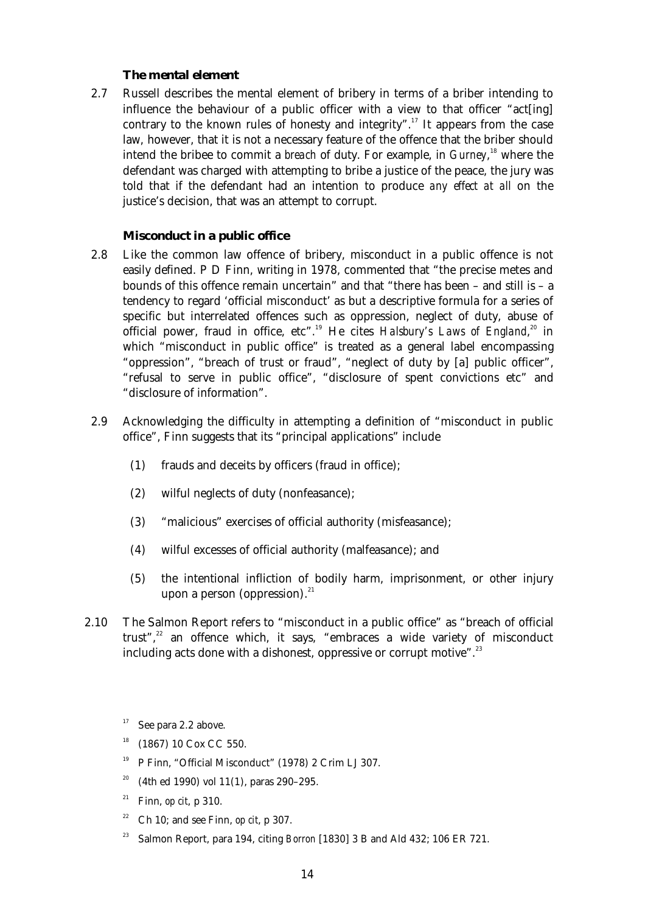#### *The mental element*

2.7 Russell describes the mental element of bribery in terms of a briber intending to influence the behaviour of a public officer with a view to that officer "act[ing] contrary to the known rules of honesty and integrity".<sup>17</sup> It appears from the case law, however, that it is not a necessary feature of the offence that the briber should intend the bribee to commit a *breach* of duty. For example, in *Gurney*, <sup>18</sup> where the defendant was charged with attempting to bribe a justice of the peace, the jury was told that if the defendant had an intention to produce *any effect at all* on the justice's decision, that was an attempt to corrupt.

#### **Misconduct in a public office**

- 2.8 Like the common law offence of bribery, misconduct in a public offence is not easily defined. P D Finn, writing in 1978, commented that "the precise metes and bounds of this offence remain uncertain" and that "there has been – and still is – a tendency to regard 'official misconduct' as but a descriptive formula for a series of specific but interrelated offences such as oppression, neglect of duty, abuse of official power, fraud in office, etc".<sup>19</sup> He cites *Halsbury's Laws of England*,<sup>20</sup> in which "misconduct in public office" is treated as a general label encompassing "oppression", "breach of trust or fraud", "neglect of duty by [a] public officer", "refusal to serve in public office", "disclosure of spent convictions etc" and "disclosure of information".
- 2.9 Acknowledging the difficulty in attempting a definition of "misconduct in public office", Finn suggests that its "principal applications" include
	- (1) frauds and deceits by officers (fraud in office);
	- (2) wilful neglects of duty (nonfeasance);
	- (3) "malicious" exercises of official authority (misfeasance);
	- (4) wilful excesses of official authority (malfeasance); and
	- (5) the intentional infliction of bodily harm, imprisonment, or other injury upon a person (oppression). $^{21}$
- 2.10 The Salmon Report refers to "misconduct in a public office" as "breach of official trust", <sup>22</sup> an offence which, it says, "embraces a wide variety of misconduct including acts done with a dishonest, oppressive or corrupt motive". $^{23}$

- <sup>18</sup> (1867) 10 Cox CC 550.
- <sup>19</sup> P Finn, "Official Misconduct" (1978) 2 Crim LJ 307.
- <sup>20</sup> (4th ed 1990) vol 11(1), paras 290–295.
- <sup>21</sup> Finn, *op cit*, p 310.
- <sup>22</sup> Ch 10; and see Finn, *op cit*, p 307.
- <sup>23</sup> Salmon Report, para 194, citing *Borron* [1830] 3 B and Ald 432; 106 ER 721.

 $17$  See para 2.2 above.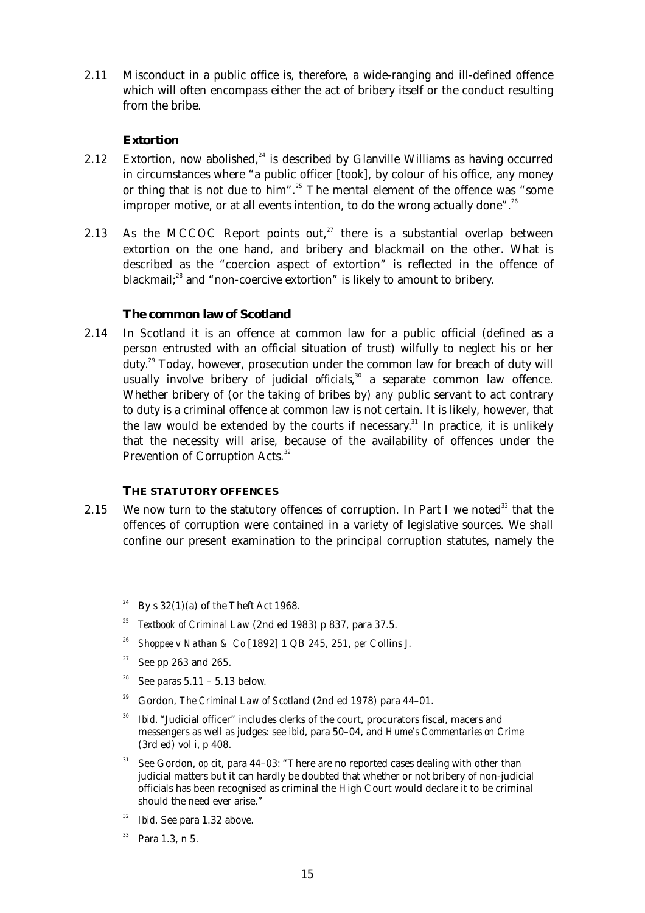2.11 Misconduct in a public office is, therefore, a wide-ranging and ill-defined offence which will often encompass either the act of bribery itself or the conduct resulting from the bribe.

#### **Extortion**

- 2.12 Extortion, now abolished, $24$  is described by Glanville Williams as having occurred in circumstances where "a public officer [took], by colour of his office, any money or thing that is not due to him".<sup>25</sup> The mental element of the offence was "some improper motive, or at all events intention, to do the wrong actually done". $^{26}$
- 2.13 As the MCCOC Report points out, $27$  there is a substantial overlap between extortion on the one hand, and bribery and blackmail on the other. What is described as the "coercion aspect of extortion" is reflected in the offence of blackmail:<sup>28</sup> and "non-coercive extortion" is likely to amount to bribery.

#### **The common law of Scotland**

 2.14 In Scotland it is an offence at common law for a public official (defined as a person entrusted with an official situation of trust) wilfully to neglect his or her duty.<sup>29</sup> Today, however, prosecution under the common law for breach of duty will usually involve bribery of *judicial officials*, <sup>30</sup> a separate common law offence. Whether bribery of (or the taking of bribes by) *any* public servant to act contrary to duty is a criminal offence at common law is not certain. It is likely, however, that the law would be extended by the courts if necessary.<sup>31</sup> In practice, it is unlikely that the necessity will arise, because of the availability of offences under the Prevention of Corruption Acts.<sup>32</sup>

## **THE STATUTORY OFFENCES**

- 2.15 We now turn to the statutory offences of corruption. In Part I we noted<sup>33</sup> that the offences of corruption were contained in a variety of legislative sources. We shall confine our present examination to the principal corruption statutes, namely the
	- <sup>24</sup> By s  $32(1)(a)$  of the Theft Act 1968.
	- <sup>25</sup> *Textbook of Criminal Law* (2nd ed 1983) p 837, para 37.5.
	- <sup>26</sup> *Shoppee v Nathan & Co* [1892] 1 QB 245, 251, *per* Collins J.
	- $27$  See pp 263 and 265.
	- <sup>28</sup> See paras  $5.11 5.13$  below.
	- <sup>29</sup> Gordon, *The Criminal Law of Scotland* (2nd ed 1978) para 44–01.
	- <sup>30</sup> *Ibid*. "Judicial officer" includes clerks of the court, procurators fiscal, macers and messengers as well as judges: see *ibid*, para 50–04, and *Hume's Commentaries on Crime* (3rd ed) vol i, p 408.
	- <sup>31</sup> See Gordon, *op cit*, para 44–03: "There are no reported cases dealing with other than judicial matters but it can hardly be doubted that whether or not bribery of non-judicial officials has been recognised as criminal the High Court would declare it to be criminal should the need ever arise."
	- <sup>32</sup> *Ibid*. See para 1.32 above.
	- <sup>33</sup> Para 1.3, n 5.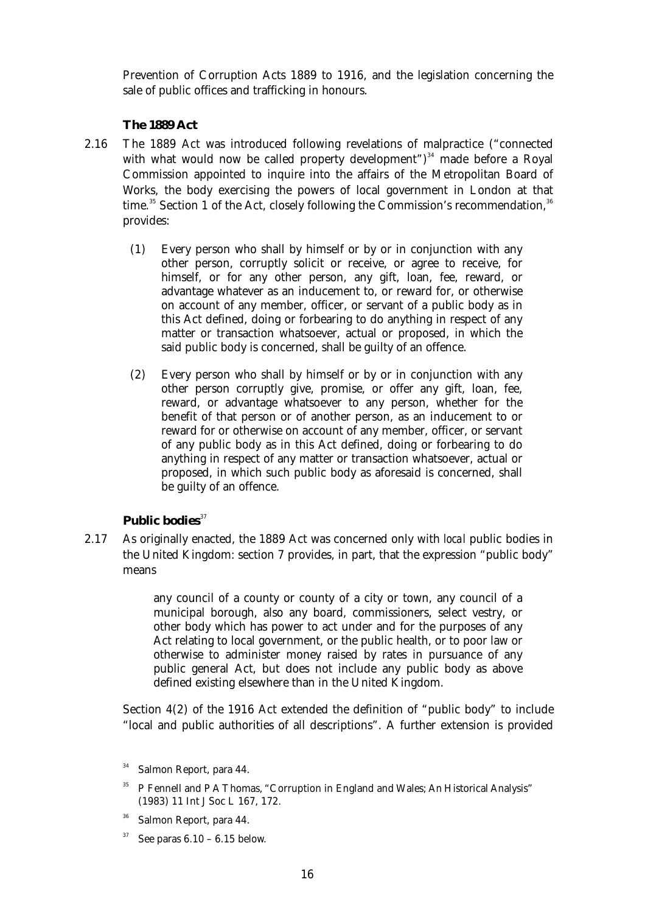Prevention of Corruption Acts 1889 to 1916, and the legislation concerning the sale of public offices and trafficking in honours.

#### **The 1889 Act**

- 2.16 The 1889 Act was introduced following revelations of malpractice ("connected with what would now be called property development")<sup>34</sup> made before a Royal Commission appointed to inquire into the affairs of the Metropolitan Board of Works, the body exercising the powers of local government in London at that time.<sup>35</sup> Section 1 of the Act, closely following the Commission's recommendation,<sup>36</sup> provides:
	- (1) Every person who shall by himself or by or in conjunction with any other person, corruptly solicit or receive, or agree to receive, for himself, or for any other person, any gift, loan, fee, reward, or advantage whatever as an inducement to, or reward for, or otherwise on account of any member, officer, or servant of a public body as in this Act defined, doing or forbearing to do anything in respect of any matter or transaction whatsoever, actual or proposed, in which the said public body is concerned, shall be guilty of an offence.
	- (2) Every person who shall by himself or by or in conjunction with any other person corruptly give, promise, or offer any gift, loan, fee, reward, or advantage whatsoever to any person, whether for the benefit of that person or of another person, as an inducement to or reward for or otherwise on account of any member, officer, or servant of any public body as in this Act defined, doing or forbearing to do anything in respect of any matter or transaction whatsoever, actual or proposed, in which such public body as aforesaid is concerned, shall be guilty of an offence.

## **Public bodies**<sup>37</sup>

 2.17 As originally enacted, the 1889 Act was concerned only with *local* public bodies in the United Kingdom: section 7 provides, in part, that the expression "public body" means

> any council of a county or county of a city or town, any council of a municipal borough, also any board, commissioners, select vestry, or other body which has power to act under and for the purposes of any Act relating to local government, or the public health, or to poor law or otherwise to administer money raised by rates in pursuance of any public general Act, but does not include any public body as above defined existing elsewhere than in the United Kingdom.

Section 4(2) of the 1916 Act extended the definition of "public body" to include "local and public authorities of all descriptions". A further extension is provided

- <sup>35</sup> P Fennell and P A Thomas, "Corruption in England and Wales; An Historical Analysis" (1983) 11 Int J Soc L 167, 172.
- <sup>36</sup> Salmon Report, para 44.
- $37$  See paras  $6.10 6.15$  below.

<sup>&</sup>lt;sup>34</sup> Salmon Report, para 44.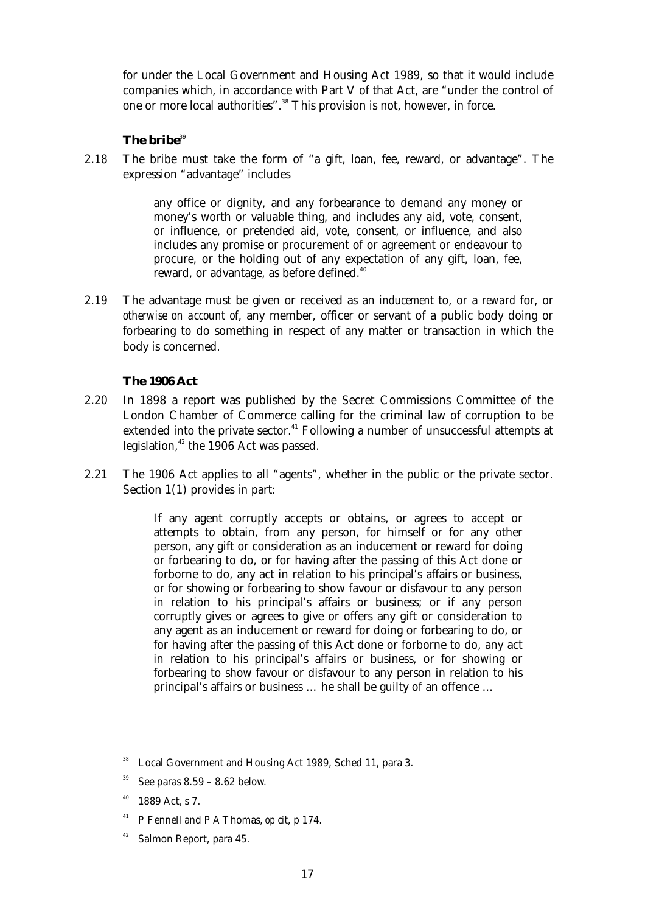for under the Local Government and Housing Act 1989, so that it would include companies which, in accordance with Part V of that Act, are "under the control of one or more local authorities". <sup>38</sup> This provision is not, however, in force.

#### *The bribe*<sup>39</sup>

 2.18 The bribe must take the form of "a gift, loan, fee, reward, or advantage". The expression "advantage" includes

> any office or dignity, and any forbearance to demand any money or money's worth or valuable thing, and includes any aid, vote, consent, or influence, or pretended aid, vote, consent, or influence, and also includes any promise or procurement of or agreement or endeavour to procure, or the holding out of any expectation of any gift, loan, fee, reward, or advantage, as before defined.<sup>40</sup>

 2.19 The advantage must be given or received as an *inducement* to, or a *reward* for, or *otherwise on account of*, any member, officer or servant of a public body doing or forbearing to do something in respect of any matter or transaction in which the body is concerned.

#### **The 1906 Act**

- 2.20 In 1898 a report was published by the Secret Commissions Committee of the London Chamber of Commerce calling for the criminal law of corruption to be extended into the private sector.<sup>41</sup> Following a number of unsuccessful attempts at legislation, $42$  the 1906 Act was passed.
- 2.21 The 1906 Act applies to all "agents", whether in the public or the private sector. Section 1(1) provides in part:

If any agent corruptly accepts or obtains, or agrees to accept or attempts to obtain, from any person, for himself or for any other person, any gift or consideration as an inducement or reward for doing or forbearing to do, or for having after the passing of this Act done or forborne to do, any act in relation to his principal's affairs or business, or for showing or forbearing to show favour or disfavour to any person in relation to his principal's affairs or business; or if any person corruptly gives or agrees to give or offers any gift or consideration to any agent as an inducement or reward for doing or forbearing to do, or for having after the passing of this Act done or forborne to do, any act in relation to his principal's affairs or business, or for showing or forbearing to show favour or disfavour to any person in relation to his principal's affairs or business … he shall be guilty of an offence …

- <sup>41</sup> P Fennell and P A Thomas, *op cit*, p 174.
- <sup>42</sup> Salmon Report, para 45.

Local Government and Housing Act 1989, Sched 11, para 3.

 $39$  See paras  $8.59 - 8.62$  below.

 $40$  1889 Act, s 7.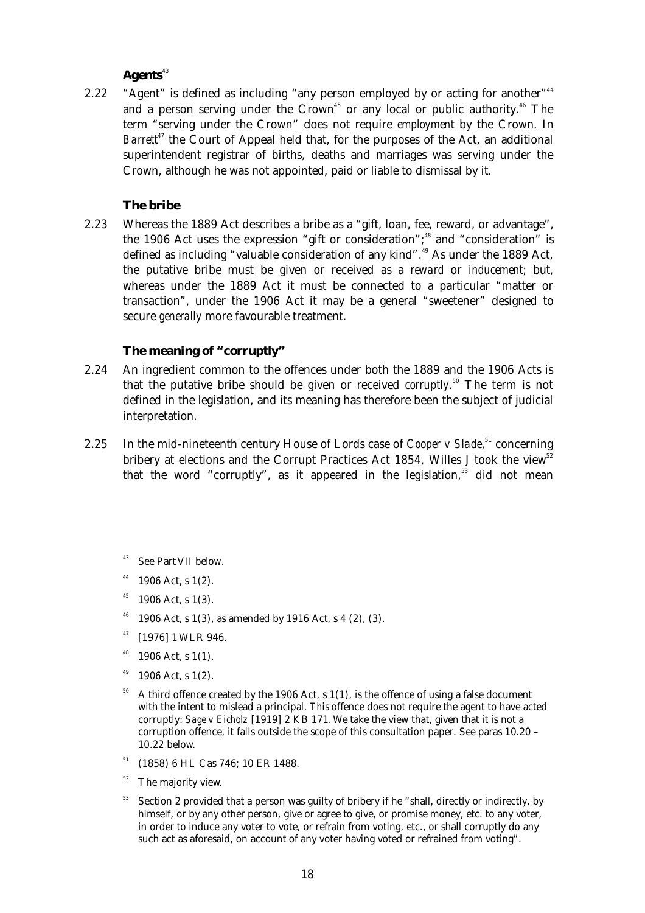# Agents<sup>43</sup>

2.22 "Agent" is defined as including "any person employed by or acting for another"<sup>44</sup> and a person serving under the Crown<sup>45</sup> or any local or public authority.<sup>46</sup> The term "serving under the Crown" does not require *employment* by the Crown. In *Barrett<sup>47</sup>* the Court of Appeal held that, for the purposes of the Act, an additional superintendent registrar of births, deaths and marriages was serving under the Crown, although he was not appointed, paid or liable to dismissal by it.

#### *The bribe*

 2.23 Whereas the 1889 Act describes a bribe as a "gift, loan, fee, reward, or advantage", the 1906 Act uses the expression "gift or consideration";<sup>48</sup> and "consideration" is defined as including "valuable consideration of any kind".<sup>49</sup> As under the 1889 Act, the putative bribe must be given or received as a *reward* or *inducement*; but, whereas under the 1889 Act it must be connected to a particular "matter or transaction", under the 1906 Act it may be a general "sweetener" designed to secure *generally* more favourable treatment.

## **The meaning of "corruptly"**

- 2.24 An ingredient common to the offences under both the 1889 and the 1906 Acts is that the putative bribe should be given or received *corruptly*. <sup>50</sup> The term is not defined in the legislation, and its meaning has therefore been the subject of judicial interpretation.
- 2.25 In the mid-nineteenth century House of Lords case of *Cooper v Slade*,<sup>51</sup> concerning bribery at elections and the Corrupt Practices Act 1854, Willes J took the view<sup>52</sup> that the word "corruptly", as it appeared in the legislation, $53$  did not mean
	- See Part VII below.
	- $44$  1906 Act, s 1(2).
	- $45$  1906 Act, s 1(3).
	- <sup>46</sup> 1906 Act, s 1(3), as amended by 1916 Act, s 4 (2), (3).
	- <sup>47</sup> [1976] 1 WLR 946.
	- $48$  1906 Act, s 1(1).
	- $49$  1906 Act, s 1(2).
	- $50$  A third offence created by the 1906 Act, s 1(1), is the offence of using a false document with the intent to mislead a principal. *This* offence does not require the agent to have acted corruptly: *Sage v Eicholz* [1919] 2 KB 171. We take the view that, given that it is not a corruption offence, it falls outside the scope of this consultation paper. See paras 10.20 – 10.22 below.
	- <sup>51</sup> (1858) 6 HL Cas 746; 10 ER 1488.
	- <sup>52</sup> The majority view.
	- <sup>53</sup> Section 2 provided that a person was guilty of bribery if he "shall, directly or indirectly, by himself, or by any other person, give or agree to give, or promise money, etc. to any voter, in order to induce any voter to vote, or refrain from voting, etc., or shall corruptly do any such act as aforesaid, on account of any voter having voted or refrained from voting".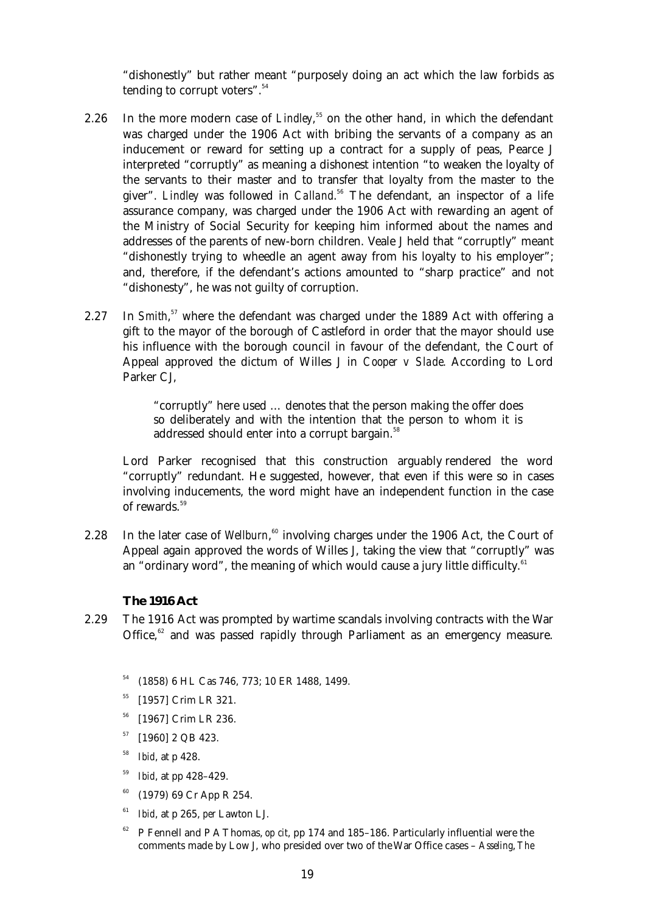"dishonestly" but rather meant "purposely doing an act which the law forbids as tending to corrupt voters". 54

- 2.26 In the more modern case of *Lindley*, <sup>55</sup> on the other hand, in which the defendant was charged under the 1906 Act with bribing the servants of a company as an inducement or reward for setting up a contract for a supply of peas, Pearce J interpreted "corruptly" as meaning a dishonest intention "to weaken the loyalty of the servants to their master and to transfer that loyalty from the master to the giver". *Lindley* was followed in *Calland*. <sup>56</sup> The defendant, an inspector of a life assurance company, was charged under the 1906 Act with rewarding an agent of the Ministry of Social Security for keeping him informed about the names and addresses of the parents of new-born children. Veale J held that "corruptly" meant "dishonestly trying to wheedle an agent away from his loyalty to his employer"; and, therefore, if the defendant's actions amounted to "sharp practice" and not "dishonesty", he was not guilty of corruption.
- 2.27 In *Smith*,<sup>57</sup> where the defendant was charged under the 1889 Act with offering a gift to the mayor of the borough of Castleford in order that the mayor should use his influence with the borough council in favour of the defendant, the Court of Appeal approved the dictum of Willes J in *Cooper v Slade.* According to Lord Parker CJ,

"corruptly" here used … denotes that the person making the offer does so deliberately and with the intention that the person to whom it is addressed should enter into a corrupt bargain.<sup>58</sup>

Lord Parker recognised that this construction arguably rendered the word "corruptly" redundant. He suggested, however, that even if this were so in cases involving inducements, the word might have an independent function in the case of rewards.<sup>59</sup>

2.28 In the later case of *Wellburn*,<sup>60</sup> involving charges under the 1906 Act, the Court of Appeal again approved the words of Willes J, taking the view that "corruptly" was an "ordinary word", the meaning of which would cause a jury little difficulty. $61$ 

#### **The 1916 Act**

- 2.29 The 1916 Act was prompted by wartime scandals involving contracts with the War Office.<sup>62</sup> and was passed rapidly through Parliament as an emergency measure.
	- <sup>54</sup> (1858) 6 HL Cas 746, 773; 10 ER 1488, 1499.
	- <sup>55</sup> [1957] Crim LR 321.
	- <sup>56</sup> [1967] Crim LR 236.
	- $57$  [1960] 2 QB 423.
	- <sup>58</sup> *Ibid*, at p 428.
	- <sup>59</sup> *Ibid*, at pp 428–429.
	- $60$  (1979) 69 Cr App R 254.
	- <sup>61</sup> *Ibid*, at p 265, *per* Lawton LJ.
	- <sup>62</sup> P Fennell and P A Thomas, *op cit*, pp 174 and 185–186. Particularly influential were the comments made by Low J, who presided over two of the War Office cases – *Asseling*, *The*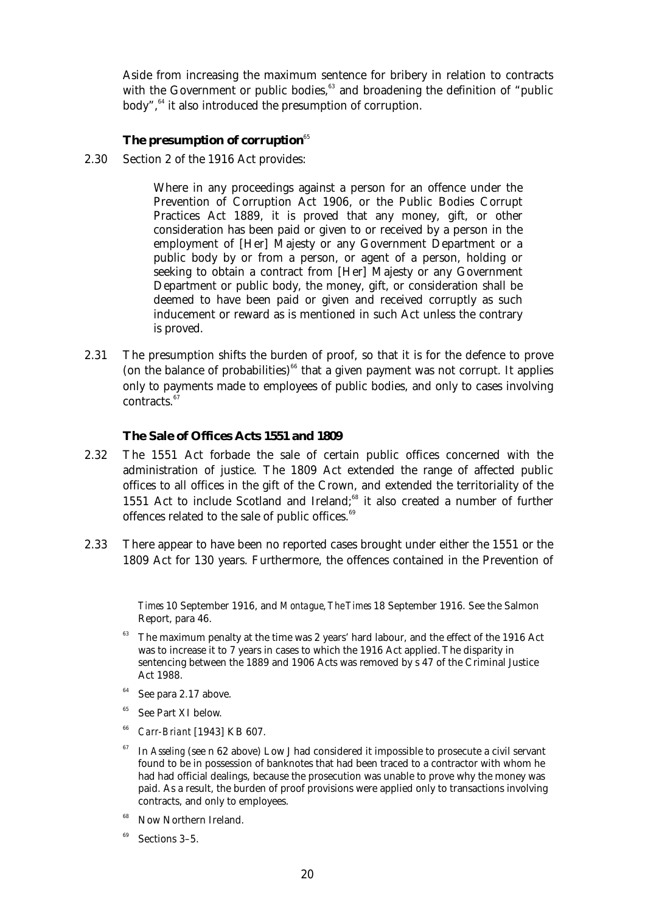Aside from increasing the maximum sentence for bribery in relation to contracts with the Government or public bodies, $63$  and broadening the definition of "public body",<sup>64</sup> it also introduced the presumption of corruption.

## *The presumption of corruption*<sup>65</sup>

2.30 Section 2 of the 1916 Act provides:

Where in any proceedings against a person for an offence under the Prevention of Corruption Act 1906, or the Public Bodies Corrupt Practices Act 1889, it is proved that any money, gift, or other consideration has been paid or given to or received by a person in the employment of [Her] Majesty or any Government Department or a public body by or from a person, or agent of a person, holding or seeking to obtain a contract from [Her] Majesty or any Government Department or public body, the money, gift, or consideration shall be deemed to have been paid or given and received corruptly as such inducement or reward as is mentioned in such Act unless the contrary is proved.

 2.31 The presumption shifts the burden of proof, so that it is for the defence to prove (on the balance of probabilities) $66$  that a given payment was not corrupt. It applies only to payments made to employees of public bodies, and only to cases involving contracts.<sup>67</sup>

#### **The Sale of Offices Acts 1551 and 1809**

- 2.32 The 1551 Act forbade the sale of certain public offices concerned with the administration of justice. The 1809 Act extended the range of affected public offices to all offices in the gift of the Crown, and extended the territoriality of the 1551 Act to include Scotland and Ireland;<sup>68</sup> it also created a number of further offences related to the sale of public offices.<sup>69</sup>
- 2.33 There appear to have been no reported cases brought under either the 1551 or the 1809 Act for 130 years. Furthermore, the offences contained in the Prevention of

*Times* 10 September 1916, and *Montague*, *The Times* 18 September 1916. See the Salmon Report, para 46.

- $63$  The maximum penalty at the time was 2 years' hard labour, and the effect of the 1916 Act was to increase it to 7 years in cases to which the 1916 Act applied. The disparity in sentencing between the 1889 and 1906 Acts was removed by s 47 of the Criminal Justice Act 1988.
- $64$  See para 2.17 above.
- <sup>65</sup> See Part XI below.
- <sup>66</sup> *Carr-Briant* [1943] KB 607.
- <sup>67</sup> In *Asseling* (see n 62 above) Low J had considered it impossible to prosecute a civil servant found to be in possession of banknotes that had been traced to a contractor with whom he had had official dealings, because the prosecution was unable to prove why the money was paid. As a result, the burden of proof provisions were applied only to transactions involving contracts, and only to employees.
- <sup>68</sup> Now Northern Ireland.
- $69$  Sections 3-5.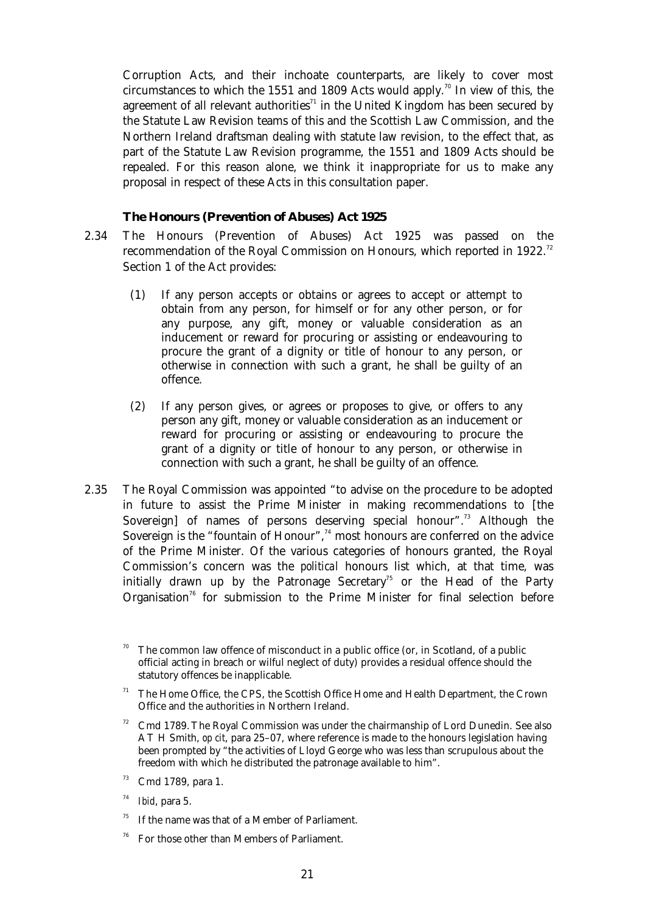Corruption Acts, and their inchoate counterparts, are likely to cover most circumstances to which the 1551 and 1809 Acts would apply.<sup>70</sup> In view of this, the agreement of all relevant authorities<sup> $71$ </sup> in the United Kingdom has been secured by the Statute Law Revision teams of this and the Scottish Law Commission, and the Northern Ireland draftsman dealing with statute law revision, to the effect that, as part of the Statute Law Revision programme, the 1551 and 1809 Acts should be repealed. For this reason alone, we think it inappropriate for us to make any proposal in respect of these Acts in this consultation paper.

#### **The Honours (Prevention of Abuses) Act 1925**

- 2.34 The Honours (Prevention of Abuses) Act 1925 was passed on the recommendation of the Royal Commission on Honours, which reported in 1922.<sup>72</sup> Section 1 of the Act provides:
	- (1) If any person accepts or obtains or agrees to accept or attempt to obtain from any person, for himself or for any other person, or for any purpose, any gift, money or valuable consideration as an inducement or reward for procuring or assisting or endeavouring to procure the grant of a dignity or title of honour to any person, or otherwise in connection with such a grant, he shall be guilty of an offence.
	- (2) If any person gives, or agrees or proposes to give, or offers to any person any gift, money or valuable consideration as an inducement or reward for procuring or assisting or endeavouring to procure the grant of a dignity or title of honour to any person, or otherwise in connection with such a grant, he shall be guilty of an offence.
- 2.35 The Royal Commission was appointed "to advise on the procedure to be adopted in future to assist the Prime Minister in making recommendations to [the Sovereign] of names of persons deserving special honour".<sup>73</sup> Although the Sovereign is the "fountain of Honour",<sup>74</sup> most honours are conferred on the advice of the Prime Minister. Of the various categories of honours granted, the Royal Commission's concern was the *political* honours list which, at that time, was initially drawn up by the Patronage Secretary<sup>75</sup> or the Head of the Party Organisation<sup>76</sup> for submission to the Prime Minister for final selection before

- $71$  The Home Office, the CPS, the Scottish Office Home and Health Department, the Crown Office and the authorities in Northern Ireland.
- $72$  Cmd 1789. The Royal Commission was under the chairmanship of Lord Dunedin. See also A T H Smith, *op cit*, para 25–07, where reference is made to the honours legislation having been prompted by "the activities of Lloyd George who was less than scrupulous about the freedom with which he distributed the patronage available to him".

- <sup>75</sup> If the name was that of a Member of Parliament.
- $76$  For those other than Members of Parliament.

The common law offence of misconduct in a public office (or, in Scotland, of a public official acting in breach or wilful neglect of duty) provides a residual offence should the statutory offences be inapplicable.

<sup>73</sup> Cmd 1789, para 1.

<sup>74</sup> *Ibid*, para 5.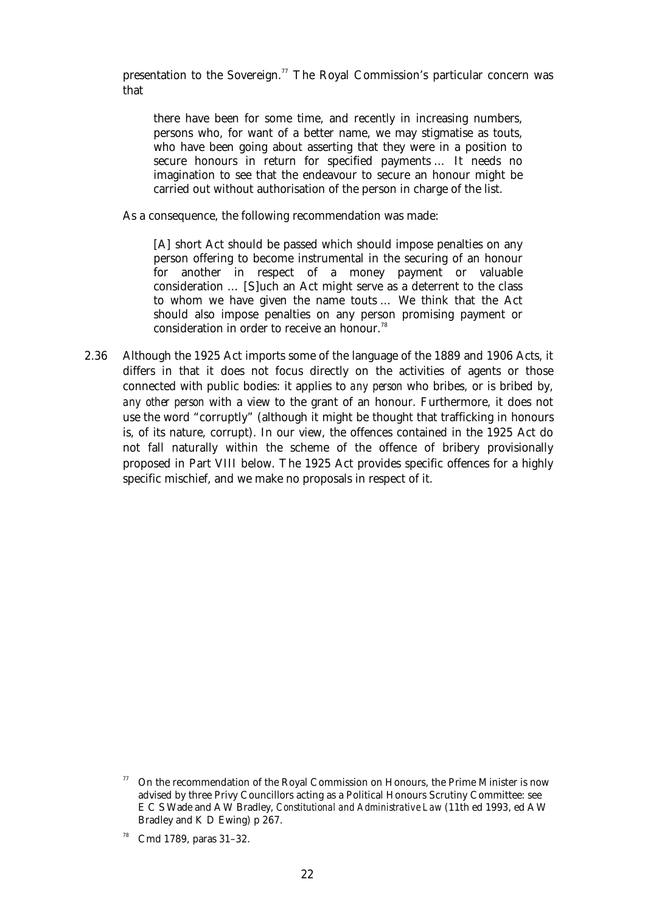presentation to the Sovereign.<sup>77</sup> The Royal Commission's particular concern was that

there have been for some time, and recently in increasing numbers, persons who, for want of a better name, we may stigmatise as touts, who have been going about asserting that they were in a position to secure honours in return for specified payments … It needs no imagination to see that the endeavour to secure an honour might be carried out without authorisation of the person in charge of the list.

As a consequence, the following recommendation was made:

[A] short Act should be passed which should impose penalties on any person offering to become instrumental in the securing of an honour for another in respect of a money payment or valuable consideration … [S]uch an Act might serve as a deterrent to the class to whom we have given the name touts … We think that the Act should also impose penalties on any person promising payment or consideration in order to receive an honour.<sup>78</sup>

 2.36 Although the 1925 Act imports some of the language of the 1889 and 1906 Acts, it differs in that it does not focus directly on the activities of agents or those connected with public bodies: it applies to *any person* who bribes, or is bribed by, *any other person* with a view to the grant of an honour. Furthermore, it does not use the word "corruptly" (although it might be thought that trafficking in honours is, of its nature, corrupt). In our view, the offences contained in the 1925 Act do not fall naturally within the scheme of the offence of bribery provisionally proposed in Part VIII below. The 1925 Act provides specific offences for a highly specific mischief, and we make no proposals in respect of it.

<sup>77</sup> On the recommendation of the Royal Commission on Honours, the Prime Minister is now advised by three Privy Councillors acting as a Political Honours Scrutiny Committee: see E C S Wade and A W Bradley, *Constitutional and Administrative Law* (11th ed 1993, ed A W Bradley and K D Ewing) p 267.

Cmd 1789, paras 31-32.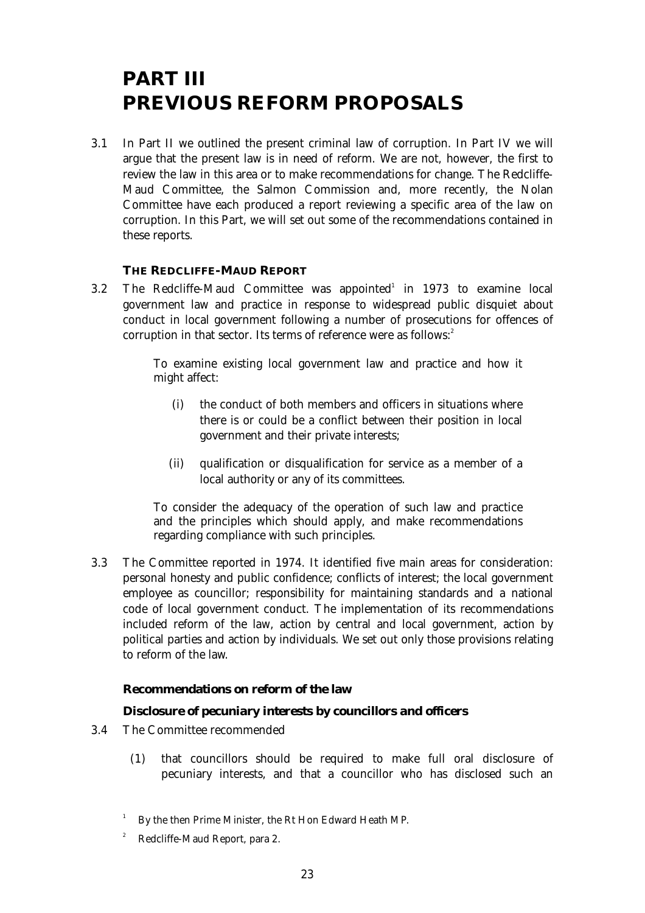# **PART III PREVIOUS REFORM PROPOSALS**

 3.1 In Part II we outlined the present criminal law of corruption. In Part IV we will argue that the present law is in need of reform. We are not, however, the first to review the law in this area or to make recommendations for change. The Redcliffe-Maud Committee, the Salmon Commission and, more recently, the Nolan Committee have each produced a report reviewing a specific area of the law on corruption. In this Part, we will set out some of the recommendations contained in these reports.

#### **THE REDCLIFFE-MAUD REPORT**

3.2 The Redcliffe-Maud Committee was appointed<sup>1</sup> in 1973 to examine local government law and practice in response to widespread public disquiet about conduct in local government following a number of prosecutions for offences of corruption in that sector. Its terms of reference were as follows:<sup>2</sup>

> To examine existing local government law and practice and how it might affect:

- (i) the conduct of both members and officers in situations where there is or could be a conflict between their position in local government and their private interests;
- (ii) qualification or disqualification for service as a member of a local authority or any of its committees.

To consider the adequacy of the operation of such law and practice and the principles which should apply, and make recommendations regarding compliance with such principles.

 3.3 The Committee reported in 1974. It identified five main areas for consideration: personal honesty and public confidence; conflicts of interest; the local government employee as councillor; responsibility for maintaining standards and a national code of local government conduct. The implementation of its recommendations included reform of the law, action by central and local government, action by political parties and action by individuals. We set out only those provisions relating to reform of the law.

#### **Recommendations on reform of the law**

#### *Disclosure of pecuniary interests by councillors and officers*

- 3.4 The Committee recommended
	- (1) that councillors should be required to make full oral disclosure of pecuniary interests, and that a councillor who has disclosed such an
	- <sup>1</sup> By the then Prime Minister, the Rt Hon Edward Heath MP.
	- <sup>2</sup> Redcliffe-Maud Report, para 2.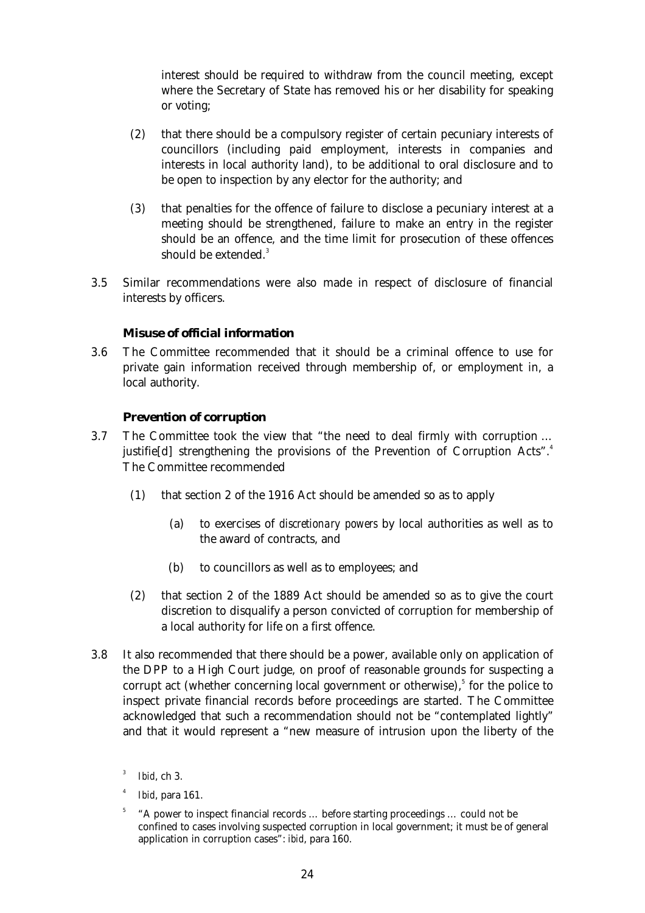interest should be required to withdraw from the council meeting, except where the Secretary of State has removed his or her disability for speaking or voting;

- (2) that there should be a compulsory register of certain pecuniary interests of councillors (including paid employment, interests in companies and interests in local authority land), to be additional to oral disclosure and to be open to inspection by any elector for the authority; and
- (3) that penalties for the offence of failure to disclose a pecuniary interest at a meeting should be strengthened, failure to make an entry in the register should be an offence, and the time limit for prosecution of these offences should be extended. $3$
- 3.5 Similar recommendations were also made in respect of disclosure of financial interests by officers.

# *Misuse of official information*

 3.6 The Committee recommended that it should be a criminal offence to use for private gain information received through membership of, or employment in, a local authority.

# *Prevention of corruption*

- 3.7 The Committee took the view that "the need to deal firmly with corruption … justifie[d] strengthening the provisions of the Prevention of Corruption Acts".<sup>4</sup> The Committee recommended
	- (1) that section 2 of the 1916 Act should be amended so as to apply
		- (a) to exercises of *discretionary powers* by local authorities as well as to the award of contracts, and
		- (b) to councillors as well as to employees; and
	- (2) that section 2 of the 1889 Act should be amended so as to give the court discretion to disqualify a person convicted of corruption for membership of a local authority for life on a first offence.
- 3.8 It also recommended that there should be a power, available only on application of the DPP to a High Court judge, on proof of reasonable grounds for suspecting a corrupt act (whether concerning local government or otherwise), $5$  for the police to inspect private financial records before proceedings are started. The Committee acknowledged that such a recommendation should not be "contemplated lightly" and that it would represent a "new measure of intrusion upon the liberty of the

<sup>3</sup> *Ibid*, ch 3.

<sup>4</sup> *Ibid*, para 161.

<sup>5</sup> "A power to inspect financial records … before starting proceedings … could not be confined to cases involving suspected corruption in local government; it must be of general application in corruption cases": *ibid*, para 160.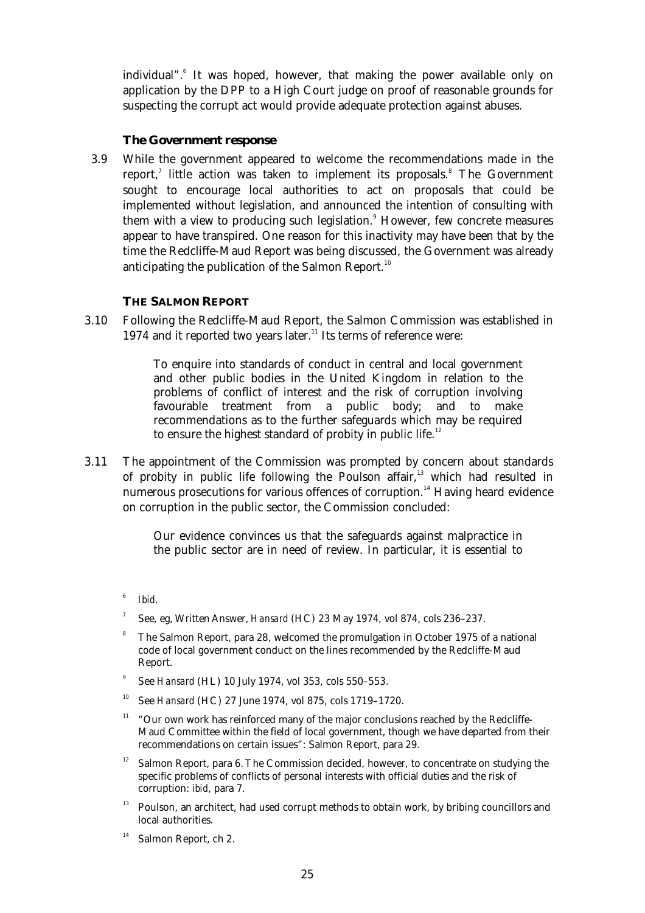individual". 6 It was hoped, however, that making the power available only on application by the DPP to a High Court judge on proof of reasonable grounds for suspecting the corrupt act would provide adequate protection against abuses.

#### **The Government response**

 3.9 While the government appeared to welcome the recommendations made in the report,<sup>7</sup> little action was taken to implement its proposals.<sup>8</sup> The Government sought to encourage local authorities to act on proposals that could be implemented without legislation, and announced the intention of consulting with them with a view to producing such legislation.<sup>9</sup> However, few concrete measures appear to have transpired. One reason for this inactivity may have been that by the time the Redcliffe-Maud Report was being discussed, the Government was already anticipating the publication of the Salmon Report.<sup>10</sup>

#### **THE SALMON REPORT**

 3.10 Following the Redcliffe-Maud Report, the Salmon Commission was established in 1974 and it reported two years later.<sup>11</sup> Its terms of reference were:

> To enquire into standards of conduct in central and local government and other public bodies in the United Kingdom in relation to the problems of conflict of interest and the risk of corruption involving favourable treatment from a public body; and to make recommendations as to the further safeguards which may be required to ensure the highest standard of probity in public life.<sup>12</sup>

 3.11 The appointment of the Commission was prompted by concern about standards of probity in public life following the Poulson affair, $13$  which had resulted in numerous prosecutions for various offences of corruption.<sup>14</sup> Having heard evidence on corruption in the public sector, the Commission concluded:

> Our evidence convinces us that the safeguards against malpractice in the public sector are in need of review. In particular, it is essential to

- 7 See, eg, Written Answer, *Hansard* (HC) 23 May 1974, vol 874, cols 236–237.
- <sup>8</sup> The Salmon Report, para 28, welcomed the promulgation in October 1975 of a national code of local government conduct on the lines recommended by the Redcliffe-Maud Report.
- 9 See *Hansard* (HL) 10 July 1974, vol 353, cols 550–553.
- <sup>10</sup> See *Hansard* (HC) 27 June 1974, vol 875, cols 1719–1720.
- $11$  "Our own work has reinforced many of the major conclusions reached by the Redcliffe-Maud Committee within the field of local government, though we have departed from their recommendations on certain issues": Salmon Report, para 29.
- Salmon Report, para 6. The Commission decided, however, to concentrate on studying the specific problems of conflicts of personal interests with official duties and the risk of corruption: *ibid*, para 7.
- $13$  Poulson, an architect, had used corrupt methods to obtain work, by bribing councillors and local authorities.
- Salmon Report, ch 2.

<sup>6</sup> *Ibid*.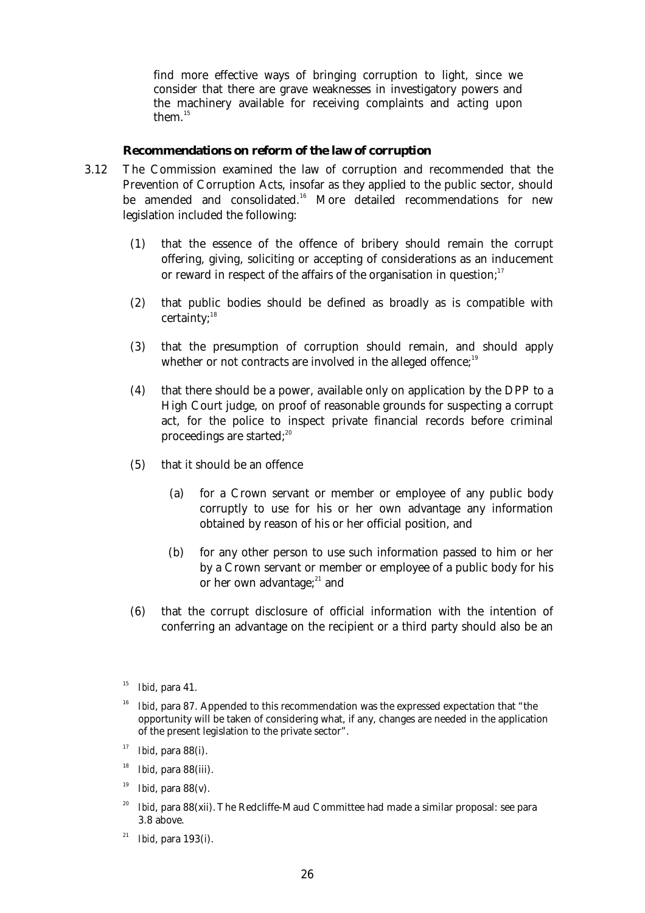find more effective ways of bringing corruption to light, since we consider that there are grave weaknesses in investigatory powers and the machinery available for receiving complaints and acting upon them $15$ 

#### **Recommendations on reform of the law of corruption**

- 3.12 The Commission examined the law of corruption and recommended that the Prevention of Corruption Acts, insofar as they applied to the public sector, should be amended and consolidated.<sup>16</sup> More detailed recommendations for new legislation included the following:
	- (1) that the essence of the offence of bribery should remain the corrupt offering, giving, soliciting or accepting of considerations as an inducement or reward in respect of the affairs of the organisation in question;<sup>17</sup>
	- (2) that public bodies should be defined as broadly as is compatible with certainty; $18$
	- (3) that the presumption of corruption should remain, and should apply whether or not contracts are involved in the alleged offence; $19$
	- (4) that there should be a power, available only on application by the DPP to a High Court judge, on proof of reasonable grounds for suspecting a corrupt act, for the police to inspect private financial records before criminal proceedings are started: $20$
	- (5) that it should be an offence
		- (a) for a Crown servant or member or employee of any public body corruptly to use for his or her own advantage any information obtained by reason of his or her official position, and
		- (b) for any other person to use such information passed to him or her by a Crown servant or member or employee of a public body for his or her own advantage; $21$  and
	- (6) that the corrupt disclosure of official information with the intention of conferring an advantage on the recipient or a third party should also be an

<sup>20</sup> *Ibid*, para 88(xii). The Redcliffe-Maud Committee had made a similar proposal: see para 3.8 above.

<sup>15</sup> *Ibid*, para 41.

*Ibid*, para 87. Appended to this recommendation was the expressed expectation that "the opportunity will be taken of considering what, if any, changes are needed in the application of the present legislation to the private sector".

<sup>17</sup> *Ibid*, para 88(i).

 $18$  *Ibid*, para 88(iii).

<sup>19</sup> *Ibid*, para 88(v).

<sup>21</sup> *Ibid*, para 193(i).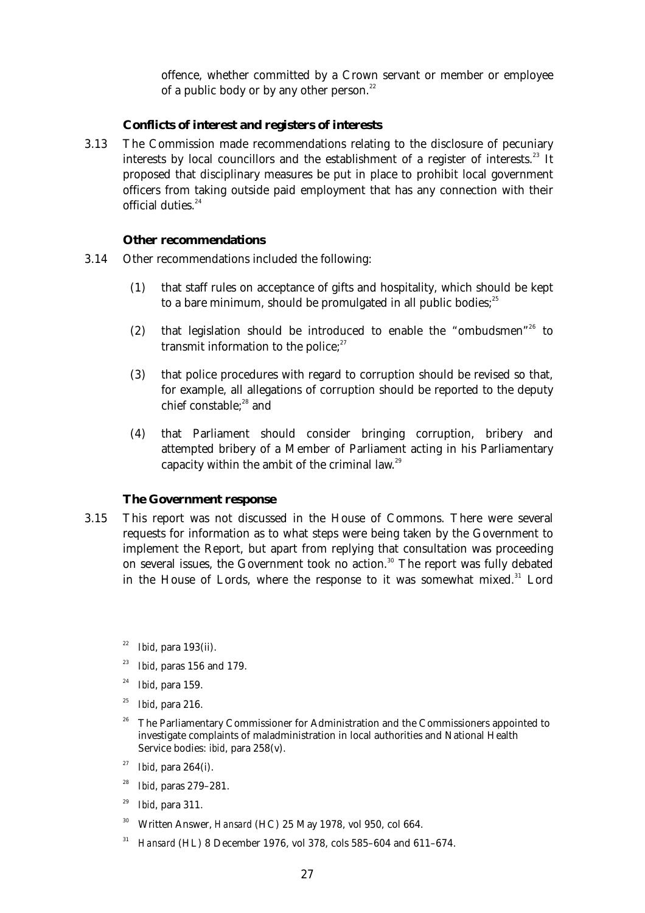offence, whether committed by a Crown servant or member or employee of a public body or by any other person. $22$ 

#### **Conflicts of interest and registers of interests**

 3.13 The Commission made recommendations relating to the disclosure of pecuniary interests by local councillors and the establishment of a register of interests.<sup>23</sup> It proposed that disciplinary measures be put in place to prohibit local government officers from taking outside paid employment that has any connection with their official duties. $24$ 

#### **Other recommendations**

- 3.14 Other recommendations included the following:
	- (1) that staff rules on acceptance of gifts and hospitality, which should be kept to a bare minimum, should be promulgated in all public bodies; $25$
	- (2) that legislation should be introduced to enable the "ombudsmen"<sup>26</sup> to transmit information to the police: $27$ 
		- (3) that police procedures with regard to corruption should be revised so that, for example, all allegations of corruption should be reported to the deputy chief constable;<sup>28</sup> and
	- (4) that Parliament should consider bringing corruption, bribery and attempted bribery of a Member of Parliament acting in his Parliamentary capacity within the ambit of the criminal law.<sup>29</sup>

#### **The Government response**

 3.15 This report was not discussed in the House of Commons. There were several requests for information as to what steps were being taken by the Government to implement the Report, but apart from replying that consultation was proceeding on several issues, the Government took no action.<sup>30</sup> The report was fully debated in the House of Lords, where the response to it was somewhat mixed. $31$  Lord

- *Ibid*, paras 156 and 179.
- <sup>24</sup> *Ibid*, para 159.
- <sup>25</sup> *Ibid*, para 216.
- <sup>26</sup> The Parliamentary Commissioner for Administration and the Commissioners appointed to investigate complaints of maladministration in local authorities and National Health Service bodies: *ibid*, para 258(v).
- <sup>27</sup> *Ibid*, para 264(i).
- <sup>28</sup> *Ibid*, paras 279–281.
- <sup>29</sup> *Ibid*, para 311.
- <sup>30</sup> Written Answer, *Hansard* (HC) 25 May 1978, vol 950, col 664.
- <sup>31</sup> *Hansard* (HL) 8 December 1976, vol 378, cols 585–604 and 611–674.

<sup>22</sup> *Ibid*, para 193(ii).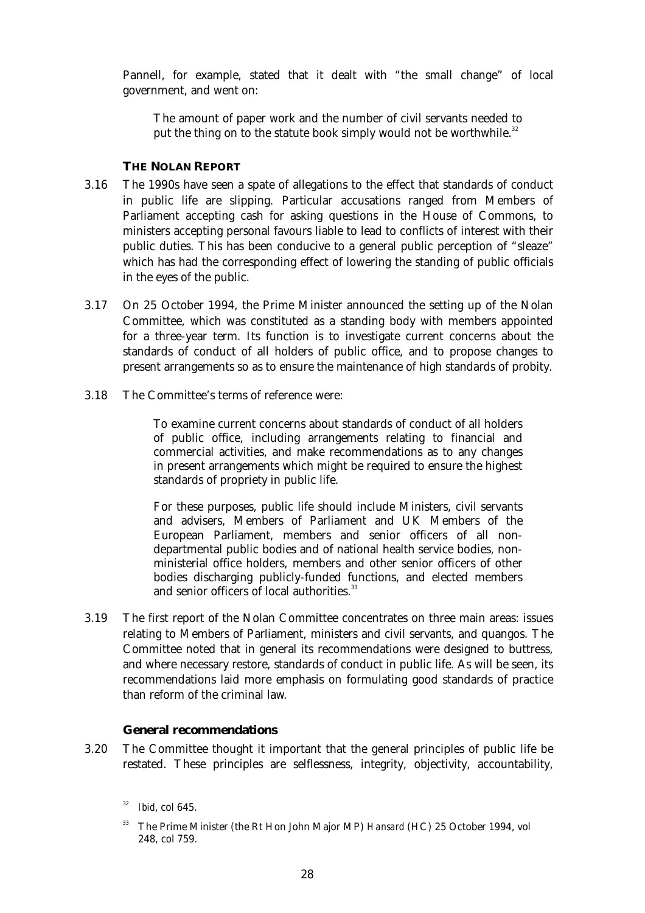Pannell, for example, stated that it dealt with "the small change" of local government, and went on:

The amount of paper work and the number of civil servants needed to put the thing on to the statute book simply would not be worthwhile.<sup>32</sup>

#### **THE NOLAN REPORT**

- 3.16 The 1990s have seen a spate of allegations to the effect that standards of conduct in public life are slipping. Particular accusations ranged from Members of Parliament accepting cash for asking questions in the House of Commons, to ministers accepting personal favours liable to lead to conflicts of interest with their public duties. This has been conducive to a general public perception of "sleaze" which has had the corresponding effect of lowering the standing of public officials in the eyes of the public.
- 3.17 On 25 October 1994, the Prime Minister announced the setting up of the Nolan Committee, which was constituted as a standing body with members appointed for a three-year term. Its function is to investigate current concerns about the standards of conduct of all holders of public office, and to propose changes to present arrangements so as to ensure the maintenance of high standards of probity.
- 3.18 The Committee's terms of reference were:

To examine current concerns about standards of conduct of all holders of public office, including arrangements relating to financial and commercial activities, and make recommendations as to any changes in present arrangements which might be required to ensure the highest standards of propriety in public life.

For these purposes, public life should include Ministers, civil servants and advisers, Members of Parliament and UK Members of the European Parliament, members and senior officers of all nondepartmental public bodies and of national health service bodies, nonministerial office holders, members and other senior officers of other bodies discharging publicly-funded functions, and elected members and senior officers of local authorities.<sup>33</sup>

 3.19 The first report of the Nolan Committee concentrates on three main areas: issues relating to Members of Parliament, ministers and civil servants, and quangos. The Committee noted that in general its recommendations were designed to buttress, and where necessary restore, standards of conduct in public life. As will be seen, its recommendations laid more emphasis on formulating good standards of practice than reform of the criminal law.

#### **General recommendations**

 3.20 The Committee thought it important that the general principles of public life be restated. These principles are selflessness, integrity, objectivity, accountability,

 $32$  *Ibid.* col 645.

<sup>33</sup> The Prime Minister (the Rt Hon John Major MP) *Hansard* (HC) 25 October 1994, vol 248, col 759.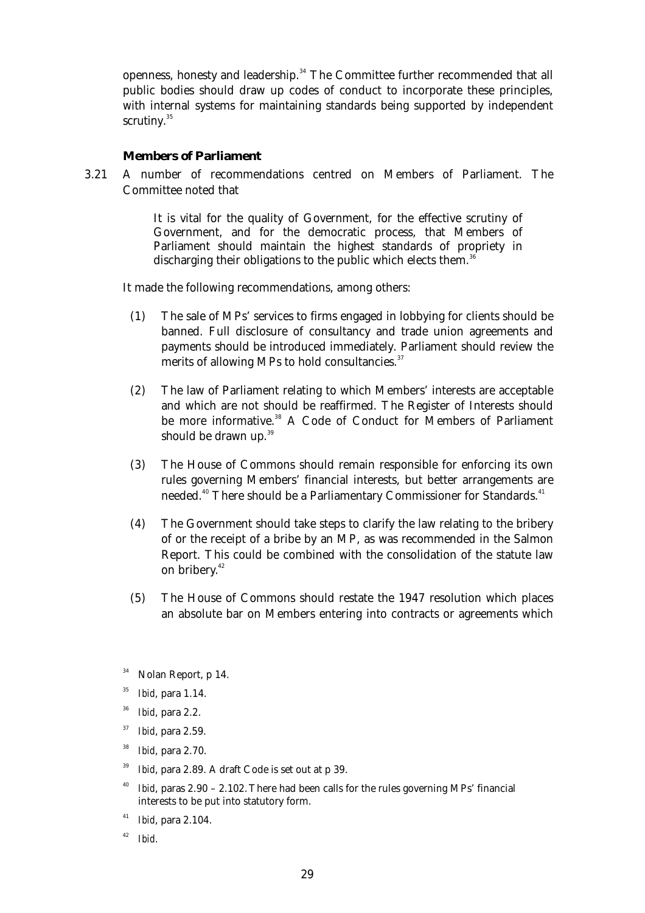openness, honesty and leadership.<sup>34</sup> The Committee further recommended that all public bodies should draw up codes of conduct to incorporate these principles, with internal systems for maintaining standards being supported by independent scrutiny.<sup>35</sup>

#### **Members of Parliament**

 3.21 A number of recommendations centred on Members of Parliament. The Committee noted that

> It is vital for the quality of Government, for the effective scrutiny of Government, and for the democratic process, that Members of Parliament should maintain the highest standards of propriety in discharging their obligations to the public which elects them.<sup>36</sup>

It made the following recommendations, among others:

- (1) The sale of MPs' services to firms engaged in lobbying for clients should be banned. Full disclosure of consultancy and trade union agreements and payments should be introduced immediately. Parliament should review the merits of allowing MPs to hold consultancies.<sup>37</sup>
- (2) The law of Parliament relating to which Members' interests are acceptable and which are not should be reaffirmed. The Register of Interests should be more informative.<sup>38</sup> A Code of Conduct for Members of Parliament should be drawn up.<sup>39</sup>
- (3) The House of Commons should remain responsible for enforcing its own rules governing Members' financial interests, but better arrangements are needed.<sup>40</sup> There should be a Parliamentary Commissioner for Standards.<sup>41</sup>
- (4) The Government should take steps to clarify the law relating to the bribery of or the receipt of a bribe by an MP, as was recommended in the Salmon Report. This could be combined with the consolidation of the statute law on bribery. 42
- (5) The House of Commons should restate the 1947 resolution which places an absolute bar on Members entering into contracts or agreements which
- <sup>34</sup> Nolan Report, p 14.
- <sup>35</sup> *Ibid*, para 1.14.
- <sup>36</sup> *Ibid*, para 2.2.
- <sup>37</sup> *Ibid*, para 2.59.
- <sup>38</sup> *Ibid*, para 2.70.
- <sup>39</sup> *Ibid*, para 2.89. A draft Code is set out at p 39.
- <sup>40</sup> *Ibid*, paras 2.90 2.102. There had been calls for the rules governing MPs' financial interests to be put into statutory form.
- <sup>41</sup> *Ibid*, para 2.104.
- <sup>42</sup> *Ibid*.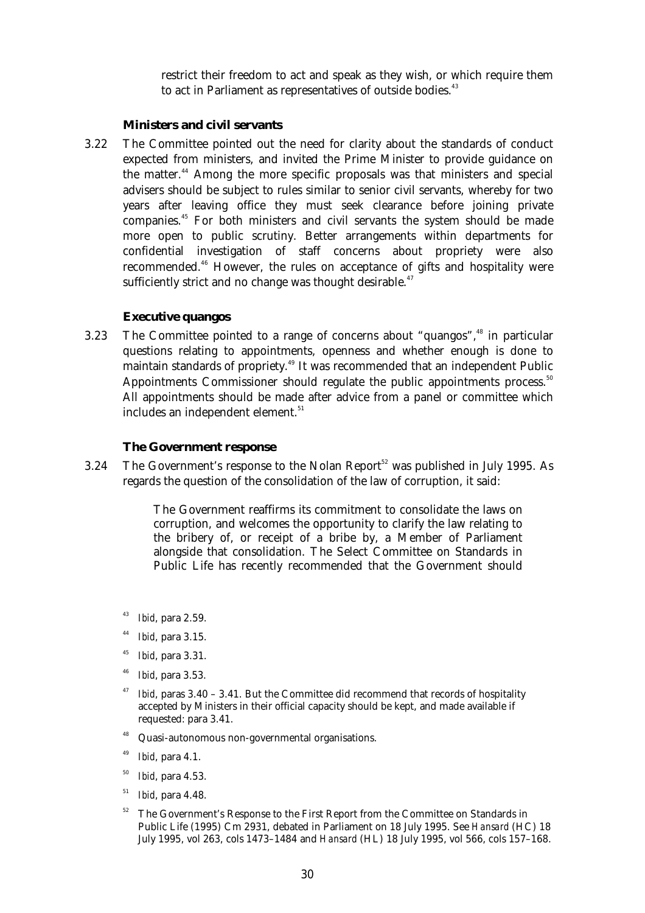restrict their freedom to act and speak as they wish, or which require them to act in Parliament as representatives of outside bodies.<sup>43</sup>

#### **Ministers and civil servants**

 3.22 The Committee pointed out the need for clarity about the standards of conduct expected from ministers, and invited the Prime Minister to provide guidance on the matter.<sup>44</sup> Among the more specific proposals was that ministers and special advisers should be subject to rules similar to senior civil servants, whereby for two years after leaving office they must seek clearance before joining private companies.<sup>45</sup> For both ministers and civil servants the system should be made more open to public scrutiny. Better arrangements within departments for confidential investigation of staff concerns about propriety were also recommended.<sup>46</sup> However, the rules on acceptance of gifts and hospitality were sufficiently strict and no change was thought desirable. $47$ 

#### **Executive quangos**

 3.23 The Committee pointed to a range of concerns about "quangos", <sup>48</sup> in particular questions relating to appointments, openness and whether enough is done to maintain standards of propriety.<sup>49</sup> It was recommended that an independent Public Appointments Commissioner should regulate the public appointments process. $50$ All appointments should be made after advice from a panel or committee which includes an independent element.<sup>51</sup>

#### **The Government response**

3.24 The Government's response to the Nolan Report<sup>52</sup> was published in July 1995. As regards the question of the consolidation of the law of corruption, it said:

> The Government reaffirms its commitment to consolidate the laws on corruption, and welcomes the opportunity to clarify the law relating to the bribery of, or receipt of a bribe by, a Member of Parliament alongside that consolidation. The Select Committee on Standards in Public Life has recently recommended that the Government should

- <sup>43</sup> *Ibid*, para 2.59.
- <sup>44</sup> *Ibid*, para 3.15.
- <sup>45</sup> *Ibid*, para 3.31.
- <sup>46</sup> *Ibid*, para 3.53.
- <sup>47</sup> *Ibid*, paras  $3.40 3.41$ . But the Committee did recommend that records of hospitality accepted by Ministers in their official capacity should be kept, and made available if requested: para 3.41.
- <sup>48</sup> Quasi-autonomous non-governmental organisations.
- <sup>49</sup> *Ibid*, para 4.1.
- <sup>50</sup> *Ibid*, para 4.53.
- <sup>51</sup> *Ibid*, para 4.48.
- $52$  The Government's Response to the First Report from the Committee on Standards in Public Life (1995) Cm 2931, debated in Parliament on 18 July 1995. See *Hansard* (HC) 18 July 1995, vol 263, cols 1473–1484 and *Hansard* (HL) 18 July 1995, vol 566, cols 157–168.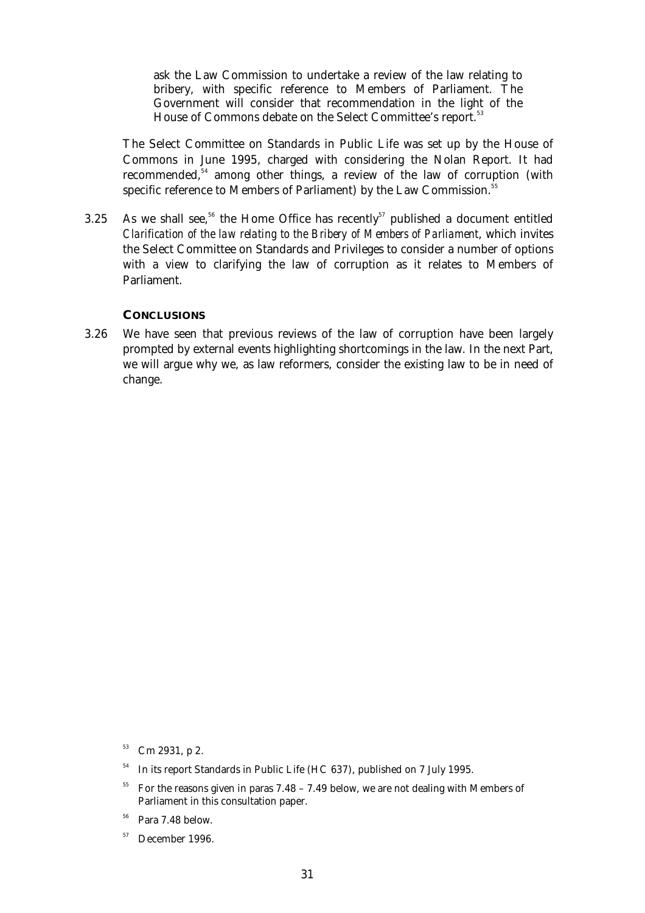ask the Law Commission to undertake a review of the law relating to bribery, with specific reference to Members of Parliament. The Government will consider that recommendation in the light of the House of Commons debate on the Select Committee's report.<sup>53</sup>

The Select Committee on Standards in Public Life was set up by the House of Commons in June 1995, charged with considering the Nolan Report. It had recommended,<sup>54</sup> among other things, a review of the law of corruption (with specific reference to Members of Parliament) by the Law Commission. $55$ 

3.25 As we shall see,<sup>56</sup> the Home Office has recently<sup>57</sup> published a document entitled *Clarification of the law relating to the Bribery of Members of Parliament*, which invites the Select Committee on Standards and Privileges to consider a number of options with a view to clarifying the law of corruption as it relates to Members of Parliament.

#### **CONCLUSIONS**

 3.26 We have seen that previous reviews of the law of corruption have been largely prompted by external events highlighting shortcomings in the law. In the next Part, we will argue why we, as law reformers, consider the existing law to be in need of change.

<sup>53</sup> Cm 2931, p 2.

<sup>54</sup> In its report Standards in Public Life (HC 637), published on 7 July 1995.

<sup>&</sup>lt;sup>55</sup> For the reasons given in paras  $7.48 - 7.49$  below, we are not dealing with Members of Parliament in this consultation paper.

<sup>56</sup> Para 7.48 below.

 $57$  December 1996.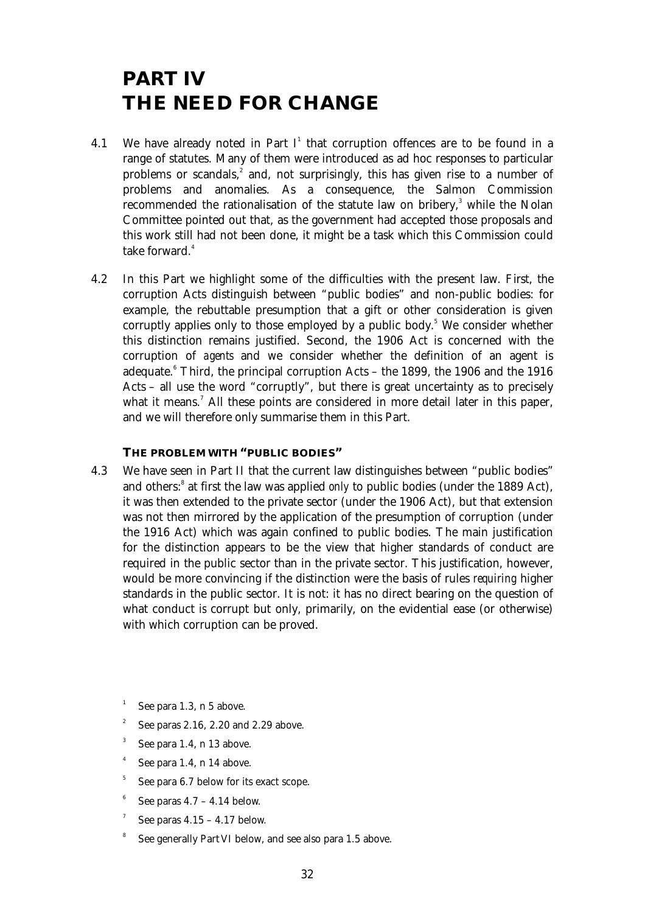# **PART IV THE NEED FOR CHANGE**

- 4.1 We have already noted in Part  $I<sup>1</sup>$  that corruption offences are to be found in a range of statutes. Many of them were introduced as ad hoc responses to particular problems or scandals, $^2$  and, not surprisingly, this has given rise to a number of problems and anomalies. As a consequence, the Salmon Commission recommended the rationalisation of the statute law on bribery,<sup>3</sup> while the Nolan Committee pointed out that, as the government had accepted those proposals and this work still had not been done, it might be a task which this Commission could take forward.<sup>4</sup>
	- 4.2 In this Part we highlight some of the difficulties with the present law. First, the corruption Acts distinguish between "public bodies" and non-public bodies: for example, the rebuttable presumption that a gift or other consideration is given corruptly applies only to those employed by a public body.<sup>5</sup> We consider whether this distinction remains justified. Second, the 1906 Act is concerned with the corruption of *agents* and we consider whether the definition of an agent is adequate.<sup>6</sup> Third, the principal corruption Acts – the 1899, the 1906 and the 1916 Acts – all use the word "corruptly", but there is great uncertainty as to precisely what it means.<sup>7</sup> All these points are considered in more detail later in this paper, and we will therefore only summarise them in this Part.

#### **THE PROBLEM WITH "PUBLIC BODIES"**

- 4.3 We have seen in Part II that the current law distinguishes between "public bodies" and others:<sup>8</sup> at first the law was applied *only* to public bodies (under the 1889 Act), it was then extended to the private sector (under the 1906 Act), but that extension was not then mirrored by the application of the presumption of corruption (under the 1916 Act) which was again confined to public bodies. The main justification for the distinction appears to be the view that higher standards of conduct are required in the public sector than in the private sector. This justification, however, would be more convincing if the distinction were the basis of rules *requiring* higher standards in the public sector. It is not: it has no direct bearing on the question of what conduct *is* corrupt but only, primarily, on the evidential ease (or otherwise) with which corruption can be proved.
	- 1 See para 1.3, n 5 above.
	- 2 See paras 2.16, 2.20 and 2.29 above.
	- 3 See para 1.4, n 13 above.
	- 4 See para 1.4, n 14 above.
	- 5 See para 6.7 below for its exact scope.
	- 6 See paras 4.7 – 4.14 below.
	- 7 See paras 4.15 – 4.17 below.
	- 8 See generally Part VI below, and see also para 1.5 above.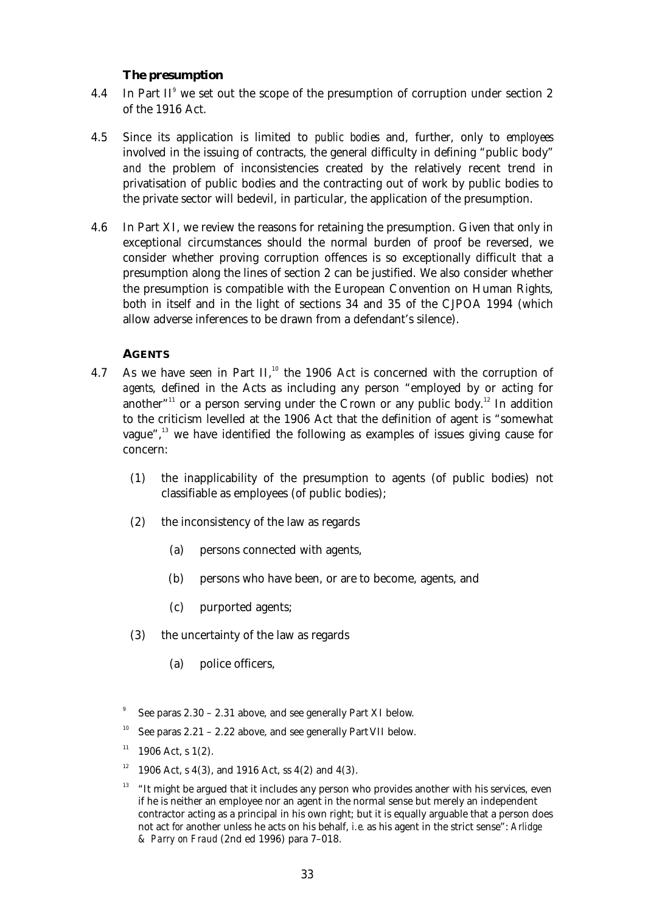#### **The presumption**

- 4.4 In Part  $II^9$  we set out the scope of the presumption of corruption under section 2 of the 1916 Act.
	- 4.5 Since its application is limited to *public bodies* and, further, only to *employees* involved in the issuing of contracts, the general difficulty in defining "public body" *and* the problem of inconsistencies created by the relatively recent trend in privatisation of public bodies and the contracting out of work by public bodies to the private sector will bedevil, in particular, the application of the presumption.
	- 4.6 In Part XI, we review the reasons for retaining the presumption. Given that only in exceptional circumstances should the normal burden of proof be reversed, we consider whether proving corruption offences is so exceptionally difficult that a presumption along the lines of section 2 can be justified. We also consider whether the presumption is compatible with the European Convention on Human Rights, both in itself and in the light of sections 34 and 35 of the CJPOA 1994 (which allow adverse inferences to be drawn from a defendant's silence).

#### **AGENTS**

- 4.7 As we have seen in Part II,<sup>10</sup> the 1906 Act is concerned with the corruption of *agents*, defined in the Acts as including any person "employed by or acting for another" $11$  or a person serving under the Crown or any public body. $12$  In addition to the criticism levelled at the 1906 Act that the definition of agent is "somewhat vague",<sup>13</sup> we have identified the following as examples of issues giving cause for concern:
	- (1) the inapplicability of the presumption to agents (of public bodies) not classifiable as employees (of public bodies);
	- (2) the inconsistency of the law as regards
		- (a) persons connected with agents,
		- (b) persons who have been, or are to become, agents, and
		- (c) purported agents;
	- (3) the uncertainty of the law as regards
		- (a) police officers,

<sup>9</sup> See paras 2.30 – 2.31 above, and see generally Part XI below.

<sup>&</sup>lt;sup>10</sup> See paras 2.21 – 2.22 above, and see generally Part VII below.

 $11$  1906 Act, s 1(2).

<sup>&</sup>lt;sup>12</sup> 1906 Act, s 4(3), and 1916 Act, ss 4(2) and 4(3).

 $13$  "It might be argued that it includes any person who provides another with his services, even if he is neither an employee nor an agent in the normal sense but merely an independent contractor acting as a principal in his own right; but it is equally arguable that a person does not act *for* another unless he acts on his behalf, *i.e.* as his agent in the strict sense": *Arlidge & Parry on Fraud* (2nd ed 1996) para 7–018.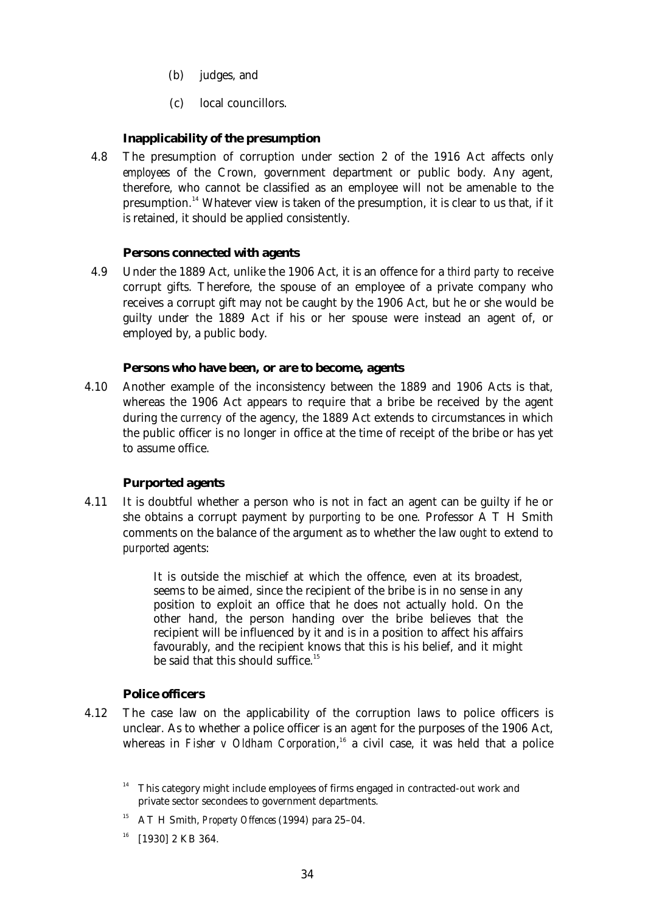- (b) judges, and
- (c) local councillors.

## **Inapplicability of the presumption**

 4.8 The presumption of corruption under section 2 of the 1916 Act affects only *employees* of the Crown, government department or public body. Any agent, therefore, who cannot be classified as an employee will not be amenable to the presumption.<sup>14</sup> Whatever view is taken of the presumption, it is clear to us that, if it *is* retained, it should be applied consistently.

## **Persons connected with agents**

 4.9 Under the 1889 Act, unlike the 1906 Act, it is an offence for a *third party* to receive corrupt gifts. Therefore, the spouse of an employee of a private company who receives a corrupt gift may not be caught by the 1906 Act, but he or she would be guilty under the 1889 Act if his or her spouse were instead an agent of, or employed by, a public body.

#### **Persons who have been, or are to become, agents**

 4.10 Another example of the inconsistency between the 1889 and 1906 Acts is that, whereas the 1906 Act appears to require that a bribe be received by the agent during the *currency* of the agency, the 1889 Act extends to circumstances in which the public officer is no longer in office at the time of receipt of the bribe or has yet to assume office.

## **Purported agents**

 4.11 It is doubtful whether a person who is not in fact an agent can be guilty if he or she obtains a corrupt payment by *purporting* to be one. Professor A T H Smith comments on the balance of the argument as to whether the law *ought* to extend to *purported* agents:

> It is outside the mischief at which the offence, even at its broadest, seems to be aimed, since the recipient of the bribe is in no sense in any position to exploit an office that he does not actually hold. On the other hand, the person handing over the bribe believes that the recipient will be influenced by it and is in a position to affect his affairs favourably, and the recipient knows that this is his belief, and it might be said that this should suffice.<sup>15</sup>

## **Police officers**

 4.12 The case law on the applicability of the corruption laws to police officers is unclear. As to whether a police officer is an *agent* for the purposes of the 1906 Act, whereas in *Fisher v Oldham Corporation*, <sup>16</sup> a civil case, it was held that a police

- <sup>15</sup> A T H Smith, *Property Offences* (1994) para 25–04.
- $16$  [1930] 2 KB 364.

 $14$  This category might include employees of firms engaged in contracted-out work and private sector secondees to government departments.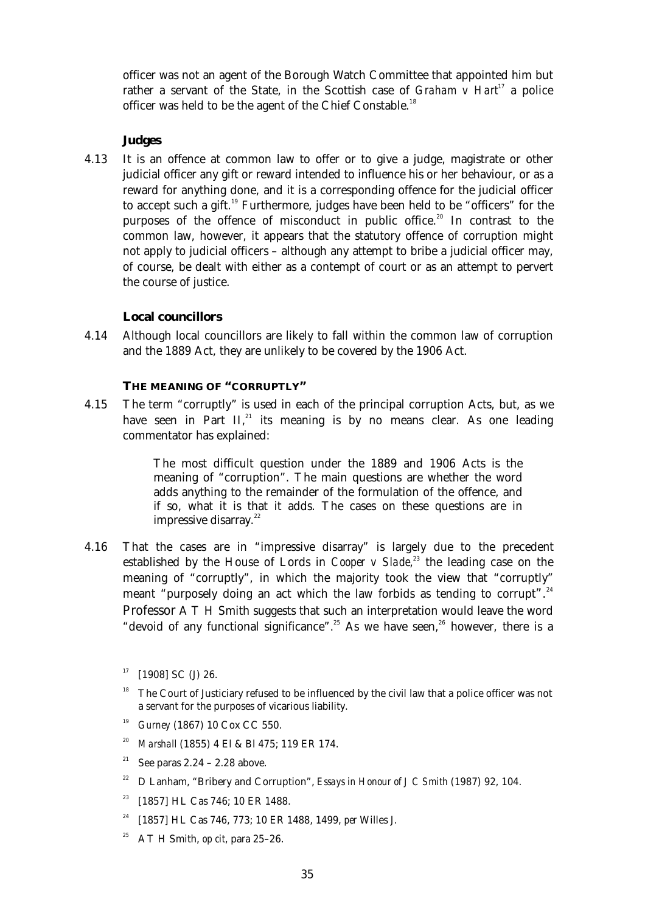officer was not an agent of the Borough Watch Committee that appointed him but rather a servant of the State, in the Scottish case of *Graham v Hart<sup>17</sup>* a police officer was held to be the agent of the Chief Constable.<sup>18</sup>

## **Judges**

 4.13 It is an offence at common law to offer or to give a judge, magistrate or other judicial officer any gift or reward intended to influence his or her behaviour, or as a reward for anything done, and it is a corresponding offence for the judicial officer to accept such a gift.<sup>19</sup> Furthermore, judges have been held to be "officers" for the purposes of the offence of misconduct in public office.<sup>20</sup> In contrast to the common law, however, it appears that the statutory offence of corruption might not apply to judicial officers – although any attempt to bribe a judicial officer may, of course, be dealt with either as a contempt of court or as an attempt to pervert the course of justice.

## **Local councillors**

 4.14 Although local councillors are likely to fall within the common law of corruption and the 1889 Act, they are unlikely to be covered by the 1906 Act.

## **THE MEANING OF "CORRUPTLY"**

 4.15 The term "corruptly" is used in each of the principal corruption Acts, but, as we have seen in Part  $II, <sup>21</sup>$  its meaning is by no means clear. As one leading commentator has explained:

> The most difficult question under the 1889 and 1906 Acts is the meaning of "corruption". The main questions are whether the word adds anything to the remainder of the formulation of the offence, and if so, what it is that it adds. The cases on these questions are in impressive disarray.<sup>22</sup>

 4.16 That the cases are in "impressive disarray" is largely due to the precedent established by the House of Lords in *Cooper v Slade*,<sup>23</sup> the leading case on the meaning of "corruptly", in which the majority took the view that "corruptly" meant "purposely doing an act which the law forbids as tending to corrupt".<sup>24</sup> Professor A T H Smith suggests that such an interpretation would leave the word "devoid of any functional significance".<sup>25</sup> As we have seen,<sup>26</sup> however, there is a

- The Court of Justiciary refused to be influenced by the civil law that a police officer was not a servant for the purposes of vicarious liability.
- <sup>19</sup> *Gurney* (1867) 10 Cox CC 550.
- <sup>20</sup> *Marshall* (1855) 4 El & Bl 475; 119 ER 174.
- <sup>21</sup> See paras  $2.24 2.28$  above.
- <sup>22</sup> D Lanham, "Bribery and Corruption", *Essays in Honour of J C Smith* (1987) 92, 104.
- <sup>23</sup> [1857] HL Cas 746; 10 ER 1488.
- <sup>24</sup> [1857] HL Cas 746, 773; 10 ER 1488, 1499, *per* Willes J.
- <sup>25</sup> A T H Smith, *op cit*, para 25–26.

 $17$  [1908] SC (J) 26.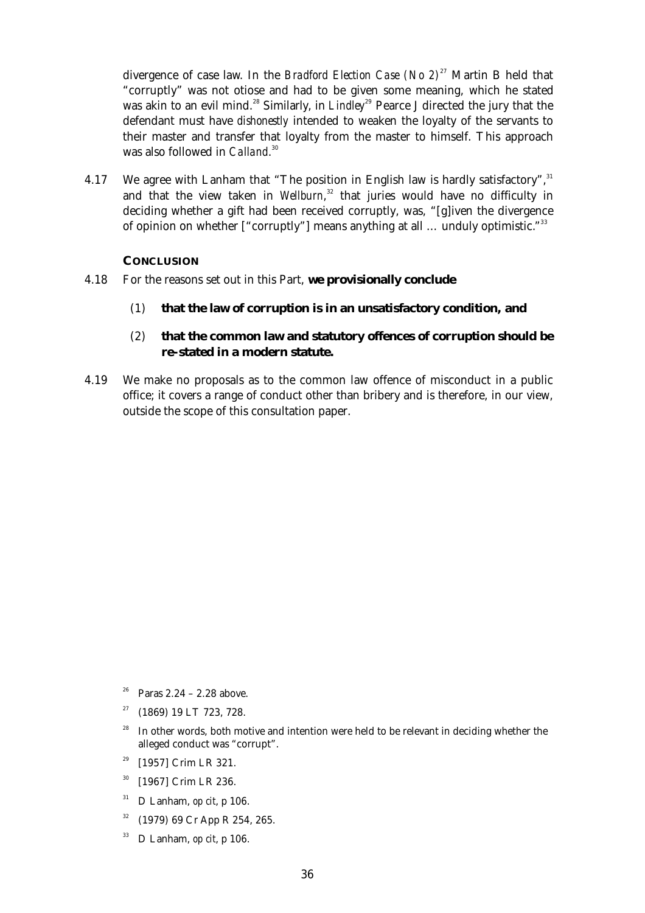divergence of case law. In the *Bradford Election Case (No 2)*<sup>27</sup> Martin B held that "corruptly" was not otiose and had to be given some meaning, which he stated was akin to an evil mind.<sup>28</sup> Similarly, in *Lindley*<sup>29</sup> Pearce J directed the jury that the defendant must have *dishonestly* intended to weaken the loyalty of the servants to their master and transfer that loyalty from the master to himself. This approach was also followed in *Calland*. 30

4.17 We agree with Lanham that "The position in English law is hardly satisfactory",<sup>31</sup> and that the view taken in *Wellburn*, <sup>32</sup> that juries would have no difficulty in deciding whether a gift had been received corruptly, was, "[g]iven the divergence of opinion on whether ["corruptly"] means anything at all ... unduly optimistic."<sup>33</sup>

## **CONCLUSION**

- 4.18 For the reasons set out in this Part, **we provisionally conclude**
	- (1) **that the law of corruption is in an unsatisfactory condition, and**
	- (2) **that the common law and statutory offences of corruption should be re-stated in a modern statute.**
- 4.19 We make no proposals as to the common law offence of misconduct in a public office; it covers a range of conduct other than bribery and is therefore, in our view, outside the scope of this consultation paper.

- <sup>26</sup> Paras 2.24 2.28 above.
- $27$  (1869) 19 LT 723, 728.
- <sup>28</sup> In other words, both motive and intention were held to be relevant in deciding whether the alleged conduct was "corrupt".
- <sup>29</sup> [1957] Crim LR 321.
- <sup>30</sup> [1967] Crim LR 236.
- $31$  D Lanham, *op cit*, p 106.
- $32$  (1979) 69 Cr App R 254, 265.
- <sup>33</sup> D Lanham, *op cit*, p 106.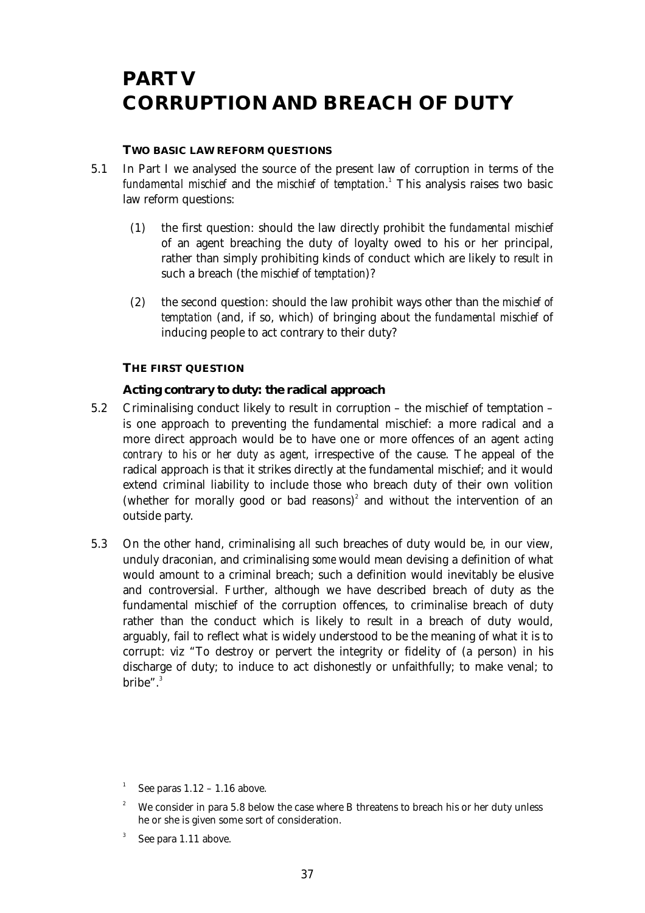# **PART V CORRUPTION AND BREACH OF DUTY**

## **TWO BASIC LAW REFORM QUESTIONS**

- 5.1 In Part I we analysed the source of the present law of corruption in terms of the *fundamental mischief* and the *mischief of temptation*. 1 This analysis raises two basic law reform questions:
	- (1) the first question: should the law directly prohibit the *fundamental mischief* of an agent breaching the duty of loyalty owed to his or her principal, rather than simply prohibiting kinds of conduct which are likely to *result* in such a breach (the *mischief of temptation*)?
	- (2) the second question: should the law prohibit ways other than the *mischief of temptation* (and, if so, which) of bringing about the *fundamental mischief* of inducing people to act contrary to their duty?

## **THE FIRST QUESTION**

## **Acting contrary to duty: the radical approach**

- 5.2 Criminalising conduct likely to result in corruption the mischief of temptation is one approach to preventing the fundamental mischief: a more radical and a more direct approach would be to have one or more offences of an agent *acting contrary to his or her duty as agent*, irrespective of the cause. The appeal of the radical approach is that it strikes directly at the fundamental mischief; and it would extend criminal liability to include those who breach duty of their own volition (whether for morally good or bad reasons)<sup>2</sup> and without the intervention of an outside party.
- 5.3 On the other hand, criminalising *all* such breaches of duty would be, in our view, unduly draconian, and criminalising *some* would mean devising a definition of what would amount to a criminal breach; such a definition would inevitably be elusive and controversial. Further, although we have described breach of duty as the fundamental mischief of the corruption offences, to criminalise breach of duty rather than the conduct which is likely to *result* in a breach of duty would, arguably, fail to reflect what is widely understood to be the meaning of what it is to corrupt: viz "To destroy or pervert the integrity or fidelity of (a person) in his discharge of duty; to induce to act dishonestly or unfaithfully; to make venal; to bribe". 3

<sup>1</sup> See paras 1.12 – 1.16 above.

We consider in para 5.8 below the case where B threatens to breach his or her duty unless he or she is given some sort of consideration.

<sup>3</sup> See para 1.11 above.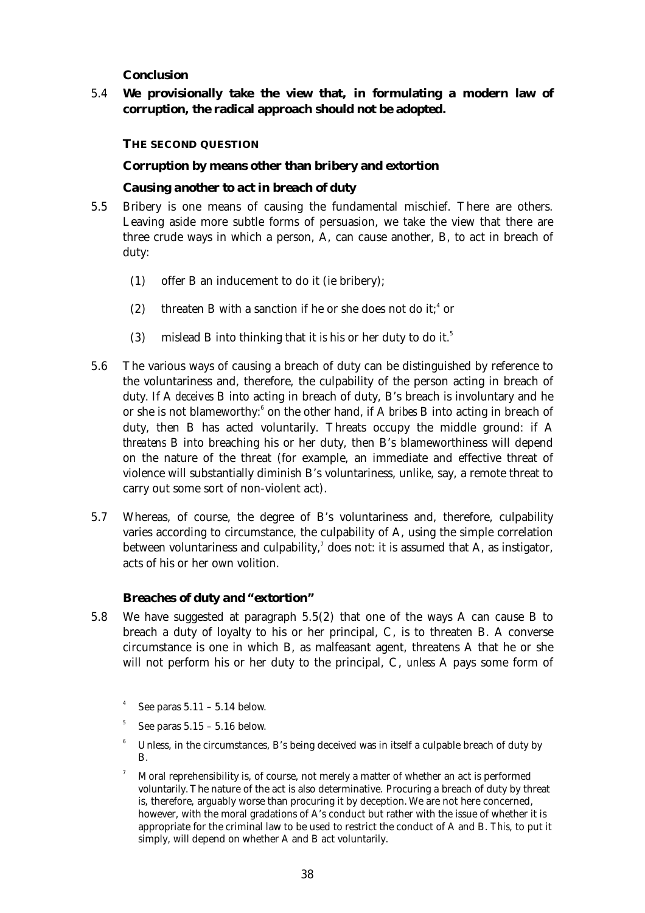**Conclusion**

 5.4 **We provisionally take the view that, in formulating a modern law of corruption, the radical approach should not be adopted.**

#### **THE SECOND QUESTION**

#### **Corruption by means other than bribery and extortion**

#### *Causing another to act in breach of duty*

- 5.5 Bribery is one means of causing the fundamental mischief. There are others. Leaving aside more subtle forms of persuasion, we take the view that there are three crude ways in which a person, A, can cause another, B, to act in breach of duty:
	- (1) offer B an inducement to do it (ie bribery);
	- (2) threaten B with a sanction if he or she does not do it;<sup>4</sup> or
	- (3) mislead B into thinking that it *is* his or her duty to do it.<sup>5</sup>
- 5.6 The various ways of causing a breach of duty can be distinguished by reference to the voluntariness and, therefore, the culpability of the person acting in breach of duty. If A *deceives* B into acting in breach of duty, B's breach is involuntary and he or she is not blameworthy:<sup>6</sup> on the other hand, if A *bribes* B into acting in breach of duty, then B has acted voluntarily. Threats occupy the middle ground: if A *threatens* B into breaching his or her duty, then B's blameworthiness will depend on the nature of the threat (for example, an immediate and effective threat of violence will substantially diminish B's voluntariness, unlike, say, a remote threat to carry out some sort of non-violent act).
- 5.7 Whereas, of course, the degree of B's voluntariness and, therefore, culpability varies according to circumstance, the culpability of A, using the simple correlation between voluntariness and culpability, $^7$  does not: it is assumed that A, as instigator, acts of his or her own volition.

## *Breaches of duty and "extortion"*

- 5.8 We have suggested at paragraph 5.5(2) that one of the ways A can cause B to breach a duty of loyalty to his or her principal, C, is to threaten B. A converse circumstance is one in which B, as malfeasant agent, threatens A that he or she will not perform his or her duty to the principal, C, *unless* A pays some form of
	- 4 See paras  $5.11 - 5.14$  below.
	- 5 See paras 5.15 – 5.16 below.
	- Unless, in the circumstances, B's being deceived was in itself a culpable breach of duty by B.
	- <sup>7</sup> Moral reprehensibility is, of course, not merely a matter of whether an act is performed voluntarily. The nature of the act is also determinative. Procuring a breach of duty by threat is, therefore, arguably worse than procuring it by deception. We are not here concerned, however, with the moral gradations of A's conduct but rather with the issue of whether it is appropriate for the criminal law to be used to restrict the conduct of A and B. *This*, to put it simply, will depend on whether A and B act voluntarily.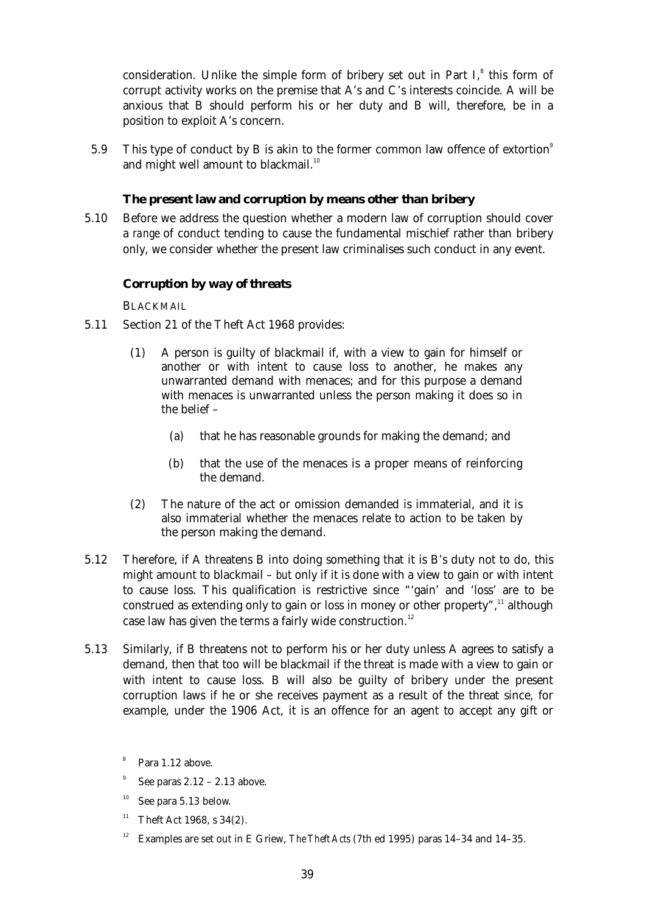consideration. Unlike the simple form of bribery set out in Part  $I$ ,<sup>8</sup> this form of corrupt activity works on the premise that A's and C's interests coincide. A will be anxious that B should perform his or her duty and B will, therefore, be in a position to exploit A's concern.

5.9 This type of conduct by B is akin to the former common law offence of extortion<sup>9</sup> and might well amount to blackmail.<sup>10</sup>

## **The present law and corruption by means other than bribery**

 5.10 Before we address the question whether a modern law of corruption should cover a *range* of conduct tending to cause the fundamental mischief rather than bribery only, we consider whether the present law criminalises such conduct in any event.

## *Corruption by way of threats*

BLACKMAIL

- 5.11 Section 21 of the Theft Act 1968 provides:
	- (1) A person is guilty of blackmail if, with a view to gain for himself or another or with intent to cause loss to another, he makes any unwarranted demand with menaces; and for this purpose a demand with menaces is unwarranted unless the person making it does so in the belief –
		- (a) that he has reasonable grounds for making the demand; and
		- (b) that the use of the menaces is a proper means of reinforcing the demand.
	- (2) The nature of the act or omission demanded is immaterial, and it is also immaterial whether the menaces relate to action to be taken by the person making the demand.
- 5.12 Therefore, if A threatens B into doing something that it is B's duty not to do, this might amount to blackmail – *but* only if it is done with a view to gain or with intent to cause loss. This qualification is restrictive since "'gain' and 'loss' are to be construed as extending only to gain or loss in money or other property", <sup>11</sup> although case law has given the terms a fairly wide construction.<sup>12</sup>
- 5.13 Similarly, if B threatens not to perform his or her duty unless A agrees to satisfy a demand, then that too will be blackmail if the threat is made with a view to gain or with intent to cause loss. B will also be guilty of bribery under the present corruption laws if he or she receives payment as a result of the threat since, for example, under the 1906 Act, it is an offence for an agent to accept any gift or

- 9 See paras 2.12 – 2.13 above.
- $10$  See para 5.13 below.
- <sup>11</sup> Theft Act 1968, s  $34(2)$ .
- <sup>12</sup> Examples are set out in E Griew, *The Theft Acts* (7th ed 1995) paras 14–34 and 14–35.

<sup>8</sup> Para 1.12 above.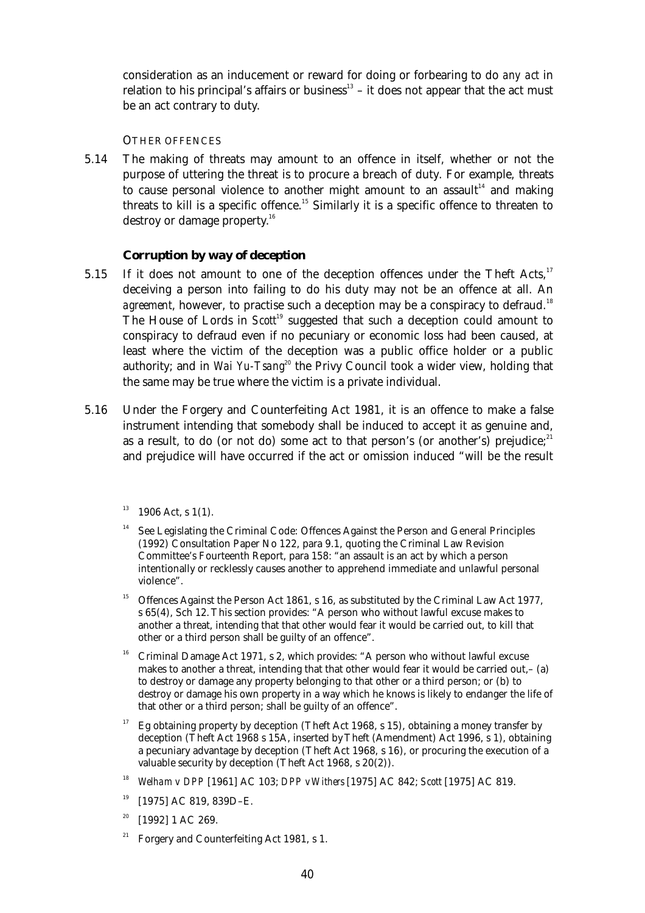consideration as an inducement or reward for doing or forbearing to do *any act* in relation to his principal's affairs or business $^{\rm 13}$  – it does not appear that the act must be an act contrary to duty.

#### OTHER OFFENCES

 5.14 The making of threats may amount to an offence in itself, whether or not the purpose of uttering the threat is to procure a breach of duty. For example, threats to cause personal violence to another might amount to an assault<sup>14</sup> and making threats to kill is a specific offence.<sup>15</sup> Similarly it is a specific offence to threaten to destroy or damage property.<sup>16</sup>

## *Corruption by way of deception*

- 5.15 If it does not amount to one of the deception offences under the Theft Acts, $17$ deceiving a person into failing to do his duty may not be an offence at all. An *agreement*, however, to practise such a deception may be a conspiracy to defraud.<sup>18</sup> The House of Lords in *Scott*<sup>19</sup> suggested that such a deception could amount to conspiracy to defraud even if no pecuniary or economic loss had been caused, at least where the victim of the deception was a public office holder or a public authority; and in *Wai Yu-Tsang*<sup>20</sup> the Privy Council took a wider view, holding that the same may be true where the victim is a private individual.
- 5.16 Under the Forgery and Counterfeiting Act 1981, it is an offence to make a false instrument intending that somebody shall be induced to accept it as genuine and, as a result, to do (or not do) some act to that person's (or another's) prejudice; $21$ and prejudice will have occurred if the act or omission induced "will be the result
	- $13$  1906 Act, s 1(1).
	- <sup>14</sup> See Legislating the Criminal Code: Offences Against the Person and General Principles (1992) Consultation Paper No 122, para 9.1, quoting the Criminal Law Revision Committee's Fourteenth Report, para 158: "an assault is an act by which a person intentionally or recklessly causes another to apprehend immediate and unlawful personal violence".
	- <sup>15</sup> Offences Against the Person Act 1861, s 16, as substituted by the Criminal Law Act 1977, s 65(4), Sch 12. This section provides: "A person who without lawful excuse makes to another a threat, intending that that other would fear it would be carried out, to kill that other or a third person shall be guilty of an offence".
	- <sup>16</sup> Criminal Damage Act 1971, s 2, which provides: "A person who without lawful excuse makes to another a threat, intending that that other would fear it would be carried out,- (a) to destroy or damage any property belonging to that other or a third person; or (b) to destroy or damage his own property in a way which he knows is likely to endanger the life of that other or a third person; shall be guilty of an offence".
	- Eg obtaining property by deception (Theft Act 1968, s 15), obtaining a money transfer by deception (Theft Act 1968 s 15A, inserted by Theft (Amendment) Act 1996, s 1), obtaining a pecuniary advantage by deception (Theft Act 1968, s 16), or procuring the execution of a valuable security by deception (Theft Act 1968, s 20(2)).
	- <sup>18</sup> *Welham v DPP* [1961] AC 103; *DPP v Withers* [1975] AC 842; *Scott* [1975] AC 819.
	- $19$  [1975] AC 819, 839D-E.
	- $20$  [1992] 1 AC 269.
	- <sup>21</sup> Forgery and Counterfeiting Act 1981, s 1.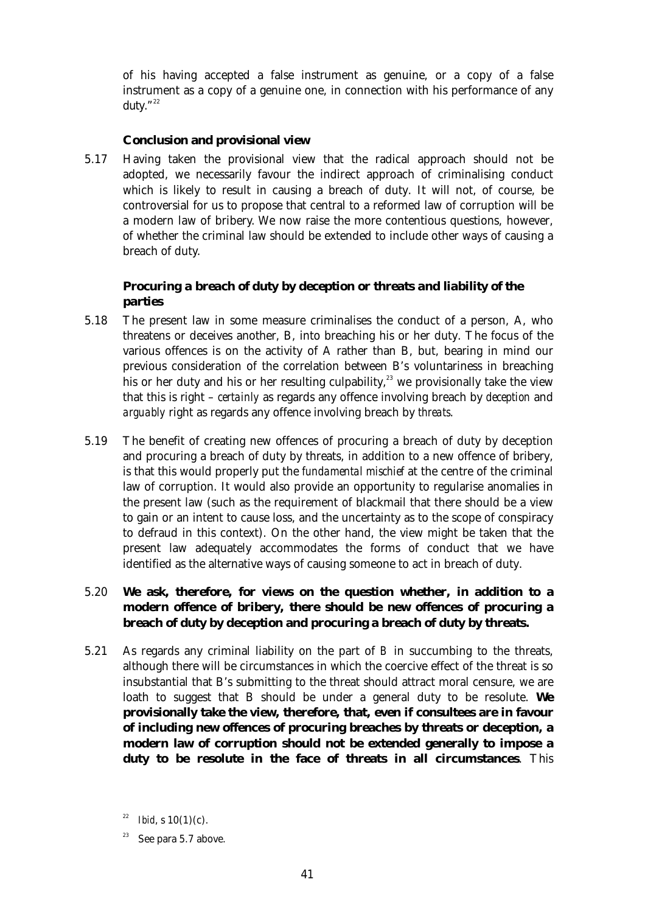of his having accepted a false instrument as genuine, or a copy of a false instrument as a copy of a genuine one, in connection with his performance of any duty."<sup>22</sup>

## **Conclusion and provisional view**

 5.17 Having taken the provisional view that the radical approach should not be adopted, we necessarily favour the indirect approach of criminalising conduct which is likely to result in causing a breach of duty. It will not, of course, be controversial for us to propose that central to a reformed law of corruption will be a modern law of bribery. We now raise the more contentious questions, however, of whether the criminal law should be extended to include other ways of causing a breach of duty.

# *Procuring a breach of duty by deception or threats and liability of the parties*

- 5.18 The present law in some measure criminalises the conduct of a person, A, who threatens or deceives another, B, into breaching his or her duty. The focus of the various offences is on the activity of A rather than B, but, bearing in mind our previous consideration of the correlation between B's voluntariness in breaching his or her duty and his or her resulting culpability, $23$  we provisionally take the view that this is right – *certainly* as regards any offence involving breach by *deception* and *arguably* right as regards any offence involving breach by *threats*.
- 5.19 The benefit of creating new offences of procuring a breach of duty by deception and procuring a breach of duty by threats, in addition to a new offence of bribery, is that this would properly put the *fundamental mischief* at the centre of the criminal law of corruption. It would also provide an opportunity to regularise anomalies in the present law (such as the requirement of blackmail that there should be a view to gain or an intent to cause loss, and the uncertainty as to the scope of conspiracy to defraud in this context). On the other hand, the view might be taken that the present law adequately accommodates the forms of conduct that we have identified as the alternative ways of causing someone to act in breach of duty.

## 5.20 **We ask, therefore, for views on the question whether, in addition to a modern offence of bribery, there should be new offences of procuring a breach of duty by deception and procuring a breach of duty by threats.**

 5.21 As regards any criminal liability on the part of *B* in succumbing to the threats, although there will be circumstances in which the coercive effect of the threat is so insubstantial that B's submitting to the threat should attract moral censure, we are loath to suggest that B should be under a general duty to be resolute. **We provisionally take the view, therefore, that, even if consultees are in favour of including new offences of procuring breaches by threats or deception, a modern law of corruption should not be extended generally to impose a duty to be resolute in the face of threats in all circumstances**. This

<sup>&</sup>lt;sup>22</sup> *Ibid*, s 10(1)(c).

 $23$  See para 5.7 above.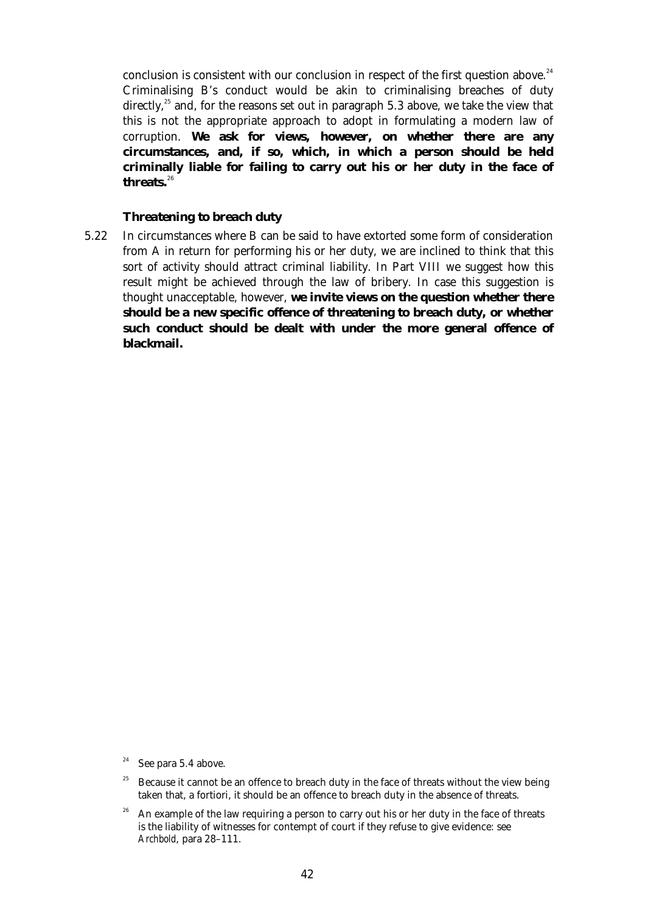conclusion is consistent with our conclusion in respect of the first question above. $24$ Criminalising B's conduct would be akin to criminalising breaches of duty directly, $25$  and, for the reasons set out in paragraph 5.3 above, we take the view that this is not the appropriate approach to adopt in formulating a modern law of corruption. **We ask for views, however, on whether there are any circumstances, and, if so, which, in which a person should be held criminally liable for failing to carry out his or her duty in the face of** threats.<sup>26</sup>

#### *Threatening to breach duty*

 5.22 In circumstances where B can be said to have extorted some form of consideration from A in return for performing his or her duty, we are inclined to think that this sort of activity should attract criminal liability. In Part VIII we suggest how this result might be achieved through the law of bribery. In case this suggestion is thought unacceptable, however, **we invite views on the question whether there should be a new specific offence of threatening to breach duty, or whether such conduct should be dealt with under the more general offence of blackmail.**

See para 5.4 above.

<sup>25</sup> Because it cannot be an offence to breach duty in the face of threats without the view being taken that, a fortiori, it should be an offence to breach duty in the absence of threats.

 $26$  An example of the law requiring a person to carry out his or her duty in the face of threats is the liability of witnesses for contempt of court if they refuse to give evidence: see *Archbold*, para 28–111.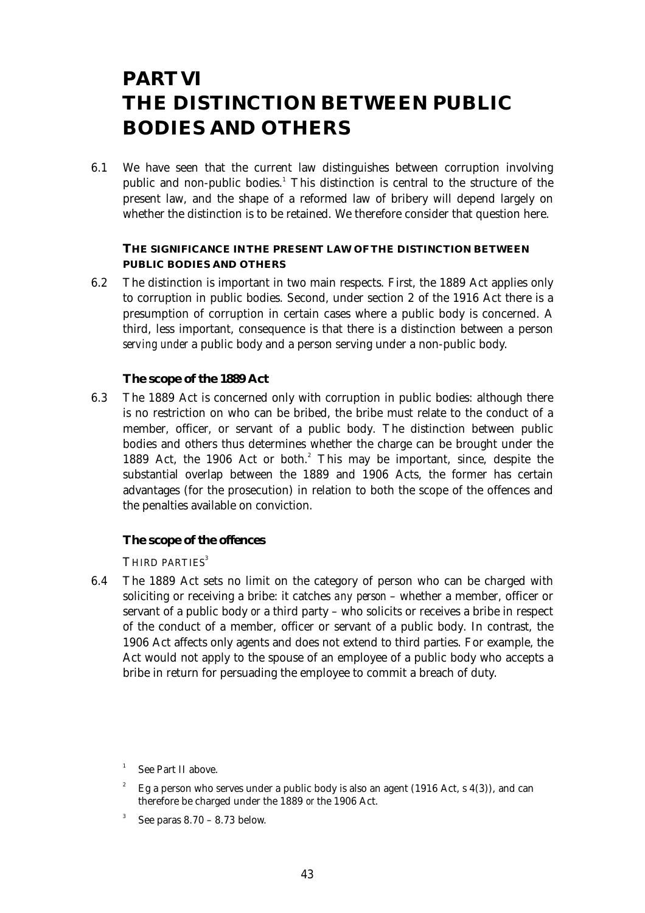# **PART VI THE DISTINCTION BETWEEN PUBLIC BODIES AND OTHERS**

 6.1 We have seen that the current law distinguishes between corruption involving public and non-public bodies.<sup>1</sup> This distinction is central to the structure of the present law, and the shape of a reformed law of bribery will depend largely on whether the distinction is to be retained. We therefore consider that question here.

#### **THE SIGNIFICANCE IN THE PRESENT LAW OF THE DISTINCTION BETWEEN PUBLIC BODIES AND OTHERS**

 6.2 The distinction is important in two main respects. First, the 1889 Act applies only to corruption in public bodies. Second, under section 2 of the 1916 Act there is a presumption of corruption in certain cases where a public body is concerned. A third, less important, consequence is that there is a distinction between a person *serving under* a public body and a person serving under a non-public body.

## **The scope of the 1889 Act**

 6.3 The 1889 Act is concerned only with corruption in public bodies: although there is no restriction on who can be bribed, the bribe must relate to the conduct of a member, officer, or servant of a public body. The distinction between public bodies and others thus determines whether the charge can be brought under the 1889 Act, the 1906 Act or both.<sup>2</sup> This may be important, since, despite the substantial overlap between the 1889 and 1906 Acts, the former has certain advantages (for the prosecution) in relation to both the scope of the offences and the penalties available on conviction.

## *The scope of the offences*

## THIRD PARTIES<sup>3</sup>

 6.4 The 1889 Act sets no limit on the category of person who can be charged with soliciting or receiving a bribe: it catches *any person* – whether a member, officer or servant of a public body *or* a third party – who solicits or receives a bribe in respect of the conduct of a member, officer or servant of a public body. In contrast, the 1906 Act affects only agents and does not extend to third parties. For example, the Act would not apply to the spouse of an employee of a public body who accepts a bribe in return for persuading the employee to commit a breach of duty.

1 See Part II above.

3 See paras 8.70 – 8.73 below.

Eg a person who serves under a public body is also an agent (1916 Act, s  $4(3)$ ), and can therefore be charged under the 1889 *or* the 1906 Act.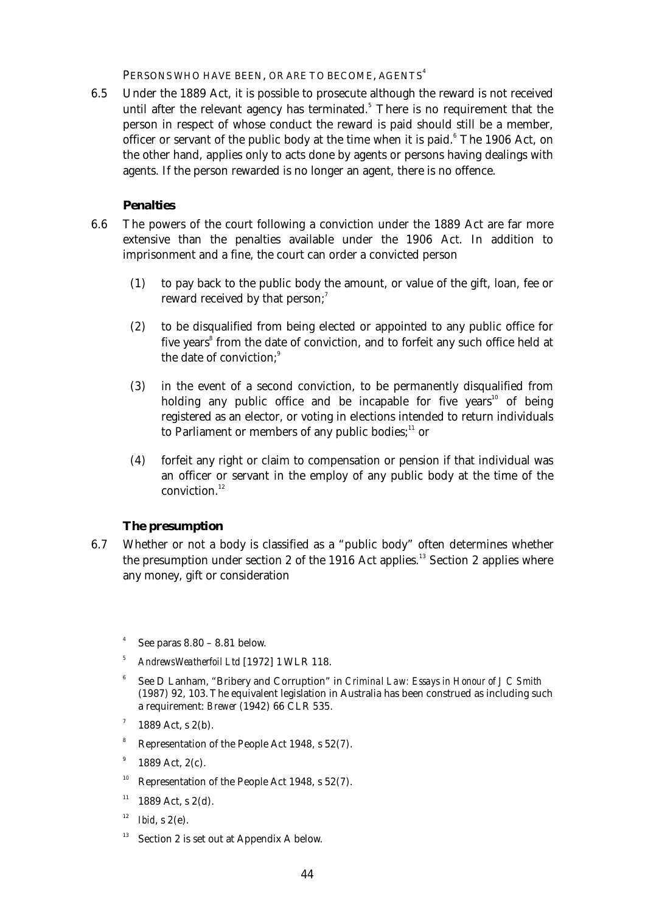PERSONS WHO HAVE BEEN, OR ARE TO BECOME, AGENTS<sup>4</sup>

 6.5 Under the 1889 Act, it is possible to prosecute although the reward is not received until after the relevant agency has terminated.<sup>5</sup> There is no requirement that the person in respect of whose conduct the reward is paid should still be a member, officer or servant of the public body at the time when it is paid.<sup>6</sup> The 1906 Act, on the other hand, applies only to acts done by agents or persons having dealings with agents. If the person rewarded is no longer an agent, there is no offence.

#### *Penalties*

- 6.6 The powers of the court following a conviction under the 1889 Act are far more extensive than the penalties available under the 1906 Act. In addition to imprisonment and a fine, the court can order a convicted person
	- (1) to pay back to the public body the amount, or value of the gift, loan, fee or reward received by that person:<sup>7</sup>
	- (2) to be disqualified from being elected or appointed to any public office for five years<sup>8</sup> from the date of conviction, and to forfeit any such office held at the date of conviction: $9$
	- (3) in the event of a second conviction, to be permanently disqualified from holding any public office and be incapable for five years<sup>10</sup> of being registered as an elector, or voting in elections intended to return individuals to Parliament or members of any public bodies; $11$  or
	- (4) forfeit any right or claim to compensation or pension if that individual was an officer or servant in the employ of any public body at the time of the conviction $12$

## **The presumption**

 6.7 Whether or not a body is classified as a "public body" often determines whether the presumption under section 2 of the 1916 Act applies.<sup>13</sup> Section 2 applies where any money, gift or consideration

4 See paras 8.80 – 8.81 below.

- <sup>5</sup> *Andrews Weatherfoil Ltd* [1972] 1 WLR 118.
- 6 See D Lanham, "Bribery and Corruption" in *Criminal Law: Essays in Honour of J C Smith* (1987) 92, 103. The equivalent legislation in Australia has been construed as including such a requirement: *Brewer* (1942) 66 CLR 535.
- 7 1889 Act, s 2(b).
- <sup>8</sup> Representation of the People Act 1948, s  $52(7)$ .
- 9 1889 Act, 2(c).
- <sup>10</sup> Representation of the People Act 1948, s  $52(7)$ .
- $11$  1889 Act, s 2(d).
- <sup>12</sup> *Ibid*, s  $2(e)$ .
- $13$  Section 2 is set out at Appendix A below.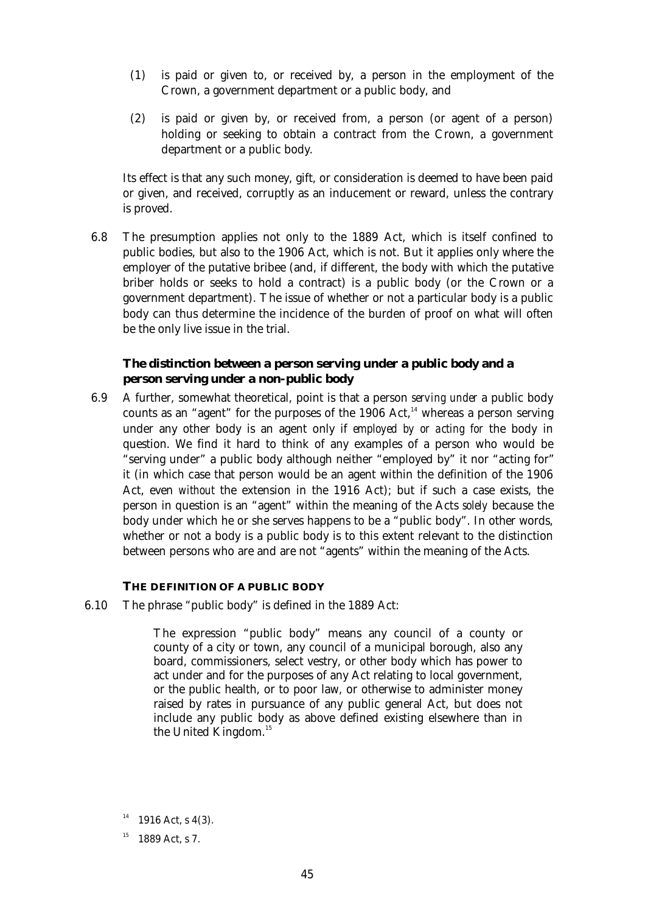- (1) is paid or given to, or received by, a person in the employment of the Crown, a government department or a public body, and
- (2) is paid or given by, or received from, a person (or agent of a person) holding or seeking to obtain a contract from the Crown, a government department or a public body.

Its effect is that any such money, gift, or consideration is deemed to have been paid or given, and received, corruptly as an inducement or reward, unless the contrary is proved.

 6.8 The presumption applies not only to the 1889 Act, which is itself confined to public bodies, but also to the 1906 Act, which is not. But it applies only where the employer of the putative bribee (and, if different, the body with which the putative briber holds or seeks to hold a contract) is a public body (or the Crown or a government department). The issue of whether or not a particular body is a public body can thus determine the incidence of the burden of proof on what will often be the only live issue in the trial.

## **The distinction between a person** *serving under* **a public body and a person serving under a non-public body**

 6.9 A further, somewhat theoretical, point is that a person *serving under* a public body counts as an "agent" for the purposes of the  $1906$  Act,<sup>14</sup> whereas a person serving under any other body is an agent only if *employed by or acting for* the body in question. We find it hard to think of any examples of a person who would be "serving under" a public body although neither "employed by" it nor "acting for" it (in which case that person would be an agent within the definition of the 1906 Act, even *without* the extension in the 1916 Act); but if such a case exists, the person in question is an "agent" within the meaning of the Acts *solely* because the body under which he or she serves happens to be a "public body". In other words, whether or not a body is a public body is to this extent relevant to the distinction between persons who are and are not "agents" within the meaning of the Acts.

## **THE DEFINITION OF A PUBLIC BODY**

6.10 The phrase "public body" is defined in the 1889 Act:

The expression "public body" means any council of a county or county of a city or town, any council of a municipal borough, also any board, commissioners, select vestry, or other body which has power to act under and for the purposes of any Act relating to local government, or the public health, or to poor law, or otherwise to administer money raised by rates in pursuance of any public general Act, but does not include any public body as above defined existing elsewhere than in the United Kingdom.<sup>15</sup>

 $14$  1916 Act, s 4(3).

 $15$  1889 Act, s 7.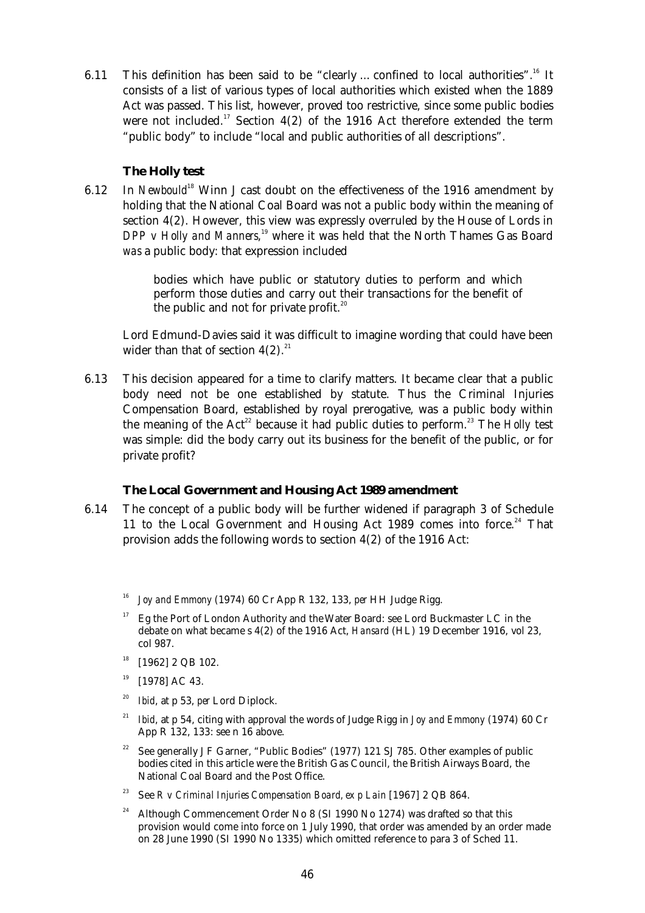6.11 This definition has been said to be "clearly ... confined to local authorities".<sup>16</sup> It consists of a list of various types of local authorities which existed when the 1889 Act was passed. This list, however, proved too restrictive, since some public bodies were not included.<sup>17</sup> Section 4(2) of the 1916 Act therefore extended the term "public body" to include "local and public authorities of all descriptions".

## **The** *Holly* **test**

6.12 In *Newbould*<sup>18</sup> Winn J cast doubt on the effectiveness of the 1916 amendment by holding that the National Coal Board was not a public body within the meaning of section 4(2). However, this view was expressly overruled by the House of Lords in DPP v Holly and Manners,<sup>19</sup> where it was held that the North Thames Gas Board *was* a public body: that expression included

> bodies which have public or statutory duties to perform and which perform those duties and carry out their transactions for the benefit of the public and not for private profit.<sup>20</sup>

Lord Edmund-Davies said it was difficult to imagine wording that could have been wider than that of section  $4(2).^{21}$ 

 6.13 This decision appeared for a time to clarify matters. It became clear that a public body need not be one established by statute. Thus the Criminal Injuries Compensation Board, established by royal prerogative, was a public body within the meaning of the Act<sup>22</sup> because it had public duties to perform.<sup>23</sup> The *Holly* test was simple: did the body carry out its business for the benefit of the public, or for private profit?

## **The Local Government and Housing Act 1989 amendment**

- 6.14 The concept of a public body will be further widened if paragraph 3 of Schedule 11 to the Local Government and Housing Act 1989 comes into force.<sup>24</sup> That provision adds the following words to section 4(2) of the 1916 Act:
	- <sup>16</sup> *Joy and Emmony* (1974) 60 Cr App R 132, 133, *per* HH Judge Rigg.
	- <sup>17</sup> Eg the Port of London Authority and the Water Board: see Lord Buckmaster LC in the debate on what became s 4(2) of the 1916 Act, *Hansard* (HL) 19 December 1916, vol 23, col 987.
	- $18$  [1962] 2 QB 102.
	- $19$  [1978] AC 43.
	- <sup>20</sup> *Ibid*, at p 53, *per* Lord Diplock.
	- <sup>21</sup> *Ibid*, at p 54, citing with approval the words of Judge Rigg in *Joy and Emmony* (1974) 60 Cr App R 132, 133: see n 16 above.
	- <sup>22</sup> See generally J F Garner, "Public Bodies" (1977) 121 SJ 785. Other examples of public bodies cited in this article were the British Gas Council, the British Airways Board, the National Coal Board and the Post Office.
	- <sup>23</sup> See *R v Criminal Injuries Compensation Board, ex p Lain* [1967] 2 QB 864.
	- <sup>24</sup> Although Commencement Order No 8 (SI 1990 No 1274) was drafted so that this provision would come into force on 1 July 1990, that order was amended by an order made on 28 June 1990 (SI 1990 No 1335) which omitted reference to para 3 of Sched 11.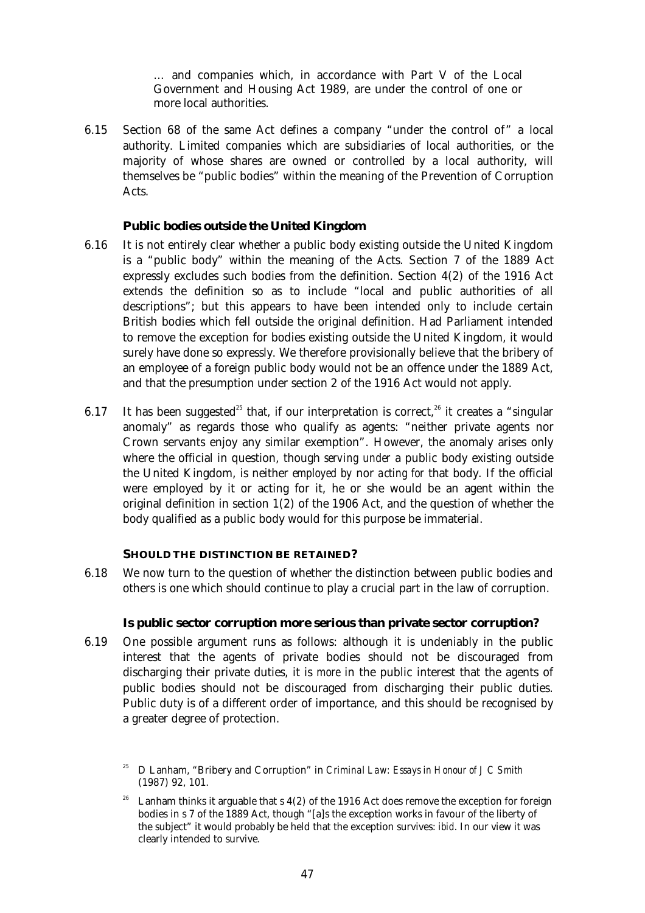… and companies which, in accordance with Part V of the Local Government and Housing Act 1989, are under the control of one or more local authorities.

 6.15 Section 68 of the same Act defines a company "under the control of" a local authority. Limited companies which are subsidiaries of local authorities, or the majority of whose shares are owned or controlled by a local authority, will themselves be "public bodies" within the meaning of the Prevention of Corruption Acts.

#### **Public bodies outside the United Kingdom**

- 6.16 It is not entirely clear whether a public body existing outside the United Kingdom is a "public body" within the meaning of the Acts. Section 7 of the 1889 Act expressly excludes such bodies from the definition. Section 4(2) of the 1916 Act extends the definition so as to include "local and public authorities of all descriptions"; but this appears to have been intended only to include certain British bodies which fell outside the original definition. Had Parliament intended to remove the exception for bodies existing outside the United Kingdom, it would surely have done so expressly. We therefore provisionally believe that the bribery of an employee of a foreign public body would not be an offence under the 1889 Act, and that the presumption under section 2 of the 1916 Act would not apply.
- 6.17 It has been suggested<sup>25</sup> that, if our interpretation is correct,<sup>26</sup> it creates a "singular" anomaly" as regards those who qualify as agents: "neither private agents nor Crown servants enjoy any similar exemption". However, the anomaly arises only where the official in question, though *serving under* a public body existing outside the United Kingdom, is neither *employed by* nor *acting for* that body. If the official were employed by it or acting for it, he or she would be an agent within the original definition in section 1(2) of the 1906 Act, and the question of whether the body qualified as a public body would for this purpose be immaterial.

#### **SHOULD THE DISTINCTION BE RETAINED?**

 6.18 We now turn to the question of whether the distinction between public bodies and others is one which should continue to play a crucial part in the law of corruption.

#### **Is public sector corruption more serious than private sector corruption?**

 6.19 One possible argument runs as follows: although it is undeniably in the public interest that the agents of private bodies should not be discouraged from discharging their private duties, it is *more* in the public interest that the agents of public bodies should not be discouraged from discharging their public duties. Public duty is of a different order of importance, and this should be recognised by a greater degree of protection.

<sup>25</sup> D Lanham, "Bribery and Corruption" in *Criminal Law: Essays in Honour of J C Smith* (1987) 92, 101.

Lanham thinks it arguable that  $s$  4(2) of the 1916 Act does remove the exception for foreign bodies in s 7 of the 1889 Act, though "[a]s the exception works in favour of the liberty of the subject" it would probably be held that the exception survives: *ibid*. In our view it was clearly intended to survive.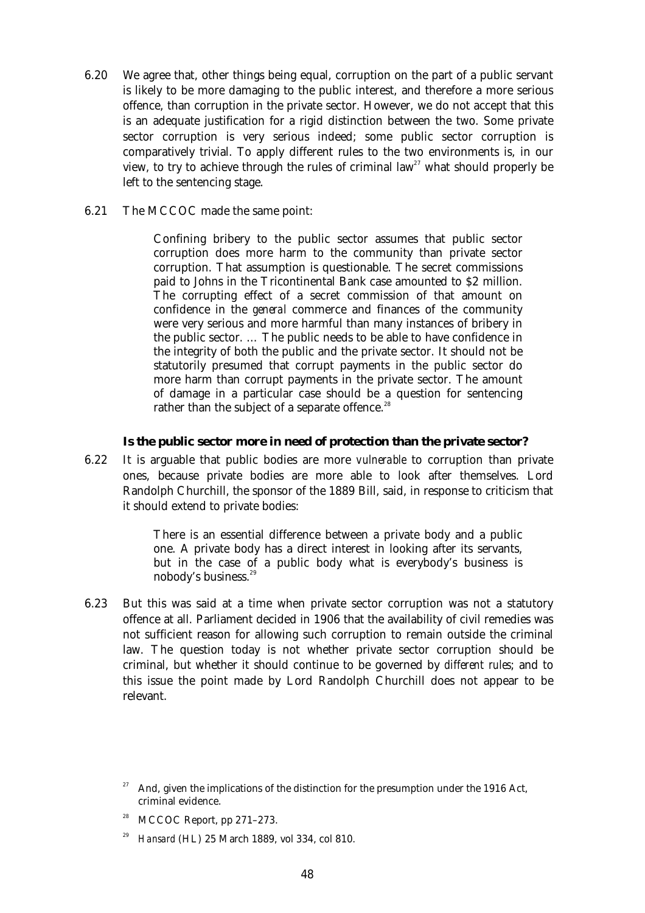- 6.20 We agree that, other things being equal, corruption on the part of a public servant is likely to be more damaging to the public interest, and therefore a more serious offence, than corruption in the private sector. However, we do not accept that this is an adequate justification for a rigid distinction between the two. Some private sector corruption is very serious indeed; some public sector corruption is comparatively trivial. To apply different rules to the two environments is, in our view, to try to achieve through the rules of criminal law<sup>27</sup> what should properly be left to the sentencing stage.
- 6.21 The MCCOC made the same point:

Confining bribery to the public sector assumes that public sector corruption does more harm to the community than private sector corruption. That assumption is questionable. The secret commissions paid to Johns in the Tricontinental Bank case amounted to \$2 million. The corrupting effect of a secret commission of that amount on confidence in the *general* commerce and finances of the community were very serious and more harmful than many instances of bribery in the public sector. … The public needs to be able to have confidence in the integrity of both the public and the private sector. It should not be statutorily presumed that corrupt payments in the public sector do more harm than corrupt payments in the private sector. The amount of damage in a particular case should be a question for sentencing rather than the subject of a separate offence.<sup>2</sup>

## **Is the public sector more in need of protection than the private sector?**

 6.22 It is arguable that public bodies are more *vulnerable* to corruption than private ones, because private bodies are more able to look after themselves. Lord Randolph Churchill, the sponsor of the 1889 Bill, said, in response to criticism that it should extend to private bodies:

> There is an essential difference between a private body and a public one. A private body has a direct interest in looking after its servants, but in the case of a public body what is everybody's business is nobody's business.<sup>29</sup>

 6.23 But this was said at a time when private sector corruption was not a statutory offence at all. Parliament decided in 1906 that the availability of civil remedies was not sufficient reason for allowing such corruption to remain outside the criminal law. The question today is not whether private sector corruption should be criminal, but whether it should continue to be governed by *different rules*; and to this issue the point made by Lord Randolph Churchill does not appear to be relevant.

<sup>28</sup> MCCOC Report, pp 271-273.

<sup>&</sup>lt;sup>27</sup> And, given the implications of the distinction for the presumption under the 1916 Act, criminal evidence.

<sup>29</sup> *Hansard* (HL) 25 March 1889, vol 334, col 810.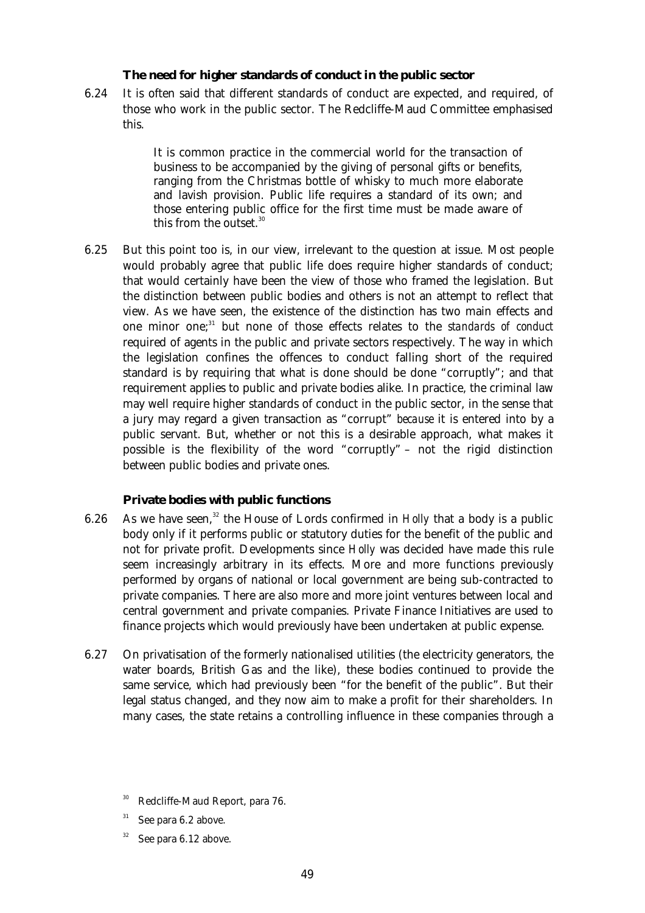#### **The need for higher standards of conduct in the public sector**

 6.24 It is often said that different standards of conduct are expected, and required, of those who work in the public sector. The Redcliffe-Maud Committee emphasised this.

> It is common practice in the commercial world for the transaction of business to be accompanied by the giving of personal gifts or benefits, ranging from the Christmas bottle of whisky to much more elaborate and lavish provision. Public life requires a standard of its own; and those entering public office for the first time must be made aware of this from the outset.<sup>30</sup>

 6.25 But this point too is, in our view, irrelevant to the question at issue. Most people would probably agree that public life does require higher standards of conduct; that would certainly have been the view of those who framed the legislation. But the distinction between public bodies and others is not an attempt to reflect that view. As we have seen, the existence of the distinction has two main effects and one minor one;<sup>31</sup> but none of those effects relates to the *standards of conduct* required of agents in the public and private sectors respectively. The way in which the legislation confines the offences to conduct falling short of the required standard is by requiring that what is done should be done "corruptly"; and that requirement applies to public and private bodies alike. In practice, the criminal law may well require higher standards of conduct in the public sector, in the sense that a jury may regard a given transaction as "corrupt" *because* it is entered into by a public servant. But, whether or not this is a desirable approach, what makes it possible is the flexibility of the word "corruptly" – not the rigid distinction between public bodies and private ones.

## **Private bodies with public functions**

- 6.26 As we have seen,<sup>32</sup> the House of Lords confirmed in *Holly* that a body is a public body only if it performs public or statutory duties for the benefit of the public and not for private profit. Developments since *Holly* was decided have made this rule seem increasingly arbitrary in its effects. More and more functions previously performed by organs of national or local government are being sub-contracted to private companies. There are also more and more joint ventures between local and central government and private companies. Private Finance Initiatives are used to finance projects which would previously have been undertaken at public expense.
- 6.27 On privatisation of the formerly nationalised utilities (the electricity generators, the water boards, British Gas and the like), these bodies continued to provide the same service, which had previously been "for the benefit of the public". But their legal status changed, and they now aim to make a profit for their shareholders. In many cases, the state retains a controlling influence in these companies through a

<sup>30</sup> Redcliffe-Maud Report, para 76.

 $31$  See para 6.2 above.

See para 6.12 above.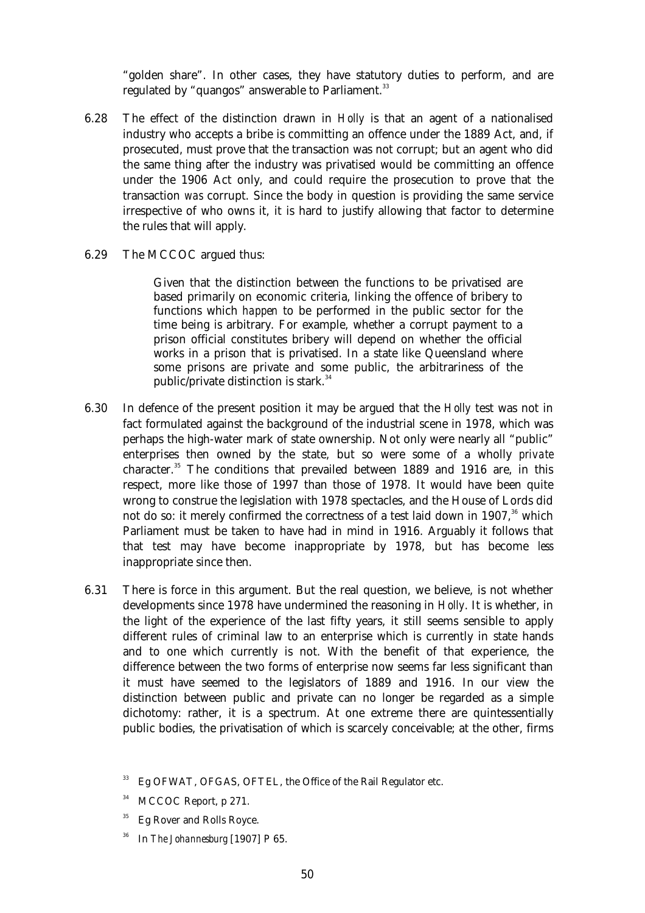"golden share". In other cases, they have statutory duties to perform, and are regulated by "quangos" answerable to Parliament.<sup>33</sup>

 6.28 The effect of the distinction drawn in *Holly* is that an agent of a nationalised industry who accepts a bribe is committing an offence under the 1889 Act, and, if prosecuted, must prove that the transaction was not corrupt; but an agent who did the same thing after the industry was privatised would be committing an offence under the 1906 Act only, and could require the prosecution to prove that the transaction *was* corrupt. Since the body in question is providing the same service irrespective of who owns it, it is hard to justify allowing that factor to determine the rules that will apply.

#### 6.29 The MCCOC argued thus:

Given that the distinction between the functions to be privatised are based primarily on economic criteria, linking the offence of bribery to functions which *happen* to be performed in the public sector for the time being is arbitrary. For example, whether a corrupt payment to a prison official constitutes bribery will depend on whether the official works in a prison that is privatised. In a state like Queensland where some prisons are private and some public, the arbitrariness of the public/private distinction is stark.<sup>34</sup>

- 6.30 In defence of the present position it may be argued that the *Holly* test was not in fact formulated against the background of the industrial scene in 1978, which was perhaps the high-water mark of state ownership. Not only were nearly all "public" enterprises then owned by the state, but so were some of a wholly *private* character.<sup>35</sup> The conditions that prevailed between 1889 and 1916 are, in this respect, more like those of 1997 than those of 1978. It would have been quite wrong to construe the legislation with 1978 spectacles, and the House of Lords did not do so: it merely confirmed the correctness of a test laid down in 1907,<sup>36</sup> which Parliament must be taken to have had in mind in 1916. Arguably it follows that that test may have become inappropriate by 1978, but has become *less* inappropriate since then.
- 6.31 There is force in this argument. But the real question, we believe, is not whether developments since 1978 have undermined the reasoning in *Holly*. It is whether, in the light of the experience of the last fifty years, it still seems sensible to apply different rules of criminal law to an enterprise which is currently in state hands and to one which currently is not. With the benefit of that experience, the difference between the two forms of enterprise now seems far less significant than it must have seemed to the legislators of 1889 and 1916. In our view the distinction between public and private can no longer be regarded as a simple dichotomy: rather, it is a spectrum. At one extreme there are quintessentially public bodies, the privatisation of which is scarcely conceivable; at the other, firms

- <sup>35</sup> Eg Rover and Rolls Royce.
- <sup>36</sup> In *The Johannesburg* [1907] P 65.

Eg OFWAT, OFGAS, OFTEL, the Office of the Rail Regulator etc.

<sup>&</sup>lt;sup>34</sup> MCCOC Report, p 271.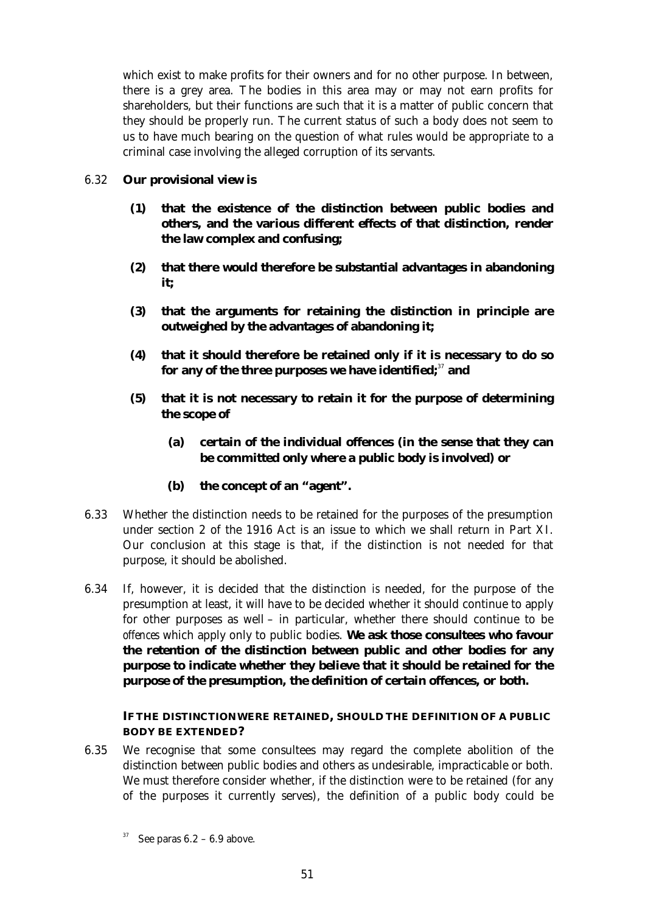which exist to make profits for their owners and for no other purpose. In between, there is a grey area. The bodies in this area may or may not earn profits for shareholders, but their functions are such that it is a matter of public concern that they should be properly run. The current status of such a body does not seem to us to have much bearing on the question of what rules would be appropriate to a criminal case involving the alleged corruption of its servants.

## 6.32 **Our provisional view is**

- **(1) that the existence of the distinction between public bodies and others, and the various different effects of that distinction, render the law complex and confusing;**
- **(2) that there would therefore be substantial advantages in abandoning it;**
- **(3) that the arguments for retaining the distinction** *in principle* **are outweighed by the advantages of abandoning it;**
- **(4) that it should therefore be retained** *only* **if it is necessary to do so for any of the three purposes we have identified;**<sup>37</sup> **and**
- **(5) that it is not necessary to retain it for the purpose of determining the scope of**
	- **(a) certain of the individual offences (in the sense that they can be committed only where a public body is involved) or**
	- **(b) the concept of an "agent".**
- 6.33 Whether the distinction needs to be retained for the purposes of the presumption under section 2 of the 1916 Act is an issue to which we shall return in Part XI. Our conclusion at this stage is that, *if* the distinction is not needed for that purpose, it should be abolished.
- 6.34 If, however, it is decided that the distinction *is* needed, for the purpose of the presumption at least, it will have to be decided whether it should continue to apply for other purposes as well – in particular, whether there should continue to be *offences* which apply only to public bodies. **We ask those consultees who favour the retention of the distinction between public and other bodies for any purpose to indicate whether they believe that it should be retained for the purpose of the presumption, the definition of certain offences, or both.**

## **IF THE DISTINCTION WERE RETAINED, SHOULD THE DEFINITION OF A PUBLIC BODY BE EXTENDED?**

 6.35 We recognise that some consultees may regard the complete abolition of the distinction between public bodies and others as undesirable, impracticable or both. We must therefore consider whether, if the distinction were to be retained (for any of the purposes it currently serves), the definition of a public body could be

See paras  $6.2 - 6.9$  above.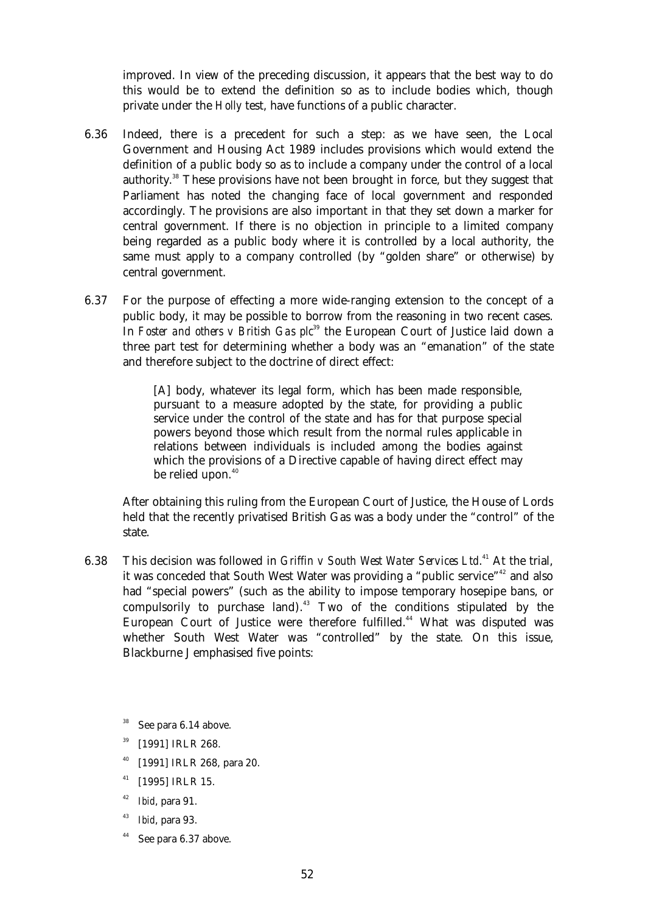improved. In view of the preceding discussion, it appears that the best way to do this would be to extend the definition so as to include bodies which, though private under the *Holly* test, have functions of a public character.

- 6.36 Indeed, there is a precedent for such a step: as we have seen, the Local Government and Housing Act 1989 includes provisions which would extend the definition of a public body so as to include a company under the control of a local authority.<sup>38</sup> These provisions have not been brought in force, but they suggest that Parliament has noted the changing face of local government and responded accordingly. The provisions are also important in that they set down a marker for central government. If there is no objection in principle to a limited company being regarded as a public body where it is controlled by a local authority, the same must apply to a company controlled (by "golden share" or otherwise) by central government.
- 6.37 For the purpose of effecting a more wide-ranging extension to the concept of a public body, it may be possible to borrow from the reasoning in two recent cases. In *Foster and others v British Gas plc*<sup>39</sup> the European Court of Justice laid down a three part test for determining whether a body was an "emanation" of the state and therefore subject to the doctrine of direct effect:

[A] body, whatever its legal form, which has been made responsible, pursuant to a measure adopted by the state, for providing a public service under the control of the state and has for that purpose special powers beyond those which result from the normal rules applicable in relations between individuals is included among the bodies against which the provisions of a Directive capable of having direct effect may be relied upon. $40$ 

After obtaining this ruling from the European Court of Justice, the House of Lords held that the recently privatised British Gas was a body under the "control" of the state.

- 6.38 This decision was followed in *Griffin v South West Water Services Ltd*.<sup>41</sup> At the trial, it was conceded that South West Water was providing a "public service"<sup>42</sup> and also had "special powers" (such as the ability to impose temporary hosepipe bans, or compulsorily to purchase land).<sup>43</sup> Two of the conditions stipulated by the European Court of Justice were therefore fulfilled.<sup>44</sup> What was disputed was whether South West Water was "controlled" by the state. On this issue, Blackburne J emphasised five points:
	- $38$  See para 6.14 above.
	- <sup>39</sup> [1991] IRLR 268.
	- <sup>40</sup> [1991] IRLR 268, para 20.
	- $41$  [1995] IRLR 15.
	- <sup>42</sup> *Ibid*, para 91.
	- <sup>43</sup> *Ibid*, para 93.
	- <sup>44</sup> See para 6.37 above.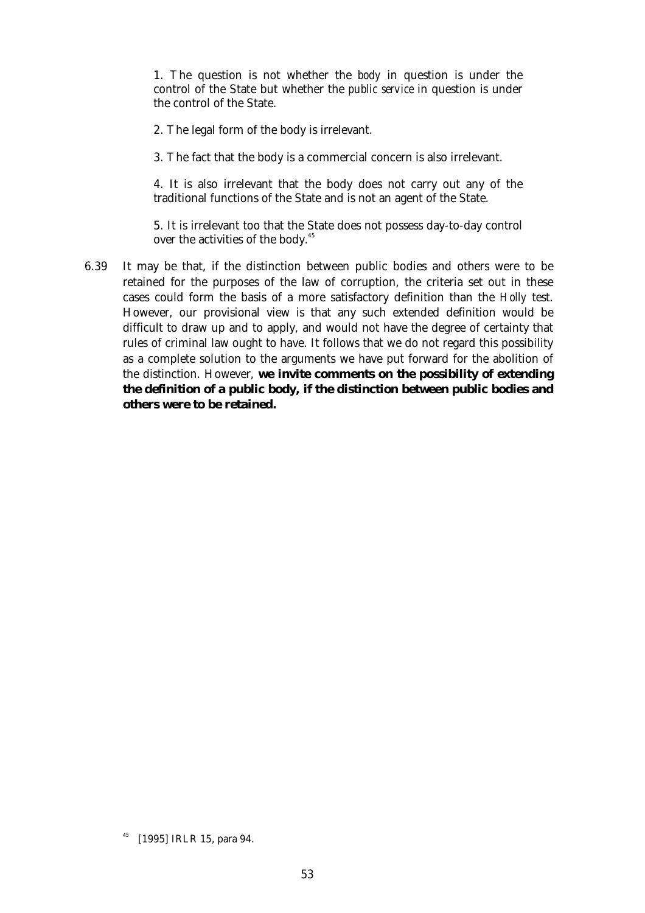1. The question is not whether the *body* in question is under the control of the State but whether the *public service* in question is under the control of the State.

- 2. The legal form of the body is irrelevant.
- 3. The fact that the body is a commercial concern is also irrelevant.

4. It is also irrelevant that the body does not carry out any of the traditional functions of the State and is not an agent of the State.

5. It is irrelevant too that the State does not possess day-to-day control over the activities of the body.<sup>45</sup>

 6.39 It may be that, if the distinction between public bodies and others were to be retained for the purposes of the law of corruption, the criteria set out in these cases could form the basis of a more satisfactory definition than the *Holly* test. However, our provisional view is that any such extended definition would be difficult to draw up and to apply, and would not have the degree of certainty that rules of criminal law ought to have. It follows that we do not regard this possibility as a complete solution to the arguments we have put forward for the abolition of the distinction. However, **we invite comments on the possibility of extending the definition of a public body, if the distinction between public bodies and others were to be retained.**

<sup>45</sup> [1995] IRLR 15, para 94.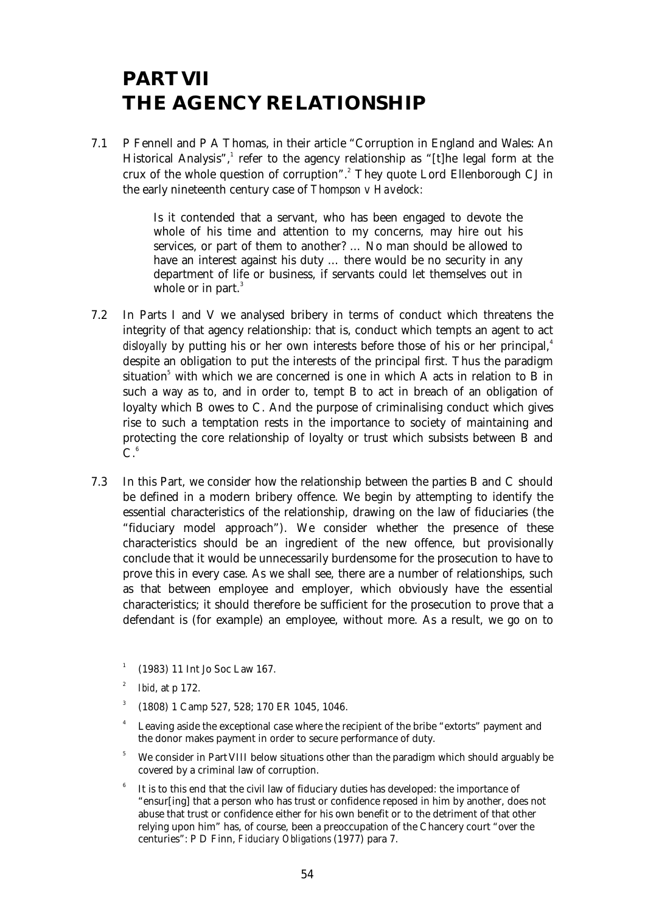# **PART VII THE AGENCY RELATIONSHIP**

 7.1 P Fennell and P A Thomas, in their article "Corruption in England and Wales: An Historical Analysis",<sup>1</sup> refer to the agency relationship as "[t]he legal form at the crux of the whole question of corruption". 2 They quote Lord Ellenborough CJ in the early nineteenth century case of *Thompson v Havelock:*

> Is it contended that a servant, who has been engaged to devote the whole of his time and attention to my concerns, may hire out his services, or part of them to another? … No man should be allowed to have an interest against his duty ... there would be no security in any department of life or business, if servants could let themselves out in whole or in part. $3$

- 7.2 In Parts I and V we analysed bribery in terms of conduct which threatens the integrity of that agency relationship: that is, conduct which tempts an agent to act *disloyally* by putting his or her own interests before those of his or her principal,<sup>4</sup> despite an obligation to put the interests of the principal first. Thus the paradigm situation $^5$  with which we are concerned is one in which A acts in relation to B in such a way as to, and in order to, tempt B to act in breach of an obligation of loyalty which B owes to C. And the purpose of criminalising conduct which gives rise to such a temptation rests in the importance to society of maintaining and protecting the core relationship of loyalty or trust which subsists between B and  $C<sup>6</sup>$
- 7.3 In this Part, we consider how the relationship between the parties B and C should be defined in a modern bribery offence. We begin by attempting to identify the essential characteristics of the relationship, drawing on the law of fiduciaries (the "fiduciary model approach"). We consider whether the presence of these characteristics should be an ingredient of the new offence, but provisionally conclude that it would be unnecessarily burdensome for the prosecution to have to prove this in every case. As we shall see, there are a number of relationships, such as that between employee and employer, which obviously have the essential characteristics; it should therefore be sufficient for the prosecution to prove that a defendant is (for example) an employee, without more. As a result, we go on to
	- 1 (1983) 11 Int Jo Soc Law 167.
	- 2 *Ibid*, at p 172.
	- 3 (1808) 1 Camp 527, 528; 170 ER 1045, 1046.
	- Leaving aside the exceptional case where the recipient of the bribe "extorts" payment and the donor makes payment in order to secure performance of duty.
	- <sup>5</sup> We consider in Part VIII below situations other than the paradigm which should arguably be covered by a criminal law of corruption.
	- 6 It is to this end that the civil law of fiduciary duties has developed: the importance of "ensur[ing] that a person who has trust or confidence reposed in him by another, does not abuse that trust or confidence either for his own benefit or to the detriment of that other relying upon him" has, of course, been a preoccupation of the Chancery court "over the centuries": P D Finn, *Fiduciary Obligations* (1977) para 7.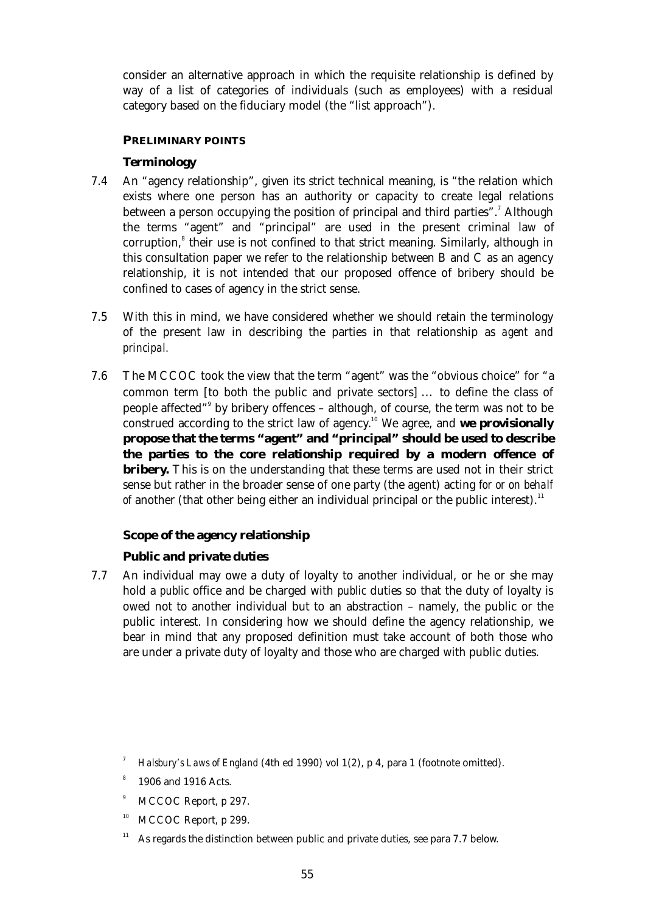consider an alternative approach in which the requisite relationship is defined by way of a list of categories of individuals (such as employees) with a residual category based on the fiduciary model (the "list approach").

## **PRELIMINARY POINTS**

## **Terminology**

- 7.4 An "agency relationship", given its strict technical meaning, is "the relation which exists where one person has an authority or capacity to create legal relations between a person occupying the position of principal and third parties".<sup>7</sup> Although the terms "agent" and "principal" are used in the present criminal law of corruption,<sup>8</sup> their use is not confined to that strict meaning. Similarly, although in this consultation paper we refer to the relationship between B and C as an agency relationship, it is not intended that our proposed offence of bribery should be confined to cases of agency in the strict sense.
- 7.5 With this in mind, we have considered whether we should retain the terminology of the present law in describing the parties in that relationship as *agent and principal.*
- 7.6 The MCCOC took the view that the term "agent" was the "obvious choice" for "a common term [to both the public and private sectors] … to define the class of people affected" 9 by bribery offences – although, of course, the term was not to be construed according to the strict law of agency. <sup>10</sup> We agree, and **we provisionally propose that the terms "agent" and "principal" should be used to describe the parties to the core relationship required by a modern offence of bribery.** This is on the understanding that these terms are used not in their strict sense but rather in the broader sense of one party (the agent) acting *for or on behalf of* another (that other being either an individual principal or the public interest).<sup>11</sup>

## **Scope of the agency relationship**

## *Public and private duties*

 7.7 An individual may owe a duty of loyalty to another individual, or he or she may hold a *public* office and be charged with *public* duties so that the duty of loyalty is owed not to another individual but to an abstraction – namely, the public or the public interest. In considering how we should define the agency relationship, we bear in mind that any proposed definition must take account of both those who are under a private duty of loyalty and those who are charged with public duties.

- 8 1906 and 1916 Acts.
- <sup>9</sup> MCCOC Report, p 297.
- $10$  MCCOC Report, p 299.
- <sup>11</sup> As regards the distinction between public and private duties, see para 7.7 below.

*Halsbury's Laws of England* (4th ed 1990) vol 1(2), p 4, para 1 (footnote omitted).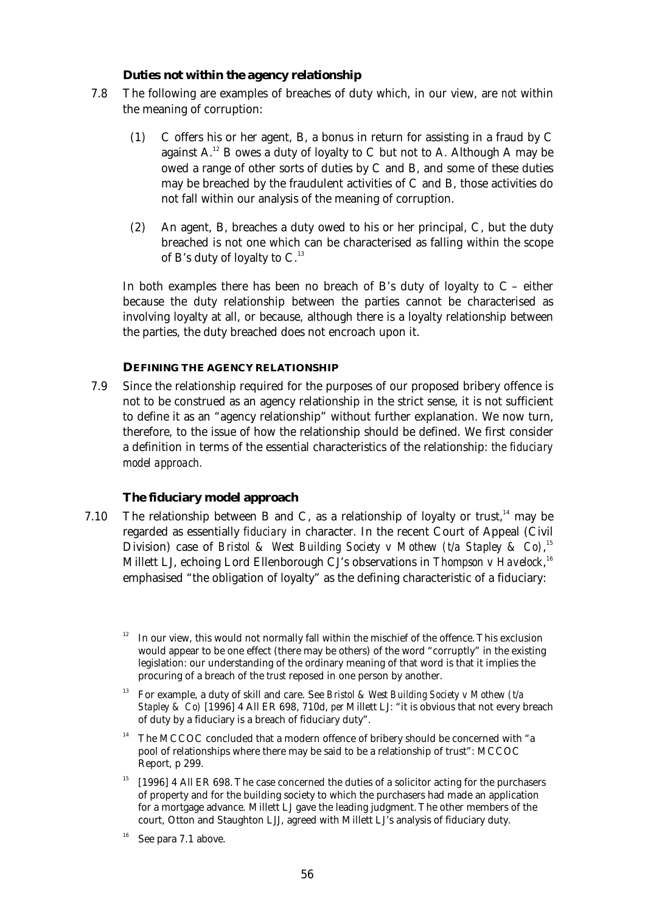## *Duties not within the agency relationship*

- 7.8 The following are examples of breaches of duty which, in our view, are *not* within the meaning of corruption:
	- (1) C offers his or her agent, B, a bonus in return for assisting in a fraud by C against  $A^{12}$  B owes a duty of loyalty to C but not to A. Although A may be owed a range of other sorts of duties by C and B, and some of these duties may be breached by the fraudulent activities of C and B, those activities do not fall within our analysis of the meaning of corruption.
	- (2) An agent, B, breaches a duty owed to his or her principal, C, but the duty breached is not one which can be characterised as falling within the scope of B's duty of loyalty to  $C<sup>13</sup>$

In both examples there has been no breach of B's duty of loyalty to C – either because the duty relationship between the parties cannot be characterised as involving loyalty at all, or because, although there is a loyalty relationship between the parties, the duty breached does not encroach upon it.

#### **DEFINING THE AGENCY RELATIONSHIP**

 7.9 Since the relationship required for the purposes of our proposed bribery offence is not to be construed as an agency relationship in the strict sense, it is not sufficient to define it as an "agency relationship" without further explanation. We now turn, therefore, to the issue of how the relationship should be defined. We first consider a definition in terms of the essential characteristics of the relationship: *the fiduciary model approach.*

#### **The fiduciary model approach**

7.10 The relationship between B and C, as a relationship of loyalty or trust.<sup>14</sup> may be regarded as essentially *fiduciary* in character. In the recent Court of Appeal (Civil Division) case of *Bristol & West Building Society v Mothew (t/a Stapley & Co)*,<sup>15</sup> Millett LJ, echoing Lord Ellenborough CJ's observations in *Thompson v Havelock*, 16 emphasised "the obligation of loyalty" as the defining characteristic of a fiduciary:

- <sup>13</sup> For example, a duty of skill and care. See *Bristol & West Building Society v Mothew (t/a Stapley & Co)* [1996] 4 All ER 698, 710d, *per* Millett LJ: "it is obvious that not every breach of duty by a fiduciary is a breach of fiduciary duty".
- $14$  The MCCOC concluded that a modern offence of bribery should be concerned with "a pool of relationships where there may be said to be a relationship of trust": MCCOC Report, p 299.
- [1996] 4 All ER 698. The case concerned the duties of a solicitor acting for the purchasers of property and for the building society to which the purchasers had made an application for a mortgage advance. Millett LJ gave the leading judgment. The other members of the court, Otton and Staughton LJJ, agreed with Millett LJ's analysis of fiduciary duty.
- $16$  See para 7.1 above.

<sup>12</sup> In our view, this would not normally fall within the mischief of the offence. This exclusion would appear to be one effect (there may be others) of the word "corruptly" in the existing legislation: our understanding of the ordinary meaning of that word is that it implies the procuring of a breach of the *trust* reposed in one person by another.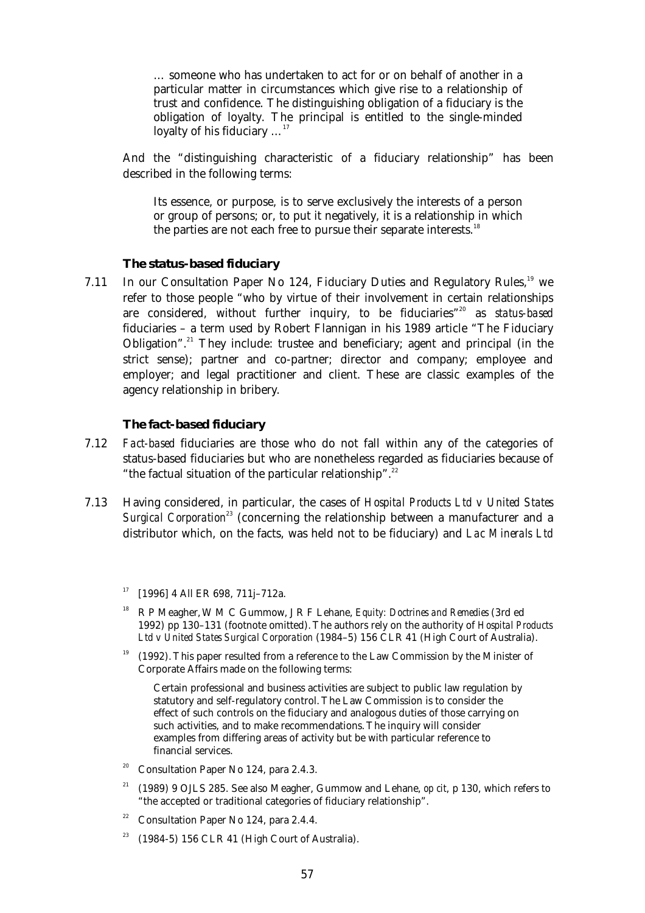… someone who has undertaken to act for or on behalf of another in a particular matter in circumstances which give rise to a relationship of trust and confidence. The distinguishing obligation of a fiduciary is the obligation of loyalty. The principal is entitled to the single-minded loyalty of his fiduciary ...<sup>17</sup>

And the "distinguishing characteristic of a fiduciary relationship" has been described in the following terms:

Its essence, or purpose, is to serve exclusively the interests of a person or group of persons; or, to put it negatively, it is a relationship in which the parties are not each free to pursue their separate interests.<sup>18</sup>

#### *The status-based fiduciary*

7.11 In our Consultation Paper No 124, Fiduciary Duties and Regulatory Rules,<sup>19</sup> we refer to those people "who by virtue of their involvement in certain relationships are considered, without further inquiry, to be fiduciaries<sup>"20</sup> as *status-based* fiduciaries – a term used by Robert Flannigan in his 1989 article "The Fiduciary Obligation".<sup>21</sup> They include: trustee and beneficiary; agent and principal (in the strict sense); partner and co-partner; director and company; employee and employer; and legal practitioner and client. These are classic examples of the agency relationship in bribery.

#### *The fact-based fiduciary*

- 7.12 *Fact-based* fiduciaries are those who do not fall within any of the categories of status-based fiduciaries but who are nonetheless regarded as fiduciaries because of "the factual situation of the particular relationship".<sup>22</sup>
- 7.13 Having considered, in particular, the cases of *Hospital Products Ltd v United States Surgical Corporation*<sup>23</sup> (concerning the relationship between a manufacturer and a distributor which, on the facts, was held not to be fiduciary) and *Lac Minerals Ltd*

 $19$  (1992). This paper resulted from a reference to the Law Commission by the Minister of Corporate Affairs made on the following terms:

Certain professional and business activities are subject to public law regulation by statutory and self-regulatory control. The Law Commission is to consider the effect of such controls on the fiduciary and analogous duties of those carrying on such activities, and to make recommendations. The inquiry will consider examples from differing areas of activity but be with particular reference to financial services.

- Consultation Paper No 124, para 2.4.3.
- <sup>21</sup> (1989) 9 OJLS 285. See also Meagher, Gummow and Lehane, *op cit*, p 130, which refers to "the accepted or traditional categories of fiduciary relationship".
- <sup>22</sup> Consultation Paper No 124, para 2.4.4.
- $23$  (1984-5) 156 CLR 41 (High Court of Australia).

<sup>17</sup> [1996] 4 All ER 698, 711j–712a.

<sup>18</sup> R P Meagher, W M C Gummow, J R F Lehane, *Equity: Doctrines and Remedies* (3rd ed 1992) pp 130–131 (footnote omitted). The authors rely on the authority of *Hospital Products Ltd v United States Surgical Corporation* (1984–5) 156 CLR 41 (High Court of Australia).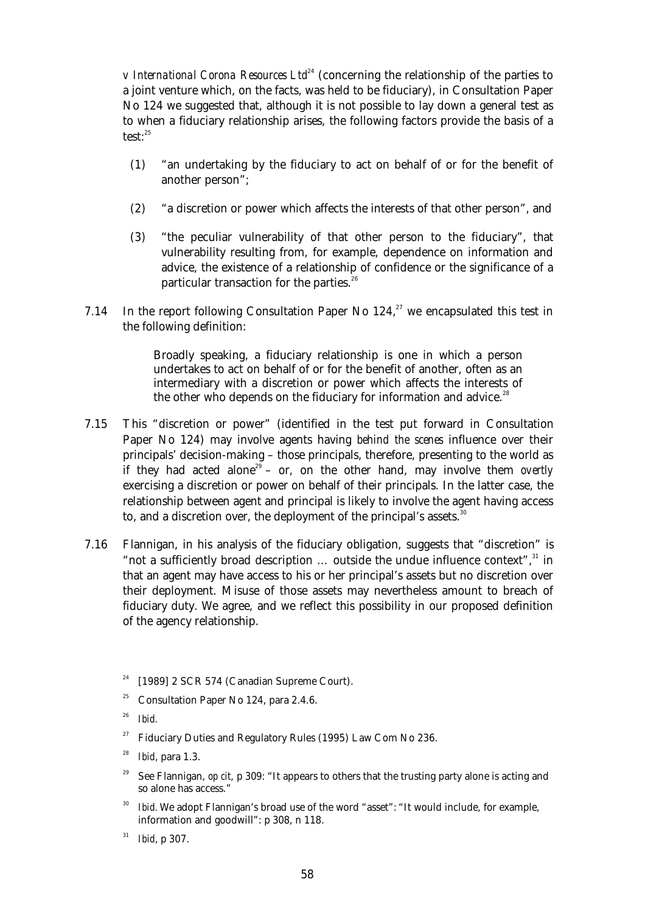*v International Corona Resources Ltd*<sup>44</sup> (concerning the relationship of the parties to a joint venture which, on the facts, was held to be fiduciary), in Consultation Paper No 124 we suggested that, although it is not possible to lay down a general test as to when a fiduciary relationship arises, the following factors provide the basis of a  $test: <sup>25</sup>$ 

- (1) "an undertaking by the fiduciary to act on behalf of or for the benefit of another person";
- (2) "a discretion or power which affects the interests of that other person", and
- (3) "the peculiar vulnerability of that other person to the fiduciary", that vulnerability resulting from, for example, dependence on information and advice, the existence of a relationship of confidence or the significance of a particular transaction for the parties. $26$
- 7.14 In the report following Consultation Paper No  $124$ ,<sup>27</sup> we encapsulated this test in the following definition:

Broadly speaking, a fiduciary relationship is one in which a person undertakes to act on behalf of or for the benefit of another, often as an intermediary with a discretion or power which affects the interests of the other who depends on the fiduciary for information and advice.<sup>28</sup>

- 7.15 This "discretion or power" (identified in the test put forward in Consultation Paper No 124) may involve agents having *behind the scenes* influence over their principals' decision-making – those principals, therefore, presenting to the world as if they had acted alone<sup>29</sup> – or, on the other hand, may involve them *overtly* exercising a discretion or power on behalf of their principals. In the latter case, the relationship between agent and principal is likely to involve the agent having access to, and a discretion over, the deployment of the principal's assets.<sup>30</sup>
- 7.16 Flannigan, in his analysis of the fiduciary obligation, suggests that "discretion" is "not a sufficiently broad description  $\ldots$  outside the undue influence context",  $31$  in that an agent may have access to his or her principal's assets but no discretion over their deployment. Misuse of those assets may nevertheless amount to breach of fiduciary duty. We agree, and we reflect this possibility in our proposed definition of the agency relationship.
	- $24$  [1989] 2 SCR 574 (Canadian Supreme Court).
	- <sup>25</sup> Consultation Paper No 124, para 2.4.6.
	- <sup>26</sup> *Ibid.*
	- <sup>27</sup> Fiduciary Duties and Regulatory Rules (1995) Law Com No 236.
	- <sup>28</sup> *Ibid*, para 1.3.
	- <sup>29</sup> See Flannigan, *op cit*, p 309: "It appears to others that the trusting party alone is acting and so alone has access."
	- <sup>30</sup> *Ibid.* We adopt Flannigan's broad use of the word "asset": "It would include, for example, information and goodwill": p 308, n 118.
	- <sup>31</sup> *Ibid*, p 307.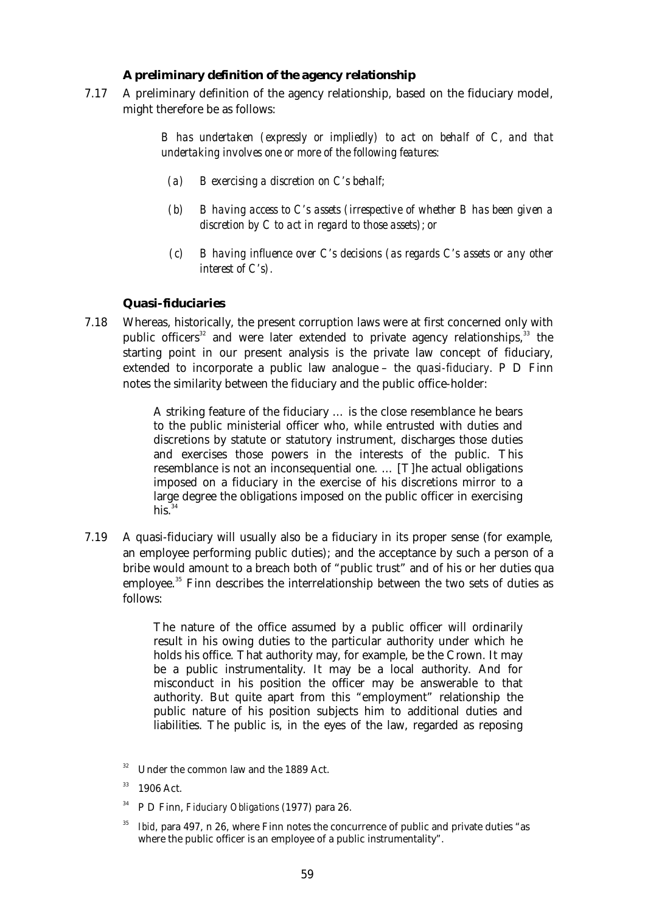#### *A preliminary definition of the agency relationship*

 7.17 A preliminary definition of the agency relationship, based on the fiduciary model, might therefore be as follows:

> *B has undertaken (expressly or impliedly) to act on behalf of C, and that undertaking involves one or more of the following features:*

- *(a) B exercising a discretion on C's behalf;*
- *(b) B having access to C's assets (irrespective of whether B has been given a discretion by C to act in regard to those assets); or*
- *(c) B having influence over C's decisions (as regards C's assets or any other interest of C's).*

#### *Quasi-fiduciaries*

 7.18 Whereas, historically, the present corruption laws were at first concerned only with public officers<sup>32</sup> and were later extended to private agency relationships, $33$  the starting point in our present analysis is the private law concept of fiduciary, extended to incorporate a public law analogue – the *quasi-fiduciary*. P D Finn notes the similarity between the fiduciary and the public office-holder:

> A striking feature of the fiduciary … is the close resemblance he bears to the public ministerial officer who, while entrusted with duties and discretions by statute or statutory instrument, discharges those duties and exercises those powers in the interests of the public. This resemblance is not an inconsequential one. … [T]he actual obligations imposed on a fiduciary in the exercise of his discretions mirror to a large degree the obligations imposed on the public officer in exercising his. $34$

 7.19 A quasi-fiduciary will usually also be a fiduciary in its proper sense (for example, an employee performing public duties); and the acceptance by such a person of a bribe would amount to a breach both of "public trust" and of his or her duties qua employee.<sup>35</sup> Finn describes the interrelationship between the two sets of duties as follows:

> The nature of the office assumed by a public officer will ordinarily result in his owing duties to the particular authority under which he holds his office. That authority may, for example, be the Crown. It may be a public instrumentality. It may be a local authority. And for misconduct in his position the officer may be answerable to that authority. But quite apart from this "employment" relationship the public nature of his position subjects him to additional duties and liabilities. The public is, in the eyes of the law, regarded as reposing

- <sup>34</sup> P D Finn, *Fiduciary Obligations* (1977) para 26.
- <sup>35</sup> *Ibid*, para 497, n 26, where Finn notes the concurrence of public and private duties "as where the public officer is an employee of a public instrumentality".

 $32$  Under the common law and the 1889 Act.

 $33$  1906 Act.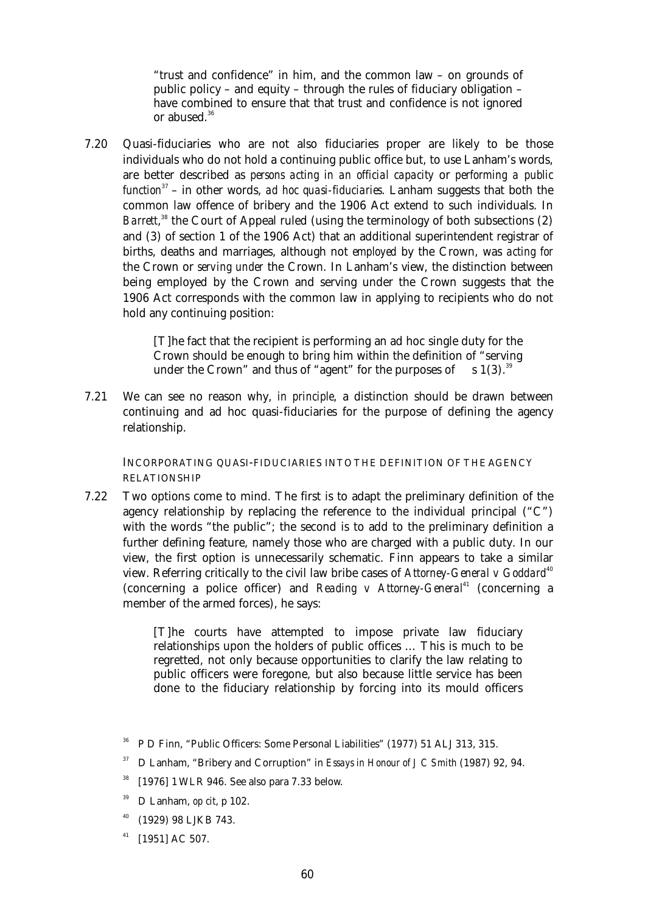"trust and confidence" in him, and the common law – on grounds of public policy – and equity – through the rules of fiduciary obligation – have combined to ensure that that trust and confidence is not ignored or abused.<sup>36</sup>

 7.20 Quasi-fiduciaries who are not also fiduciaries proper are likely to be those individuals who do not hold a continuing public office but, to use Lanham's words, are better described as *persons acting in an official capacity* or *performing a public* function<sup>37</sup> – in other words, *ad hoc quasi-fiduciaries*. Lanham suggests that both the common law offence of bribery and the 1906 Act extend to such individuals. In Barrett,<sup>38</sup> the Court of Appeal ruled (using the terminology of both subsections (2) and (3) of section 1 of the 1906 Act) that an additional superintendent registrar of births, deaths and marriages, although not *employed* by the Crown, was *acting for* the Crown or *serving under* the Crown. In Lanham's view, the distinction between being employed by the Crown and serving under the Crown suggests that the 1906 Act corresponds with the common law in applying to recipients who do not hold any continuing position:

> [T]he fact that the recipient is performing an ad hoc single duty for the Crown should be enough to bring him within the definition of "serving under the Crown" and thus of "agent" for the purposes of s  $1(3)$ .<sup>39</sup>

 7.21 We can see no reason why, *in principle*, a distinction should be drawn between continuing and ad hoc quasi-fiduciaries for the purpose of defining the agency relationship.

INCORPORATING QUASI-FIDUCIARIES INTO THE DEFINITION OF THE AGENCY RELATIONSHIP

 7.22 Two options come to mind. The first is to adapt the preliminary definition of the agency relationship by replacing the reference to the individual principal  $(C<sup>n</sup>)$ with the words "the public"; the second is to add to the preliminary definition a further defining feature, namely those who are charged with a public duty. In our view, the first option is unnecessarily schematic. Finn appears to take a similar view. Referring critically to the civil law bribe cases of *Attorney-General v Goddard*<sup>10</sup> (concerning a police officer) and *Reading v Attorney-General*<sup> $41$ </sup> (concerning a member of the armed forces), he says:

> [T]he courts have attempted to impose private law fiduciary relationships upon the holders of public offices … This is much to be regretted, not only because opportunities to clarify the law relating to public officers were foregone, but also because little service has been done to the fiduciary relationship by forcing into its mould officers

- <sup>40</sup> (1929) 98 LJKB 743.
- $41$  [1951] AC 507.

<sup>36</sup> P D Finn, "Public Officers: Some Personal Liabilities" (1977) 51 ALJ 313, 315.

<sup>37</sup> D Lanham, "Bribery and Corruption" in *Essays in Honour of J C Smith* (1987) 92, 94.

 $38$  [1976] 1 WLR 946. See also para 7.33 below.

<sup>39</sup> D Lanham, *op cit*, p 102.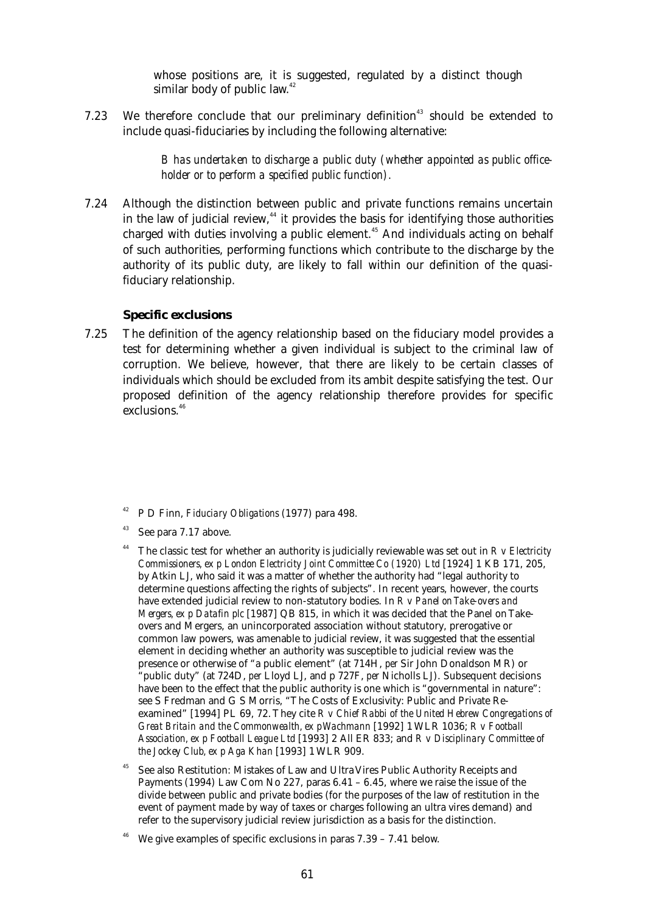whose positions are, it is suggested, regulated by a distinct though similar body of public law.<sup>42</sup>

7.23 We therefore conclude that our preliminary definition<sup>43</sup> should be extended to include quasi-fiduciaries by including the following alternative:

> *B has undertaken to discharge a public duty (whether appointed as public officeholder or to perform a specified public function).*

 7.24 Although the distinction between public and private functions remains uncertain in the law of judicial review, $44$  it provides the basis for identifying those authorities  $charged$  with duties involving a public element.<sup>45</sup> And individuals acting on behalf of such authorities, performing functions which contribute to the discharge by the authority of its public duty, are likely to fall within our definition of the quasifiduciary relationship.

#### *Specific exclusions*

- 7.25 The definition of the agency relationship based on the fiduciary model provides a test for determining whether a given individual is subject to the criminal law of corruption. We believe, however, that there are likely to be certain classes of individuals which should be excluded from its ambit despite satisfying the test. Our proposed definition of the agency relationship therefore provides for specific exclusions.<sup>46</sup>
	- <sup>42</sup> P D Finn, *Fiduciary Obligations* (1977) para 498.
	- See para 7.17 above.
	- <sup>44</sup> The classic test for whether an authority is judicially reviewable was set out in  $R$  v Electricity *Commissioners, ex p London Electricity Joint Committee Co (1920) Ltd* [1924] 1 KB 171, 205, by Atkin LJ, who said it was a matter of whether the authority had "legal authority to determine questions affecting the rights of subjects". In recent years, however, the courts have extended judicial review to non-statutory bodies. In *R v Panel on Take-overs and Mergers, ex p Datafin plc* [1987] QB 815, in which it was decided that the Panel on Takeovers and Mergers, an unincorporated association without statutory, prerogative or common law powers, was amenable to judicial review, it was suggested that the essential element in deciding whether an authority was susceptible to judicial review was the presence or otherwise of "a public element" (at 714H, *per* Sir John Donaldson MR) or "public duty" (at 724D, *per* Lloyd LJ, and p 727F, *per* Nicholls LJ). Subsequent decisions have been to the effect that the public authority is one which is "governmental in nature": see S Fredman and G S Morris, "The Costs of Exclusivity: Public and Private Reexamined" [1994] PL 69, 72. They cite *R v Chief Rabbi of the United Hebrew Congregations of Great Britain and the Commonwealth, ex p Wachmann* [1992] 1 WLR 1036; *R v Football Association, ex p Football League Ltd* [1993] 2 All ER 833; and *R v Disciplinary Committee of the Jockey Club, ex p Aga Khan* [1993] 1 WLR 909.
	- <sup>45</sup> See also Restitution: Mistakes of Law and Ultra Vires Public Authority Receipts and Payments (1994) Law Com No 227, paras 6.41 – 6.45, where we raise the issue of the divide between public and private bodies (for the purposes of the law of restitution in the event of payment made by way of taxes or charges following an ultra vires demand) and refer to the supervisory judicial review jurisdiction as a basis for the distinction.

We give examples of specific exclusions in paras  $7.39 - 7.41$  below.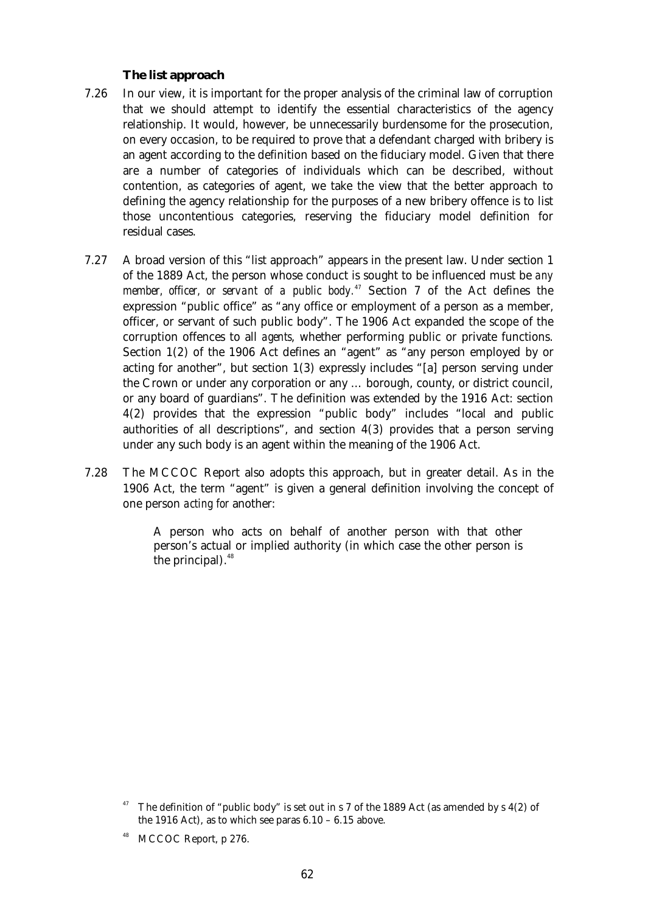#### **The list approach**

- 7.26 In our view, it is important for the proper analysis of the criminal law of corruption that we should attempt to identify the essential characteristics of the agency relationship. It would, however, be unnecessarily burdensome for the prosecution, on every occasion, to be required to prove that a defendant charged with bribery is an agent according to the definition based on the fiduciary model. Given that there are a number of categories of individuals which can be described, without contention, as categories of agent, we take the view that the better approach to defining the agency relationship for the purposes of a new bribery offence is to list those uncontentious categories, reserving the fiduciary model definition for residual cases.
- 7.27 A broad version of this "list approach" appears in the present law. Under section 1 of the 1889 Act, the person whose conduct is sought to be influenced must be *any member, officer, or servant of a public body.*<sup>47</sup> Section 7 of the Act defines the expression "public office" as "any office or employment of a person as a member, officer, or servant of such public body". The 1906 Act expanded the scope of the corruption offences to all *agents*, whether performing public or private functions. Section 1(2) of the 1906 Act defines an "agent" as "any person employed by or acting for another", but section 1(3) expressly includes "[a] person serving under the Crown or under any corporation or any … borough, county, or district council, or any board of guardians". The definition was extended by the 1916 Act: section 4(2) provides that the expression "public body" includes "local and public authorities of all descriptions", and section 4(3) provides that a person serving under any such body is an agent within the meaning of the 1906 Act.
- 7.28 The MCCOC Report also adopts this approach, but in greater detail. As in the 1906 Act, the term "agent" is given a general definition involving the concept of one person *acting for* another:

A person who acts on behalf of another person with that other person's actual or implied authority (in which case the other person is the principal). $48$ 

The definition of "public body" is set out in s 7 of the 1889 Act (as amended by s 4(2) of the 1916 Act), as to which see paras  $6.10 - 6.15$  above.

MCCOC Report, p 276.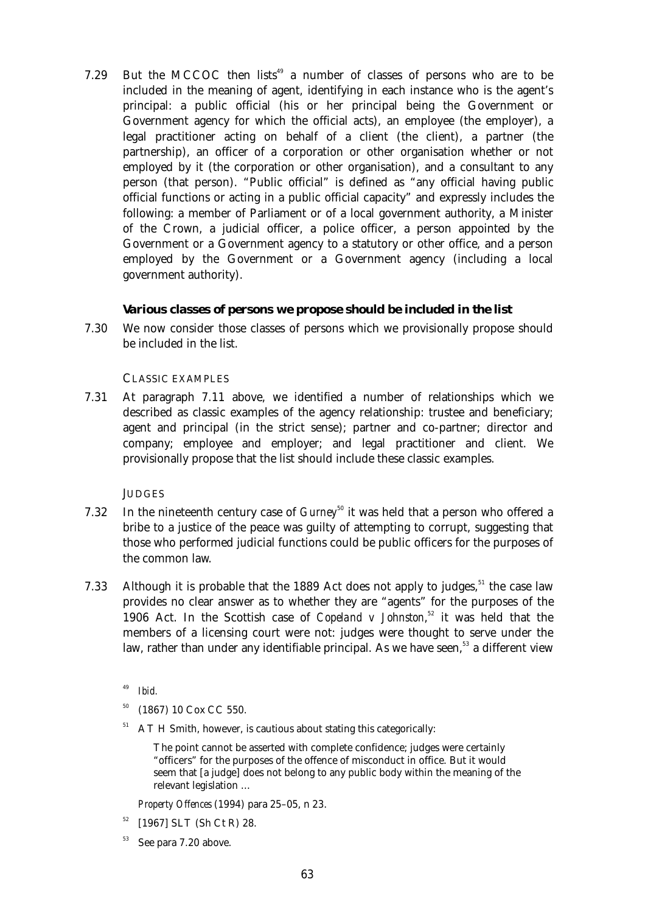7.29 But the MCCOC then lists<sup>49</sup> a number of classes of persons who are to be included in the meaning of agent, identifying in each instance who is the agent's principal: a public official (his or her principal being the Government or Government agency for which the official acts), an employee (the employer), a legal practitioner acting on behalf of a client (the client), a partner (the partnership), an officer of a corporation or other organisation whether or not employed by it (the corporation or other organisation), and a consultant to any person (that person). "Public official" is defined as "any official having public official functions or acting in a public official capacity" and expressly includes the following: a member of Parliament or of a local government authority, a Minister of the Crown, a judicial officer, a police officer, a person appointed by the Government or a Government agency to a statutory or other office, and a person employed by the Government or a Government agency (including a local government authority).

#### *Various classes of persons we propose should be included in the list*

 7.30 We now consider those classes of persons which we provisionally propose should be included in the list.

#### CLASSIC EXAMPLES

 7.31 At paragraph 7.11 above, we identified a number of relationships which we described as classic examples of the agency relationship: trustee and beneficiary; agent and principal (in the strict sense); partner and co-partner; director and company; employee and employer; and legal practitioner and client. We provisionally propose that the list should include these classic examples.

#### **JUDGES**

- 7.32 In the nineteenth century case of *Gurney*<sup>50</sup> it was held that a person who offered a bribe to a justice of the peace was guilty of attempting to corrupt, suggesting that those who performed judicial functions could be public officers for the purposes of the common law.
- 7.33 Although it is probable that the 1889 Act does not apply to judges,  $51$  the case law provides no clear answer as to whether they are "agents" for the purposes of the 1906 Act. In the Scottish case of *Copeland v Johnston*, <sup>52</sup> it was held that the members of a licensing court were not: judges were thought to serve under the law, rather than under any identifiable principal. As we have seen.<sup>53</sup> a different view

- <sup>50</sup> (1867) 10 Cox CC 550.
- <sup>51</sup> A T H Smith, however, is cautious about stating this categorically:

The point cannot be asserted with complete confidence; judges were certainly "officers" for the purposes of the offence of misconduct in office. But it would seem that [a judge] does not belong to any public body within the meaning of the relevant legislation …

*Property Offences* (1994) para 25–05, n 23.

- [1967] SLT (Sh Ct R) 28.
- See para 7.20 above.

<sup>49</sup> *Ibid.*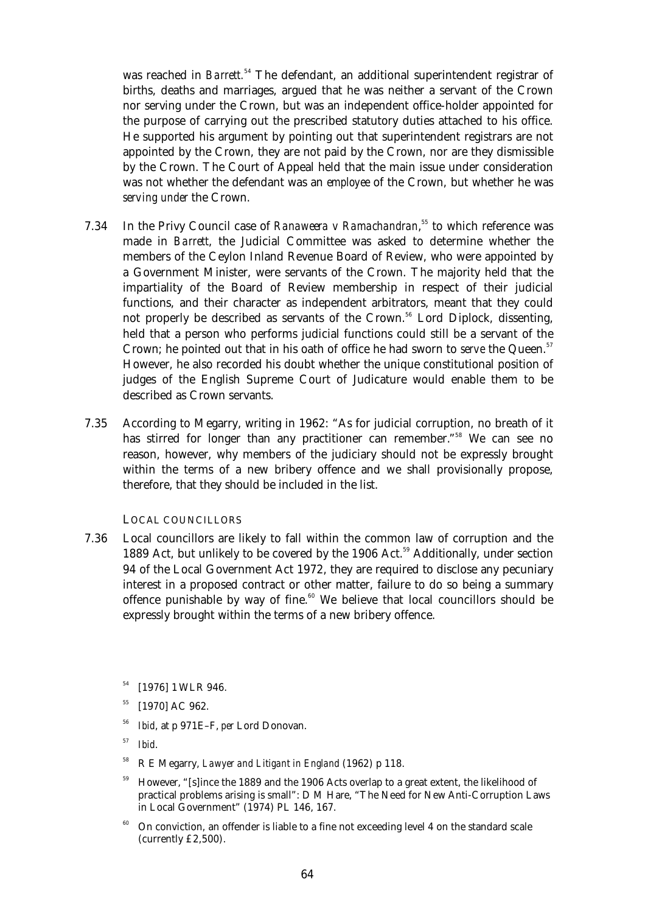was reached in *Barrett.*<sup>54</sup> The defendant, an additional superintendent registrar of births, deaths and marriages, argued that he was neither a servant of the Crown nor serving under the Crown, but was an independent office-holder appointed for the purpose of carrying out the prescribed statutory duties attached to his office. He supported his argument by pointing out that superintendent registrars are not appointed by the Crown, they are not paid by the Crown, nor are they dismissible by the Crown. The Court of Appeal held that the main issue under consideration was not whether the defendant was an *employee* of the Crown, but whether he was *serving under* the Crown.

- 7.34 In the Privy Council case of *Ranaweera v Ramachandran*,<sup>55</sup> to which reference was made in *Barrett*, the Judicial Committee was asked to determine whether the members of the Ceylon Inland Revenue Board of Review, who were appointed by a Government Minister, were servants of the Crown. The majority held that the impartiality of the Board of Review membership in respect of their judicial functions, and their character as independent arbitrators, meant that they could not properly be described as servants of the Crown.<sup>56</sup> Lord Diplock, dissenting, held that a person who performs judicial functions could still be a servant of the Crown; he pointed out that in his oath of office he had sworn to *serve* the Queen.<sup>57</sup> However, he also recorded his doubt whether the unique constitutional position of judges of the English Supreme Court of Judicature would enable them to be described as Crown servants.
	- 7.35 According to Megarry, writing in 1962: "As for judicial corruption, no breath of it has stirred for longer than any practitioner can remember."<sup>58</sup> We can see no reason, however, why members of the judiciary should not be expressly brought within the terms of a new bribery offence and we shall provisionally propose, therefore, that they should be included in the list.

LOCAL COUNCILLORS

- 7.36 Local councillors are likely to fall within the common law of corruption and the 1889 Act, but unlikely to be covered by the 1906 Act.<sup>59</sup> Additionally, under section 94 of the Local Government Act 1972, they are required to disclose any pecuniary interest in a proposed contract or other matter, failure to do so being a summary offence punishable by way of fine. $60$  We believe that local councillors should be expressly brought within the terms of a new bribery offence.
	- [1976] 1 WLR 946.
	- <sup>55</sup> [1970] AC 962.
	- <sup>56</sup> *Ibid*, at p 971E–F, *per* Lord Donovan.
	- <sup>57</sup> *Ibid*.
	- <sup>58</sup> R E Megarry, *Lawyer and Litigant in England* (1962) p 118.
	- <sup>59</sup> However, "[s]ince the 1889 and the 1906 Acts overlap to a great extent, the likelihood of practical problems arising is small": D M Hare, "The Need for New Anti-Corruption Laws in Local Government" (1974) PL 146, 167.
	- <sup>60</sup> On conviction, an offender is liable to a fine not exceeding level 4 on the standard scale (currently £2,500).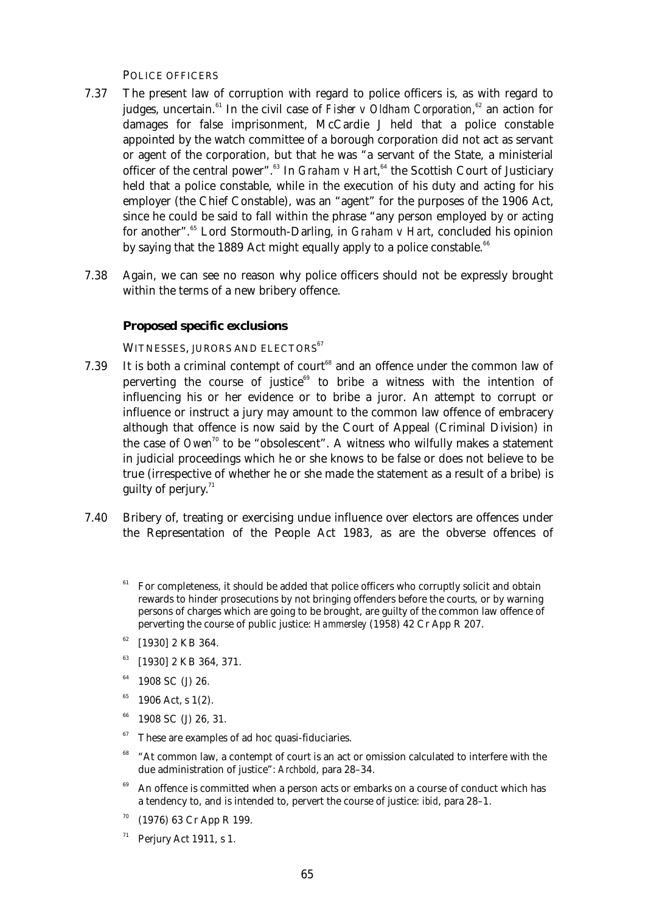#### POLICE OFFICERS

- 7.37 The present law of corruption with regard to police officers is, as with regard to judges, uncertain.<sup>61</sup> In the civil case of *Fisher v Oldham Corporation*,<sup>62</sup> an action for damages for false imprisonment, McCardie J held that a police constable appointed by the watch committee of a borough corporation did not act as servant or agent of the corporation, but that he was "a servant of the State, a ministerial officer of the central power".<sup>63</sup> In *Graham v Hart*,<sup>64</sup> the Scottish Court of Justiciary held that a police constable, while in the execution of his duty and acting for his employer (the Chief Constable), was an "agent" for the purposes of the 1906 Act, since he could be said to fall within the phrase "any person employed by or acting for another". <sup>65</sup> Lord Stormouth-Darling, in *Graham v Hart*, concluded his opinion by saying that the 1889 Act might equally apply to a police constable.<sup>66</sup>
- 7.38 Again, we can see no reason why police officers should not be expressly brought within the terms of a new bribery offence.

## *Proposed specific exclusions*

WITNESSES, JURORS AND ELECTORS<sup>67</sup>

- 7.39 It is both a criminal contempt of court<sup>68</sup> and an offence under the common law of perverting the course of justice $^{69}$  to bribe a witness with the intention of influencing his or her evidence or to bribe a juror. An attempt to corrupt or influence or instruct a jury may amount to the common law offence of embracery although that offence is now said by the Court of Appeal (Criminal Division) in the case of *Owen*<sup>70</sup> to be "obsolescent". A witness who wilfully makes a statement in judicial proceedings which he or she knows to be false or does not believe to be true (irrespective of whether he or she made the statement as a result of a bribe) is guilty of perjury. $^{71}$
- 7.40 Bribery of, treating or exercising undue influence over electors are offences under the Representation of the People Act 1983, as are the obverse offences of
	- $61$  For completeness, it should be added that police officers who corruptly solicit and obtain rewards to hinder prosecutions by not bringing offenders before the courts, or by warning persons of charges which are going to be brought, are guilty of the common law offence of perverting the course of public justice: *Hammersley* (1958) 42 Cr App R 207.
	- $62$  [1930] 2 KB 364.
	- <sup>63</sup> [1930] 2 KB 364, 371.
	- $64$  1908 SC (J) 26.
	- $65$  1906 Act, s 1(2).
	- $66$  1908 SC (J) 26, 31.
	- $67$  These are examples of ad hoc quasi-fiduciaries.
	- <sup>68</sup> "At common law, a contempt of court is an act or omission calculated to interfere with the due administration of justice": *Archbold*, para 28–34.
	- $69$  An offence is committed when a person acts or embarks on a course of conduct which has a tendency to, and is intended to, pervert the course of justice: *ibid*, para 28–1.
	- $70$  (1976) 63 Cr App R 199.
	- $71$  Perjury Act 1911, s 1.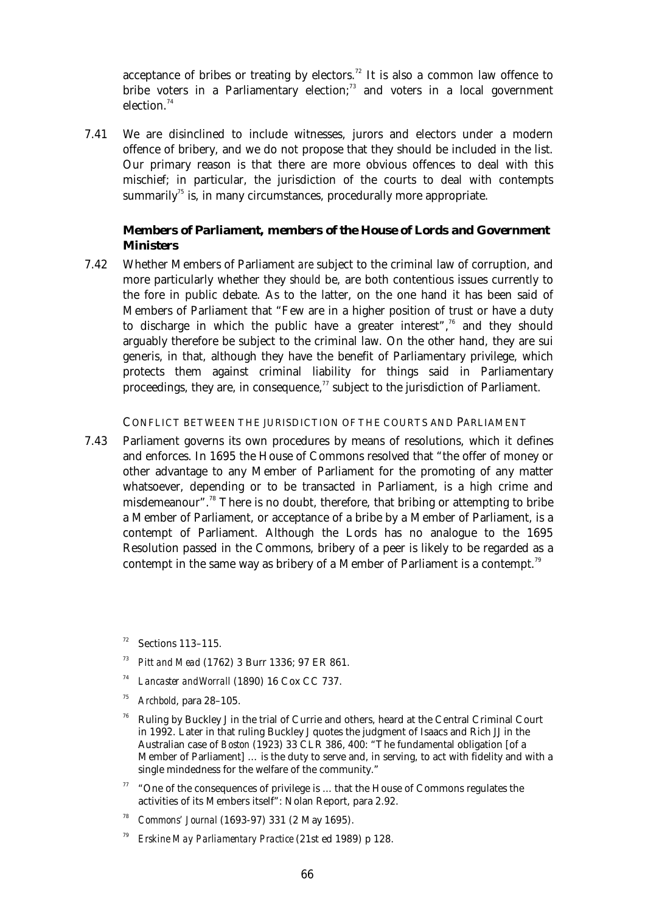acceptance of bribes or treating by electors.<sup>72</sup> It is also a common law offence to bribe voters in a Parliamentary election: $\frac{1}{3}$  and voters in a local government election.<sup>74</sup>

 7.41 We are disinclined to include witnesses, jurors and electors under a modern offence of bribery, and we do not propose that they should be included in the list. Our primary reason is that there are more obvious offences to deal with this mischief; in particular, the jurisdiction of the courts to deal with contempts summarily<sup> $75$ </sup> is, in many circumstances, procedurally more appropriate.

# *Members of Parliament, members of the House of Lords and Government Ministers*

 7.42 Whether Members of Parliament *are* subject to the criminal law of corruption, and more particularly whether they *should* be, are both contentious issues currently to the fore in public debate. As to the latter, on the one hand it has been said of Members of Parliament that "Few are in a higher position of trust or have a duty to discharge in which the public have a greater interest", <sup>76</sup> and they should arguably therefore be subject to the criminal law. On the other hand, they are sui generis, in that, although they have the benefit of Parliamentary privilege, which protects them against criminal liability for things said in Parliamentary proceedings, they are, in consequence, $\frac{7}{7}$  subject to the jurisdiction of Parliament.

#### CONFLICT BETWEEN THE JURISDICTION OF THE COURTS AND PARLIAMENT

 7.43 Parliament governs its own procedures by means of resolutions, which it defines and enforces. In 1695 the House of Commons resolved that "the offer of money or other advantage to any Member of Parliament for the promoting of any matter whatsoever, depending or to be transacted in Parliament, is a high crime and misdemeanour".<sup>78</sup> There is no doubt, therefore, that bribing or attempting to bribe a Member of Parliament, or acceptance of a bribe by a Member of Parliament, is a contempt of Parliament. Although the Lords has no analogue to the 1695 Resolution passed in the Commons, bribery of a peer is likely to be regarded as a contempt in the same way as bribery of a Member of Parliament is a contempt.<sup>79</sup>

 $72$  Sections 113-115.

- <sup>73</sup> *Pitt and Mead* (1762) 3 Burr 1336; 97 ER 861.
- <sup>74</sup> *Lancaster and Worrall* (1890) 16 Cox CC 737.
- <sup>75</sup> *Archbold*, para 28–105.
- $76$  Ruling by Buckley J in the trial of Currie and others, heard at the Central Criminal Court in 1992. Later in that ruling Buckley J quotes the judgment of Isaacs and Rich JJ in the Australian case of *Boston* (1923) 33 CLR 386, 400: "The fundamental obligation [of a Member of Parliament] … is the duty to serve and, in serving, to act with fidelity and with a single mindedness for the welfare of the community."
- $77$  "One of the consequences of privilege is ... that the House of Commons regulates the activities of its Members itself": Nolan Report, para 2.92.
- <sup>78</sup> *Commons' Journal* (1693-97) 331 (2 May 1695).
- <sup>79</sup> *Erskine May Parliamentary Practice* (21st ed 1989) p 128.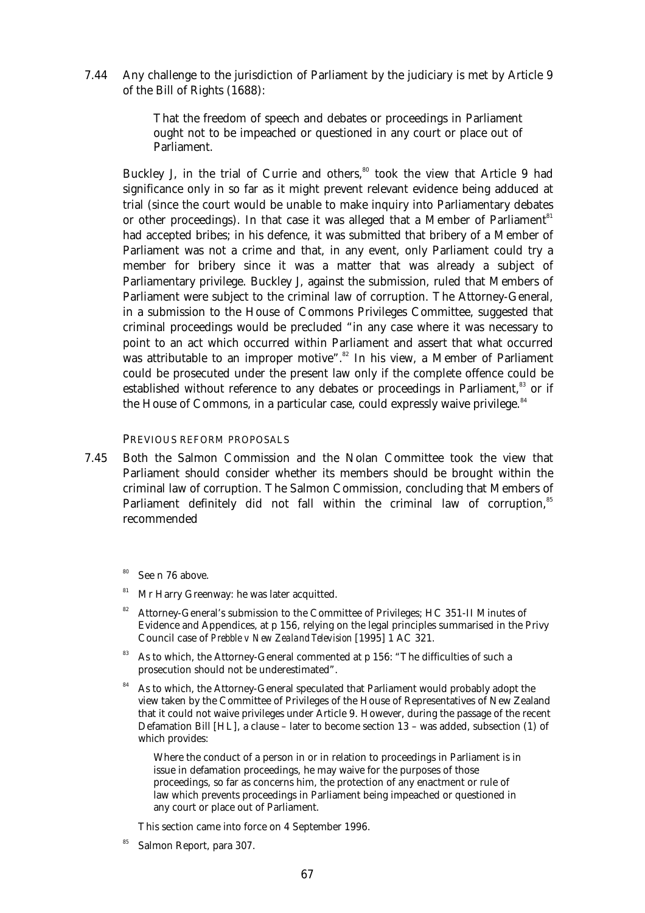7.44 Any challenge to the jurisdiction of Parliament by the judiciary is met by Article 9 of the Bill of Rights (1688):

> That the freedom of speech and debates or proceedings in Parliament ought not to be impeached or questioned in any court or place out of Parliament.

Buckley J, in the trial of Currie and others,<sup>80</sup> took the view that Article 9 had significance only in so far as it might prevent relevant evidence being adduced at trial (since the court would be unable to make inquiry into Parliamentary debates or other proceedings). In that case it was alleged that a Member of Parliament<sup>81</sup> had accepted bribes; in his defence, it was submitted that bribery of a Member of Parliament was not a crime and that, in any event, only Parliament could try a member for bribery since it was a matter that was already a subject of Parliamentary privilege. Buckley J, against the submission, ruled that Members of Parliament were subject to the criminal law of corruption. The Attorney-General, in a submission to the House of Commons Privileges Committee, suggested that criminal proceedings would be precluded "in any case where it was necessary to point to an act which occurred within Parliament and assert that what occurred was attributable to an improper motive". <sup>82</sup> In his view, a Member of Parliament could be prosecuted under the present law only if the complete offence could be established without reference to any debates or proceedings in Parliament.<sup>83</sup> or if the House of Commons, in a particular case, could expressly waive privilege.<sup>84</sup>

#### PREVIOUS REFORM PROPOSALS

- 7.45 Both the Salmon Commission and the Nolan Committee took the view that Parliament should consider whether its members should be brought within the criminal law of corruption. The Salmon Commission, concluding that Members of Parliament definitely did not fall within the criminal law of corruption,<sup>85</sup> recommended
	- See n 76 above.
	- $81$  Mr Harry Greenway: he was later acquitted.
	- <sup>82</sup> Attorney-General's submission to the Committee of Privileges; HC 351-II Minutes of Evidence and Appendices, at p 156, relying on the legal principles summarised in the Privy Council case of *Prebble v New Zealand Television* [1995] 1 AC 321.
	- As to which, the Attorney-General commented at p 156: "The difficulties of such a prosecution should not be underestimated".
	- As to which, the Attorney-General speculated that Parliament would probably adopt the view taken by the Committee of Privileges of the House of Representatives of New Zealand that it could not waive privileges under Article 9. However, during the passage of the recent Defamation Bill [HL], a clause – later to become section 13 – was added, subsection (1) of which provides:

Where the conduct of a person in or in relation to proceedings in Parliament is in issue in defamation proceedings, he may waive for the purposes of those proceedings, so far as concerns him, the protection of any enactment or rule of law which prevents proceedings in Parliament being impeached or questioned in any court or place out of Parliament.

This section came into force on 4 September 1996.

Salmon Report, para 307.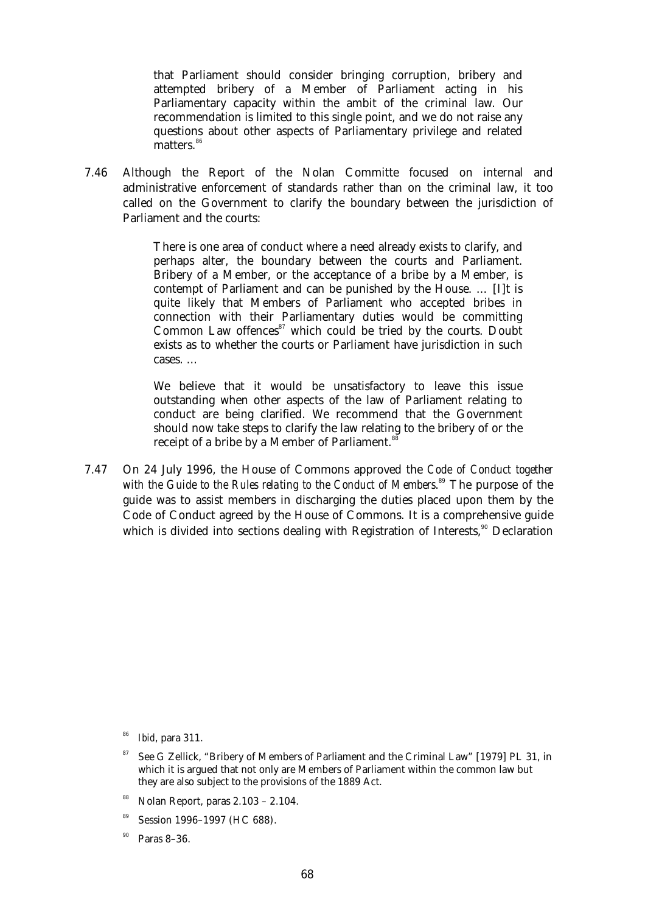that Parliament should consider bringing corruption, bribery and attempted bribery of a Member of Parliament acting in his Parliamentary capacity within the ambit of the criminal law. Our recommendation is limited to this single point, and we do not raise any questions about other aspects of Parliamentary privilege and related  $matters.<sup>86</sup>$ 

 7.46 Although the Report of the Nolan Committe focused on internal and administrative enforcement of standards rather than on the criminal law, it too called on the Government to clarify the boundary between the jurisdiction of Parliament and the courts:

> There is one area of conduct where a need already exists to clarify, and perhaps alter, the boundary between the courts and Parliament. Bribery of a Member, or the acceptance of a bribe by a Member, is contempt of Parliament and can be punished by the House. … [I]t is quite likely that Members of Parliament who accepted bribes in connection with their Parliamentary duties would be committing Common Law offences<sup>87</sup> which could be tried by the courts. Doubt exists as to whether the courts or Parliament have jurisdiction in such cases. …

> We believe that it would be unsatisfactory to leave this issue outstanding when other aspects of the law of Parliament relating to conduct are being clarified. We recommend that the Government should now take steps to clarify the law relating to the bribery of or the receipt of a bribe by a Member of Parliament.<sup>88</sup>

 7.47 On 24 July 1996, the House of Commons approved the *Code of Conduct together* with the Guide to the Rules relating to the Conduct of Members.<sup>89</sup> The purpose of the guide was to assist members in discharging the duties placed upon them by the Code of Conduct agreed by the House of Commons. It is a comprehensive guide which is divided into sections dealing with Registration of Interests, $90$  Declaration

<sup>90</sup> Paras 8-36.

<sup>86</sup> *Ibid*, para 311.

<sup>87</sup> See G Zellick, "Bribery of Members of Parliament and the Criminal Law" [1979] PL 31, in which it is argued that not only are Members of Parliament within the common law but they are also subject to the provisions of the 1889 Act.

<sup>88</sup> Nolan Report, paras 2.103 – 2.104.

<sup>89</sup> Session 1996–1997 (HC 688).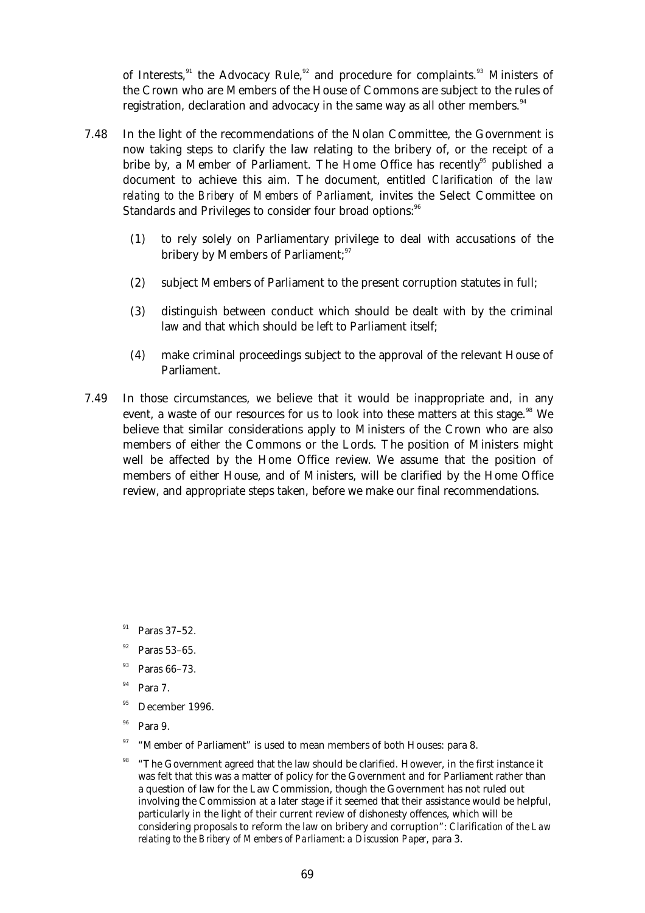of Interests, $91$  the Advocacy Rule, $92$  and procedure for complaints.  $93$  Ministers of the Crown who are Members of the House of Commons are subject to the rules of registration, declaration and advocacy in the same way as all other members. $94$ 

- 7.48 In the light of the recommendations of the Nolan Committee, the Government is now taking steps to clarify the law relating to the bribery of, or the receipt of a bribe by, a Member of Parliament. The Home Office has recently<sup>95</sup> published a document to achieve this aim. The document, entitled *Clarification of the law relating to the Bribery of Members of Parliament*, invites the Select Committee on Standards and Privileges to consider four broad options:<sup>96</sup>
	- (1) to rely solely on Parliamentary privilege to deal with accusations of the bribery by Members of Parliament:<sup>97</sup>
	- (2) subject Members of Parliament to the present corruption statutes in full;
	- (3) distinguish between conduct which should be dealt with by the criminal law and that which should be left to Parliament itself;
	- (4) make criminal proceedings subject to the approval of the relevant House of Parliament.
- 7.49 In those circumstances, we believe that it would be inappropriate and, in any event, a waste of our resources for us to look into these matters at this stage.<sup>98</sup> We believe that similar considerations apply to Ministers of the Crown who are also members of either the Commons or the Lords. The position of Ministers might well be affected by the Home Office review. We assume that the position of members of either House, and of Ministers, will be clarified by the Home Office review, and appropriate steps taken, before we make our final recommendations.

- $92$  Paras 53-65.
- <sup>93</sup> Paras 66–73.
- $94$  Para 7.
- $95$  December 1996.
- <sup>96</sup> Para 9.
- <sup>97</sup> "Member of Parliament" is used to mean members of both Houses: para 8.
- <sup>98</sup> "The Government agreed that the law should be clarified. However, in the first instance it was felt that this was a matter of policy for the Government and for Parliament rather than a question of law for the Law Commission, though the Government has not ruled out involving the Commission at a later stage if it seemed that their assistance would be helpful, particularly in the light of their current review of dishonesty offences, which will be considering proposals to reform the law on bribery and corruption": *Clarification of the Law relating to the Bribery of Members of Parliament: a Discussion Paper*, para 3.

 $91$  Paras 37-52.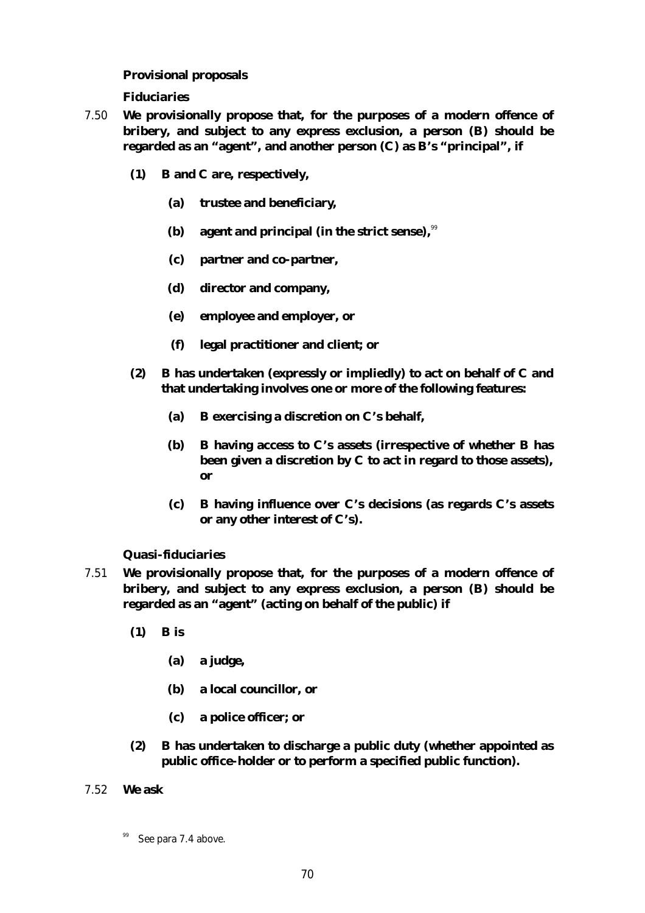## **Provisional proposals**

# *Fiduciaries*

- 7.50 **We provisionally propose that, for the purposes of a modern offence of bribery, and subject to any express exclusion, a person (B) should be regarded as an "agent", and another person (C) as B's "principal", if**
	- **(1) B and C are, respectively,**
		- **(a) trustee and beneficiary,**
		- **(b)** agent and principal (in the strict sense),<sup>99</sup>
		- **(c) partner and co-partner,**
		- **(d) director and company,**
		- **(e) employee and employer, or**
		- **(f) legal practitioner and client; or**
	- **(2) B has undertaken (expressly or impliedly) to act on behalf of C and that undertaking involves one or more of the following features:**
		- **(a) B exercising a discretion on C's behalf,**
		- **(b) B having access to C's assets (irrespective of whether B has been given a discretion by C to act in regard to those assets), or**
		- **(c) B having influence over C's decisions (as regards C's assets or any other interest of C's).**

## *Quasi-fiduciaries*

- 7.51 **We provisionally propose that, for the purposes of a modern offence of bribery, and subject to any express exclusion, a person (B) should be regarded as an "agent" (acting on behalf of the public) if**
	- **(1) B is**
		- **(a) a judge,**
		- **(b) a local councillor, or**
		- **(c) a police officer; or**
	- **(2) B has undertaken to discharge a public duty (whether appointed as public office-holder or to perform a specified public function).**
- 7.52 **We ask**

See para 7.4 above.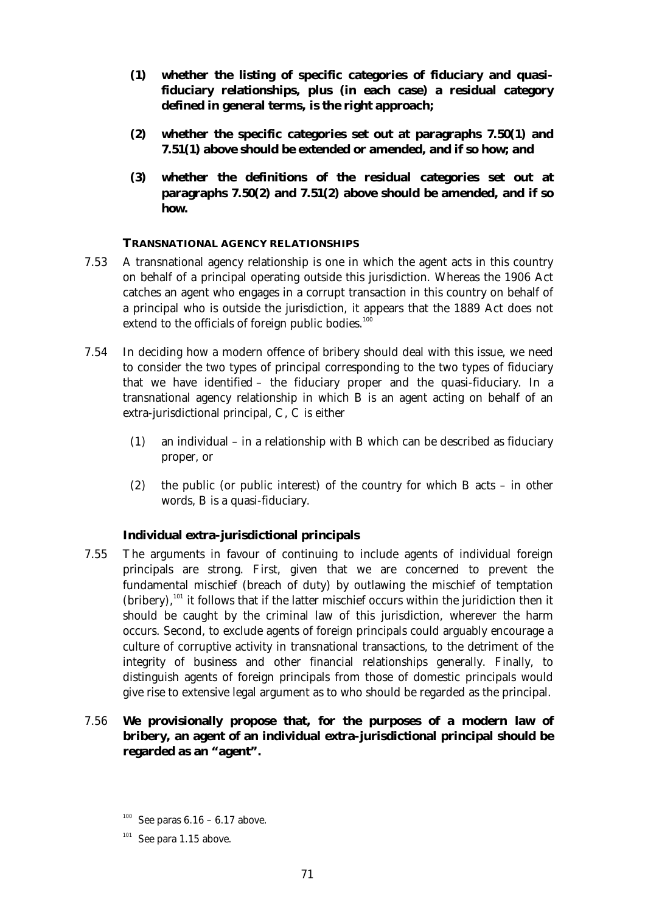- **(1) whether the listing of specific categories of fiduciary and quasifiduciary relationships, plus (in each case) a residual category defined in general terms, is the right approach;**
- **(2) whether the specific categories set out at paragraphs 7.50(1) and 7.51(1) above should be extended or amended, and if so how; and**
- **(3) whether the definitions of the residual categories set out at paragraphs 7.50(2) and 7.51(2) above should be amended, and if so how.**

## **TRANSNATIONAL AGENCY RELATIONSHIPS**

- 7.53 A transnational agency relationship is one in which the agent acts in this country on behalf of a principal operating outside this jurisdiction. Whereas the 1906 Act catches an agent who engages in a corrupt transaction in this country on behalf of a principal who is outside the jurisdiction, it appears that the 1889 Act does not extend to the officials of foreign public bodies. $100$
- 7.54 In deciding how a modern offence of bribery should deal with this issue, we need to consider the two types of principal corresponding to the two types of fiduciary that we have identified – the fiduciary proper and the quasi-fiduciary. In a transnational agency relationship in which B is an agent acting on behalf of an extra-jurisdictional principal, C, C is either
	- (1) an individual in a relationship with B which can be described as fiduciary proper, or
	- (2) the public (or public interest) of the country for which B acts in other words, B is a quasi-fiduciary.

## **Individual extra-jurisdictional principals**

- 7.55 The arguments in favour of continuing to include agents of individual foreign principals are strong. First, given that we are concerned to prevent the fundamental mischief (breach of duty) by outlawing the mischief of temptation  $(bribery)$ ,<sup>101</sup> it follows that if the latter mischief occurs within the juridiction then it should be caught by the criminal law of this jurisdiction, wherever the harm occurs. Second, to exclude agents of foreign principals could arguably encourage a culture of corruptive activity in transnational transactions, to the detriment of the integrity of business and other financial relationships generally. Finally, to distinguish agents of foreign principals from those of domestic principals would give rise to extensive legal argument as to who should be regarded as the principal.
- 7.56 **We provisionally propose that, for the purposes of a modern law of bribery, an agent of an individual extra-jurisdictional principal should be regarded as an "agent".**

<sup>&</sup>lt;sup>100</sup> See paras  $6.16 - 6.17$  above.

 $101$  See para 1.15 above.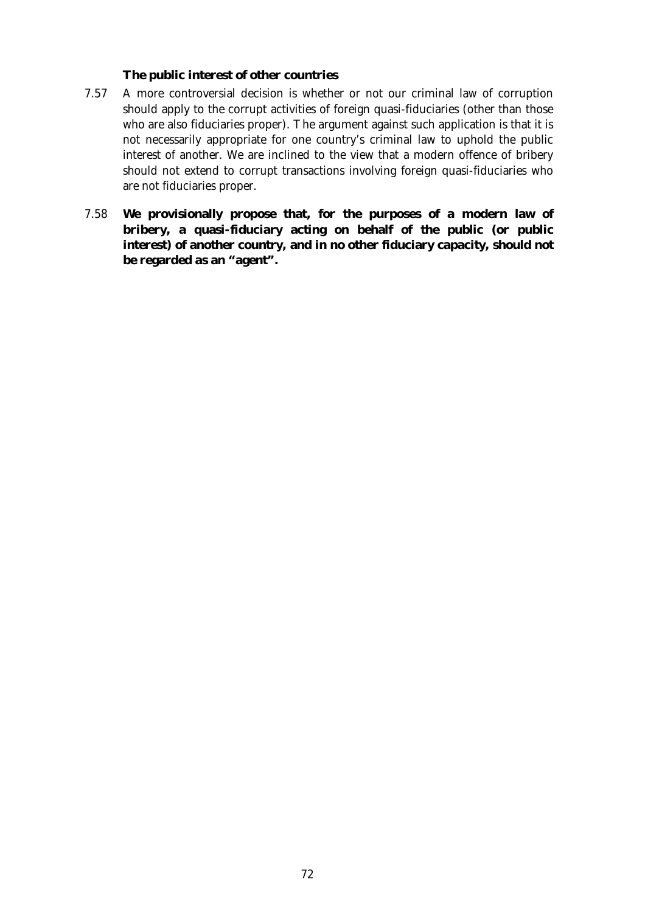## **The public interest of other countries**

- 7.57 A more controversial decision is whether or not our criminal law of corruption should apply to the corrupt activities of foreign quasi-fiduciaries (other than those who are also fiduciaries proper). The argument against such application is that it is not necessarily appropriate for one country's criminal law to uphold the public interest of another. We are inclined to the view that a modern offence of bribery should not extend to corrupt transactions involving foreign quasi-fiduciaries who are not fiduciaries proper.
- 7.58 **We provisionally propose that, for the purposes of a modern law of bribery, a quasi-fiduciary acting on behalf of the public (or public interest) of another country, and in no other fiduciary capacity, should not be regarded as an "agent".**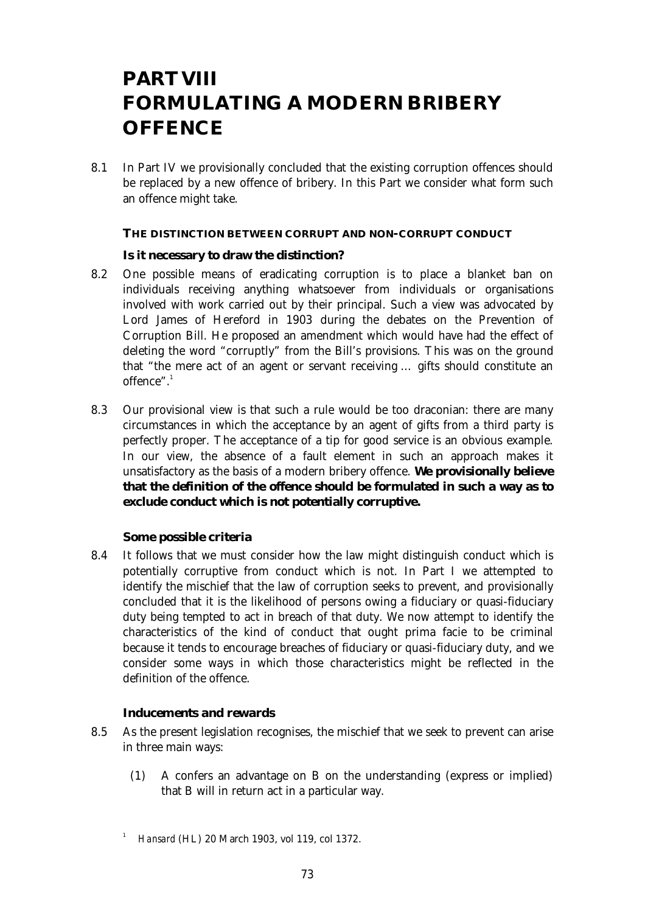# **PART VIII FORMULATING A MODERN BRIBERY OFFENCE**

 8.1 In Part IV we provisionally concluded that the existing corruption offences should be replaced by a new offence of bribery. In this Part we consider what form such an offence might take.

## **THE DISTINCTION BETWEEN CORRUPT AND NON-CORRUPT CONDUCT**

## **Is it necessary to draw the distinction?**

- 8.2 One possible means of eradicating corruption is to place a blanket ban on individuals receiving anything whatsoever from individuals or organisations involved with work carried out by their principal. Such a view was advocated by Lord James of Hereford in 1903 during the debates on the Prevention of Corruption Bill. He proposed an amendment which would have had the effect of deleting the word "corruptly" from the Bill's provisions. This was on the ground that "the mere act of an agent or servant receiving … gifts should constitute an offence". 1
- 8.3 Our provisional view is that such a rule would be too draconian: there are many circumstances in which the acceptance by an agent of gifts from a third party is perfectly proper. The acceptance of a tip for good service is an obvious example. In our view, the absence of a fault element in such an approach makes it unsatisfactory as the basis of a modern bribery offence. **We provisionally believe that the definition of the offence should be formulated in such a way as to exclude conduct which is not potentially corruptive.**

## **Some possible criteria**

 8.4 It follows that we must consider how the law might distinguish conduct which is potentially corruptive from conduct which is not. In Part I we attempted to identify the mischief that the law of corruption seeks to prevent, and provisionally concluded that it is the likelihood of persons owing a fiduciary or quasi-fiduciary duty being tempted to act in breach of that duty. We now attempt to identify the characteristics of the kind of conduct that ought prima facie to be criminal because it tends to encourage breaches of fiduciary or quasi-fiduciary duty, and we consider some ways in which those characteristics might be reflected in the definition of the offence.

## *Inducements and rewards*

- 8.5 As the present legislation recognises, the mischief that we seek to prevent can arise in three main ways:
	- (1) A confers an advantage on B on the understanding (express or implied) that B will in return act in a particular way.
	- <sup>1</sup> *Hansard* (HL) 20 March 1903, vol 119, col 1372.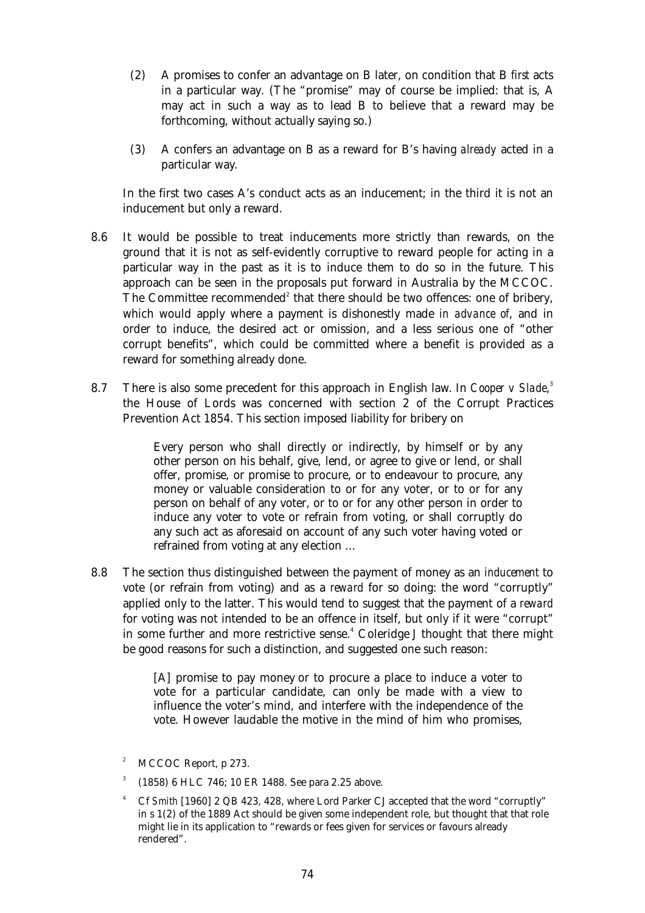- (2) A promises to confer an advantage on B later, on condition that B *first* acts in a particular way. (The "promise" may of course be implied: that is, A may act in such a way as to lead B to believe that a reward may be forthcoming, without actually saying so.)
- (3) A confers an advantage on B as a reward for B's having *already* acted in a particular way.

In the first two cases A's conduct acts as an inducement; in the third it is not an inducement but only a reward.

- 8.6 It would be possible to treat inducements more strictly than rewards, on the ground that it is not as self-evidently corruptive to reward people for acting in a particular way in the past as it is to induce them to do so in the future. This approach can be seen in the proposals put forward in Australia by the MCCOC. The Committee recommended<sup>2</sup> that there should be two offences: one of bribery, which would apply where a payment is dishonestly made *in advance of*, and in order to induce, the desired act or omission, and a less serious one of "other corrupt benefits", which could be committed where a benefit is provided as a reward for something already done.
- 8.7 There is also some precedent for this approach in English law. In *Cooper v Slade*,<sup>3</sup> the House of Lords was concerned with section 2 of the Corrupt Practices Prevention Act 1854. This section imposed liability for bribery on

Every person who shall directly or indirectly, by himself or by any other person on his behalf, give, lend, or agree to give or lend, or shall offer, promise, or promise to procure, or to endeavour to procure, any money or valuable consideration to or for any voter, or to or for any person on behalf of any voter, or to or for any other person in order to induce any voter to vote or refrain from voting, or shall corruptly do any such act as aforesaid on account of any such voter having voted or refrained from voting at any election …

 8.8 The section thus distinguished between the payment of money as an *inducement* to vote (or refrain from voting) and as a *reward* for so doing: the word "corruptly" applied only to the latter. This would tend to suggest that the payment of a *reward* for voting was not intended to be an offence in itself, but only if it were "corrupt" in some further and more restrictive sense. $^4$  Coleridge J thought that there might be good reasons for such a distinction, and suggested one such reason:

> [A] promise to pay money or to procure a place to induce a voter to vote for a particular candidate, can only be made with a view to influence the voter's mind, and interfere with the independence of the vote. However laudable the motive in the mind of him who promises,

<sup>2</sup> MCCOC Report, p 273.

<sup>3</sup> (1858) 6 HLC 746; 10 ER 1488. See para 2.25 above.

<sup>4</sup> Cf *Smith* [1960] 2 QB 423, 428, where Lord Parker CJ accepted that the word "corruptly" in s 1(2) of the 1889 Act should be given some independent role, but thought that that role might lie in its application to "rewards or fees given for services or favours already rendered".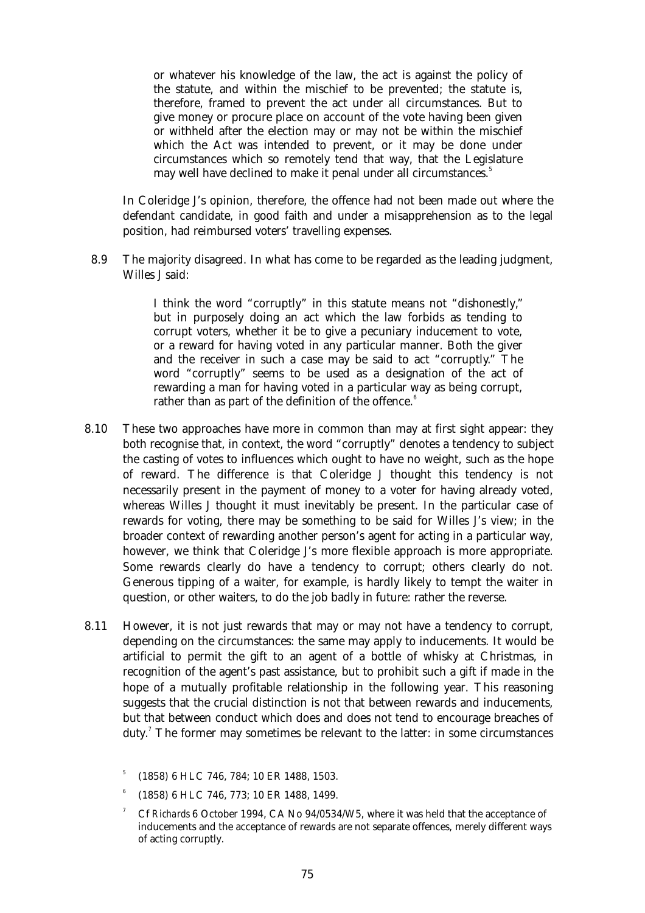or whatever his knowledge of the law, the act is against the policy of the statute, and within the mischief to be prevented; the statute is, therefore, framed to prevent the act under all circumstances. But to give money or procure place on account of the vote having been given or withheld after the election may or may not be within the mischief which the Act was intended to prevent, or it may be done under circumstances which so remotely tend that way, that the Legislature may well have declined to make it penal under all circumstances.<sup>5</sup>

In Coleridge J's opinion, therefore, the offence had not been made out where the defendant candidate, in good faith and under a misapprehension as to the legal position, had reimbursed voters' travelling expenses.

 8.9 The majority disagreed. In what has come to be regarded as the leading judgment, Willes J said:

> I think the word "corruptly" in this statute means not "dishonestly," but in purposely doing an act which the law forbids as tending to corrupt voters, whether it be to give a pecuniary inducement to vote, or a reward for having voted in any particular manner. Both the giver and the receiver in such a case may be said to act "corruptly." The word "corruptly" seems to be used as a designation of the act of rewarding a man for having voted in a particular way as being corrupt, rather than as part of the definition of the offence.<sup>6</sup>

- 8.10 These two approaches have more in common than may at first sight appear: they both recognise that, in context, the word "corruptly" denotes a tendency to subject the casting of votes to influences which ought to have no weight, such as the hope of reward. The difference is that Coleridge J thought this tendency is not necessarily present in the payment of money to a voter for having already voted, whereas Willes J thought it must inevitably be present. In the particular case of rewards for voting, there may be something to be said for Willes J's view; in the broader context of rewarding another person's agent for acting in a particular way, however, we think that Coleridge J's more flexible approach is more appropriate. Some rewards clearly do have a tendency to corrupt; others clearly do not. Generous tipping of a waiter, for example, is hardly likely to tempt the waiter in question, or other waiters, to do the job badly in future: rather the reverse.
- 8.11 However, it is not just rewards that may or may not have a tendency to corrupt, depending on the circumstances: the same may apply to inducements. It would be artificial to permit the gift to an agent of a bottle of whisky at Christmas, in recognition of the agent's past assistance, but to prohibit such a gift if made in the hope of a mutually profitable relationship in the following year. This reasoning suggests that the crucial distinction is not that between rewards and inducements, but that between conduct which does and does not tend to encourage breaches of duty.<sup>7</sup> The former may sometimes be relevant to the latter: in some circumstances
	- 5 (1858) 6 HLC 746, 784; 10 ER 1488, 1503.
	- 6 (1858) 6 HLC 746, 773; 10 ER 1488, 1499.
	- <sup>7</sup> Cf *Richards* 6 October 1994, CA No 94/0534/W5, where it was held that the acceptance of inducements and the acceptance of rewards are not separate offences, merely different ways of acting corruptly.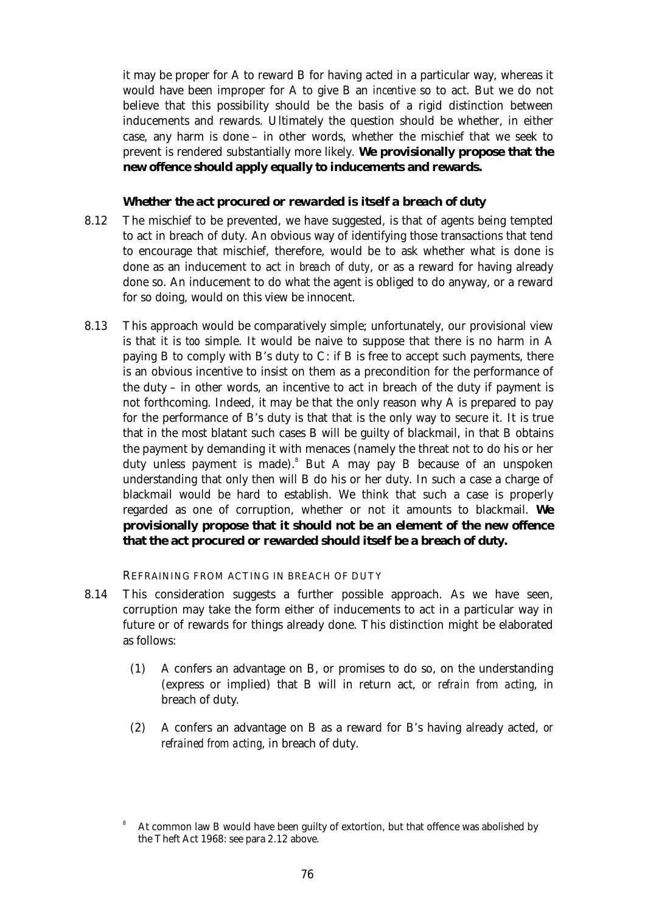it may be proper for A to reward B for having acted in a particular way, whereas it would have been improper for A to give B an *incentive* so to act. But we do not believe that this possibility should be the basis of a rigid distinction between inducements and rewards. Ultimately the question should be whether, in either case, any harm is done – in other words, whether the mischief that we seek to prevent is rendered substantially more likely. **We provisionally propose that the new offence should apply equally to inducements and rewards.**

#### *Whether the act procured or rewarded is itself a breach of duty*

- 8.12 The mischief to be prevented, we have suggested, is that of agents being tempted to act in breach of duty. An obvious way of identifying those transactions that tend to encourage that mischief, therefore, would be to ask whether what is done is done as an inducement to act *in breach of duty*, or as a reward for having already done so. An inducement to do what the agent is obliged to do anyway, or a reward for so doing, would on this view be innocent.
- 8.13 This approach would be comparatively simple; unfortunately, our provisional view is that it is *too* simple. It would be naive to suppose that there is no harm in A paying B to comply with B's duty to C: if B is free to accept such payments, there is an obvious incentive to insist on them as a precondition for the performance of the duty – in other words, an incentive to act in breach of the duty if payment is not forthcoming. Indeed, it may be that the only reason why A is prepared to pay for the performance of B's duty is that that is the only way to secure it. It is true that in the most blatant such cases B will be guilty of blackmail, in that B obtains the payment by demanding it with menaces (namely the threat not to do his or her duty unless payment is made).<sup>8</sup> But A may pay B because of an unspoken understanding that only then will B do his or her duty. In such a case a charge of blackmail would be hard to establish. We think that such a case is properly regarded as one of corruption, whether or not it amounts to blackmail. **We provisionally propose that it should not be an element of the new offence that the act procured or rewarded should itself be a breach of duty.**

#### REFRAINING FROM ACTING IN BREACH OF DUTY

- 8.14 This consideration suggests a further possible approach. As we have seen, corruption may take the form either of inducements to act in a particular way in future or of rewards for things already done. This distinction might be elaborated as follows:
	- (1) A confers an advantage on B, or promises to do so, on the understanding (express or implied) that B will in return act, *or refrain from acting*, in breach of duty.
	- (2) A confers an advantage on B as a reward for B's having already acted, *or refrained from acting*, in breach of duty.

At common law B would have been guilty of extortion, but that offence was abolished by the Theft Act 1968: see para 2.12 above.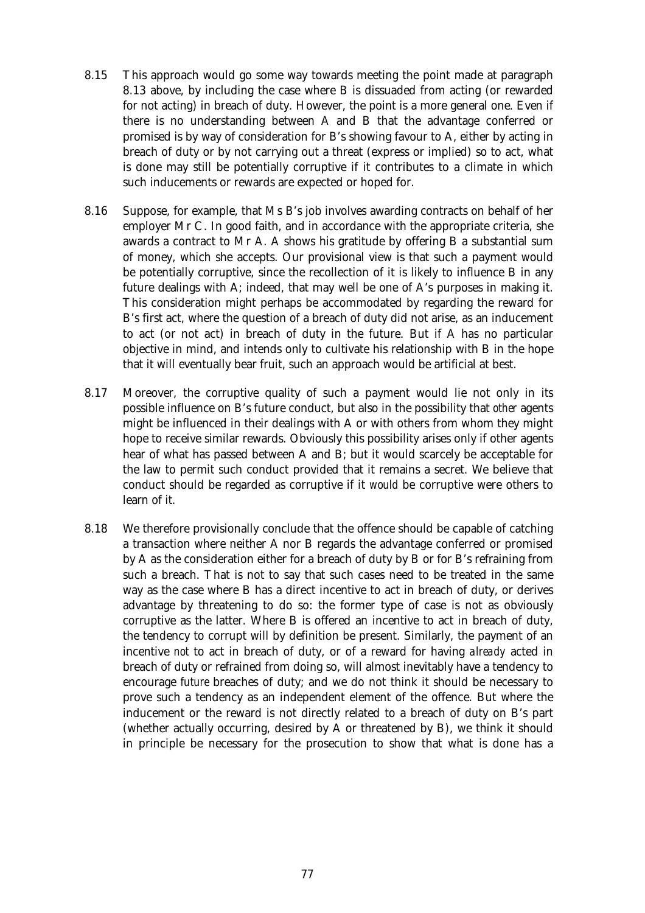- 8.15 This approach would go some way towards meeting the point made at paragraph 8.13 above, by including the case where B is dissuaded from acting (or rewarded for not acting) in breach of duty. However, the point is a more general one. Even if there is no understanding between A and B that the advantage conferred or promised is by way of consideration for B's showing favour to A, either by acting in breach of duty or by not carrying out a threat (express or implied) so to act, what is done may still be potentially corruptive if it contributes to a climate in which such inducements or rewards are expected or hoped for.
- 8.16 Suppose, for example, that Ms B's job involves awarding contracts on behalf of her employer Mr C. In good faith, and in accordance with the appropriate criteria, she awards a contract to Mr A. A shows his gratitude by offering B a substantial sum of money, which she accepts. Our provisional view is that such a payment would be potentially corruptive, since the recollection of it is likely to influence B in any future dealings with A; indeed, that may well be one of A's purposes in making it. This consideration might perhaps be accommodated by regarding the reward for B's first act, where the question of a breach of duty did not arise, as an inducement to act (or not act) in breach of duty in the future. But if A has no particular objective in mind, and intends only to cultivate his relationship with B in the hope that it will eventually bear fruit, such an approach would be artificial at best.
- 8.17 Moreover, the corruptive quality of such a payment would lie not only in its possible influence on B's future conduct, but also in the possibility that *other* agents might be influenced in their dealings with A or with others from whom they might hope to receive similar rewards. Obviously this possibility arises only if other agents hear of what has passed between A and B; but it would scarcely be acceptable for the law to permit such conduct provided that it remains a secret. We believe that conduct should be regarded as corruptive if it *would* be corruptive were others to learn of it.
- 8.18 We therefore provisionally conclude that the offence should be capable of catching a transaction where neither A nor B regards the advantage conferred or promised by A as the consideration either for a breach of duty by B or for B's refraining from such a breach. That is not to say that such cases need to be treated in the same way as the case where B has a direct incentive to act in breach of duty, or derives advantage by threatening to do so: the former type of case is not as obviously corruptive as the latter. Where B is offered an incentive to act in breach of duty, the tendency to corrupt will by definition be present. Similarly, the payment of an incentive *not* to act in breach of duty, or of a reward for having *already* acted in breach of duty or refrained from doing so, will almost inevitably have a tendency to encourage *future* breaches of duty; and we do not think it should be necessary to prove such a tendency as an independent element of the offence. But where the inducement or the reward is not directly related to a breach of duty on B's part (whether actually occurring, desired by A or threatened by B), we think it should in principle be necessary for the prosecution to show that what is done has a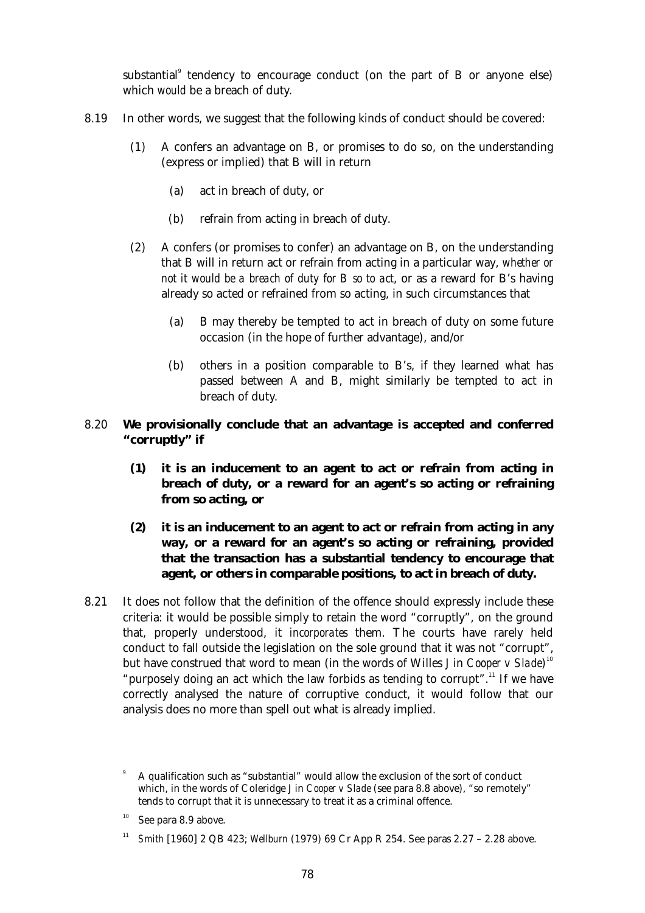substantial<sup>9</sup> tendency to encourage conduct (on the part of  $B$  or anyone else) which *would* be a breach of duty.

- 8.19 In other words, we suggest that the following kinds of conduct should be covered:
	- (1) A confers an advantage on B, or promises to do so, on the understanding (express or implied) that B will in return
		- (a) act in breach of duty, or
		- (b) refrain from acting in breach of duty.
	- (2) A confers (or promises to confer) an advantage on B, on the understanding that B will in return act or refrain from acting in a particular way, *whether or not it would be a breach of duty for B so to act*, or as a reward for B's having already so acted or refrained from so acting, in such circumstances that
		- (a) B may thereby be tempted to act in breach of duty on some future occasion (in the hope of further advantage), and/or
		- (b) others in a position comparable to B's, if they learned what has passed between A and B, might similarly be tempted to act in breach of duty.
- 8.20 **We provisionally conclude that an advantage is accepted and conferred "corruptly" if**
	- **(1) it is an inducement to an agent to act or refrain from acting** *in breach of duty***, or a reward for an agent's so acting or refraining from so acting,** *or*
	- **(2) it is an inducement to an agent to act or refrain from acting** *in any way***, or a reward for an agent's so acting or refraining,** *provided* **that the transaction has a substantial tendency to encourage that agent, or others in comparable positions, to act in breach of duty.**
- 8.21 It does not follow that the definition of the offence should expressly include these criteria: it would be possible simply to retain the word "corruptly", on the ground that, properly understood, it *incorporates* them. The courts have rarely held conduct to fall outside the legislation on the sole ground that it was not "corrupt", but have construed that word to mean (in the words of Willes J in *Cooper v Slade*)<sup>10</sup> "purposely doing an act which the law forbids as tending to corrupt".<sup>11</sup> If we have correctly analysed the nature of corruptive conduct, it would follow that our analysis does no more than spell out what is already implied.

 $10$  See para 8.9 above.

<sup>9</sup> A qualification such as "substantial" would allow the exclusion of the sort of conduct which, in the words of Coleridge J in *Cooper v Slade* (see para 8.8 above), "so remotely" tends to corrupt that it is unnecessary to treat it as a criminal offence.

<sup>11</sup> *Smith* [1960] 2 QB 423; *Wellburn* (1979) 69 Cr App R 254. See paras 2.27 – 2.28 above.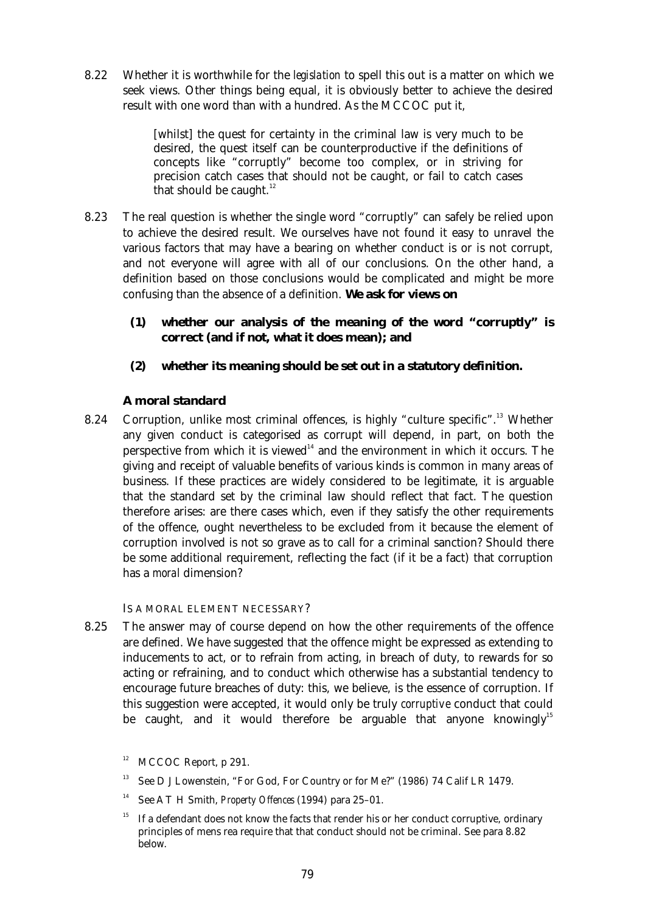8.22 Whether it is worthwhile for the *legislation* to spell this out is a matter on which we seek views. Other things being equal, it is obviously better to achieve the desired result with one word than with a hundred. As the MCCOC put it,

> [whilst] the quest for certainty in the criminal law is very much to be desired, the quest itself can be counterproductive if the definitions of concepts like "corruptly" become too complex, or in striving for precision catch cases that should not be caught, or fail to catch cases that should be caught. $12$

- 8.23 The real question is whether the single word "corruptly" can safely be relied upon to achieve the desired result. We ourselves have not found it easy to unravel the various factors that may have a bearing on whether conduct is or is not corrupt, and not everyone will agree with all of our conclusions. On the other hand, a definition based on those conclusions would be complicated and might be more confusing than the absence of a definition. **We ask for views on**
	- **(1) whether our analysis of the meaning of the word "corruptly" is correct (and if not, what it does mean); and**
	- **(2) whether its meaning should be set out in a statutory definition.**

## *A moral standard*

8.24 Corruption, unlike most criminal offences, is highly "culture specific".<sup>13</sup> Whether any given conduct is categorised as corrupt will depend, in part, on both the perspective from which it is viewed $14$  and the environment in which it occurs. The giving and receipt of valuable benefits of various kinds is common in many areas of business. If these practices are widely considered to be legitimate, it is arguable that the standard set by the criminal law should reflect that fact. The question therefore arises: are there cases which, even if they satisfy the other requirements of the offence, ought nevertheless to be excluded from it because the element of corruption involved is not so grave as to call for a criminal sanction? Should there be some additional requirement, reflecting the fact (if it be a fact) that corruption has a *moral* dimension?

## IS A MORAL ELEMENT NECESSARY?

 8.25 The answer may of course depend on how the other requirements of the offence are defined. We have suggested that the offence might be expressed as extending to inducements to act, or to refrain from acting, in breach of duty, to rewards for so acting or refraining, and to conduct which otherwise has a substantial tendency to encourage future breaches of duty: this, we believe, is the essence of corruption. If this suggestion were accepted, it would only be truly *corruptive* conduct that could be caught, and it would therefore be arguable that anyone knowingly<sup>15</sup>

- <sup>13</sup> See D J Lowenstein, "For God, For Country or for Me?" (1986) 74 Calif LR 1479.
- <sup>14</sup> See A T H Smith, *Property Offences* (1994) para 25–01.
- <sup>15</sup> If a defendant does not know the facts that render his or her conduct corruptive, ordinary principles of mens rea require that that conduct should not be criminal. See para 8.82 below.

 $12$  MCCOC Report, p 291.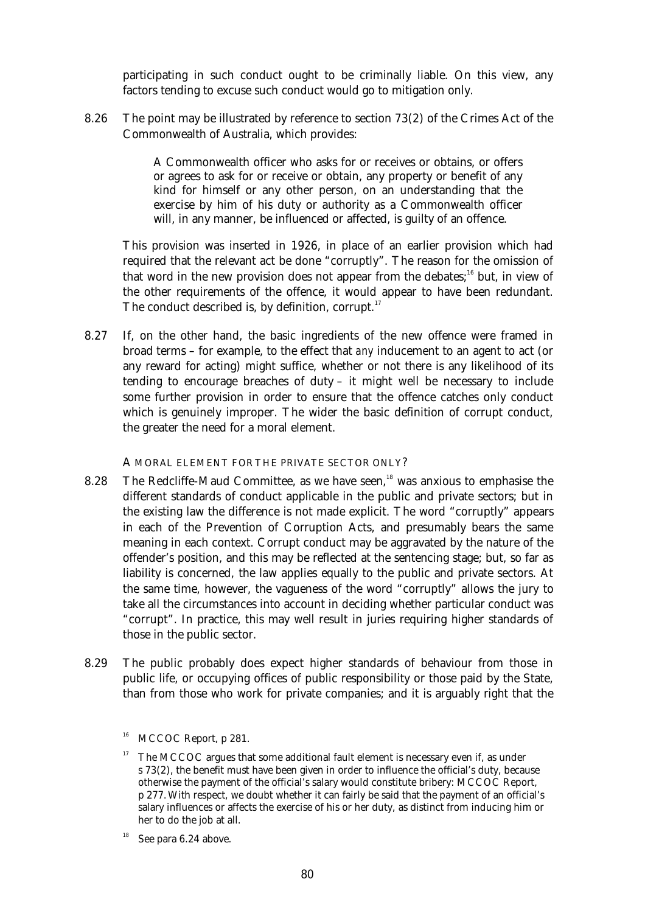participating in such conduct ought to be criminally liable. On this view, any factors tending to excuse such conduct would go to mitigation only.

 8.26 The point may be illustrated by reference to section 73(2) of the Crimes Act of the Commonwealth of Australia, which provides:

> A Commonwealth officer who asks for or receives or obtains, or offers or agrees to ask for or receive or obtain, any property or benefit of any kind for himself or any other person, on an understanding that the exercise by him of his duty or authority as a Commonwealth officer will, in any manner, be influenced or affected, is guilty of an offence.

This provision was inserted in 1926, in place of an earlier provision which had required that the relevant act be done "corruptly". The reason for the omission of that word in the new provision does not appear from the debates; $^{16}$  but, in view of the other requirements of the offence, it would appear to have been redundant. The conduct described is, by definition, corrupt. $17$ 

 8.27 If, on the other hand, the basic ingredients of the new offence were framed in broad terms – for example, to the effect that *any* inducement to an agent to act (or any reward for acting) might suffice, whether or not there is any likelihood of its tending to encourage breaches of duty – it might well be necessary to include some further provision in order to ensure that the offence catches only conduct which is genuinely improper. The wider the basic definition of corrupt conduct, the greater the need for a moral element.

# A MORAL ELEMENT FOR THE PRIVATE SECTOR ONLY?

- 8.28 The Redcliffe-Maud Committee, as we have seen,<sup>18</sup> was anxious to emphasise the different standards of conduct applicable in the public and private sectors; but in the existing law the difference is not made explicit. The word "corruptly" appears in each of the Prevention of Corruption Acts, and presumably bears the same meaning in each context. Corrupt conduct may be aggravated by the nature of the offender's position, and this may be reflected at the sentencing stage; but, so far as liability is concerned, the law applies equally to the public and private sectors. At the same time, however, the vagueness of the word "corruptly" allows the jury to take all the circumstances into account in deciding whether particular conduct was "corrupt". In practice, this may well result in juries requiring higher standards of those in the public sector.
- 8.29 The public probably does expect higher standards of behaviour from those in public life, or occupying offices of public responsibility or those paid by the State, than from those who work for private companies; and it is arguably right that the

 $16$  MCCOC Report, p 281.

 $17$  The MCCOC argues that some additional fault element is necessary even if, as under s 73(2), the benefit must have been given in order to influence the official's duty, because otherwise the payment of the official's salary would constitute bribery: MCCOC Report, p 277. With respect, we doubt whether it can fairly be said that the payment of an official's salary influences or affects the exercise of his or her duty, as distinct from inducing him or her to do the job at all.

See para 6.24 above.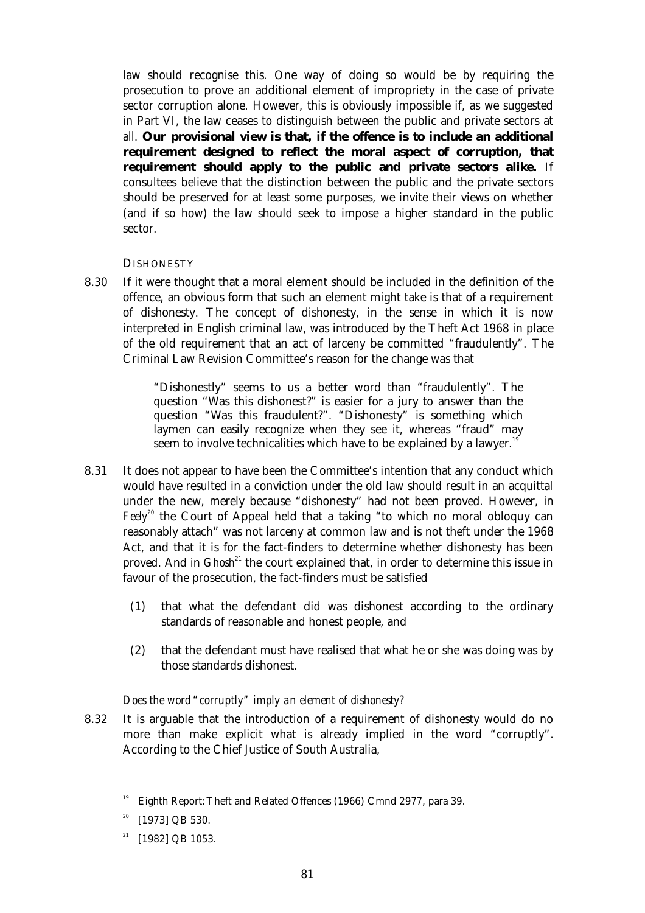law should recognise this. One way of doing so would be by requiring the prosecution to prove an additional element of impropriety in the case of private sector corruption alone. However, this is obviously impossible if, as we suggested in Part VI, the law ceases to distinguish between the public and private sectors at all. **Our provisional view is that, if the offence is to include an additional requirement designed to reflect the moral aspect of corruption, that requirement should apply to the public and private sectors alike.** If consultees believe that the distinction between the public and the private sectors should be preserved for at least some purposes, we invite their views on whether (and if so how) the law should seek to impose a higher standard in the public sector.

## **DISHONESTY**

 8.30 If it were thought that a moral element should be included in the definition of the offence, an obvious form that such an element might take is that of a requirement of dishonesty. The concept of dishonesty, in the sense in which it is now interpreted in English criminal law, was introduced by the Theft Act 1968 in place of the old requirement that an act of larceny be committed "fraudulently". The Criminal Law Revision Committee's reason for the change was that

> "Dishonestly" seems to us a better word than "fraudulently". The question "Was this dishonest?" is easier for a jury to answer than the question "Was this fraudulent?". "Dishonesty" is something which laymen can easily recognize when they see it, whereas "fraud" may seem to involve technicalities which have to be explained by a lawyer.<sup>19</sup>

- 8.31 It does not appear to have been the Committee's intention that any conduct which would have resulted in a conviction under the old law should result in an acquittal under the new, merely because "dishonesty" had not been proved. However, in  $Feely<sup>20</sup>$  the Court of Appeal held that a taking "to which no moral obloquy can reasonably attach" was not larceny at common law and is not theft under the 1968 Act, and that it is for the fact-finders to determine whether dishonesty has been proved. And in *Ghosh*<sup>21</sup> the court explained that, in order to determine this issue in favour of the prosecution, the fact-finders must be satisfied
	- (1) that what the defendant did was dishonest according to the ordinary standards of reasonable and honest people, and
	- (2) that the defendant must have realised that what he or she was doing was by those standards dishonest.

## *Does the word "corruptly" imply an element of dishonesty?*

 8.32 It is arguable that the introduction of a requirement of dishonesty would do no more than make explicit what is already implied in the word "corruptly". According to the Chief Justice of South Australia,

- $20$  [1973] QB 530.
- $21$  [1982] QB 1053.

<sup>19</sup> Eighth Report: Theft and Related Offences (1966) Cmnd 2977, para 39.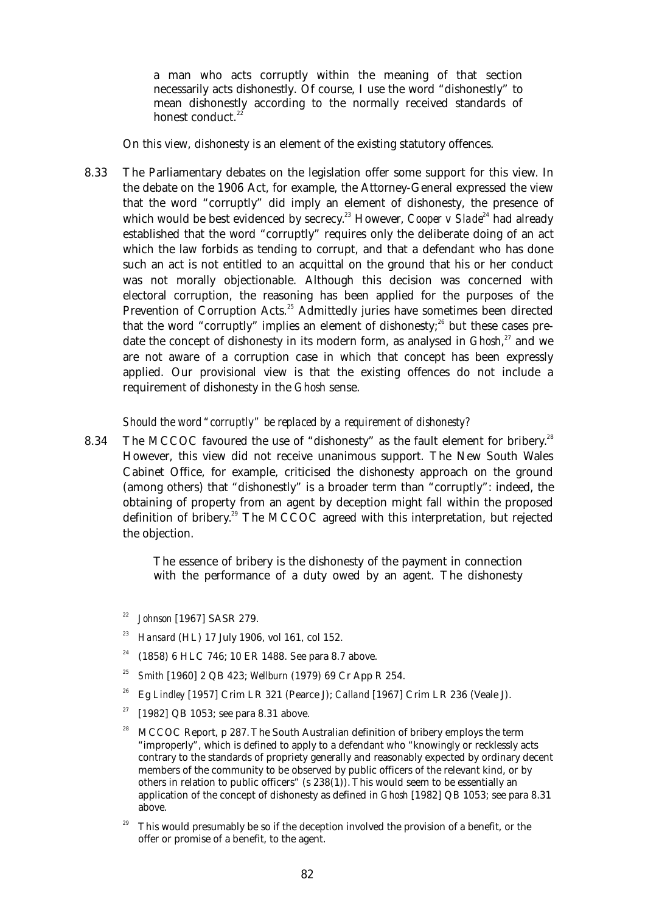a man who acts corruptly within the meaning of that section necessarily acts dishonestly. Of course, I use the word "dishonestly" to mean dishonestly according to the normally received standards of honest conduct. $2^{2}$ 

On this view, dishonesty is an element of the existing statutory offences.

 8.33 The Parliamentary debates on the legislation offer some support for this view. In the debate on the 1906 Act, for example, the Attorney-General expressed the view that the word "corruptly" did imply an element of dishonesty, the presence of which would be best evidenced by secrecy.<sup>23</sup> However, *Cooper v Slade*<sup>24</sup> had already established that the word "corruptly" requires only the deliberate doing of an act which the law forbids as tending to corrupt, and that a defendant who has done such an act is not entitled to an acquittal on the ground that his or her conduct was not morally objectionable. Although this decision was concerned with electoral corruption, the reasoning has been applied for the purposes of the Prevention of Corruption Acts.<sup>25</sup> Admittedly juries have sometimes been directed that the word "corruptly" implies an element of dishonesty;<sup>26</sup> but these cases predate the concept of dishonesty in its modern form, as analysed in *Ghosh*, <sup>27</sup> and we are not aware of a corruption case in which that concept has been expressly applied. Our provisional view is that the existing offences do not include a requirement of dishonesty in the *Ghosh* sense.

#### *Should the word "corruptly" be replaced by a requirement of dishonesty?*

8.34 The MCCOC favoured the use of "dishonesty" as the fault element for bribery.<sup>28</sup> However, this view did not receive unanimous support. The New South Wales Cabinet Office, for example, criticised the dishonesty approach on the ground (among others) that "dishonestly" is a broader term than "corruptly": indeed, the obtaining of property from an agent by deception might fall within the proposed definition of bribery.<sup>29</sup> The MCCOC agreed with this interpretation, but rejected the objection.

> The essence of bribery is the dishonesty of the payment in connection with the performance of a duty owed by an agent. The dishonesty

- <sup>22</sup> *Johnson* [1967] SASR 279.
- <sup>23</sup> *Hansard* (HL) 17 July 1906, vol 161, col 152.
- <sup>24</sup> (1858) 6 HLC 746; 10 ER 1488. See para 8.7 above.
- <sup>25</sup> *Smith* [1960] 2 QB 423; *Wellburn* (1979) 69 Cr App R 254.
- <sup>26</sup> Eg *Lindley* [1957] Crim LR 321 (Pearce J); *Calland* [1967] Crim LR 236 (Veale J).
- $27$  [1982] QB 1053; see para 8.31 above.
- <sup>28</sup> MCCOC Report, p 287. The South Australian definition of bribery employs the term "improperly", which is defined to apply to a defendant who "knowingly or recklessly acts contrary to the standards of propriety generally and reasonably expected by ordinary decent members of the community to be observed by public officers of the relevant kind, or by others in relation to public officers" (s  $238(1)$ ). This would seem to be essentially an application of the concept of dishonesty as defined in *Ghosh* [1982] QB 1053; see para 8.31 above.
- <sup>29</sup> This would presumably be so if the deception involved the provision of a benefit, or the offer or promise of a benefit, to the agent.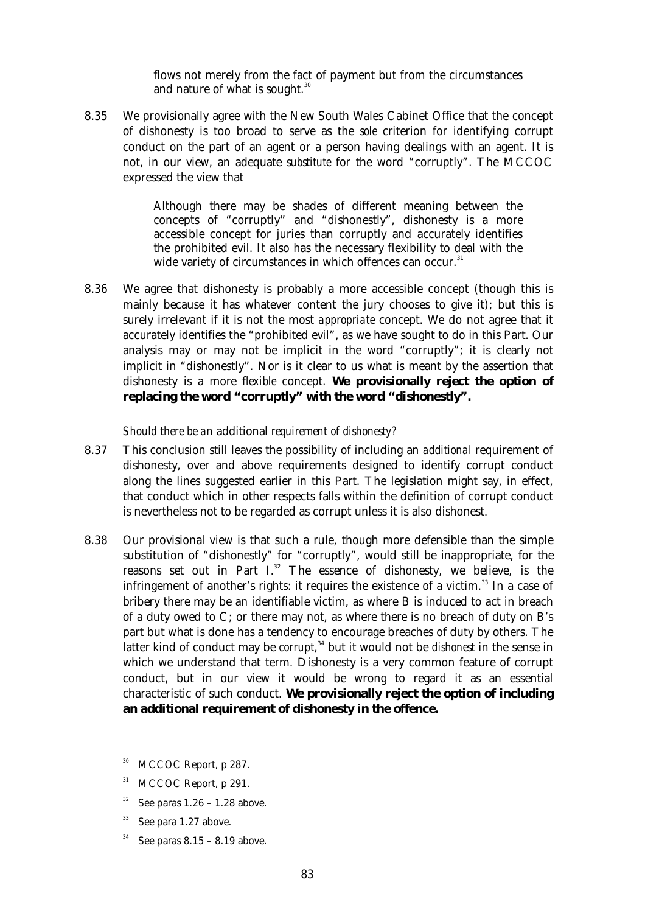flows not merely from the fact of payment but from the circumstances and nature of what is sought. $30$ 

 8.35 We provisionally agree with the New South Wales Cabinet Office that the concept of dishonesty is too broad to serve as the *sole* criterion for identifying corrupt conduct on the part of an agent or a person having dealings with an agent. It is not, in our view, an adequate *substitute* for the word "corruptly". The MCCOC expressed the view that

> Although there may be shades of different meaning between the concepts of "corruptly" and "dishonestly", dishonesty is a more accessible concept for juries than corruptly and accurately identifies the prohibited evil. It also has the necessary flexibility to deal with the wide variety of circumstances in which offences can occur.<sup>31</sup>

 8.36 We agree that dishonesty is probably a more accessible concept (though this is mainly because it has whatever content the jury chooses to give it); but this is surely irrelevant if it is not the most *appropriate* concept. We do not agree that it accurately identifies the "prohibited evil", as we have sought to do in this Part. Our analysis may or may not be implicit in the word "corruptly"; it is clearly not implicit in "dishonestly". Nor is it clear to us what is meant by the assertion that dishonesty is a more *flexible* concept. **We provisionally reject the option of replacing the word "corruptly" with the word "dishonestly".**

#### *Should there be an* additional *requirement of dishonesty?*

- 8.37 This conclusion still leaves the possibility of including an *additional* requirement of dishonesty, over and above requirements designed to identify corrupt conduct along the lines suggested earlier in this Part. The legislation might say, in effect, that conduct which in other respects falls within the definition of corrupt conduct is nevertheless not to be regarded as corrupt unless it is also dishonest.
- 8.38 Our provisional view is that such a rule, though more defensible than the simple substitution of "dishonestly" for "corruptly", would still be inappropriate, for the reasons set out in Part I.<sup>32</sup> The essence of dishonesty, we believe, is the infringement of another's rights: it requires the existence of a victim.<sup>33</sup> In a case of bribery there may be an identifiable victim, as where B is induced to act in breach of a duty owed to C; or there may not, as where there is no breach of duty on B's part but what is done has a tendency to encourage breaches of duty by others. The latter kind of conduct may be *corrupt*, <sup>34</sup> but it would not be *dishonest* in the sense in which we understand that term. Dishonesty is a very common feature of corrupt conduct, but in our view it would be wrong to regard it as an essential characteristic of such conduct. **We provisionally reject the option of including an additional requirement of dishonesty in the offence.**
	- <sup>30</sup> MCCOC Report, p 287.
	- <sup>31</sup> MCCOC Report, p 291.
	- $32$  See paras  $1.26 1.28$  above.
	- $33$  See para 1.27 above.
	- $34$  See paras  $8.15 8.19$  above.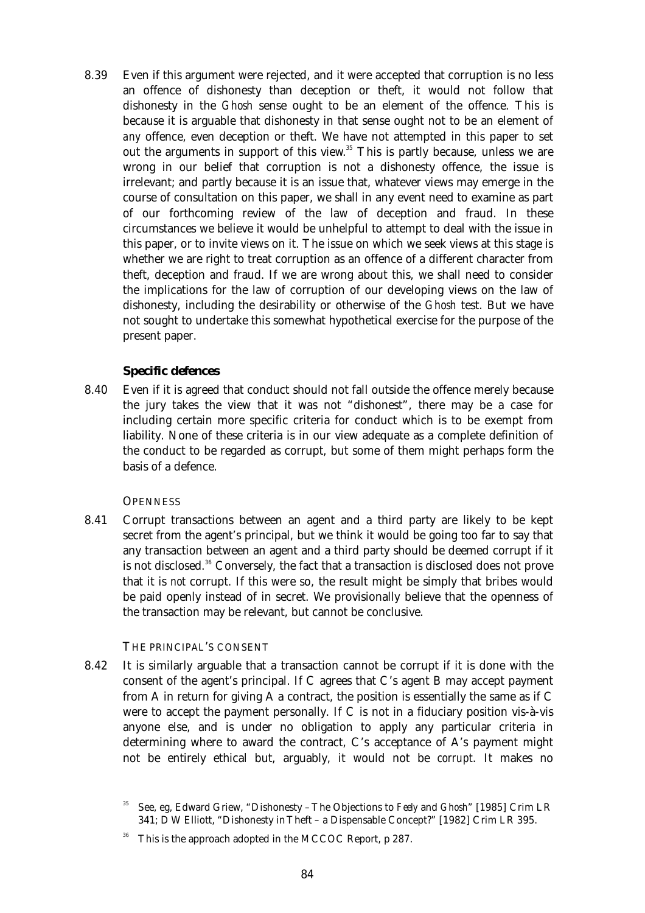8.39 Even if this argument were rejected, and it were accepted that corruption is no less an offence of dishonesty than deception or theft, it would not follow that dishonesty in the *Ghosh* sense ought to be an element of the offence. This is because it is arguable that dishonesty in that sense ought not to be an element of *any* offence, even deception or theft. We have not attempted in this paper to set out the arguments in support of this view.<sup>35</sup> This is partly because, unless we are wrong in our belief that corruption is not a dishonesty offence, the issue is irrelevant; and partly because it is an issue that, whatever views may emerge in the course of consultation on this paper, we shall in any event need to examine as part of our forthcoming review of the law of deception and fraud. In these circumstances we believe it would be unhelpful to attempt to deal with the issue in this paper, or to invite views on it. The issue on which we seek views at this stage is whether we are right to treat corruption as an offence of a different character from theft, deception and fraud. If we are wrong about this, we shall need to consider the implications for the law of corruption of our developing views on the law of dishonesty, including the desirability or otherwise of the *Ghosh* test. But we have not sought to undertake this somewhat hypothetical exercise for the purpose of the present paper.

## *Specific defences*

 8.40 Even if it is agreed that conduct should not fall outside the offence merely because the jury takes the view that it was not "dishonest", there may be a case for including certain more specific criteria for conduct which is to be exempt from liability. None of these criteria is in our view adequate as a complete definition of the conduct to be regarded as corrupt, but some of them might perhaps form the basis of a defence.

#### **OPENNESS**

 8.41 Corrupt transactions between an agent and a third party are likely to be kept secret from the agent's principal, but we think it would be going too far to say that any transaction between an agent and a third party should be deemed corrupt if it is not disclosed.<sup>36</sup> Conversely, the fact that a transaction *is* disclosed does not prove that it is *not* corrupt. If this were so, the result might be simply that bribes would be paid openly instead of in secret. We provisionally believe that the openness of the transaction may be relevant, but cannot be conclusive.

#### THE PRINCIPAL'S CONSENT

 8.42 It is similarly arguable that a transaction cannot be corrupt if it is done with the consent of the agent's principal. If C agrees that C's agent B may accept payment from A in return for giving A a contract, the position is essentially the same as if C were to accept the payment personally. If C is not in a fiduciary position vis-à-vis anyone else, and is under no obligation to apply any particular criteria in determining where to award the contract, C's acceptance of A's payment might not be entirely ethical but, arguably, it would not be *corrupt*. It makes no

<sup>35</sup> See, eg, Edward Griew, "Dishonesty – The Objections to *Feely* and *Ghosh*" [1985] Crim LR 341; D W Elliott, "Dishonesty in Theft – a Dispensable Concept?" [1982] Crim LR 395.

This is the approach adopted in the MCCOC Report, p 287.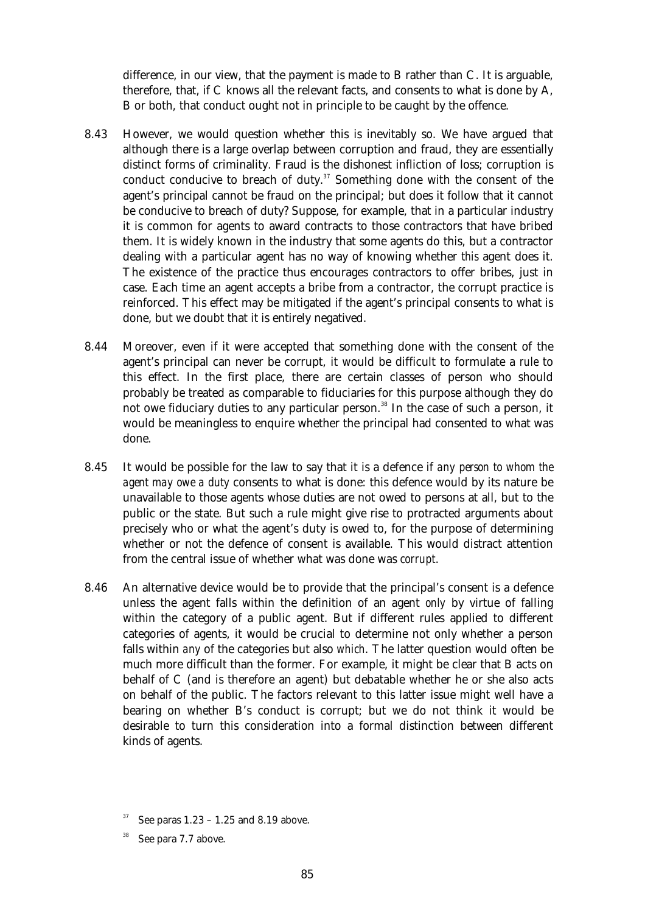difference, in our view, that the payment is made to B rather than C. It is arguable, therefore, that, if C knows all the relevant facts, and consents to what is done by A, B or both, that conduct ought not in principle to be caught by the offence.

- 8.43 However, we would question whether this is inevitably so. We have argued that although there is a large overlap between corruption and fraud, they are essentially distinct forms of criminality. Fraud is the dishonest infliction of loss; corruption is conduct conducive to breach of duty. $37$  Something done with the consent of the agent's principal cannot be fraud on the principal; but does it follow that it cannot be conducive to breach of duty? Suppose, for example, that in a particular industry it is common for agents to award contracts to those contractors that have bribed them. It is widely known in the industry that some agents do this, but a contractor dealing with a particular agent has no way of knowing whether *this* agent does it. The existence of the practice thus encourages contractors to offer bribes, just in case. Each time an agent accepts a bribe from a contractor, the corrupt practice is reinforced. This effect may be mitigated if the agent's principal consents to what is done, but we doubt that it is entirely negatived.
- 8.44 Moreover, even if it were accepted that something done with the consent of the agent's principal can never be corrupt, it would be difficult to formulate a *rule* to this effect. In the first place, there are certain classes of person who should probably be treated as comparable to fiduciaries for this purpose although they do not owe fiduciary duties to any particular person.<sup>38</sup> In the case of such a person, it would be meaningless to enquire whether the principal had consented to what was done.
- 8.45 It would be possible for the law to say that it is a defence if *any person to whom the agent may owe a duty* consents to what is done: this defence would by its nature be unavailable to those agents whose duties are not owed to persons at all, but to the public or the state. But such a rule might give rise to protracted arguments about precisely who or what the agent's duty is owed to, for the purpose of determining whether or not the defence of consent is available. This would distract attention from the central issue of whether what was done was *corrupt*.
- 8.46 An alternative device would be to provide that the principal's consent is a defence unless the agent falls within the definition of an agent *only* by virtue of falling within the category of a public agent. But if different rules applied to different categories of agents, it would be crucial to determine not only whether a person falls within *any* of the categories but also *which*. The latter question would often be much more difficult than the former. For example, it might be clear that B acts on behalf of C (and is therefore an agent) but debatable whether he or she also acts on behalf of the public. The factors relevant to this latter issue might well have a bearing on whether B's conduct is corrupt; but we do not think it would be desirable to turn this consideration into a formal distinction between different kinds of agents.

See paras 1.23 – 1.25 and 8.19 above.

See para 7.7 above.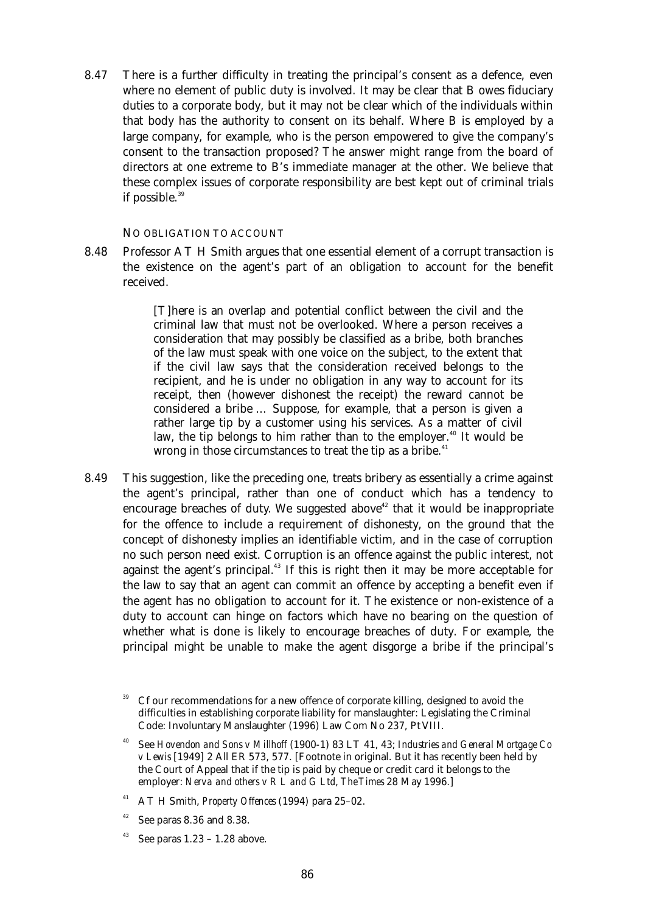8.47 There is a further difficulty in treating the principal's consent as a defence, even where no element of public duty is involved. It may be clear that B owes fiduciary duties to a corporate body, but it may not be clear which of the individuals within that body has the authority to consent on its behalf. Where B is employed by a large company, for example, who is the person empowered to give the company's consent to the transaction proposed? The answer might range from the board of directors at one extreme to B's immediate manager at the other. We believe that these complex issues of corporate responsibility are best kept out of criminal trials if possible. $39$ 

#### NO OBLIGATION TO ACCOUNT

8.48 Professor A T H Smith argues that one essential element of a corrupt transaction is the existence on the agent's part of an obligation to account for the benefit received.

> [T]here is an overlap and potential conflict between the civil and the criminal law that must not be overlooked. Where a person receives a consideration that may possibly be classified as a bribe, both branches of the law must speak with one voice on the subject, to the extent that if the civil law says that the consideration received belongs to the recipient, and he is under no obligation in any way to account for its receipt, then (however dishonest the receipt) the reward cannot be considered a bribe … Suppose, for example, that a person is given a rather large tip by a customer using his services. As a matter of civil law, the tip belongs to him rather than to the employer.<sup>40</sup> It would be wrong in those circumstances to treat the tip as a bribe.<sup>41</sup>

 8.49 This suggestion, like the preceding one, treats bribery as essentially a crime against the agent's principal, rather than one of conduct which has a tendency to encourage breaches of duty. We suggested above<sup>42</sup> that it would be inappropriate for the offence to include a requirement of dishonesty, on the ground that the concept of dishonesty implies an identifiable victim, and in the case of corruption no such person need exist. Corruption is an offence against the public interest, not against the agent's principal. $43$  If this is right then it may be more acceptable for the law to say that an agent can commit an offence by accepting a benefit even if the agent has no obligation to account for it. The existence or non-existence of a duty to account can hinge on factors which have no bearing on the question of whether what is done is likely to encourage breaches of duty. For example, the principal might be unable to make the agent disgorge a bribe if the principal's

- $42$  See paras 8.36 and 8.38.
- <sup>43</sup> See paras  $1.23 1.28$  above.

<sup>&</sup>lt;sup>39</sup> Cf our recommendations for a new offence of corporate killing, designed to avoid the difficulties in establishing corporate liability for manslaughter: Legislating the Criminal Code: Involuntary Manslaughter (1996) Law Com No 237, Pt VIII.

<sup>40</sup> See *Hovendon and Sons v Millhoff* (1900-1) 83 LT 41, 43; *Industries and General Mortgage Co v Lewis* [1949] 2 All ER 573, 577. [Footnote in original. But it has recently been held by the Court of Appeal that if the tip is paid by cheque or credit card it belongs to the employer: *Nerva and others v R L and G Ltd*, *The Times* 28 May 1996.]

<sup>41</sup> A T H Smith, *Property Offences* (1994) para 25–02.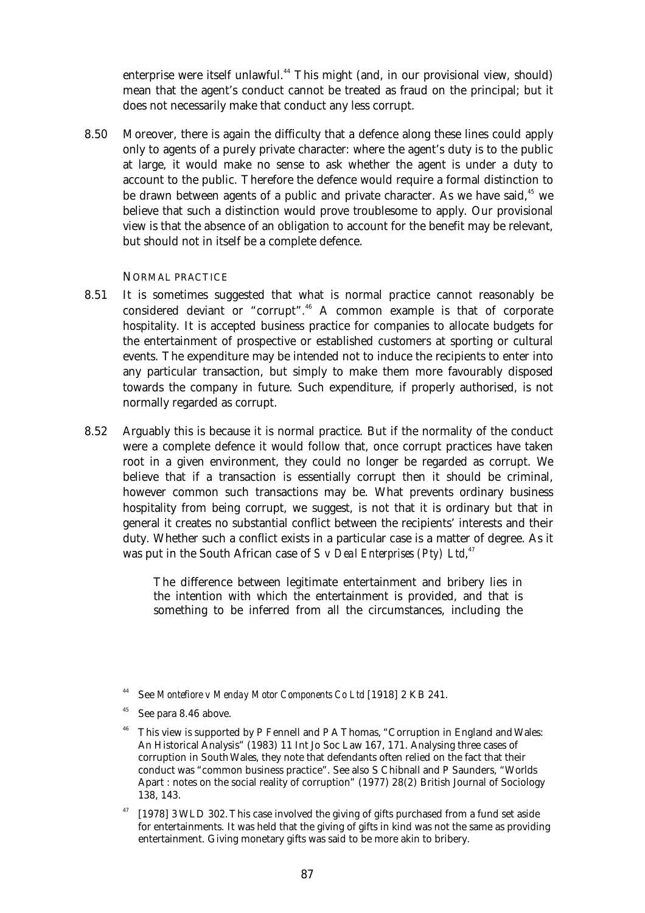enterprise were itself unlawful.<sup>44</sup> This might (and, in our provisional view, should) mean that the agent's conduct cannot be treated as fraud on the principal; but it does not necessarily make that conduct any less corrupt.

 8.50 Moreover, there is again the difficulty that a defence along these lines could apply only to agents of a purely private character: where the agent's duty is to the public at large, it would make no sense to ask whether the agent is under a duty to account to the public. Therefore the defence would require a formal distinction to be drawn between agents of a public and private character. As we have said,<sup>45</sup> we believe that such a distinction would prove troublesome to apply. Our provisional view is that the absence of an obligation to account for the benefit may be relevant, but should not in itself be a complete defence.

#### NORMAL PRACTICE

- 8.51 It is sometimes suggested that what is normal practice cannot reasonably be considered deviant or "corrupt".<sup>46</sup> A common example is that of corporate hospitality. It is accepted business practice for companies to allocate budgets for the entertainment of prospective or established customers at sporting or cultural events. The expenditure may be intended not to induce the recipients to enter into any particular transaction, but simply to make them more favourably disposed towards the company in future. Such expenditure, if properly authorised, is not normally regarded as corrupt.
- 8.52 Arguably this is because it is normal practice. But if the normality of the conduct were a complete defence it would follow that, once corrupt practices have taken root in a given environment, they could no longer be regarded as corrupt. We believe that if a transaction is essentially corrupt then it should be criminal, however common such transactions may be. What prevents ordinary business hospitality from being corrupt, we suggest, is not that it is ordinary but that in general it creates no substantial conflict between the recipients' interests and their duty. Whether such a conflict exists in a particular case is a matter of degree. As it was put in the South African case of *S v Deal Enterprises (Pty) Ltd*,<sup>47</sup>

The difference between legitimate entertainment and bribery lies in the intention with which the entertainment is provided, and that is something to be inferred from all the circumstances, including the

 $45$  See para 8.46 above.

 $47$  [1978] 3 WLD 302. This case involved the giving of gifts purchased from a fund set aside for entertainments. It was held that the giving of gifts in kind was not the same as providing entertainment. Giving monetary gifts was said to be more akin to bribery.

<sup>44</sup> See *Montefiore v Menday Motor Components Co Ltd* [1918] 2 KB 241.

<sup>46</sup> This view is supported by P Fennell and P A Thomas, "Corruption in England and Wales: An Historical Analysis" (1983) 11 Int Jo Soc Law 167, 171. Analysing three cases of corruption in South Wales, they note that defendants often relied on the fact that their conduct was "common business practice". See also S Chibnall and P Saunders, "Worlds Apart : notes on the social reality of corruption" (1977) 28(2) British Journal of Sociology 138, 143.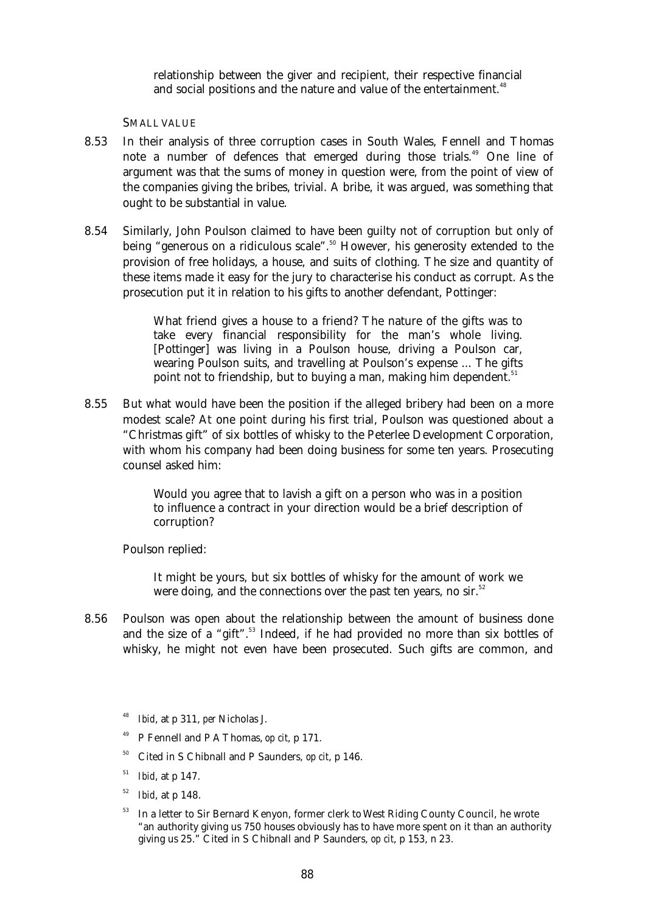relationship between the giver and recipient, their respective financial and social positions and the nature and value of the entertainment.<sup>48</sup>

SMALL VALUE

- 8.53 In their analysis of three corruption cases in South Wales, Fennell and Thomas note a number of defences that emerged during those trials.<sup>49</sup> One line of argument was that the sums of money in question were, from the point of view of the companies giving the bribes, trivial. A bribe, it was argued, was something that ought to be substantial in value.
- 8.54 Similarly, John Poulson claimed to have been guilty not of corruption but only of being "generous on a ridiculous scale". <sup>50</sup> However, his generosity extended to the provision of free holidays, a house, and suits of clothing. The size and quantity of these items made it easy for the jury to characterise his conduct as corrupt. As the prosecution put it in relation to his gifts to another defendant, Pottinger:

What friend gives a house to a friend? The nature of the gifts was to take every financial responsibility for the man's whole living. [Pottinger] was living in a Poulson house, driving a Poulson car, wearing Poulson suits, and travelling at Poulson's expense ... The gifts point not to friendship, but to buying a man, making him dependent.<sup>51</sup>

 8.55 But what would have been the position if the alleged bribery had been on a more modest scale? At one point during his first trial, Poulson was questioned about a "Christmas gift" of six bottles of whisky to the Peterlee Development Corporation, with whom his company had been doing business for some ten years. Prosecuting counsel asked him:

> Would you agree that to lavish a gift on a person who was in a position to influence a contract in your direction would be a brief description of corruption?

Poulson replied:

It might be yours, but six bottles of whisky for the amount of work we were doing, and the connections over the past ten years, no sir.<sup>52</sup>

- 8.56 Poulson was open about the relationship between the amount of business done and the size of a "gift". <sup>53</sup> Indeed, if he had provided no more than six bottles of whisky, he might not even have been prosecuted. Such gifts are common, and
	- <sup>48</sup> *Ibid*, at p 311, *per* Nicholas J.
	- <sup>49</sup> P Fennell and P A Thomas, *op cit*, p 171.
	- <sup>50</sup> Cited in S Chibnall and P Saunders, *op cit*, p 146.
	- <sup>51</sup> *Ibid*, at p 147.
	- <sup>52</sup> *Ibid*, at p 148.
	- <sup>53</sup> In a letter to Sir Bernard Kenyon, former clerk to West Riding County Council, he wrote "an authority giving us 750 houses obviously has to have more spent on it than an authority giving us 25." Cited in S Chibnall and P Saunders, *op cit*, p 153, n 23.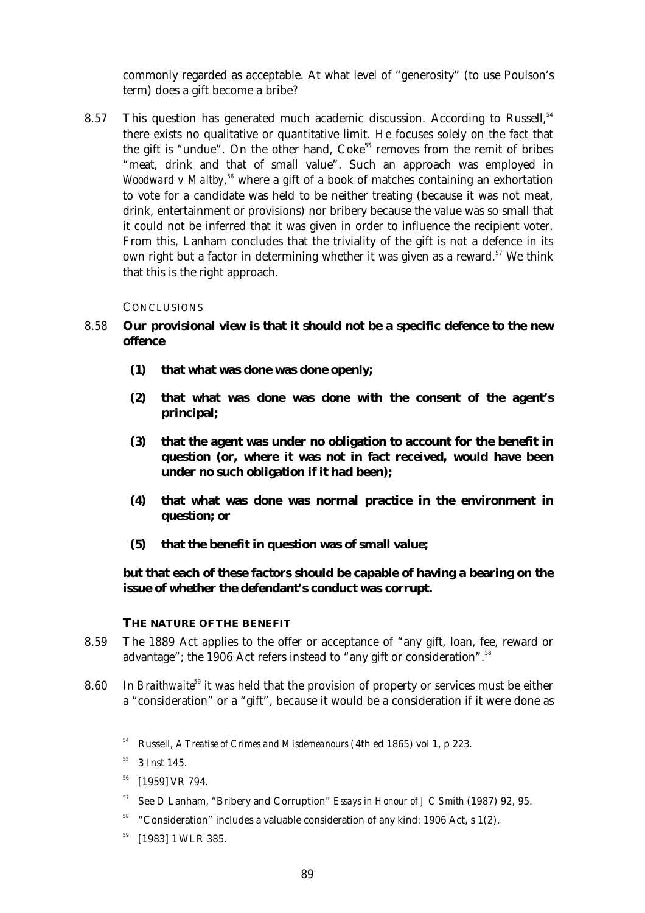commonly regarded as acceptable. At what level of "generosity" (to use Poulson's term) does a gift become a bribe?

8.57 This question has generated much academic discussion. According to Russell, <sup>54</sup> there exists no qualitative or quantitative limit. He focuses solely on the fact that the gift is "undue". On the other hand, Coke<sup>55</sup> removes from the remit of bribes "meat, drink and that of small value". Such an approach was employed in *Woodward v Maltby*, <sup>56</sup> where a gift of a book of matches containing an exhortation to vote for a candidate was held to be neither treating (because it was not meat, drink, entertainment or provisions) nor bribery because the value was so small that it could not be inferred that it was given in order to influence the recipient voter. From this, Lanham concludes that the triviality of the gift is not a defence in its own right but a factor in determining whether it was given as a reward.<sup>57</sup> We think that this is the right approach.

## **CONCLUSIONS**

- 8.58 **Our provisional view is that it should not be a specific defence to the new offence**
	- **(1) that what was done was done openly;**
	- **(2) that what was done was done with the consent of the agent's principal;**
	- **(3) that the agent was under no obligation to account for the benefit in question (or, where it was not in fact received, would have been under no such obligation if it had been);**
	- **(4) that what was done was normal practice in the environment in question; or**
	- **(5) that the benefit in question was of small value;**

# **but that each of these factors should be capable of having a bearing on the issue of whether the defendant's conduct was corrupt.**

## **THE NATURE OF THE BENEFIT**

- 8.59 The 1889 Act applies to the offer or acceptance of "any gift, loan, fee, reward or advantage"; the 1906 Act refers instead to "any gift or consideration". 58
- 8.60 In *Braithwaite*<sup>59</sup> it was held that the provision of property or services must be either a "consideration" or a "gift", because it would be a consideration if it were done as

- $55$  3 Inst 145.
- <sup>56</sup> [1959] VR 794.
- <sup>57</sup> See D Lanham, "Bribery and Corruption" *Essays in Honour of J C Smith* (1987) 92, 95.
- <sup>58</sup> "Consideration" includes a valuable consideration of any kind: 1906 Act, s 1(2).
- <sup>59</sup> [1983] 1 WLR 385.

<sup>54</sup> Russell, *A Treatise of Crimes and Misdemeanours (*4th ed 1865) vol 1, p 223.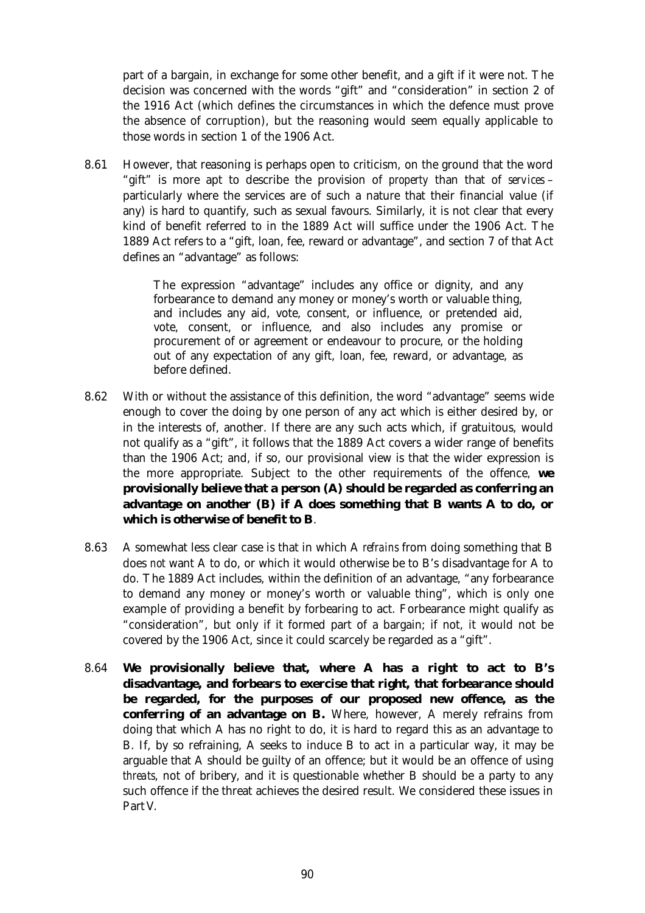part of a bargain, in exchange for some other benefit, and a gift if it were not. The decision was concerned with the words "gift" and "consideration" in section 2 of the 1916 Act (which defines the circumstances in which the defence must prove the absence of corruption), but the reasoning would seem equally applicable to those words in section 1 of the 1906 Act.

 8.61 However, that reasoning is perhaps open to criticism, on the ground that the word "gift" is more apt to describe the provision of *property* than that of *services* – particularly where the services are of such a nature that their financial value (if any) is hard to quantify, such as sexual favours. Similarly, it is not clear that every kind of benefit referred to in the 1889 Act will suffice under the 1906 Act. The 1889 Act refers to a "gift, loan, fee, reward or advantage", and section 7 of that Act defines an "advantage" as follows:

> The expression "advantage" includes any office or dignity, and any forbearance to demand any money or money's worth or valuable thing, and includes any aid, vote, consent, or influence, or pretended aid, vote, consent, or influence, and also includes any promise or procurement of or agreement or endeavour to procure, or the holding out of any expectation of any gift, loan, fee, reward, or advantage, as before defined.

- 8.62 With or without the assistance of this definition, the word "advantage" seems wide enough to cover the doing by one person of any act which is either desired by, or in the interests of, another. If there are any such acts which, if gratuitous, would not qualify as a "gift", it follows that the 1889 Act covers a wider range of benefits than the 1906 Act; and, if so, our provisional view is that the wider expression is the more appropriate. Subject to the other requirements of the offence, **we provisionally believe that a person (A) should be regarded as conferring an advantage on another (B) if A does something that B wants A to do, or which is otherwise of benefit to B**.
- 8.63 A somewhat less clear case is that in which A *refrains* from doing something that B does *not* want A to do, or which it would otherwise be to B's disadvantage for A to do. The 1889 Act includes, within the definition of an advantage, "any forbearance to demand any money or money's worth or valuable thing", which is only one example of providing a benefit by forbearing to act. Forbearance might qualify as "consideration", but only if it formed part of a bargain; if not, it would not be covered by the 1906 Act, since it could scarcely be regarded as a "gift".
- 8.64 **We provisionally believe that, where A has a** *right* **to act to B's disadvantage, and forbears to exercise that right, that forbearance should be regarded, for the purposes of our proposed new offence, as the conferring of an advantage on B.** Where, however, A merely refrains from doing that which A has no right to do, it is hard to regard this as an advantage to B. If, by so refraining, A seeks to induce B to act in a particular way, it may be arguable that A should be guilty of an offence; but it would be an offence of using *threats*, not of bribery, and it is questionable whether B should be a party to any such offence if the threat achieves the desired result. We considered these issues in Part V.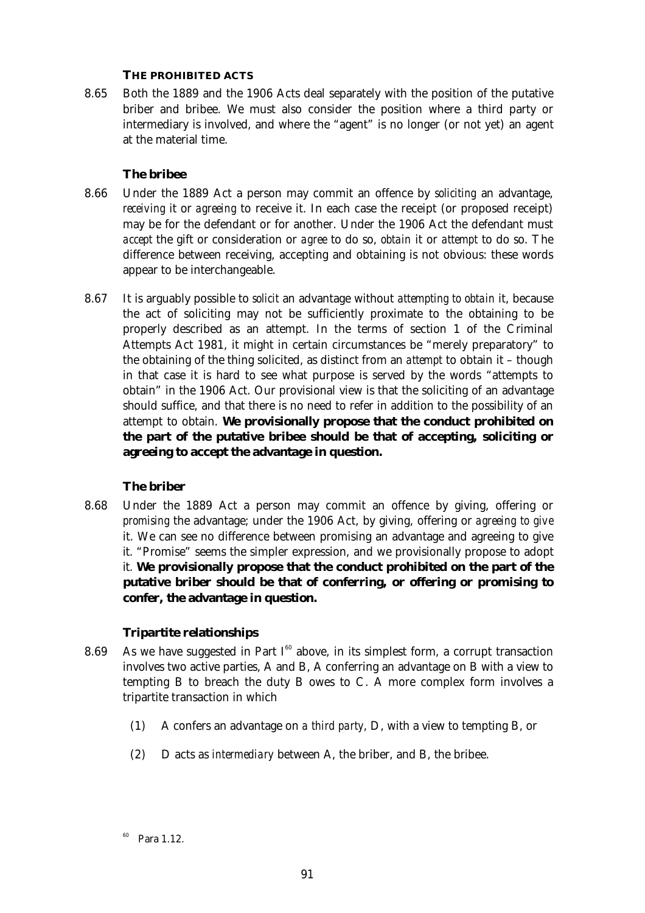#### **THE PROHIBITED ACTS**

 8.65 Both the 1889 and the 1906 Acts deal separately with the position of the putative briber and bribee. We must also consider the position where a third party or intermediary is involved, and where the "agent" is no longer (or not yet) an agent at the material time.

## **The bribee**

- 8.66 Under the 1889 Act a person may commit an offence by *soliciting* an advantage, *receiving* it or *agreeing* to receive it. In each case the receipt (or proposed receipt) may be for the defendant or for another. Under the 1906 Act the defendant must *accept* the gift or consideration or *agree* to do so, *obtain* it or *attempt* to do so. The difference between receiving, accepting and obtaining is not obvious: these words appear to be interchangeable.
- 8.67 It is arguably possible to *solicit* an advantage without *attempting to obtain* it, because the act of soliciting may not be sufficiently proximate to the obtaining to be properly described as an attempt. In the terms of section 1 of the Criminal Attempts Act 1981, it might in certain circumstances be "merely preparatory" to the obtaining of the thing solicited, as distinct from an *attempt* to obtain it – though in that case it is hard to see what purpose is served by the words "attempts to obtain" in the 1906 Act. Our provisional view is that the soliciting of an advantage should suffice, and that there is no need to refer in addition to the possibility of an attempt to obtain. **We provisionally propose that the conduct prohibited on the part of the putative bribee should be that of accepting, soliciting or agreeing to accept the advantage in question.**

#### **The briber**

 8.68 Under the 1889 Act a person may commit an offence by giving, offering or *promising* the advantage; under the 1906 Act, by giving, offering or *agreeing to give* it. We can see no difference between promising an advantage and agreeing to give it. "Promise" seems the simpler expression, and we provisionally propose to adopt it. **We provisionally propose that the conduct prohibited on the part of the putative briber should be that of conferring, or offering or promising to confer, the advantage in question.**

## **Tripartite relationships**

- 8.69 As we have suggested in Part  $I^{60}$  above, in its simplest form, a corrupt transaction involves two active parties, A and B, A conferring an advantage on B with a view to tempting B to breach the duty B owes to C. A more complex form involves a tripartite transaction in which
	- (1) A confers an advantage on *a third party*, D, with a view to tempting B, or
	- (2) D acts as *intermediary* between A, the briber, and B, the bribee.

<sup>&</sup>lt;sup>60</sup> Para 1.12.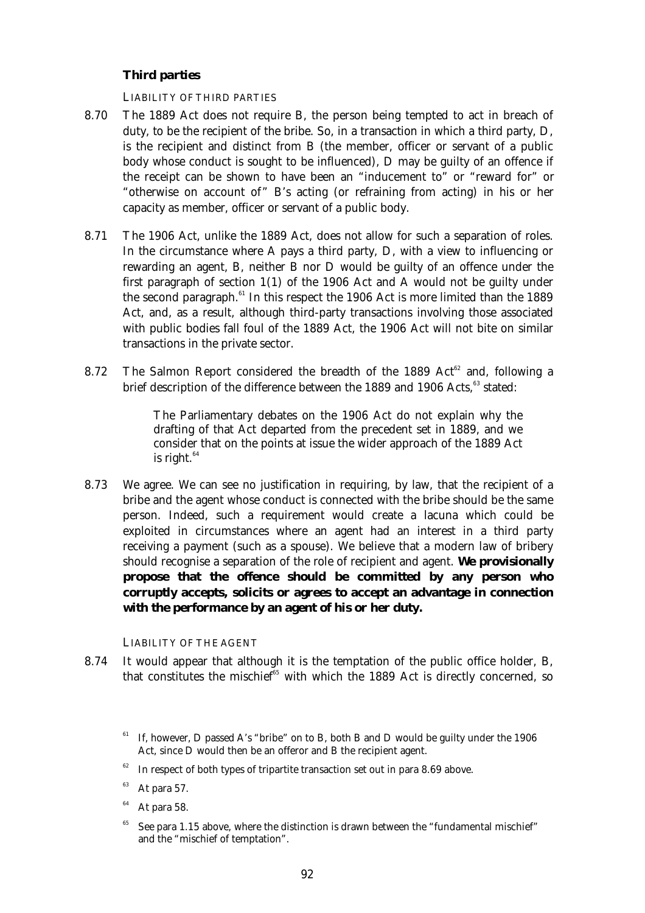## *Third parties*

LIABILITY OF THIRD PARTIES

- 8.70 The 1889 Act does not require B, the person being tempted to act in breach of duty, to be the recipient of the bribe. So, in a transaction in which a third party, D, is the recipient and distinct from B (the member, officer or servant of a public body whose conduct is sought to be influenced), D may be guilty of an offence if the receipt can be shown to have been an "inducement to" or "reward for" or "otherwise on account of" B's acting (or refraining from acting) in his or her capacity as member, officer or servant of a public body.
- 8.71 The 1906 Act, unlike the 1889 Act, does not allow for such a separation of roles. In the circumstance where A pays a third party, D, with a view to influencing or rewarding an agent, B, neither B nor D would be guilty of an offence under the first paragraph of section  $1(1)$  of the 1906 Act and A would not be guilty under the second paragraph. $^{61}$  In this respect the 1906 Act is more limited than the 1889 Act, and, as a result, although third-party transactions involving those associated with public bodies fall foul of the 1889 Act, the 1906 Act will not bite on similar transactions in the private sector.
- 8.72 The Salmon Report considered the breadth of the 1889  $Act^{62}$  and, following a brief description of the difference between the 1889 and 1906 Acts.<sup>63</sup> stated:

The Parliamentary debates on the 1906 Act do not explain why the drafting of that Act departed from the precedent set in 1889, and we consider that on the points at issue the wider approach of the 1889 Act is right. $64$ 

 8.73 We agree. We can see no justification in requiring, by law, that the recipient of a bribe and the agent whose conduct is connected with the bribe should be the same person. Indeed, such a requirement would create a lacuna which could be exploited in circumstances where an agent had an interest in a third party receiving a payment (such as a spouse). We believe that a modern law of bribery should recognise a separation of the role of recipient and agent. **We provisionally propose that the offence should be committed by any person who corruptly accepts, solicits or agrees to accept an advantage in connection with the performance by an agent of his or her duty.**

#### LIABILITY OF THE AGENT

- 8.74 It would appear that although it is the temptation of the public office holder, B, that constitutes the mischief $^{65}$  with which the 1889 Act is directly concerned, so
	- <sup>61</sup> If, however, D passed A's "bribe" on to B, both B and D would be guilty under the 1906 Act, since D would then be an offeror and B the recipient agent.
	- $62$  In respect of both types of tripartite transaction set out in para 8.69 above.
	- $63$  At para 57.
	- $64$  At para 58.
	- $65$  See para 1.15 above, where the distinction is drawn between the "fundamental mischief" and the "mischief of temptation".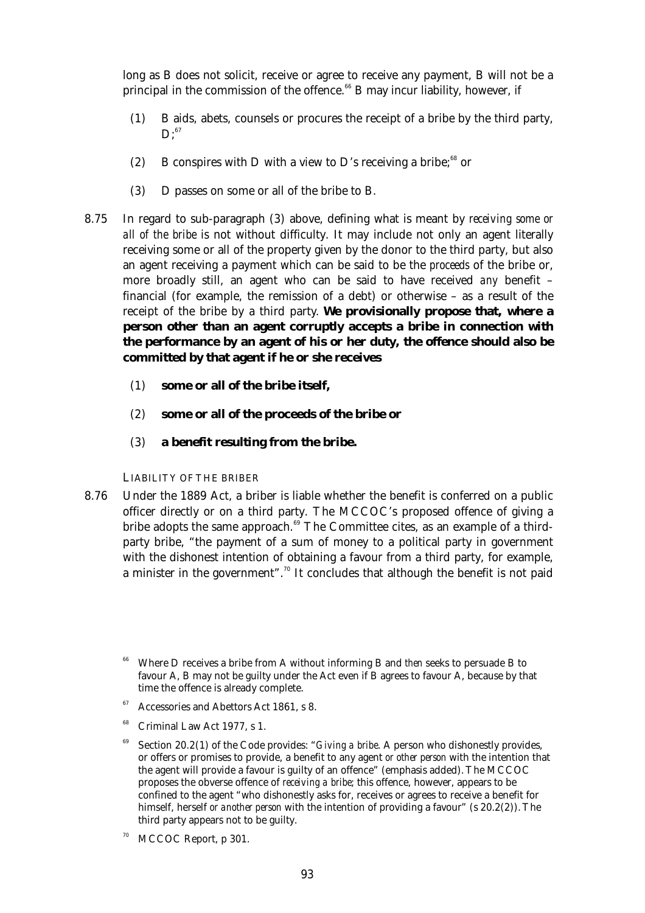long as B does not solicit, receive or agree to receive any payment, B will not be a principal in the commission of the offence.<sup>66</sup> B may incur liability, however, if

- (1) B aids, abets, counsels or procures the receipt of a bribe by the third party,  $\mathbf{D}^{.67}$
- (2) B conspires with D with a view to D's receiving a bribe;<sup>68</sup> or
- (3) D passes on some or all of the bribe to B.
- 8.75 In regard to sub-paragraph (3) above, defining what is meant by *receiving some or all of the bribe* is not without difficulty. It may include not only an agent literally receiving some or all of the property given by the donor to the third party, but also an agent receiving a payment which can be said to be the *proceeds* of the bribe or, more broadly still, an agent who can be said to have received *any* benefit – financial (for example, the remission of a debt) or otherwise – as a result of the receipt of the bribe by a third party. **We provisionally propose that, where a person other than an agent corruptly accepts a bribe in connection with the performance by an agent of his or her duty, the offence should also be committed by that agent if he or she receives**
	- (1) **some or all of the bribe itself,**
	- (2) **some or all of the proceeds of the bribe or**
	- (3) **a benefit resulting from the bribe.**

LIABILITY OF THE BRIBER

 8.76 Under the 1889 Act, a briber is liable whether the benefit is conferred on a public officer directly or on a third party. The MCCOC's proposed offence of giving a bribe adopts the same approach. $69$  The Committee cites, as an example of a thirdparty bribe, "the payment of a sum of money to a political party in government with the dishonest intention of obtaining a favour from a third party, for example, a minister in the government".<sup>70</sup> It concludes that although the benefit is not paid

- $67$  Accessories and Abettors Act 1861, s 8.
- <sup>68</sup> Criminal Law Act 1977, s 1.
- <sup>69</sup> Section 20.2(1) of the Code provides: "*Giving a bribe*. A person who dishonestly provides, or offers or promises to provide, a benefit to any agent *or other person* with the intention that the agent will provide a favour is guilty of an offence" (emphasis added). The MCCOC proposes the obverse offence of *receiving a bribe*; this offence, however, appears to be confined to the agent "who dishonestly asks for, receives or agrees to receive a benefit for himself, herself *or another person* with the intention of providing a favour" (s 20.2(2)). The third party appears not to be guilty.
- MCCOC Report, p 301.

<sup>66</sup> Where D receives a bribe from A without informing B and *then* seeks to persuade B to favour A, B may not be guilty under the Act even if B agrees to favour A, because by that time the offence is already complete.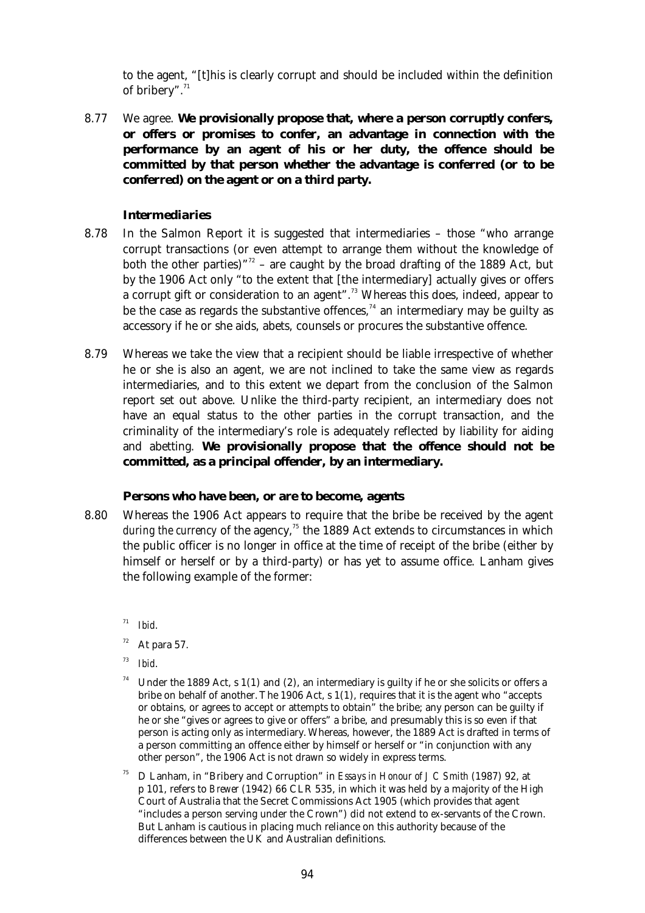to the agent, "[t]his is clearly corrupt and should be included within the definition of bribery".<sup>71</sup>

 8.77 We agree. **We provisionally propose that, where a person corruptly confers, or offers or promises to confer, an advantage in connection with the performance by an agent of his or her duty, the offence should be committed by that person whether the advantage is conferred (or to be conferred) on the agent or on a third party.**

## *Intermediaries*

- 8.78 In the Salmon Report it is suggested that intermediaries those "who arrange corrupt transactions (or even attempt to arrange them without the knowledge of both the other parties)"<sup>72</sup> – are caught by the broad drafting of the 1889 Act, but by the 1906 Act only "to the extent that [the intermediary] actually gives or offers a corrupt gift or consideration to an agent".<sup>73</sup> Whereas this does, indeed, appear to be the case as regards the substantive offences, $74$  an intermediary may be guilty as accessory if he or she aids, abets, counsels or procures the substantive offence.
- 8.79 Whereas we take the view that a recipient should be liable irrespective of whether he or she is also an agent, we are not inclined to take the same view as regards intermediaries, and to this extent we depart from the conclusion of the Salmon report set out above. Unlike the third-party recipient, an intermediary does not have an equal status to the other parties in the corrupt transaction, and the criminality of the intermediary's role is adequately reflected by liability for aiding and abetting. **We provisionally propose that the offence should not be committed, as a principal offender, by an intermediary.**

#### **Persons who have been, or are to become, agents**

 8.80 Whereas the 1906 Act appears to require that the bribe be received by the agent *during the currency* of the agency,<sup>75</sup> the 1889 Act extends to circumstances in which the public officer is no longer in office at the time of receipt of the bribe (either by himself or herself or by a third-party) or has yet to assume office. Lanham gives the following example of the former:

- $72$  At para 57.
- <sup>73</sup> *Ibid*.
- <sup>74</sup> Under the 1889 Act, s 1(1) and (2), an intermediary is guilty if he or she solicits or offers a bribe on behalf of another. The 1906 Act, s 1(1), requires that it is the agent who "accepts or obtains, or agrees to accept or attempts to obtain" the bribe; any person can be guilty if he or she "gives or agrees to give or offers" a bribe, and presumably this is so even if that person is acting only as intermediary. Whereas, however, the 1889 Act is drafted in terms of a person committing an offence either by himself or herself or "in conjunction with any other person", the 1906 Act is not drawn so widely in express terms.
- <sup>75</sup> D Lanham, in "Bribery and Corruption" in *Essays in Honour of J C Smith* (1987) 92, at p 101, refers to *Brewer* (1942) 66 CLR 535, in which it was held by a majority of the High Court of Australia that the Secret Commissions Act 1905 (which provides that agent "includes a person serving under the Crown") did not extend to *ex*-servants of the Crown. But Lanham is cautious in placing much reliance on this authority because of the differences between the UK and Australian definitions.

<sup>71</sup> *Ibid*.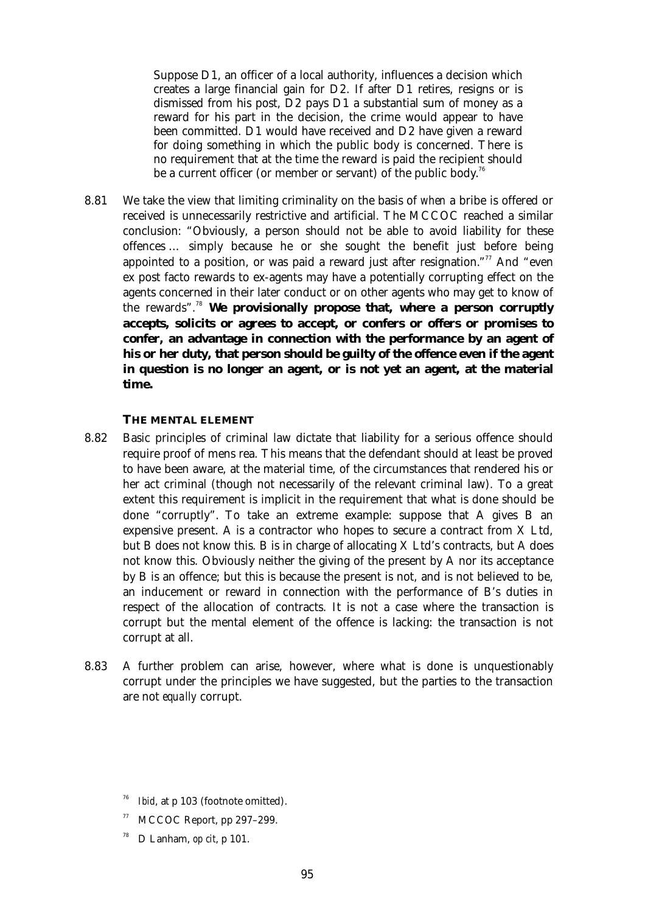Suppose D1, an officer of a local authority, influences a decision which creates a large financial gain for D2. If after D1 retires, resigns or is dismissed from his post, D2 pays D1 a substantial sum of money as a reward for his part in the decision, the crime would appear to have been committed. D1 would have received and D2 have given a reward for doing something in which the public body is concerned. There is no requirement that at the time the reward is paid the recipient should be a current officer (or member or servant) of the public body.<sup>76</sup>

 8.81 We take the view that limiting criminality on the basis of *when* a bribe is offered or received is unnecessarily restrictive and artificial. The MCCOC reached a similar conclusion: "Obviously, a person should not be able to avoid liability for these offences … simply because he or she sought the benefit just before being appointed to a position, or was paid a reward just after resignation."<sup>77</sup> And "even ex post facto rewards to ex-agents may have a potentially corrupting effect on the agents concerned in their later conduct or on other agents who may get to know of the rewards". <sup>78</sup> **We provisionally propose that, where a person corruptly accepts, solicits or agrees to accept, or confers or offers or promises to confer, an advantage in connection with the performance by an agent of his or her duty, that person should be guilty of the offence even if the agent in question is no longer an agent, or is not yet an agent, at the material time.**

#### **THE MENTAL ELEMENT**

- 8.82 Basic principles of criminal law dictate that liability for a serious offence should require proof of mens rea. This means that the defendant should at least be proved to have been aware, at the material time, of the circumstances that rendered his or her act criminal (though not necessarily of the relevant criminal law). To a great extent this requirement is implicit in the requirement that what is done should be done "corruptly". To take an extreme example: suppose that A gives B an expensive present. A is a contractor who hopes to secure a contract from X Ltd, but B does not know this. B is in charge of allocating X Ltd's contracts, but A does not know this. Obviously neither the giving of the present by A nor its acceptance by B is an offence; but this is because the present is not, and is not believed to be, an inducement or reward in connection with the performance of B's duties in respect of the allocation of contracts. It is not a case where the transaction is corrupt but the mental element of the offence is lacking: the transaction is not corrupt at all.
- 8.83 A further problem can arise, however, where what is done is unquestionably corrupt under the principles we have suggested, but the parties to the transaction are not *equally* corrupt.
	- *Ibid*, at p 103 (footnote omitted).
	- $77$  MCCOC Report, pp 297–299.
	- <sup>78</sup> D Lanham, *op cit*, p 101.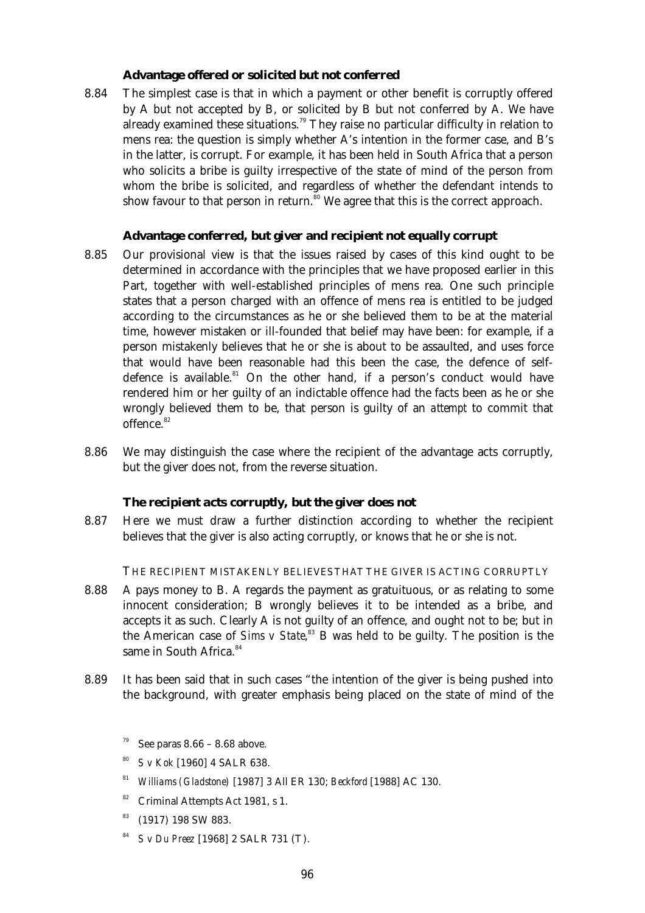#### **Advantage offered or solicited but not conferred**

 8.84 The simplest case is that in which a payment or other benefit is corruptly offered by A but not accepted by B, or solicited by B but not conferred by A. We have already examined these situations.<sup>79</sup> They raise no particular difficulty in relation to mens rea: the question is simply whether A's intention in the former case, and B's in the latter, is corrupt. For example, it has been held in South Africa that a person who solicits a bribe is guilty irrespective of the state of mind of the person from whom the bribe is solicited, and regardless of whether the defendant intends to show favour to that person in return.<sup>80</sup> We agree that this is the correct approach.

## **Advantage conferred, but giver and recipient not equally corrupt**

- 8.85 Our provisional view is that the issues raised by cases of this kind ought to be determined in accordance with the principles that we have proposed earlier in this Part, together with well-established principles of mens rea. One such principle states that a person charged with an offence of mens rea is entitled to be judged according to the circumstances as he or she believed them to be at the material time, however mistaken or ill-founded that belief may have been: for example, if a person mistakenly believes that he or she is about to be assaulted, and uses force that would have been reasonable had this been the case, the defence of selfdefence is available.<sup>81</sup> On the other hand, if a person's conduct would have rendered him or her guilty of an indictable offence had the facts been as he or she wrongly believed them to be, that person is guilty of an *attempt* to commit that offence.<sup>82</sup>
- 8.86 We may distinguish the case where the recipient of the advantage acts corruptly, but the giver does not, from the reverse situation.

#### *The recipient acts corruptly, but the giver does not*

 8.87 Here we must draw a further distinction according to whether the recipient believes that the giver is also acting corruptly, or knows that he or she is not.

THE RECIPIENT MISTAKENLY BELIEVES THAT THE GIVER IS ACTING CORRUPTLY

- 8.88 A pays money to B. A regards the payment as gratuituous, or as relating to some innocent consideration; B wrongly believes it to be intended as a bribe, and accepts it as such. Clearly A is not guilty of an offence, and ought not to be; but in the American case of *Sims v State*, <sup>83</sup> B was held to be guilty. The position is the same in South Africa.<sup>84</sup>
- 8.89 It has been said that in such cases "the intention of the giver is being pushed into the background, with greater emphasis being placed on the state of mind of the
	- <sup>79</sup> See paras  $8.66 8.68$  above.
	- <sup>80</sup> *S v Kok* [1960] 4 SALR 638.
	- <sup>81</sup> *Williams (Gladstone)* [1987] 3 All ER 130; *Beckford* [1988] AC 130.
	- <sup>82</sup> Criminal Attempts Act 1981, s 1.
	- <sup>83</sup> (1917) 198 SW 883.
	- <sup>84</sup> *S v Du Preez* [1968] 2 SALR 731 (T).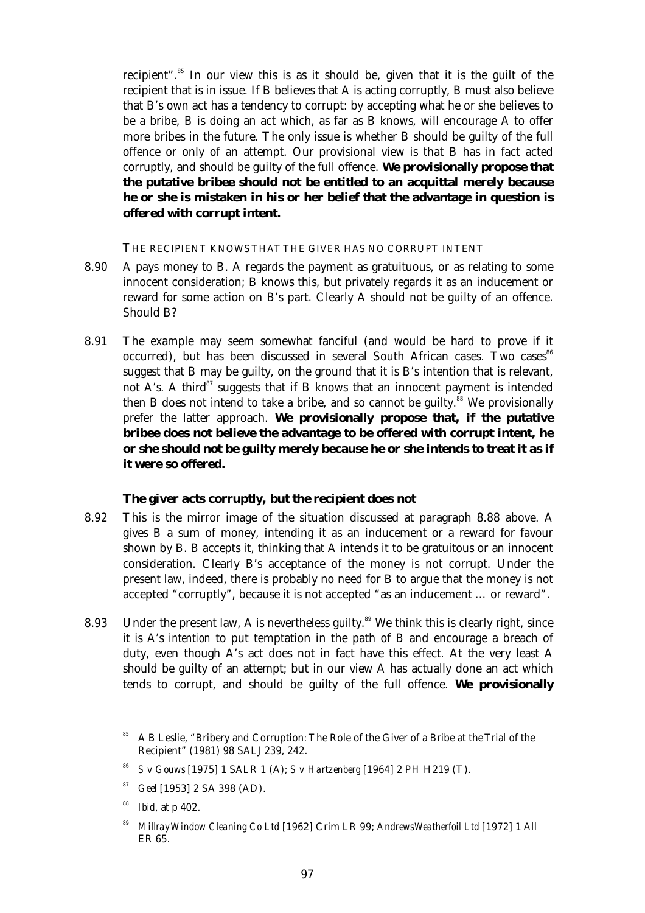recipient". <sup>85</sup> In our view this is as it should be, given that it is the guilt of the recipient that is in issue. If B believes that A is acting corruptly, B must also believe that B's own act has a tendency to corrupt: by accepting what he or she believes to be a bribe, B is doing an act which, as far as B knows, will encourage A to offer more bribes in the future. The only issue is whether B should be guilty of the full offence or only of an attempt. Our provisional view is that B has in fact acted corruptly, and should be guilty of the full offence. **We provisionally propose that the putative bribee should not be entitled to an acquittal merely because he or she is mistaken in his or her belief that the advantage in question is offered with corrupt intent.**

THE RECIPIENT KNOWS THAT THE GIVER HAS NO CORRUPT INTENT

- 8.90 A pays money to B. A regards the payment as gratuituous, or as relating to some innocent consideration; B knows this, but privately regards it as an inducement or reward for some action on B's part. Clearly A should not be guilty of an offence. Should B?
- 8.91 The example may seem somewhat fanciful (and would be hard to prove if it occurred), but has been discussed in several South African cases. Two cases<sup>86</sup> suggest that B may be guilty, on the ground that it is B's intention that is relevant, not A's. A third<sup>87</sup> suggests that if B knows that an innocent payment is intended then B does not intend to take a bribe, and so cannot be guilty.<sup>88</sup> We provisionally prefer the latter approach. **We provisionally propose that, if the putative bribee does not believe the advantage to be offered with corrupt intent, he or she should not be guilty merely because he or she intends to treat it as if it were so offered.**

#### *The giver acts corruptly, but the recipient does not*

- 8.92 This is the mirror image of the situation discussed at paragraph 8.88 above. A gives B a sum of money, intending it as an inducement or a reward for favour shown by B. B accepts it, thinking that A intends it to be gratuitous or an innocent consideration. Clearly B's acceptance of the money is not corrupt. Under the present law, indeed, there is probably no need for B to argue that the money is not accepted "corruptly", because it is not accepted "as an inducement … or reward".
- 8.93 Under the present law, A is nevertheless guilty.<sup>89</sup> We think this is clearly right, since it is A's *intention* to put temptation in the path of B and encourage a breach of duty, even though A's act does not in fact have this effect. At the very least A should be guilty of an attempt; but in our view A has actually done an act which tends to corrupt, and should be guilty of the full offence. **We provisionally**

- <sup>86</sup> *S v Gouws* [1975] 1 SALR 1 (A); *S v Hartzenberg* [1964] 2 PH H219 (T).
- <sup>87</sup> *Geel* [1953] 2 SA 398 (AD).
- <sup>88</sup> *Ibid*, at p 402.
- <sup>89</sup> *Millray Window Cleaning Co Ltd* [1962] Crim LR 99; *Andrews Weatherfoil Ltd* [1972] 1 All ER 65.

 $85$  A B Leslie, "Bribery and Corruption: The Role of the Giver of a Bribe at the Trial of the Recipient" (1981) 98 SALJ 239, 242.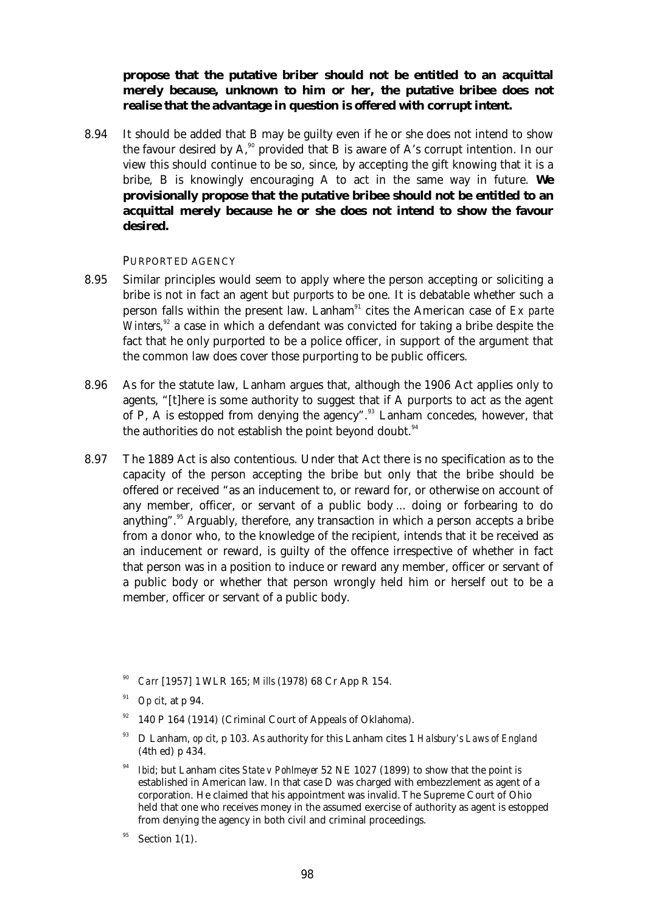**propose that the putative briber should not be entitled to an acquittal merely because, unknown to him or her, the putative bribee does not realise that the advantage in question is offered with corrupt intent.**

 8.94 It should be added that B may be guilty even if he or she does not intend to show the favour desired by  $A<sup>90</sup>$  provided that B is aware of A's corrupt intention. In our view this should continue to be so, since, by accepting the gift knowing that it is a bribe, B is knowingly encouraging A to act in the same way in future. **We provisionally propose that the putative bribee should not be entitled to an acquittal merely because he or she does not intend to show the favour desired.**

## PURPORTED AGENCY

- 8.95 Similar principles would seem to apply where the person accepting or soliciting a bribe is not in fact an agent but *purports* to be one. It is debatable whether such a person falls within the present law. Lanham<sup>91</sup> cites the American case of *Ex parte Winters*,<sup>92</sup> a case in which a defendant was convicted for taking a bribe despite the fact that he only purported to be a police officer, in support of the argument that the common law does cover those purporting to be public officers.
- 8.96 As for the statute law, Lanham argues that, although the 1906 Act applies only to agents, "[t]here is some authority to suggest that if A purports to act as the agent of P, A is estopped from denying the agency".<sup>33</sup> Lanham concedes, however, that the authorities do not establish the point beyond doubt.<sup>94</sup>
- 8.97 The 1889 Act is also contentious. Under that Act there is no specification as to the capacity of the person accepting the bribe but only that the bribe should be offered or received "as an inducement to, or reward for, or otherwise on account of any member, officer, or servant of a public body ... doing or forbearing to do anything".<sup>95</sup> Arguably, therefore, any transaction in which a person accepts a bribe from a donor who, to the knowledge of the recipient, intends that it be received as an inducement or reward, is guilty of the offence irrespective of whether in fact that person was in a position to induce or reward any member, officer or servant of a public body or whether that person wrongly held him or herself out to be a member, officer or servant of a public body.

- $92$  140 P 164 (1914) (Criminal Court of Appeals of Oklahoma).
- <sup>93</sup> D Lanham, *op cit*, p 103. As authority for this Lanham cites 1 *Halsbury's Laws of England* (4th ed) p 434.
- <sup>94</sup> *Ibid*; but Lanham cites *State v Pohlmeyer* 52 NE 1027 (1899) to show that the point *is* established in American law. In that case D was charged with embezzlement as agent of a corporation. He claimed that his appointment was invalid. The Supreme Court of Ohio held that one who receives money in the assumed exercise of authority as agent is estopped from denying the agency in both civil and criminal proceedings.
- $95$  Section 1(1).

<sup>90</sup> *Carr* [1957] 1 WLR 165; *Mills* (1978) 68 Cr App R 154.

<sup>91</sup> *Op cit*, at p 94.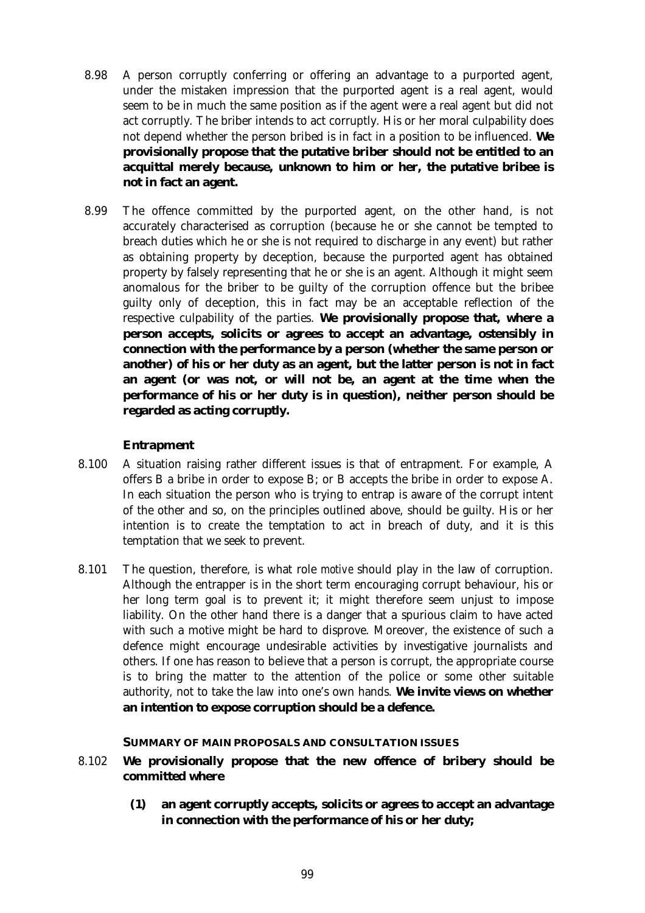- 8.98 A person corruptly conferring or offering an advantage to a purported agent, under the mistaken impression that the purported agent is a real agent, would seem to be in much the same position as if the agent were a real agent but did not act corruptly. The briber intends to act corruptly. His or her moral culpability does not depend whether the person bribed is in fact in a position to be influenced. **We provisionally propose that the putative briber should not be entitled to an acquittal merely because, unknown to him or her, the putative bribee is not in fact an agent.**
- 8.99 The offence committed by the purported agent, on the other hand, is not accurately characterised as corruption (because he or she cannot be tempted to breach duties which he or she is not required to discharge in any event) but rather as obtaining property by deception, because the purported agent has obtained property by falsely representing that he or she is an agent. Although it might seem anomalous for the briber to be guilty of the corruption offence but the bribee guilty only of deception, this in fact may be an acceptable reflection of the respective culpability of the parties. **We provisionally propose that, where a person accepts, solicits or agrees to accept an advantage, ostensibly in connection with the performance by a person (whether the same person or another) of his or her duty as an agent, but the latter person is not in fact an agent (or was not, or will not be, an agent at the time when the performance of his or her duty is in question), neither person should be regarded as acting corruptly.**

## *Entrapment*

- 8.100 A situation raising rather different issues is that of entrapment. For example, A offers B a bribe in order to expose B; or B accepts the bribe in order to expose A. In each situation the person who is trying to entrap is aware of the corrupt intent of the other and so, on the principles outlined above, should be guilty. His or her intention is to create the temptation to act in breach of duty, and it is this temptation that we seek to prevent.
- 8.101 The question, therefore, is what role *motive* should play in the law of corruption. Although the entrapper is in the short term encouraging corrupt behaviour, his or her long term goal is to prevent it; it might therefore seem unjust to impose liability. On the other hand there is a danger that a spurious claim to have acted with such a motive might be hard to disprove. Moreover, the existence of such a defence might encourage undesirable activities by investigative journalists and others. If one has reason to believe that a person is corrupt, the appropriate course is to bring the matter to the attention of the police or some other suitable authority, not to take the law into one's own hands. **We invite views on whether an intention to expose corruption should be a defence.**

#### **SUMMARY OF MAIN PROPOSALS AND CONSULTATION ISSUES**

- 8.102 **We provisionally propose that the new offence of bribery should be committed where**
	- **(1) an agent corruptly accepts, solicits or agrees to accept an advantage in connection with the performance of his or her duty;**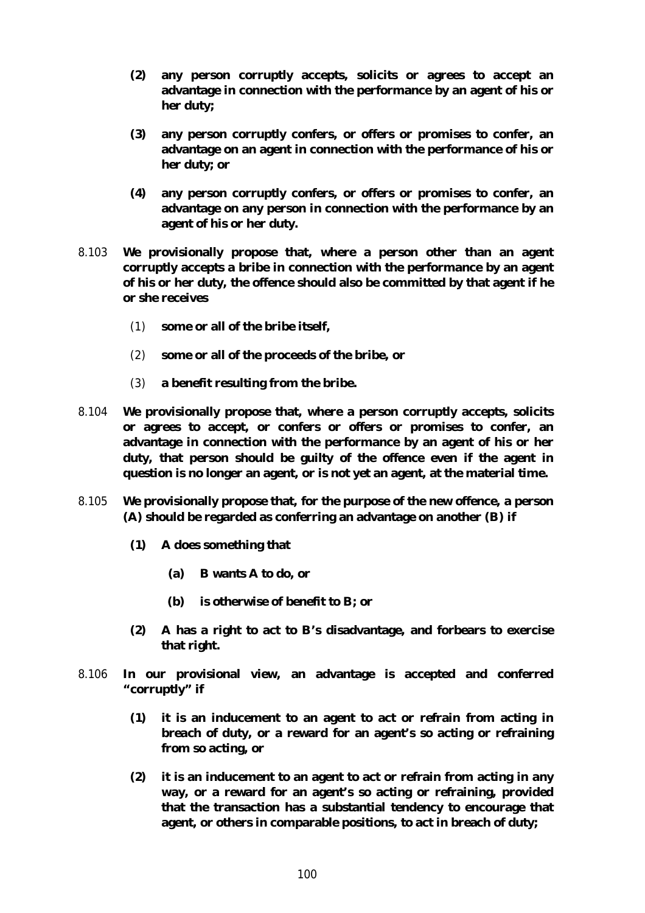- **(2) any person corruptly accepts, solicits or agrees to accept an advantage in connection with the performance by an agent of his or her duty;**
- **(3) any person corruptly confers, or offers or promises to confer, an advantage on an agent in connection with the performance of his or her duty; or**
- **(4) any person corruptly confers, or offers or promises to confer, an advantage on any person in connection with the performance by an agent of his or her duty.**
- 8.103 **We provisionally propose that, where a person other than an agent corruptly accepts a bribe in connection with the performance by an agent of his or her duty, the offence should also be committed by that agent if he or she receives**
	- (1) **some or all of the bribe itself,**
	- (2) **some or all of the proceeds of the bribe, or**
	- (3) **a benefit resulting from the bribe.**
- 8.104 **We provisionally propose that, where a person corruptly accepts, solicits or agrees to accept, or confers or offers or promises to confer, an advantage in connection with the performance by an agent of his or her duty, that person should be guilty of the offence even if the agent in question is no longer an agent, or is not yet an agent, at the material time.**
- 8.105 **We provisionally propose that, for the purpose of the new offence, a person (A) should be regarded as conferring an advantage on another (B) if**
	- **(1) A does something that**
		- **(a) B wants A to do, or**
		- **(b) is otherwise of benefit to B; or**
	- **(2) A has a right to act to B's disadvantage, and forbears to exercise that right.**
- 8.106 **In our provisional view, an advantage is accepted and conferred "corruptly" if**
	- **(1) it is an inducement to an agent to act or refrain from acting** *in breach of duty***, or a reward for an agent's so acting or refraining from so acting,** *or*
	- **(2) it is an inducement to an agent to act or refrain from acting** *in any way***, or a reward for an agent's so acting or refraining,** *provided* **that the transaction has a substantial tendency to encourage that agent, or others in comparable positions, to act in breach of duty;**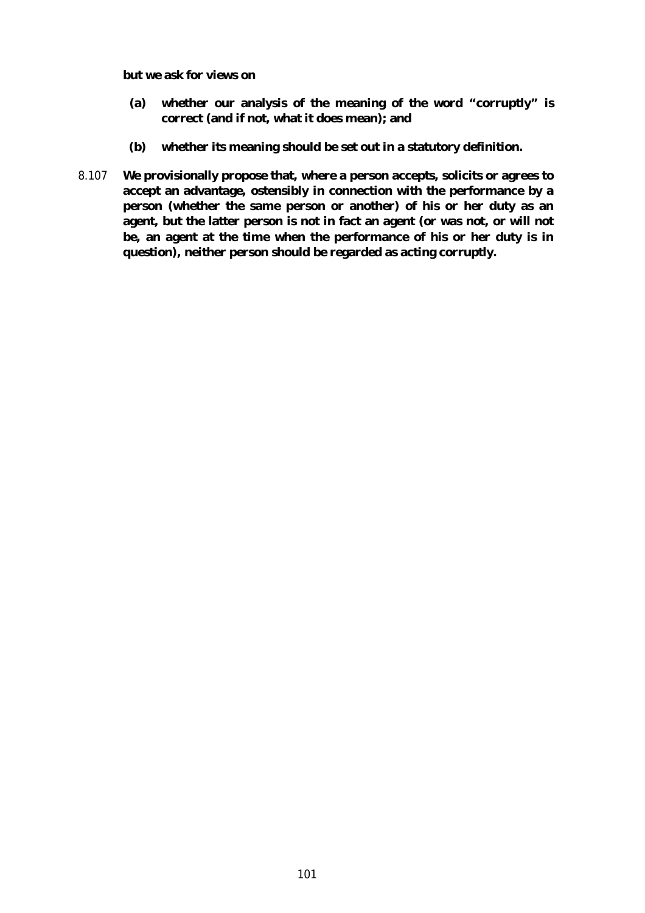**but we ask for views on**

- **(a) whether our analysis of the meaning of the word "corruptly" is correct (and if not, what it does mean); and**
- **(b) whether its meaning should be set out in a statutory definition.**
- 8.107 **We provisionally propose that, where a person accepts, solicits or agrees to accept an advantage, ostensibly in connection with the performance by a person (whether the same person or another) of his or her duty as an agent, but the latter person is not in fact an agent (or was not, or will not be, an agent at the time when the performance of his or her duty is in question), neither person should be regarded as acting corruptly.**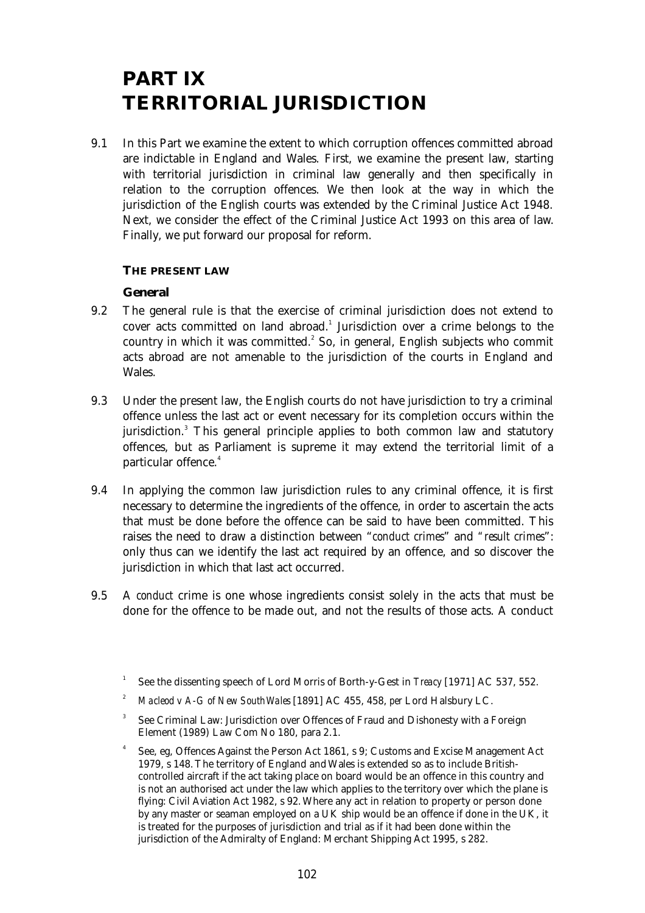# **PART IX TERRITORIAL JURISDICTION**

 9.1 In this Part we examine the extent to which corruption offences committed abroad are indictable in England and Wales. First, we examine the present law, starting with territorial jurisdiction in criminal law generally and then specifically in relation to the corruption offences. We then look at the way in which the jurisdiction of the English courts was extended by the Criminal Justice Act 1948. Next, we consider the effect of the Criminal Justice Act 1993 on this area of law. Finally, we put forward our proposal for reform.

### **THE PRESENT LAW**

### **General**

- 9.2 The general rule is that the exercise of criminal jurisdiction does not extend to cover acts committed on land abroad.<sup>1</sup> Jurisdiction over a crime belongs to the country in which it was committed. $2$  So, in general, English subjects who commit acts abroad are not amenable to the jurisdiction of the courts in England and Wales.
- 9.3 Under the present law, the English courts do not have jurisdiction to try a criminal offence unless the last act or event necessary for its completion occurs within the jurisdiction.<sup>3</sup> This general principle applies to both common law and statutory offences, but as Parliament is supreme it may extend the territorial limit of a particular offence.<sup>4</sup>
- 9.4 In applying the common law jurisdiction rules to any criminal offence, it is first necessary to determine the ingredients of the offence, in order to ascertain the acts that must be done before the offence can be said to have been committed. This raises the need to draw a distinction between "*conduct crimes*" and *"result crimes*": only thus can we identify the last act required by an offence, and so discover the jurisdiction in which that last act occurred.
- 9.5 A *conduct* crime is one whose ingredients consist solely in the acts that must be done for the offence to be made out, and not the results of those acts. A conduct

- <sup>2</sup> *Macleod v A-G of New South Wales* [1891] AC 455, 458, *per* Lord Halsbury LC.
- 3 See Criminal Law: Jurisdiction over Offences of Fraud and Dishonesty with a Foreign Element (1989) Law Com No 180, para 2.1.
- 4 See, eg, Offences Against the Person Act 1861, s 9; Customs and Excise Management Act 1979, s 148. The territory of England and Wales is extended so as to include Britishcontrolled aircraft if the act taking place on board would be an offence in this country and is not an authorised act under the law which applies to the territory over which the plane is flying: Civil Aviation Act 1982, s 92. Where any act in relation to property or person done by any master or seaman employed on a UK ship would be an offence if done in the UK, it is treated for the purposes of jurisdiction and trial as if it had been done within the jurisdiction of the Admiralty of England: Merchant Shipping Act 1995, s 282.

<sup>1</sup> See the dissenting speech of Lord Morris of Borth-y-Gest in *Treacy* [1971] AC 537, 552.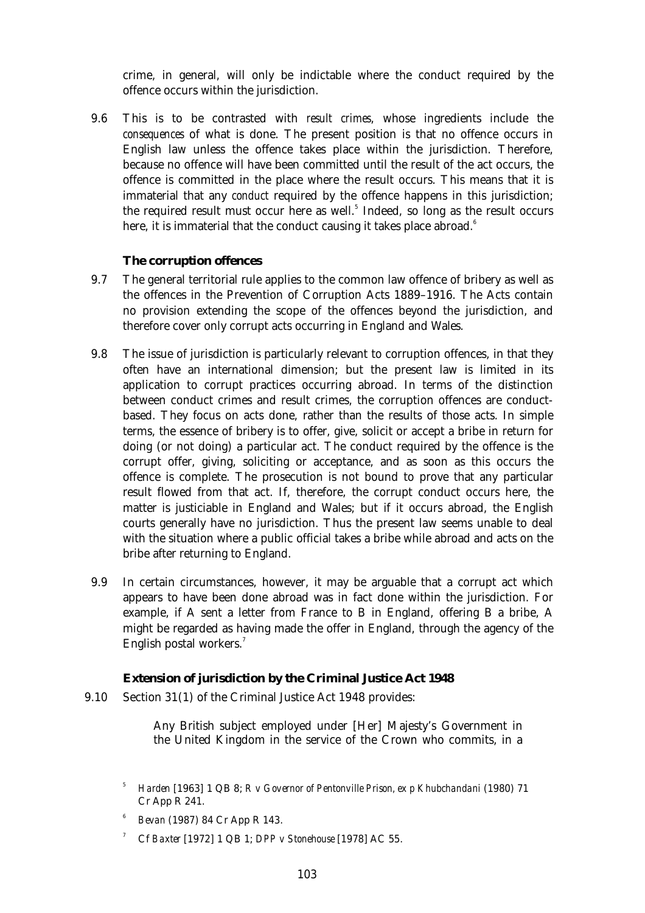crime, in general, will only be indictable where the conduct required by the offence occurs within the jurisdiction.

 9.6 This is to be contrasted with *result crimes*, whose ingredients include the *consequences* of what is done. The present position is that no offence occurs in English law unless the offence takes place within the jurisdiction. Therefore, because no offence will have been committed until the result of the act occurs, the offence is committed in the place where the result occurs. This means that it is immaterial that any *conduct* required by the offence happens in this jurisdiction; the required result must occur here as well.<sup>5</sup> Indeed, so long as the result occurs here, it is immaterial that the conduct causing it takes place abroad.<sup>6</sup>

# **The corruption offences**

- 9.7 The general territorial rule applies to the common law offence of bribery as well as the offences in the Prevention of Corruption Acts 1889–1916. The Acts contain no provision extending the scope of the offences beyond the jurisdiction, and therefore cover only corrupt acts occurring in England and Wales.
- 9.8 The issue of jurisdiction is particularly relevant to corruption offences, in that they often have an international dimension; but the present law is limited in its application to corrupt practices occurring abroad. In terms of the distinction between conduct crimes and result crimes, the corruption offences are conductbased. They focus on acts done, rather than the results of those acts. In simple terms, the essence of bribery is to offer, give, solicit or accept a bribe in return for doing (or not doing) a particular act. The conduct required by the offence is the corrupt offer, giving, soliciting or acceptance, and as soon as this occurs the offence is complete. The prosecution is not bound to prove that any particular result flowed from that act. If, therefore, the corrupt conduct occurs here, the matter is justiciable in England and Wales; but if it occurs abroad, the English courts generally have no jurisdiction. Thus the present law seems unable to deal with the situation where a public official takes a bribe while abroad and acts on the bribe after returning to England.
- 9.9 In certain circumstances, however, it may be arguable that a corrupt act which appears to have been done abroad was in fact done within the jurisdiction. For example, if A sent a letter from France to B in England, offering B a bribe, A might be regarded as having made the offer in England, through the agency of the English postal workers.<sup>7</sup>

#### **Extension of jurisdiction by the Criminal Justice Act 1948**

9.10 Section 31(1) of the Criminal Justice Act 1948 provides:

Any British subject employed under [Her] Majesty's Government in the United Kingdom in the service of the Crown who commits, in a

- <sup>5</sup> *Harden* [1963] 1 QB 8; *R v Governor of Pentonville Prison, ex p Khubchandani* (1980) 71 Cr App R 241.
- <sup>6</sup> *Bevan* (1987) 84 Cr App R 143.
- <sup>7</sup> Cf *Baxter* [1972] 1 QB 1; *DPP v Stonehouse* [1978] AC 55.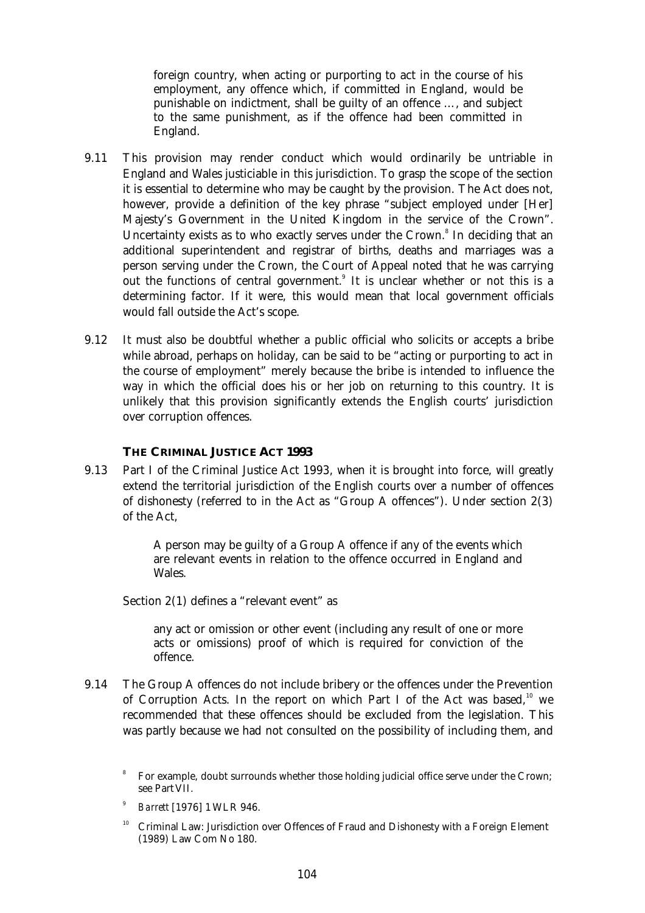foreign country, when acting or purporting to act in the course of his employment, any offence which, if committed in England, would be punishable on indictment, shall be guilty of an offence …, and subject to the same punishment, as if the offence had been committed in England.

- 9.11 This provision may render conduct which would ordinarily be untriable in England and Wales justiciable in this jurisdiction. To grasp the scope of the section it is essential to determine who may be caught by the provision. The Act does not, however, provide a definition of the key phrase "subject employed under [Her] Majesty's Government in the United Kingdom in the service of the Crown". Uncertainty exists as to who exactly serves under the Crown.<sup>8</sup> In deciding that an additional superintendent and registrar of births, deaths and marriages was a person serving under the Crown, the Court of Appeal noted that he was carrying out the functions of central government.<sup>9</sup> It is unclear whether or not this is a determining factor. If it were, this would mean that local government officials would fall outside the Act's scope.
- 9.12 It must also be doubtful whether a public official who solicits or accepts a bribe while abroad, perhaps on holiday, can be said to be "acting or purporting to act in the course of employment" merely because the bribe is intended to influence the way in which the official does his or her job on returning to this country. It is unlikely that this provision significantly extends the English courts' jurisdiction over corruption offences.

# **THE CRIMINAL JUSTICE ACT 1993**

 9.13 Part I of the Criminal Justice Act 1993, when it is brought into force, will greatly extend the territorial jurisdiction of the English courts over a number of offences of dishonesty (referred to in the Act as "Group A offences"). Under section 2(3) of the Act,

> A person may be guilty of a Group A offence if any of the events which are relevant events in relation to the offence occurred in England and Wales.

Section 2(1) defines a "relevant event" as

any act or omission or other event (including any result of one or more acts or omissions) proof of which is required for conviction of the offence.

 9.14 The Group A offences do not include bribery or the offences under the Prevention of Corruption Acts. In the report on which Part I of the Act was based,<sup>10</sup> we recommended that these offences should be excluded from the legislation. This was partly because we had not consulted on the possibility of including them, and

- <sup>9</sup> *Barrett* [1976] 1 WLR 946.
- <sup>10</sup> Criminal Law: Jurisdiction over Offences of Fraud and Dishonesty with a Foreign Element (1989) Law Com No 180.

<sup>8</sup> For example, doubt surrounds whether those holding judicial office serve under the Crown; see Part VII.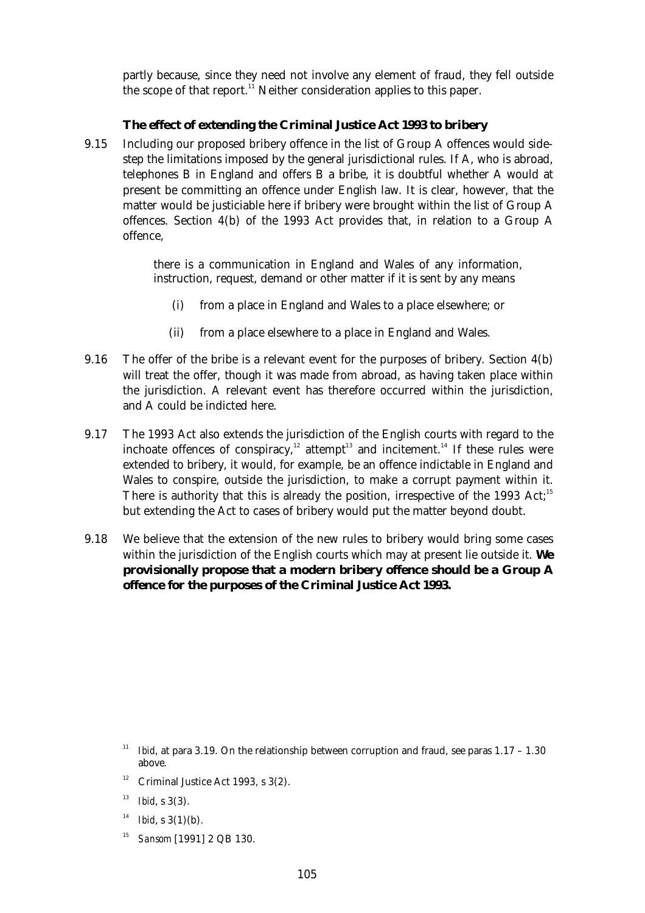partly because, since they need not involve any element of fraud, they fell outside the scope of that report.<sup>11</sup> Neither consideration applies to this paper.

# **The effect of extending the Criminal Justice Act 1993 to bribery**

 9.15 Including our proposed bribery offence in the list of Group A offences would sidestep the limitations imposed by the general jurisdictional rules. If A, who is abroad, telephones B in England and offers B a bribe, it is doubtful whether A would at present be committing an offence under English law. It is clear, however, that the matter would be justiciable here if bribery were brought within the list of Group A offences. Section 4(b) of the 1993 Act provides that, in relation to a Group A offence,

> there is a communication in England and Wales of any information, instruction, request, demand or other matter if it is sent by any means

- (i) from a place in England and Wales to a place elsewhere; or
- (ii) from a place elsewhere to a place in England and Wales.
- 9.16 The offer of the bribe is a relevant event for the purposes of bribery. Section 4(b) will treat the offer, though it was made from abroad, as having taken place within the jurisdiction. A relevant event has therefore occurred within the jurisdiction, and A could be indicted here.
- 9.17 The 1993 Act also extends the jurisdiction of the English courts with regard to the inchoate offences of conspiracy, $12$  attempt<sup>13</sup> and incitement.<sup>14</sup> If these rules were extended to bribery, it would, for example, be an offence indictable in England and Wales to conspire, outside the jurisdiction, to make a corrupt payment within it. There is authority that this is already the position, irrespective of the 1993 Act;<sup>15</sup> but extending the Act to cases of bribery would put the matter beyond doubt.
- 9.18 We believe that the extension of the new rules to bribery would bring some cases within the jurisdiction of the English courts which may at present lie outside it. **We provisionally propose that a modern bribery offence should be a Group A offence for the purposes of the Criminal Justice Act 1993.**

<sup>12</sup> Criminal Justice Act 1993, s  $3(2)$ .

<sup>13</sup> *Ibid*, s 3(3).

- <sup>14</sup> *Ibid*, s 3(1)(b).
- <sup>15</sup> *Sansom* [1991] 2 QB 130.

*Ibid*, at para 3.19. On the relationship between corruption and fraud, see paras 1.17 - 1.30 above.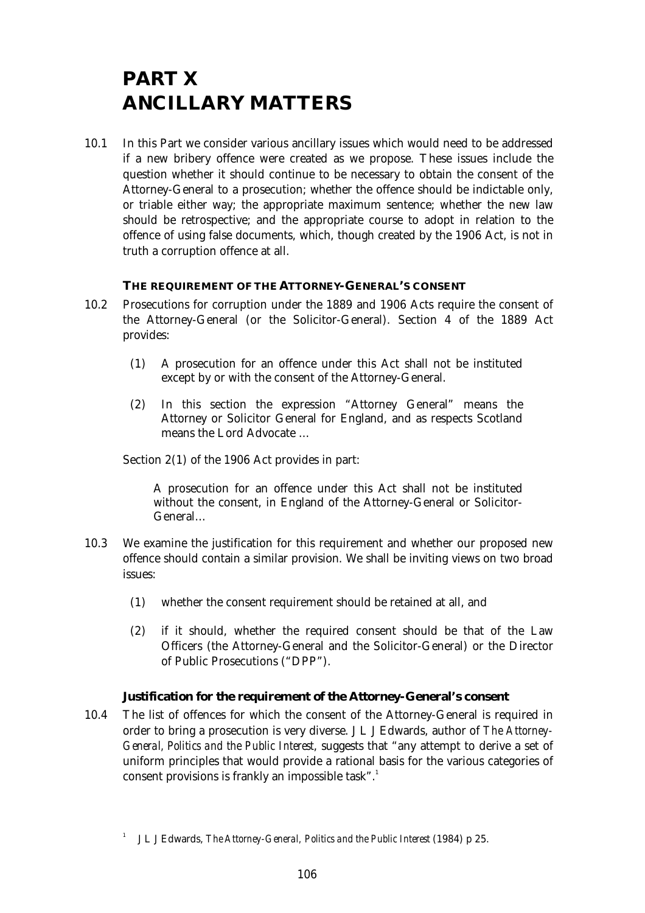# **PART X ANCILLARY MATTERS**

 10.1 In this Part we consider various ancillary issues which would need to be addressed if a new bribery offence were created as we propose. These issues include the question whether it should continue to be necessary to obtain the consent of the Attorney-General to a prosecution; whether the offence should be indictable only, or triable either way; the appropriate maximum sentence; whether the new law should be retrospective; and the appropriate course to adopt in relation to the offence of using false documents, which, though created by the 1906 Act, is not in truth a corruption offence at all.

### **THE REQUIREMENT OF THE ATTORNEY-GENERAL'S CONSENT**

- 10.2 Prosecutions for corruption under the 1889 and 1906 Acts require the consent of the Attorney-General (or the Solicitor-General). Section 4 of the 1889 Act provides:
	- (1) A prosecution for an offence under this Act shall not be instituted except by or with the consent of the Attorney-General.
	- (2) In this section the expression "Attorney General" means the Attorney or Solicitor General for England, and as respects Scotland means the Lord Advocate …

Section 2(1) of the 1906 Act provides in part:

A prosecution for an offence under this Act shall not be instituted without the consent, in England of the Attorney-General or Solicitor-General…

- 10.3 We examine the justification for this requirement and whether our proposed new offence should contain a similar provision. We shall be inviting views on two broad issues:
	- (1) whether the consent requirement should be retained at all, and
	- (2) if it should, whether the required consent should be that of the Law Officers (the Attorney-General and the Solicitor-General) or the Director of Public Prosecutions ("DPP").

# **Justification for the requirement of the Attorney-General's consent**

 10.4 The list of offences for which the consent of the Attorney-General is required in order to bring a prosecution is very diverse. J L J Edwards, author of *The Attorney-General, Politics and the Public Interest*, suggests that "any attempt to derive a set of uniform principles that would provide a rational basis for the various categories of consent provisions is frankly an impossible task". 1

<sup>1</sup> J L J Edwards, *The Attorney-General, Politics and the Public Interest* (1984) p 25.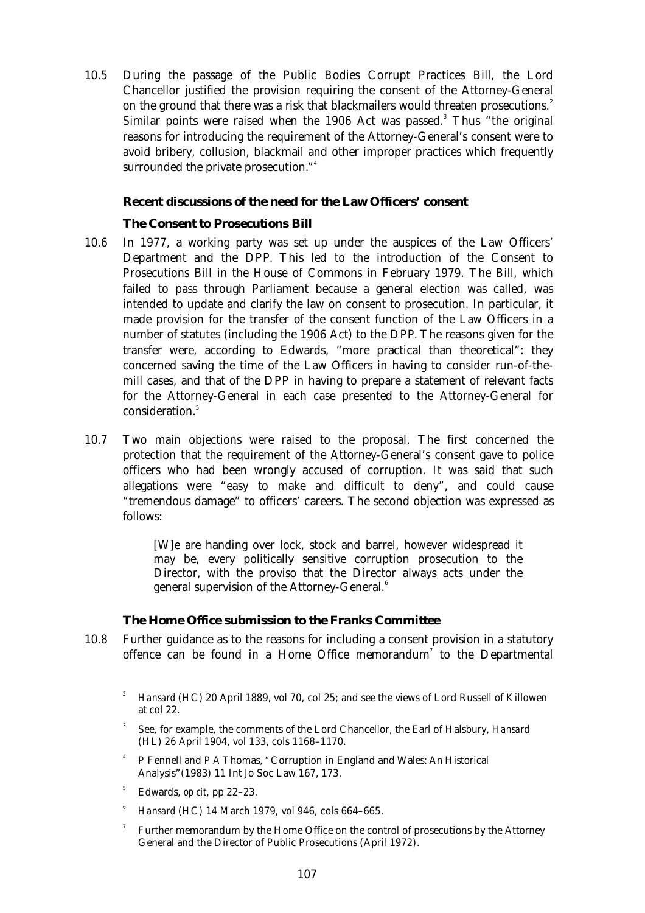10.5 During the passage of the Public Bodies Corrupt Practices Bill, the Lord Chancellor justified the provision requiring the consent of the Attorney-General on the ground that there was a risk that blackmailers would threaten prosecutions.<sup>2</sup> Similar points were raised when the 1906 Act was passed.<sup>3</sup> Thus "the original reasons for introducing the requirement of the Attorney-General's consent were to avoid bribery, collusion, blackmail and other improper practices which frequently surrounded the private prosecution." 4

# **Recent discussions of the need for the Law Officers' consent**

#### *The Consent to Prosecutions Bill*

- 10.6 In 1977, a working party was set up under the auspices of the Law Officers' Department and the DPP. This led to the introduction of the Consent to Prosecutions Bill in the House of Commons in February 1979. The Bill, which failed to pass through Parliament because a general election was called, was intended to update and clarify the law on consent to prosecution. In particular, it made provision for the transfer of the consent function of the Law Officers in a number of statutes (including the 1906 Act) to the DPP. The reasons given for the transfer were, according to Edwards, "more practical than theoretical": they concerned saving the time of the Law Officers in having to consider run-of-themill cases, and that of the DPP in having to prepare a statement of relevant facts for the Attorney-General in each case presented to the Attorney-General for consideration.<sup>5</sup>
- 10.7 Two main objections were raised to the proposal. The first concerned the protection that the requirement of the Attorney-General's consent gave to police officers who had been wrongly accused of corruption. It was said that such allegations were "easy to make and difficult to deny", and could cause "tremendous damage" to officers' careers. The second objection was expressed as follows:

[W]e are handing over lock, stock and barrel, however widespread it may be, every politically sensitive corruption prosecution to the Director, with the proviso that the Director always acts under the general supervision of the Attorney-General.<sup>6</sup>

#### *The Home Office submission to the Franks Committee*

- 10.8 Further guidance as to the reasons for including a consent provision in a statutory offence can be found in a Home Office memorandum<sup>7</sup> to the Departmental
	- <sup>2</sup> *Hansard* (HC) 20 April 1889, vol 70, col 25; and see the views of Lord Russell of Killowen at col 22.
	- 3 See, for example, the comments of the Lord Chancellor, the Earl of Halsbury, *Hansard* (HL) 26 April 1904, vol 133, cols 1168–1170.
	- 4 P Fennell and P A Thomas, *"*Corruption in England and Wales: An Historical Analysis"(1983) 11 Int Jo Soc Law 167, 173.
	- <sup>5</sup> Edwards, *op cit*, pp 22–23.
	- <sup>6</sup> *Hansard* (HC) 14 March 1979, vol 946, cols 664–665.
	- 7 Further memorandum by the Home Office on the control of prosecutions by the Attorney General and the Director of Public Prosecutions (April 1972).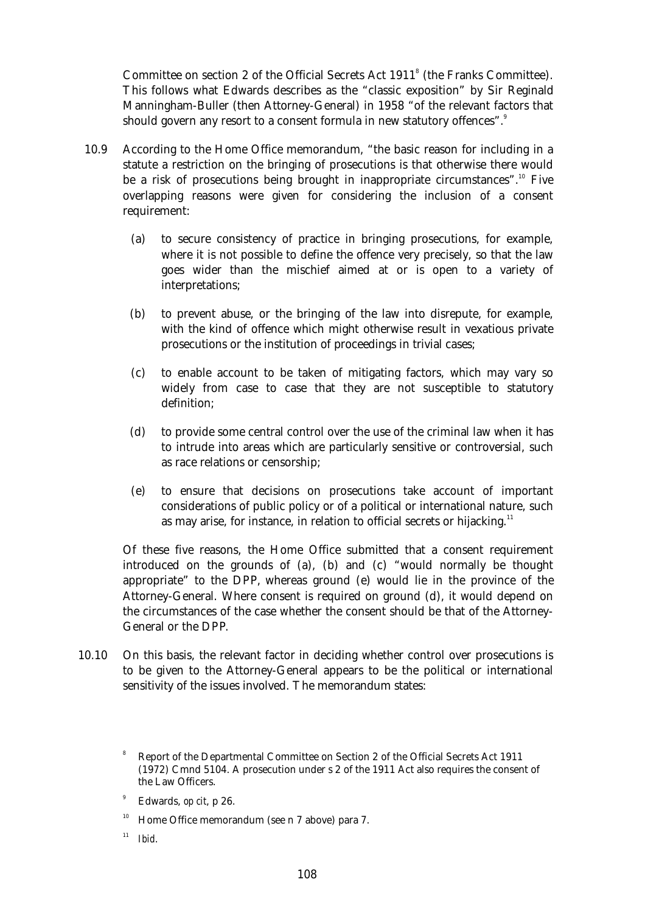Committee on section 2 of the Official Secrets Act 1911<sup>8</sup> (the Franks Committee). This follows what Edwards describes as the "classic exposition" by Sir Reginald Manningham-Buller (then Attorney-General) in 1958 "of the relevant factors that should govern any resort to a consent formula in new statutory offences".  $^{\circ}$ 

- 10.9 According to the Home Office memorandum, "the basic reason for including in a statute a restriction on the bringing of prosecutions is that otherwise there would be a risk of prosecutions being brought in inappropriate circumstances".<sup>10</sup> Five overlapping reasons were given for considering the inclusion of a consent requirement:
	- (a) to secure consistency of practice in bringing prosecutions, for example, where it is not possible to define the offence very precisely, so that the law goes wider than the mischief aimed at or is open to a variety of interpretations;
	- (b) to prevent abuse, or the bringing of the law into disrepute, for example, with the kind of offence which might otherwise result in vexatious private prosecutions or the institution of proceedings in trivial cases;
	- (c) to enable account to be taken of mitigating factors, which may vary so widely from case to case that they are not susceptible to statutory definition;
	- (d) to provide some central control over the use of the criminal law when it has to intrude into areas which are particularly sensitive or controversial, such as race relations or censorship;
	- (e) to ensure that decisions on prosecutions take account of important considerations of public policy or of a political or international nature, such as may arise, for instance, in relation to official secrets or hijacking.<sup>11</sup>

Of these five reasons, the Home Office submitted that a consent requirement introduced on the grounds of (a), (b) and (c) "would normally be thought appropriate" to the DPP, whereas ground (e) would lie in the province of the Attorney-General. Where consent is required on ground (d), it would depend on the circumstances of the case whether the consent should be that of the Attorney-General or the DPP.

 10.10 On this basis, the relevant factor in deciding whether control over prosecutions is to be given to the Attorney-General appears to be the political or international sensitivity of the issues involved. The memorandum states:

- <sup>9</sup> Edwards, *op cit*, p 26.
- <sup>10</sup> Home Office memorandum (see n  $7$  above) para  $7$ .
- $11$  *Ibid.*

<sup>8</sup> Report of the Departmental Committee on Section 2 of the Official Secrets Act 1911 (1972) Cmnd 5104. A prosecution under s 2 of the 1911 Act also requires the consent of the Law Officers.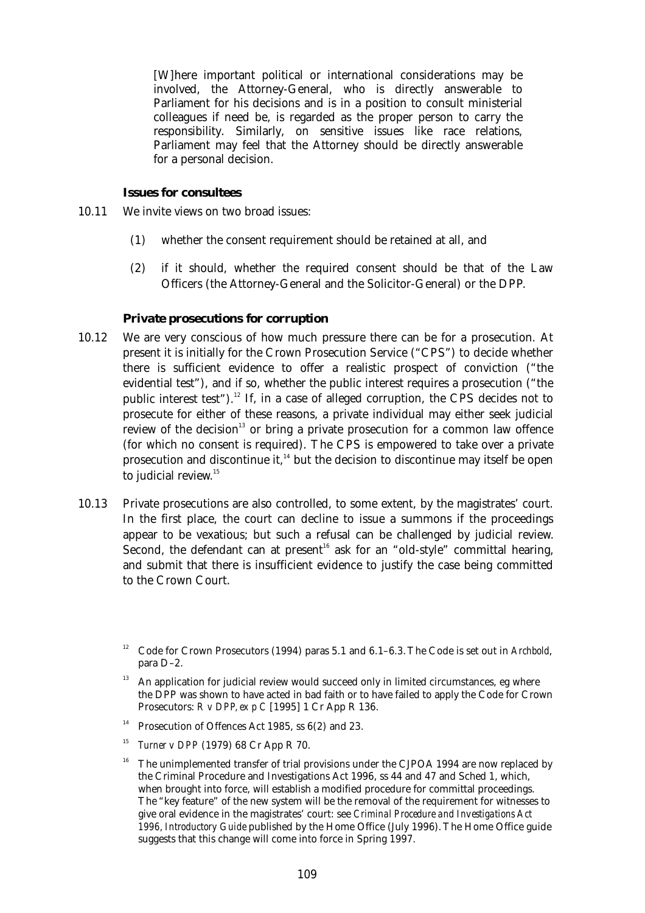[W]here important political or international considerations may be involved, the Attorney-General, who is directly answerable to Parliament for his decisions and is in a position to consult ministerial colleagues if need be, is regarded as the proper person to carry the responsibility. Similarly, on sensitive issues like race relations, Parliament may feel that the Attorney should be directly answerable for a personal decision.

### **Issues for consultees**

- 10.11 We invite views on two broad issues:
	- (1) whether the consent requirement should be retained at all, and
	- (2) if it should, whether the required consent should be that of the Law Officers (the Attorney-General and the Solicitor-General) or the DPP.

# *Private prosecutions for corruption*

- 10.12 We are very conscious of how much pressure there can be for a prosecution. At present it is initially for the Crown Prosecution Service ("CPS") to decide whether there is sufficient evidence to offer a realistic prospect of conviction ("the evidential test"), and if so, whether the public interest requires a prosecution ("the public interest test").<sup>12</sup> If, in a case of alleged corruption, the CPS decides not to prosecute for either of these reasons, a private individual may either seek judicial review of the decision<sup>13</sup> or bring a private prosecution for a common law offence (for which no consent is required). The CPS is empowered to take over a private prosecution and discontinue it, $<sup>14</sup>$  but the decision to discontinue may itself be open</sup> to judicial review.<sup>15</sup>
- 10.13 Private prosecutions are also controlled, to some extent, by the magistrates' court. In the first place, the court can decline to issue a summons if the proceedings appear to be vexatious; but such a refusal can be challenged by judicial review. Second, the defendant can at present<sup>16</sup> ask for an "old-style" committal hearing, and submit that there is insufficient evidence to justify the case being committed to the Crown Court.

- <sup>14</sup> Prosecution of Offences Act 1985, ss  $6(2)$  and 23.
- <sup>15</sup> *Turner v DPP* (1979) 68 Cr App R 70.
- <sup>16</sup> The unimplemented transfer of trial provisions under the CJPOA 1994 are now replaced by the Criminal Procedure and Investigations Act 1996, ss 44 and 47 and Sched 1, which, when brought into force, will establish a modified procedure for committal proceedings. The "key feature" of the new system will be the removal of the requirement for witnesses to give oral evidence in the magistrates' court: see *Criminal Procedure and Investigations Act 1996, Introductory Guide* published by the Home Office (July 1996). The Home Office guide suggests that this change will come into force in Spring 1997.

<sup>&</sup>lt;sup>12</sup> Code for Crown Prosecutors (1994) paras 5.1 and 6.1–6.3. The Code is set out in *Archbold*, para D–2.

An application for judicial review would succeed only in limited circumstances, eg where the DPP was shown to have acted in bad faith or to have failed to apply the Code for Crown Prosecutors: *R v DPP, ex p C* [1995] 1 Cr App R 136.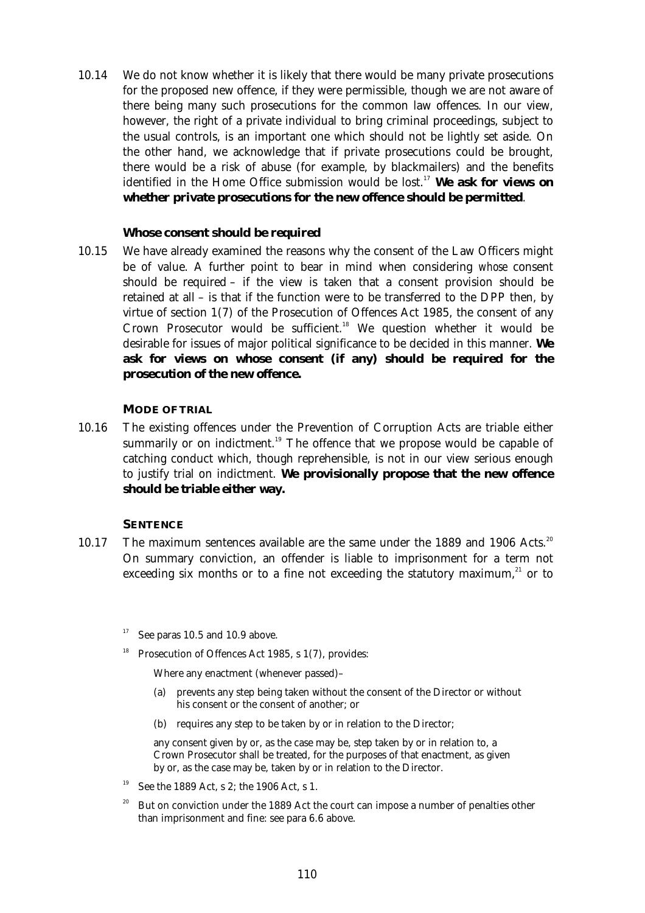10.14 We do not know whether it is likely that there would be many private prosecutions for the proposed new offence, if they were permissible, though we are not aware of there being many such prosecutions for the common law offences. In our view, however, the right of a private individual to bring criminal proceedings, subject to the usual controls, is an important one which should not be lightly set aside. On the other hand, we acknowledge that if private prosecutions could be brought, there would be a risk of abuse (for example, by blackmailers) and the benefits identified in the Home Office submission would be lost.<sup>17</sup> **We ask for views on whether private prosecutions for the new offence should be permitted**.

#### *Whose consent should be required*

 10.15 We have already examined the reasons why the consent of the Law Officers might be of value. A further point to bear in mind when considering *whose* consent should be required – if the view is taken that a consent provision should be retained at all – is that if the function were to be transferred to the DPP then, by virtue of section 1(7) of the Prosecution of Offences Act 1985, the consent of any Crown Prosecutor would be sufficient.<sup>18</sup> We question whether it would be desirable for issues of major political significance to be decided in this manner. **We ask for views on whose consent (if any) should be required for the prosecution of the new offence.**

#### **MODE OF TRIAL**

 10.16 The existing offences under the Prevention of Corruption Acts are triable either summarily or on indictment.<sup>19</sup> The offence that we propose would be capable of catching conduct which, though reprehensible, is not in our view serious enough to justify trial on indictment. **We provisionally propose that the new offence should be triable either way.**

#### **SENTENCE**

- 10.17 The maximum sentences available are the same under the 1889 and 1906 Acts.<sup>20</sup> On summary conviction, an offender is liable to imprisonment for a term not exceeding six months or to a fine not exceeding the statutory maximum, $21$  or to
	- See paras 10.5 and 10.9 above.
	- <sup>18</sup> Prosecution of Offences Act 1985, s  $1(7)$ , provides:

Where any enactment (whenever passed)–

- (a) prevents any step being taken without the consent of the Director or without his consent or the consent of another; or
- (b) requires any step to be taken by or in relation to the Director;

any consent given by or, as the case may be, step taken by or in relation to, a Crown Prosecutor shall be treated, for the purposes of that enactment, as given by or, as the case may be, taken by or in relation to the Director.

- See the 1889 Act, s 2; the 1906 Act, s 1.
- But on conviction under the 1889 Act the court can impose a number of penalties other than imprisonment and fine: see para 6.6 above.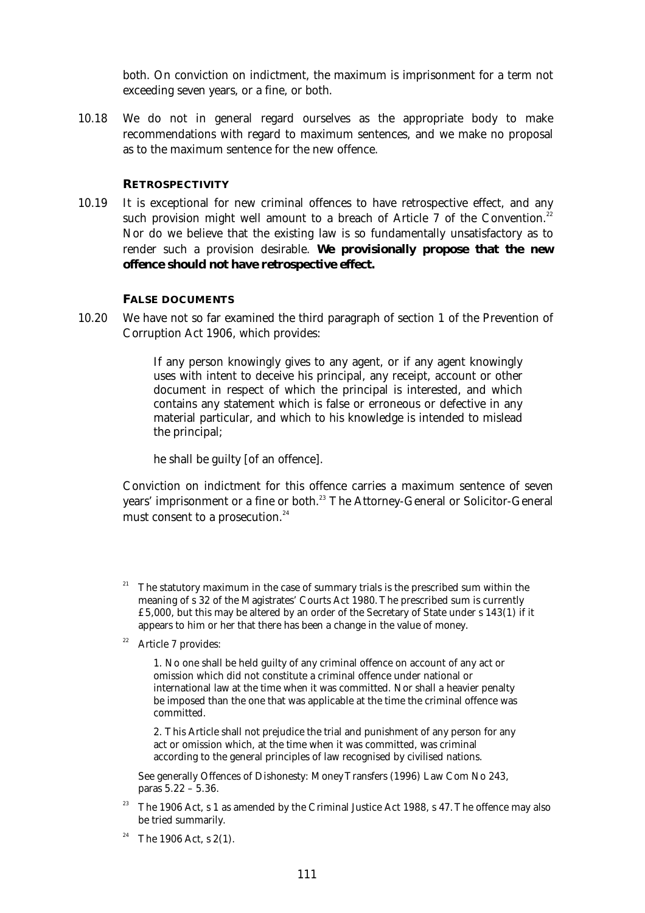both. On conviction on indictment, the maximum is imprisonment for a term not exceeding seven years, or a fine, or both.

 10.18 We do not in general regard ourselves as the appropriate body to make recommendations with regard to maximum sentences, and we make no proposal as to the maximum sentence for the new offence.

### **RETROSPECTIVITY**

 10.19 It is exceptional for new criminal offences to have retrospective effect, and any such provision might well amount to a breach of Article  $7$  of the Convention.<sup>2</sup> Nor do we believe that the existing law is so fundamentally unsatisfactory as to render such a provision desirable. **We provisionally propose that the new offence should not have retrospective effect.**

#### **FALSE DOCUMENTS**

 10.20 We have not so far examined the third paragraph of section 1 of the Prevention of Corruption Act 1906, which provides:

> If any person knowingly gives to any agent, or if any agent knowingly uses with intent to deceive his principal, any receipt, account or other document in respect of which the principal is interested, and which contains any statement which is false or erroneous or defective in any material particular, and which to his knowledge is intended to mislead the principal;

he shall be guilty [of an offence].

Conviction on indictment for this offence carries a maximum sentence of seven years' imprisonment or a fine or both.<sup>23</sup> The Attorney-General or Solicitor-General must consent to a prosecution.<sup>24</sup>

- <sup>21</sup> The statutory maximum in the case of summary trials is the prescribed sum within the meaning of s 32 of the Magistrates' Courts Act 1980. The prescribed sum is currently £5,000, but this may be altered by an order of the Secretary of State under s 143(1) if it appears to him or her that there has been a change in the value of money.
- $22$  Article 7 provides:

1. No one shall be held guilty of any criminal offence on account of any act or omission which did not constitute a criminal offence under national or international law at the time when it was committed. Nor shall a heavier penalty be imposed than the one that was applicable at the time the criminal offence was committed.

2. This Article shall not prejudice the trial and punishment of any person for any act or omission which, at the time when it was committed, was criminal according to the general principles of law recognised by civilised nations.

See generally Offences of Dishonesty: Money Transfers (1996) Law Com No 243, paras 5.22 – 5.36.

- <sup>23</sup> The 1906 Act, s 1 as amended by the Criminal Justice Act 1988, s 47. The offence may also be tried summarily.
- The 1906 Act, s  $2(1)$ .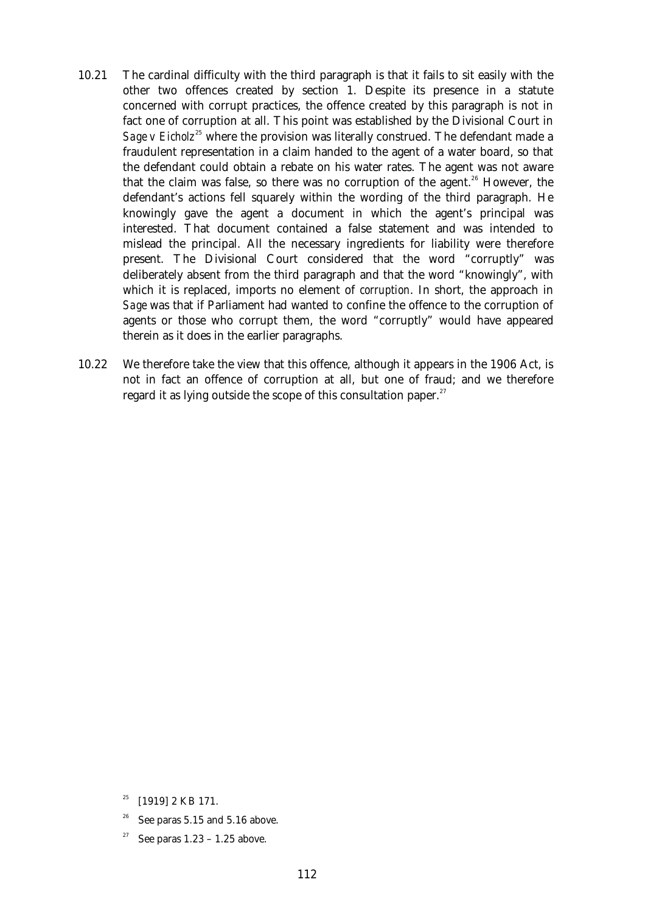- 10.21 The cardinal difficulty with the third paragraph is that it fails to sit easily with the other two offences created by section 1. Despite its presence in a statute concerned with corrupt practices, the offence created by this paragraph is not in fact one of corruption at all. This point was established by the Divisional Court in *Sage v Eicholz*<sup>25</sup> where the provision was literally construed. The defendant made a fraudulent representation in a claim handed to the agent of a water board, so that the defendant could obtain a rebate on his water rates. The agent was not aware that the claim was false, so there was no corruption of the agent.<sup>26</sup> However, the defendant's actions fell squarely within the wording of the third paragraph. He knowingly gave the agent a document in which the agent's principal was interested. That document contained a false statement and was intended to mislead the principal. All the necessary ingredients for liability were therefore present. The Divisional Court considered that the word "corruptly" was deliberately absent from the third paragraph and that the word "knowingly", with which it is replaced, imports no element of *corruption*. In short, the approach in *Sage* was that if Parliament had wanted to confine the offence to the corruption of agents or those who corrupt them, the word "corruptly" would have appeared therein as it does in the earlier paragraphs.
- 10.22 We therefore take the view that this offence, although it appears in the 1906 Act, is not in fact an offence of corruption at all, but one of fraud; and we therefore regard it as lying outside the scope of this consultation paper. $27$

- $25$  [1919] 2 KB 171.
- <sup>26</sup> See paras 5.15 and 5.16 above.
- See paras  $1.23 1.25$  above.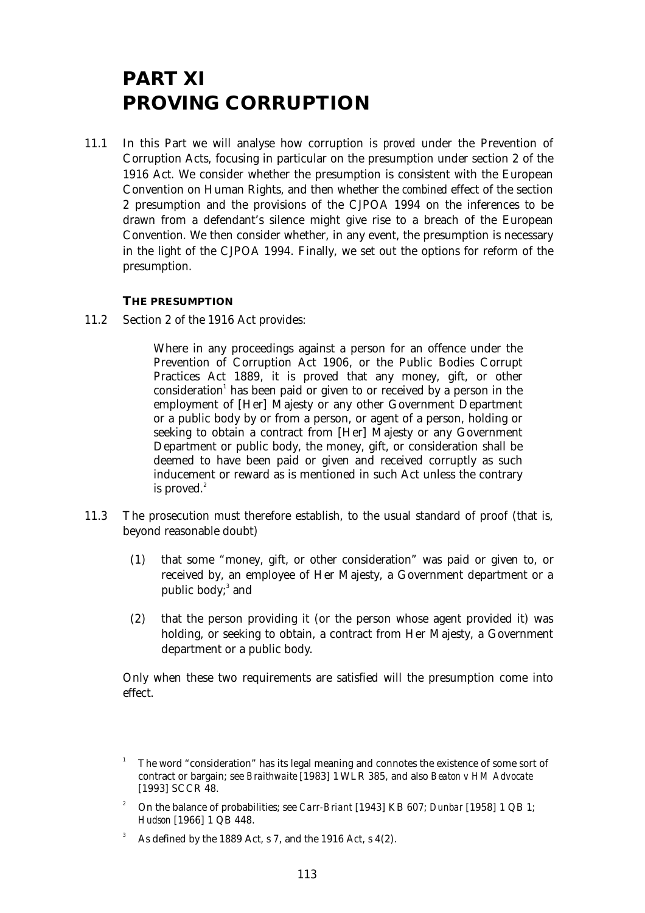# **PART XI PROVING CORRUPTION**

 11.1 In this Part we will analyse how corruption is *proved* under the Prevention of Corruption Acts, focusing in particular on the presumption under section 2 of the 1916 Act. We consider whether the presumption is consistent with the European Convention on Human Rights, and then whether the *combined* effect of the section 2 presumption and the provisions of the CJPOA 1994 on the inferences to be drawn from a defendant's silence might give rise to a breach of the European Convention. We then consider whether, in any event, the presumption is necessary in the light of the CJPOA 1994. Finally, we set out the options for reform of the presumption.

### **THE PRESUMPTION**

11.2 Section 2 of the 1916 Act provides:

Where in any proceedings against a person for an offence under the Prevention of Corruption Act 1906, or the Public Bodies Corrupt Practices Act 1889, it is proved that any money, gift, or other consideration<sup>1</sup> has been paid or given to or received by a person in the employment of [Her] Majesty or any other Government Department or a public body by or from a person, or agent of a person, holding or seeking to obtain a contract from [Her] Majesty or any Government Department or public body, the money, gift, or consideration shall be deemed to have been paid or given and received corruptly as such inducement or reward as is mentioned in such Act unless the contrary is proved. $2$ 

- 11.3 The prosecution must therefore establish, to the usual standard of proof (that is, beyond reasonable doubt)
	- (1) that some "money, gift, or other consideration" was paid or given to, or received by, an employee of Her Majesty, a Government department or a public body;<sup>3</sup> and
	- (2) that the person providing it (or the person whose agent provided it) was holding, or seeking to obtain, a contract from Her Majesty, a Government department or a public body.

Only when these two requirements are satisfied will the presumption come into effect.

<sup>2</sup> On the balance of probabilities; see *Carr-Briant* [1943] KB 607; *Dunbar* [1958] 1 QB 1; *Hudson* [1966] 1 QB 448.

<sup>1</sup> The word "consideration" has its legal meaning and connotes the existence of some sort of contract or bargain; see *Braithwaite* [1983] 1 WLR 385, and also *Beaton v HM Advocate* [1993] SCCR 48.

As defined by the 1889 Act, s 7, and the 1916 Act, s  $4(2)$ .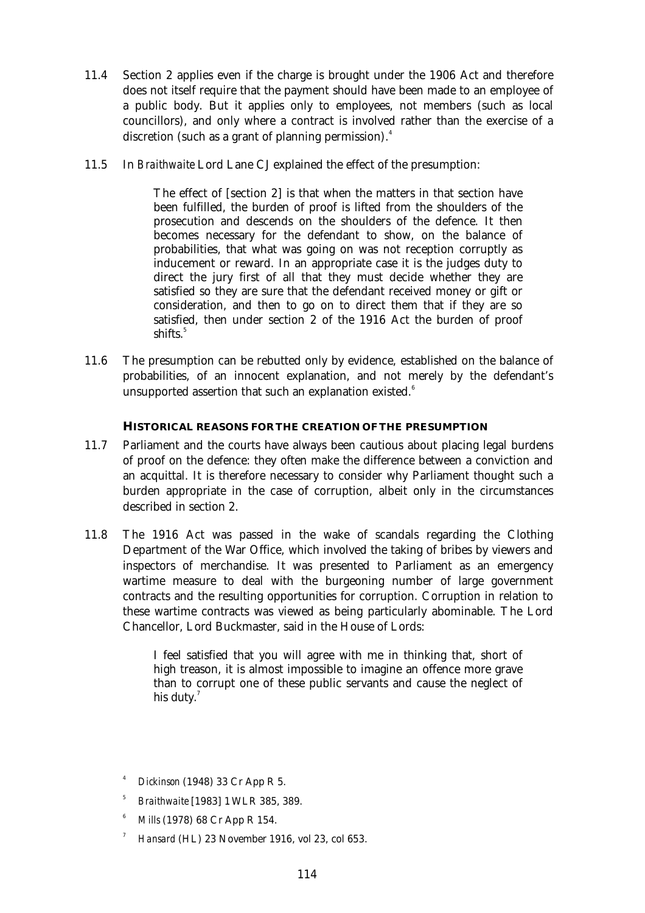- 11.4 Section 2 applies even if the charge is brought under the 1906 Act and therefore does not itself require that the payment should have been made to an employee of a public body. But it applies only to employees, not members (such as local councillors), and only where a contract is involved rather than the exercise of a discretion (such as a grant of planning permission). $<sup>4</sup>$ </sup>
- 11.5 In *Braithwaite* Lord Lane CJ explained the effect of the presumption:

The effect of [section 2] is that when the matters in that section have been fulfilled, the burden of proof is lifted from the shoulders of the prosecution and descends on the shoulders of the defence. It then becomes necessary for the defendant to show, on the balance of probabilities, that what was going on was not reception corruptly as inducement or reward. In an appropriate case it is the judges duty to direct the jury first of all that they must decide whether they are satisfied so they are sure that the defendant received money or gift or consideration, and then to go on to direct them that if they are so satisfied, then under section 2 of the 1916 Act the burden of proof shifts.<sup>5</sup>

 11.6 The presumption can be rebutted only by evidence, established on the balance of probabilities, of an innocent explanation, and not merely by the defendant's unsupported assertion that such an explanation existed.<sup>6</sup>

### **HISTORICAL REASONS FOR THE CREATION OF THE PRESUMPTION**

- 11.7 Parliament and the courts have always been cautious about placing legal burdens of proof on the defence: they often make the difference between a conviction and an acquittal. It is therefore necessary to consider why Parliament thought such a burden appropriate in the case of corruption, albeit only in the circumstances described in section 2.
- 11.8 The 1916 Act was passed in the wake of scandals regarding the Clothing Department of the War Office, which involved the taking of bribes by viewers and inspectors of merchandise. It was presented to Parliament as an emergency wartime measure to deal with the burgeoning number of large government contracts and the resulting opportunities for corruption. Corruption in relation to these wartime contracts was viewed as being particularly abominable. The Lord Chancellor, Lord Buckmaster, said in the House of Lords:

I feel satisfied that you will agree with me in thinking that, short of high treason, it is almost impossible to imagine an offence more grave than to corrupt one of these public servants and cause the neglect of his duty. $\frac{7}{7}$ 

- <sup>4</sup> *Dickinson* (1948) 33 Cr App R 5.
- <sup>5</sup> *Braithwaite* [1983] 1 WLR 385, 389.
- <sup>6</sup> *Mills* (1978) 68 Cr App R 154.
- <sup>7</sup> *Hansard* (HL) 23 November 1916, vol 23, col 653.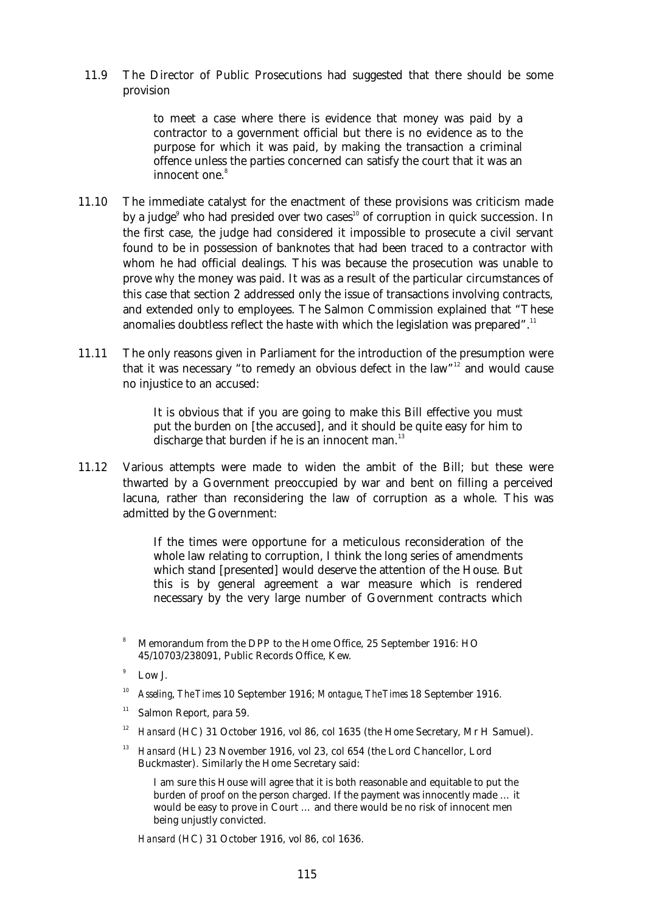11.9 The Director of Public Prosecutions had suggested that there should be some provision

> to meet a case where there is evidence that money was paid by a contractor to a government official but there is no evidence as to the purpose for which it was paid, by making the transaction a criminal offence unless the parties concerned can satisfy the court that it was an innocent one.<sup>8</sup>

- 11.10 The immediate catalyst for the enactment of these provisions was criticism made by a judge $^{\circ}$  who had presided over two cases $^{\scriptscriptstyle 10}$  of corruption in quick succession. In the first case, the judge had considered it impossible to prosecute a civil servant found to be in possession of banknotes that had been traced to a contractor with whom he had official dealings. This was because the prosecution was unable to prove *why* the money was paid. It was as a result of the particular circumstances of this case that section 2 addressed only the issue of transactions involving contracts, and extended only to employees. The Salmon Commission explained that "These anomalies doubtless reflect the haste with which the legislation was prepared". $^{\rm 11}$
- 11.11 The only reasons given in Parliament for the introduction of the presumption were that it was necessary "to remedy an obvious defect in the law" $^{12}$  and would cause no injustice to an accused:

It is obvious that if you are going to make this Bill effective you must put the burden on [the accused], and it should be quite easy for him to discharge that burden if he is an innocent man. $13$ 

 11.12 Various attempts were made to widen the ambit of the Bill; but these were thwarted by a Government preoccupied by war and bent on filling a perceived lacuna, rather than reconsidering the law of corruption as a whole. This was admitted by the Government:

> If the times were opportune for a meticulous reconsideration of the whole law relating to corruption, I think the long series of amendments which stand [presented] would deserve the attention of the House. But this is by general agreement a war measure which is rendered necessary by the very large number of Government contracts which

- Low J.
- <sup>10</sup> *Asseling*, *The Times* 10 September 1916; *Montague, The Times* 18 September 1916.
- <sup>11</sup> Salmon Report, para 59.
- <sup>12</sup> *Hansard* (HC) 31 October 1916, vol 86, col 1635 (the Home Secretary, Mr H Samuel).
- <sup>13</sup> *Hansard* (HL) 23 November 1916, vol 23, col 654 (the Lord Chancellor, Lord Buckmaster). Similarly the Home Secretary said:

I am sure this House will agree that it is both reasonable and equitable to put the burden of proof on the person charged. If the payment was innocently made … it would be easy to prove in Court … and there would be no risk of innocent men being unjustly convicted.

*Hansard* (HC) 31 October 1916, vol 86, col 1636.

<sup>8</sup> Memorandum from the DPP to the Home Office, 25 September 1916: HO 45/10703/238091, Public Records Office, Kew.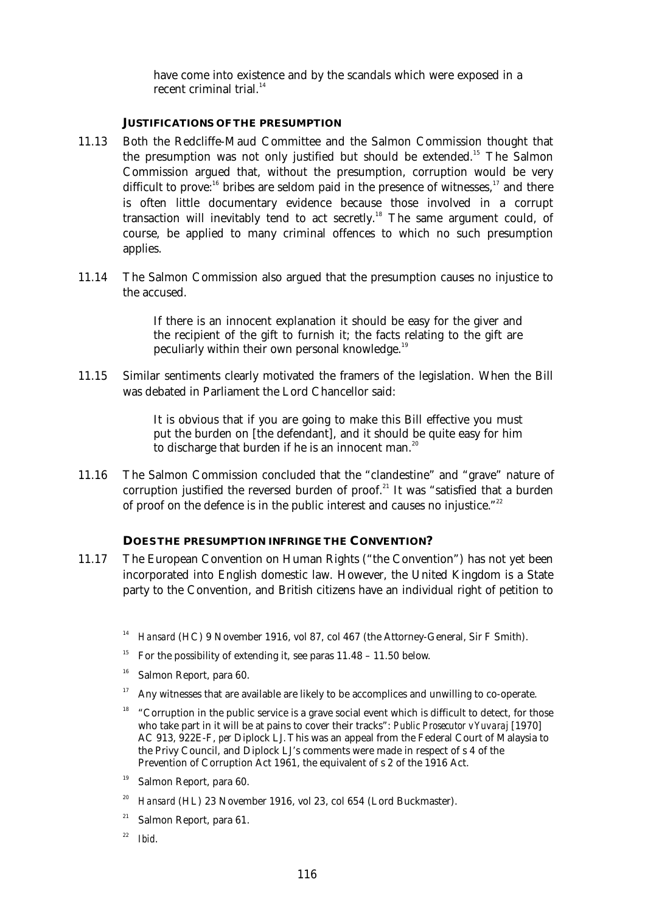have come into existence and by the scandals which were exposed in a recent criminal trial.<sup>14</sup>

#### **JUSTIFICATIONS OF THE PRESUMPTION**

- 11.13 Both the Redcliffe-Maud Committee and the Salmon Commission thought that the presumption was not only justified but should be extended.<sup>15</sup> The Salmon Commission argued that, without the presumption, corruption would be very difficult to prove:<sup>16</sup> bribes are seldom paid in the presence of witnesses,<sup>17</sup> and there is often little documentary evidence because those involved in a corrupt transaction will inevitably tend to act secretly.<sup>18</sup> The same argument could, of course, be applied to many criminal offences to which no such presumption applies.
- 11.14 The Salmon Commission also argued that the presumption causes no injustice to the accused.

If there is an innocent explanation it should be easy for the giver and the recipient of the gift to furnish it; the facts relating to the gift are peculiarly within their own personal knowledge.<sup>19</sup>

 11.15 Similar sentiments clearly motivated the framers of the legislation. When the Bill was debated in Parliament the Lord Chancellor said:

> It is obvious that if you are going to make this Bill effective you must put the burden on [the defendant], and it should be quite easy for him to discharge that burden if he is an innocent man.<sup>20</sup>

 11.16 The Salmon Commission concluded that the "clandestine" and "grave" nature of corruption justified the reversed burden of proof.<sup>21</sup> It was "satisfied that a burden of proof on the defence is in the public interest and causes no injustice."<sup>22</sup>

#### **DOES THE PRESUMPTION INFRINGE THE CONVENTION?**

 11.17 The European Convention on Human Rights ("the Convention") has not yet been incorporated into English domestic law. However, the United Kingdom is a State party to the Convention, and British citizens have an individual right of petition to

- <sup>15</sup> For the possibility of extending it, see paras  $11.48 11.50$  below.
- <sup>16</sup> Salmon Report, para 60.
- $17$  Any witnesses that are available are likely to be accomplices and unwilling to co-operate.
- <sup>18</sup> "Corruption in the public service is a grave social event which is difficult to detect, for those who take part in it will be at pains to cover their tracks": *Public Prosecutor v Yuvaraj* [1970] AC 913, 922E-F, *per* Diplock LJ. This was an appeal from the Federal Court of Malaysia to the Privy Council, and Diplock LJ's comments were made in respect of s 4 of the Prevention of Corruption Act 1961, the equivalent of s 2 of the 1916 Act.
- <sup>19</sup> Salmon Report, para 60.
- <sup>20</sup> *Hansard* (HL) 23 November 1916, vol 23, col 654 (Lord Buckmaster).
- $21$  Salmon Report, para 61.
- <sup>22</sup> *Ibid*.

<sup>&</sup>lt;sup>14</sup> *Hansard* (HC) 9 November 1916, vol 87, col 467 (the Attorney-General, Sir F Smith).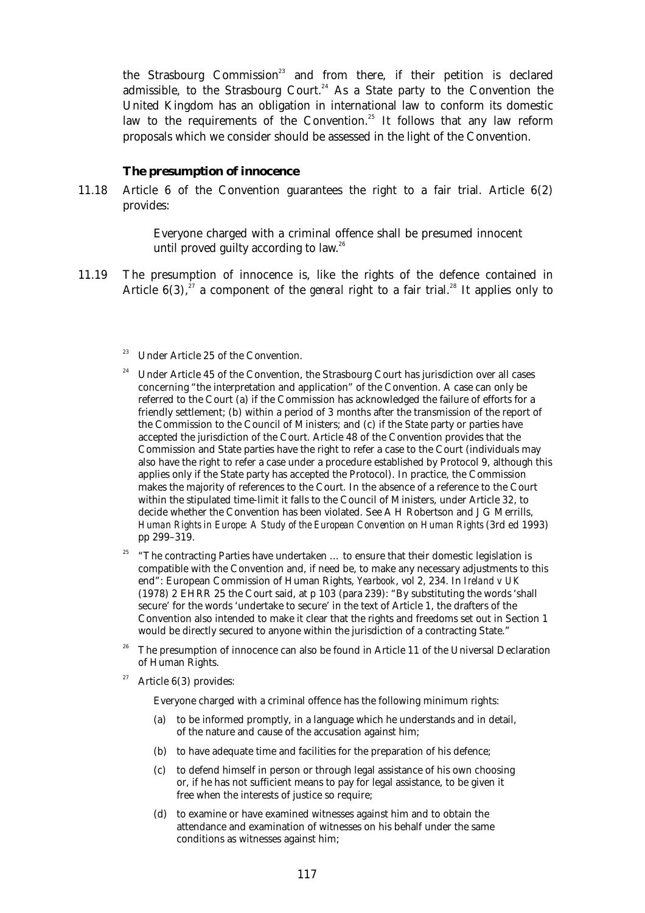the Strasbourg Commission<sup>23</sup> and from there, if their petition is declared admissible, to the Strasbourg Court.<sup>24</sup> As a State party to the Convention the United Kingdom has an obligation in international law to conform its domestic law to the requirements of the Convention.<sup>25</sup> It follows that any law reform proposals which we consider should be assessed in the light of the Convention.

### **The presumption of innocence**

 11.18 Article 6 of the Convention guarantees the right to a fair trial. Article 6(2) provides:

> Everyone charged with a criminal offence shall be presumed innocent until proved guilty according to law.<sup>26</sup>

- 11.19 The presumption of innocence is, like the rights of the defence contained in Article  $6(3)$ ,<sup>27</sup> a component of the *general* right to a fair trial.<sup>28</sup> It applies only to
	- <sup>23</sup> Under Article 25 of the Convention.
	- <sup>24</sup> Under Article 45 of the Convention, the Strasbourg Court has jurisdiction over all cases concerning "the interpretation and application" of the Convention. A case can only be referred to the Court (a) if the Commission has acknowledged the failure of efforts for a friendly settlement; (b) within a period of 3 months after the transmission of the report of the Commission to the Council of Ministers; and (c) if the State party or parties have accepted the jurisdiction of the Court. Article 48 of the Convention provides that the Commission and State parties have the right to refer a case to the Court (individuals may also have the right to refer a case under a procedure established by Protocol 9, although this applies only if the State party has accepted the Protocol). In practice, the Commission makes the majority of references to the Court. In the absence of a reference to the Court within the stipulated time-limit it falls to the Council of Ministers, under Article 32, to decide whether the Convention has been violated. See A H Robertson and J G Merrills, *Human Rights in Europe: A Study of the European Convention on Human Rights* (3rd ed 1993) pp 299–319.
	- <sup>25</sup> "The contracting Parties have undertaken  $\ldots$  to ensure that their domestic legislation is compatible with the Convention and, if need be, to make any necessary adjustments to this end": European Commission of Human Rights, *Yearbook*, vol 2, 234. In *Ireland v UK* (1978) 2 EHRR 25 the Court said, at p 103 (para 239): "By substituting the words 'shall secure' for the words 'undertake to secure' in the text of Article 1, the drafters of the Convention also intended to make it clear that the rights and freedoms set out in Section 1 would be directly secured to anyone within the jurisdiction of a contracting State."
	- <sup>26</sup> The presumption of innocence can also be found in Article 11 of the Universal Declaration of Human Rights.
	- Article 6(3) provides:

Everyone charged with a criminal offence has the following minimum rights:

- (a) to be informed promptly, in a language which he understands and in detail, of the nature and cause of the accusation against him;
- (b) to have adequate time and facilities for the preparation of his defence;
- (c) to defend himself in person or through legal assistance of his own choosing or, if he has not sufficient means to pay for legal assistance, to be given it free when the interests of justice so require;
- (d) to examine or have examined witnesses against him and to obtain the attendance and examination of witnesses on his behalf under the same conditions as witnesses against him;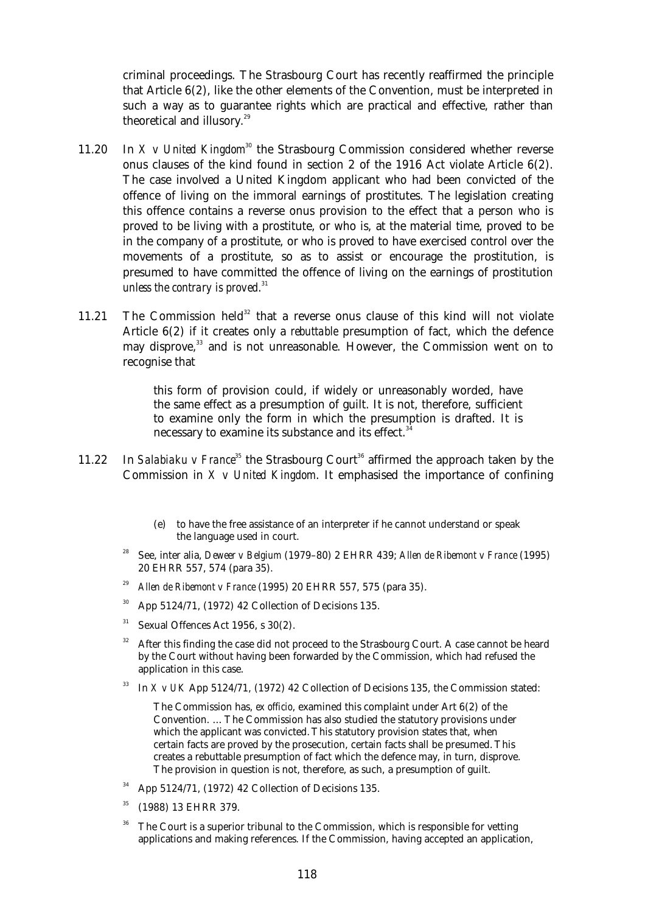criminal proceedings. The Strasbourg Court has recently reaffirmed the principle that Article 6(2), like the other elements of the Convention, must be interpreted in such a way as to guarantee rights which are practical and effective, rather than theoretical and illusory.<sup>29</sup>

- 11.20 In *X v United Kingdom*<sup>30</sup> the Strasbourg Commission considered whether reverse onus clauses of the kind found in section 2 of the 1916 Act violate Article 6(2). The case involved a United Kingdom applicant who had been convicted of the offence of living on the immoral earnings of prostitutes. The legislation creating this offence contains a reverse onus provision to the effect that a person who is proved to be living with a prostitute, or who is, at the material time, proved to be in the company of a prostitute, or who is proved to have exercised control over the movements of a prostitute, so as to assist or encourage the prostitution, is presumed to have committed the offence of living on the earnings of prostitution *unless the contrary is proved.*<sup>31</sup>
- 11.21 The Commission held<sup>32</sup> that a reverse onus clause of this kind will not violate Article 6(2) if it creates only a *rebuttable* presumption of fact, which the defence may disprove,<sup>33</sup> and is not unreasonable. However, the Commission went on to recognise that

this form of provision could, if widely or unreasonably worded, have the same effect as a presumption of guilt. It is not, therefore, sufficient to examine only the form in which the presumption is drafted. It is necessary to examine its substance and its effect.<sup>34</sup>

- 11.22 In *Salabiaku v France*<sup>35</sup> the Strasbourg Court<sup>36</sup> affirmed the approach taken by the Commission in *X v United Kingdom*. It emphasised the importance of confining
	- (e) to have the free assistance of an interpreter if he cannot understand or speak the language used in court.
	- <sup>28</sup> See, inter alia, *Deweer v Belgium* (1979–80) 2 EHRR 439; *Allen de Ribemont v France* (1995) 20 EHRR 557, 574 (para 35).
	- <sup>29</sup> *Allen de Ribemont v France* (1995) 20 EHRR 557, 575 (para 35).
	- $30$  App 5124/71, (1972) 42 Collection of Decisions 135.
	- $31$  Sexual Offences Act 1956, s  $30(2)$ .
	- <sup>32</sup> After this finding the case did not proceed to the Strasbourg Court. A case cannot be heard by the Court without having been forwarded by the Commission, which had refused the application in this case.
	- $33$  In *X v UK* App 5124/71, (1972) 42 Collection of Decisions 135, the Commission stated:

The Commission has, *ex officio*, examined this complaint under Art 6(2) of the Convention. … The Commission has also studied the statutory provisions under which the applicant was convicted. This statutory provision states that, when certain facts are proved by the prosecution, certain facts shall be presumed. This creates a rebuttable presumption of fact which the defence may, in turn, disprove. The provision in question is not, therefore, as such, a presumption of guilt.

- <sup>34</sup> App 5124/71, (1972) 42 Collection of Decisions 135.
- $35$  (1988) 13 EHRR 379.
- $36$  The Court is a superior tribunal to the Commission, which is responsible for vetting applications and making references. If the Commission, having accepted an application,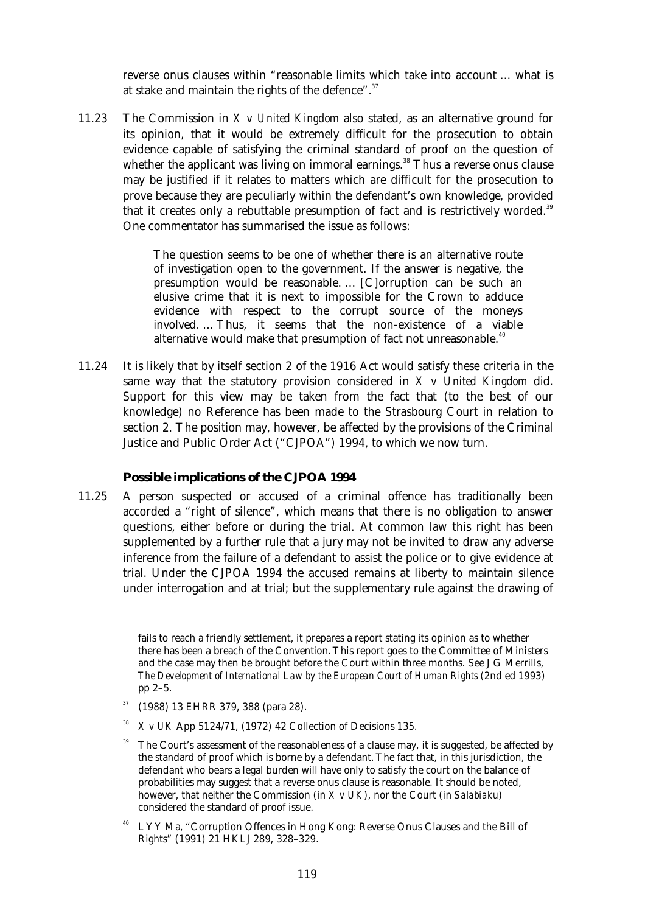reverse onus clauses within "reasonable limits which take into account … what is at stake and maintain the rights of the defence".<sup>37</sup>

 11.23 The Commission in *X v United Kingdom* also stated, as an alternative ground for its opinion, that it would be extremely difficult for the prosecution to obtain evidence capable of satisfying the criminal standard of proof on the question of whether the applicant was living on immoral earnings.<sup>38</sup> Thus a reverse onus clause may be justified if it relates to matters which are difficult for the prosecution to prove because they are peculiarly within the defendant's own knowledge, provided that it creates only a rebuttable presumption of fact and is restrictively worded.<sup>39</sup> One commentator has summarised the issue as follows:

> The question seems to be one of whether there is an alternative route of investigation open to the government. If the answer is negative, the presumption would be reasonable. … [C]orruption can be such an elusive crime that it is next to impossible for the Crown to adduce evidence with respect to the corrupt source of the moneys involved. … Thus, it seems that the non-existence of a viable alternative would make that presumption of fact not unreasonable.<sup>40</sup>

 11.24 It is likely that by itself section 2 of the 1916 Act would satisfy these criteria in the same way that the statutory provision considered in *X v United Kingdom* did. Support for this view may be taken from the fact that (to the best of our knowledge) no Reference has been made to the Strasbourg Court in relation to section 2. The position may, however, be affected by the provisions of the Criminal Justice and Public Order Act ("CJPOA") 1994, to which we now turn.

#### **Possible implications of the CJPOA 1994**

 11.25 A person suspected or accused of a criminal offence has traditionally been accorded a "right of silence", which means that there is no obligation to answer questions, either before or during the trial. At common law this right has been supplemented by a further rule that a jury may not be invited to draw any adverse inference from the failure of a defendant to assist the police or to give evidence at trial. Under the CJPOA 1994 the accused remains at liberty to maintain silence under interrogation and at trial; but the supplementary rule against the drawing of

> fails to reach a friendly settlement, it prepares a report stating its opinion as to whether there has been a breach of the Convention. This report goes to the Committee of Ministers and the case may then be brought before the Court within three months. See J G Merrills, *The Development of International Law by the European Court of Human Rights* (2nd ed 1993) pp 2–5.

- <sup>37</sup> (1988) 13 EHRR 379, 388 (para 28).
- <sup>38</sup> *X v UK* App 5124/71, (1972) 42 Collection of Decisions 135.
- The Court's assessment of the reasonableness of a clause may, it is suggested, be affected by the standard of proof which is borne by a defendant. The fact that, in this jurisdiction, the defendant who bears a legal burden will have only to satisfy the court on the balance of probabilities may suggest that a reverse onus clause is reasonable. It should be noted, however, that neither the Commission (in *X v UK*), nor the Court (in *Salabiaku*) considered the standard of proof issue.
- LYY Ma, "Corruption Offences in Hong Kong: Reverse Onus Clauses and the Bill of Rights" (1991) 21 HKLJ 289, 328–329.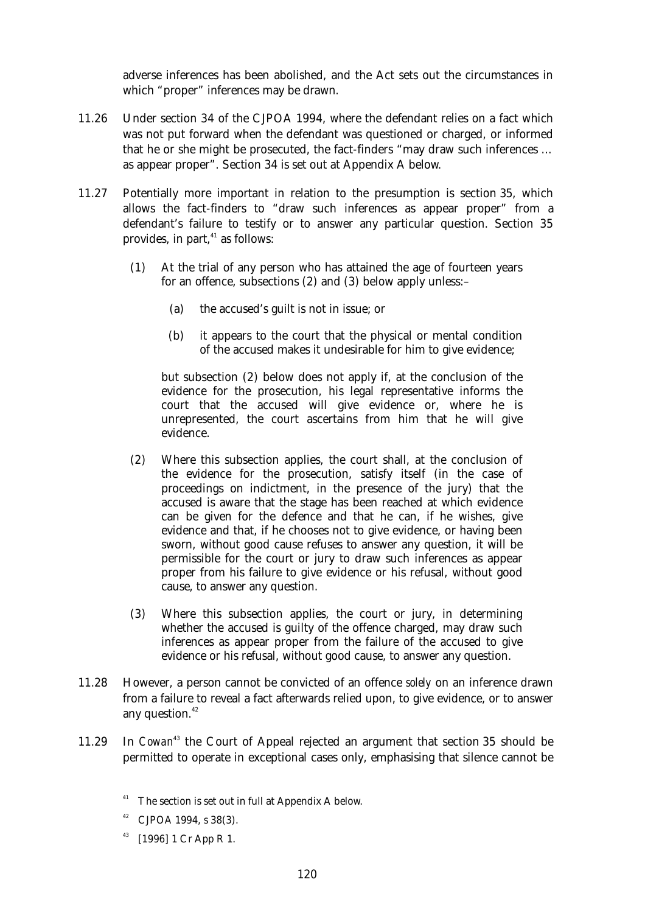adverse inferences has been abolished, and the Act sets out the circumstances in which "proper" inferences may be drawn.

- 11.26 Under section 34 of the CJPOA 1994, where the defendant relies on a fact which was not put forward when the defendant was questioned or charged, or informed that he or she might be prosecuted, the fact-finders "may draw such inferences … as appear proper". Section 34 is set out at Appendix A below.
- 11.27 Potentially more important in relation to the presumption is section 35, which allows the fact-finders to "draw such inferences as appear proper" from a defendant's failure to testify or to answer any particular question. Section 35 provides, in part, $41$  as follows:
	- (1) At the trial of any person who has attained the age of fourteen years for an offence, subsections (2) and (3) below apply unless:–
		- (a) the accused's guilt is not in issue; or
		- (b) it appears to the court that the physical or mental condition of the accused makes it undesirable for him to give evidence;

but subsection (2) below does not apply if, at the conclusion of the evidence for the prosecution, his legal representative informs the court that the accused will give evidence or, where he is unrepresented, the court ascertains from him that he will give evidence.

- (2) Where this subsection applies, the court shall, at the conclusion of the evidence for the prosecution, satisfy itself (in the case of proceedings on indictment, in the presence of the jury) that the accused is aware that the stage has been reached at which evidence can be given for the defence and that he can, if he wishes, give evidence and that, if he chooses not to give evidence, or having been sworn, without good cause refuses to answer any question, it will be permissible for the court or jury to draw such inferences as appear proper from his failure to give evidence or his refusal, without good cause, to answer any question.
- (3) Where this subsection applies, the court or jury, in determining whether the accused is guilty of the offence charged, may draw such inferences as appear proper from the failure of the accused to give evidence or his refusal, without good cause, to answer any question.
- 11.28 However, a person cannot be convicted of an offence *solely* on an inference drawn from a failure to reveal a fact afterwards relied upon, to give evidence, or to answer any question. $42$
- 11.29 In *Cowan*<sup>43</sup> the Court of Appeal rejected an argument that section 35 should be permitted to operate in exceptional cases only, emphasising that silence cannot be

- <sup>42</sup> CJPOA 1994, s 38(3).
- $43$  [1996] 1 Cr App R 1.

<sup>&</sup>lt;sup>41</sup> The section is set out in full at Appendix A below.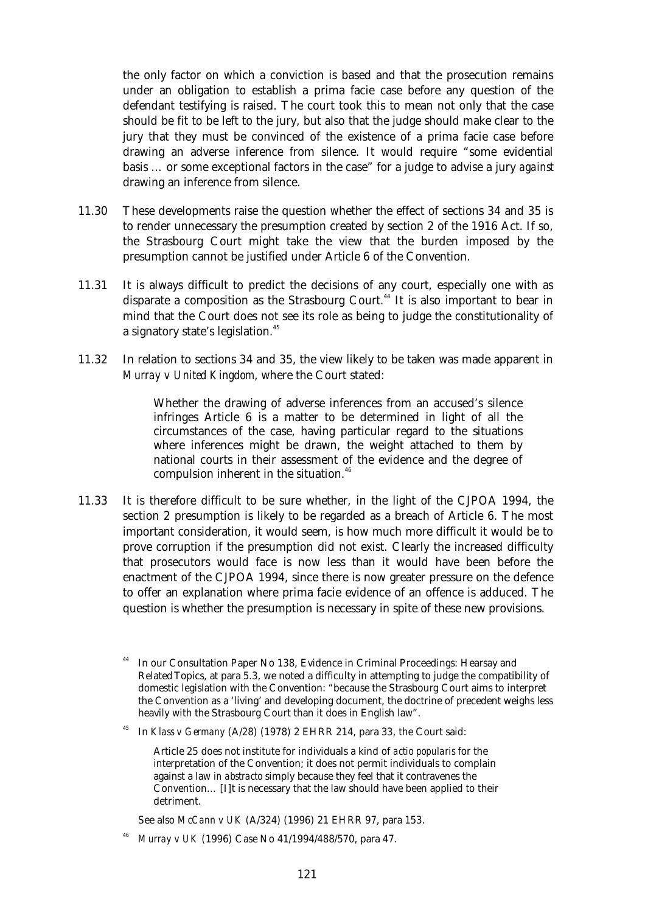the only factor on which a conviction is based and that the prosecution remains under an obligation to establish a prima facie case before any question of the defendant testifying is raised. The court took this to mean not only that the case should be fit to be left to the jury, but also that the judge should make clear to the jury that they must be convinced of the existence of a prima facie case before drawing an adverse inference from silence. It would require "some evidential basis … or some exceptional factors in the case" for a judge to advise a jury *against* drawing an inference from silence.

- 11.30 These developments raise the question whether the effect of sections 34 and 35 is to render unnecessary the presumption created by section 2 of the 1916 Act. If so, the Strasbourg Court might take the view that the burden imposed by the presumption cannot be justified under Article 6 of the Convention.
- 11.31 It is always difficult to predict the decisions of any court, especially one with as disparate a composition as the Strasbourg Court.<sup>44</sup> It is also important to bear in mind that the Court does not see its role as being to judge the constitutionality of a signatory state's legislation.<sup>45</sup>
- 11.32 In relation to sections 34 and 35, the view likely to be taken was made apparent in *Murray v United Kingdom*, where the Court stated:

Whether the drawing of adverse inferences from an accused's silence infringes Article 6 is a matter to be determined in light of all the circumstances of the case, having particular regard to the situations where inferences might be drawn, the weight attached to them by national courts in their assessment of the evidence and the degree of compulsion inherent in the situation.<sup>46</sup>

 11.33 It is therefore difficult to be sure whether, in the light of the CJPOA 1994, the section 2 presumption is likely to be regarded as a breach of Article 6. The most important consideration, it would seem, is how much more difficult it would be to prove corruption if the presumption did not exist. Clearly the increased difficulty that prosecutors would face is now less than it would have been before the enactment of the CJPOA 1994, since there is now greater pressure on the defence to offer an explanation where prima facie evidence of an offence is adduced. The question is whether the presumption is necessary in spite of these new provisions.

<sup>45</sup> In *Klass v Germany* (A/28) (1978) 2 EHRR 214, para 33, the Court said:

Article 25 does not institute for individuals a kind of *actio popularis* for the interpretation of the Convention; it does not permit individuals to complain against a law *in abstracto* simply because they feel that it contravenes the Convention… [I]t is necessary that the law should have been applied to their detriment.

See also *McCann v UK* (A/324) (1996) 21 EHRR 97, para 153.

<sup>44</sup> In our Consultation Paper No 138, Evidence in Criminal Proceedings: Hearsay and Related Topics, at para 5.3, we noted a difficulty in attempting to judge the compatibility of domestic legislation with the Convention: "because the Strasbourg Court aims to interpret the Convention as a 'living' and developing document, the doctrine of precedent weighs less heavily with the Strasbourg Court than it does in English law".

<sup>46</sup> *Murray v UK* (1996) Case No 41/1994/488/570, para 47.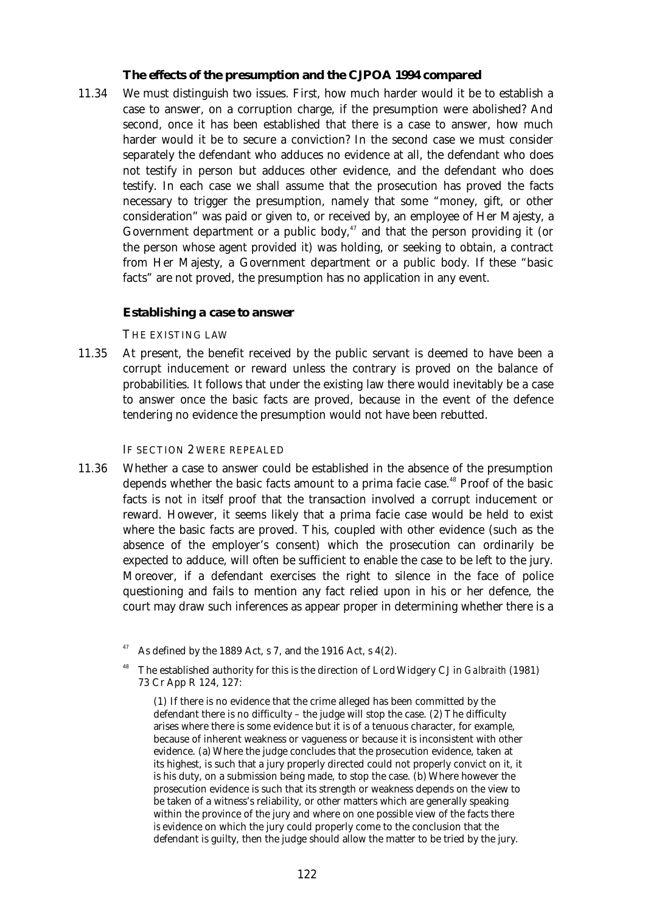### **The effects of the presumption and the CJPOA 1994 compared**

 11.34 We must distinguish two issues. First, how much harder would it be to establish a case to answer, on a corruption charge, if the presumption were abolished? And second, once it has been established that there is a case to answer, how much harder would it be to secure a conviction? In the second case we must consider separately the defendant who adduces no evidence at all, the defendant who does not testify in person but adduces other evidence, and the defendant who does testify. In each case we shall assume that the prosecution has proved the facts necessary to trigger the presumption, namely that some "money, gift, or other consideration" was paid or given to, or received by, an employee of Her Majesty, a Government department or a public body, $47$  and that the person providing it (or the person whose agent provided it) was holding, or seeking to obtain, a contract from Her Majesty, a Government department or a public body. If these "basic facts" are not proved, the presumption has no application in any event.

### *Establishing a case to answer*

#### THE EXISTING LAW

 11.35 At present, the benefit received by the public servant is deemed to have been a corrupt inducement or reward unless the contrary is proved on the balance of probabilities. It follows that under the existing law there would inevitably be a case to answer once the basic facts are proved, because in the event of the defence tendering no evidence the presumption would not have been rebutted.

#### IF SECTION 2 WERE REPEALED

- 11.36 Whether a case to answer could be established in the absence of the presumption depends whether the basic facts amount to a prima facie case.<sup>48</sup> Proof of the basic facts is not *in itself* proof that the transaction involved a corrupt inducement or reward. However, it seems likely that a prima facie case would be held to exist where the basic facts are proved. This, coupled with other evidence (such as the absence of the employer's consent) which the prosecution can ordinarily be expected to adduce, will often be sufficient to enable the case to be left to the jury. Moreover, if a defendant exercises the right to silence in the face of police questioning and fails to mention any fact relied upon in his or her defence, the court may draw such inferences as appear proper in determining whether there is a
	- As defined by the 1889 Act, s 7, and the 1916 Act, s  $4(2)$ .
	- <sup>48</sup> The established authority for this is the direction of Lord Widgery CJ in *Galbraith* (1981) 73 Cr App R 124, 127:

(1) If there is no evidence that the crime alleged has been committed by the defendant there is no difficulty – the judge will stop the case. (2) The difficulty arises where there is some evidence but it is of a tenuous character, for example, because of inherent weakness or vagueness or because it is inconsistent with other evidence. (a) Where the judge concludes that the prosecution evidence, taken at its highest, is such that a jury properly directed could not properly convict on it, it is his duty, on a submission being made, to stop the case. (b) Where however the prosecution evidence is such that its strength or weakness depends on the view to be taken of a witness's reliability, or other matters which are generally speaking within the province of the jury and where on one possible view of the facts there *is* evidence on which the jury could properly come to the conclusion that the defendant is guilty, then the judge should allow the matter to be tried by the jury.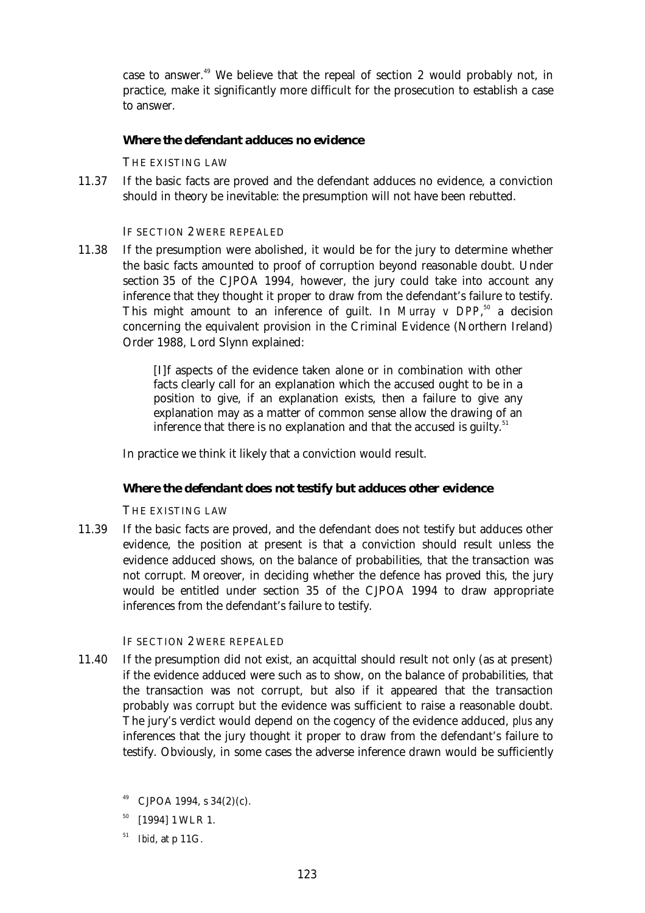case to answer.<sup>49</sup> We believe that the repeal of section 2 would probably not, in practice, make it significantly more difficult for the prosecution to establish a case to answer.

# *Where the defendant adduces no evidence*

THE EXISTING LAW

 11.37 If the basic facts are proved and the defendant adduces no evidence, a conviction should in theory be inevitable: the presumption will not have been rebutted.

# IF SECTION 2 WERE REPEALED

 11.38 If the presumption were abolished, it would be for the jury to determine whether the basic facts amounted to proof of corruption beyond reasonable doubt. Under section 35 of the CJPOA 1994, however, the jury could take into account any inference that they thought it proper to draw from the defendant's failure to testify. This might amount to an inference of guilt. In *Murray v DPP*,<sup>50</sup> a decision concerning the equivalent provision in the Criminal Evidence (Northern Ireland) Order 1988, Lord Slynn explained:

> [I]f aspects of the evidence taken alone or in combination with other facts clearly call for an explanation which the accused ought to be in a position to give, if an explanation exists, then a failure to give any explanation may as a matter of common sense allow the drawing of an inference that there is no explanation and that the accused is guilty.<sup>51</sup>

In practice we think it likely that a conviction would result.

# *Where the defendant does not testify but adduces other evidence*

THE EXISTING LAW

 11.39 If the basic facts are proved, and the defendant does not testify but adduces other evidence, the position at present is that a conviction should result unless the evidence adduced shows, on the balance of probabilities, that the transaction was not corrupt. Moreover, in deciding whether the defence has proved this, the jury would be entitled under section 35 of the CJPOA 1994 to draw appropriate inferences from the defendant's failure to testify.

#### IF SECTION 2 WERE REPEALED

- 11.40 If the presumption did not exist, an acquittal should result not only (as at present) if the evidence adduced were such as to show, on the balance of probabilities, that the transaction was not corrupt, but also if it appeared that the transaction probably *was* corrupt but the evidence was sufficient to raise a reasonable doubt. The jury's verdict would depend on the cogency of the evidence adduced, *plus* any inferences that the jury thought it proper to draw from the defendant's failure to testify. Obviously, in some cases the adverse inference drawn would be sufficiently
	- <sup>49</sup> CJPOA 1994, s  $34(2)(c)$ .
	- $^{50}$  [1994] 1 WLR 1.
	- <sup>51</sup> *Ibid*, at p 11G.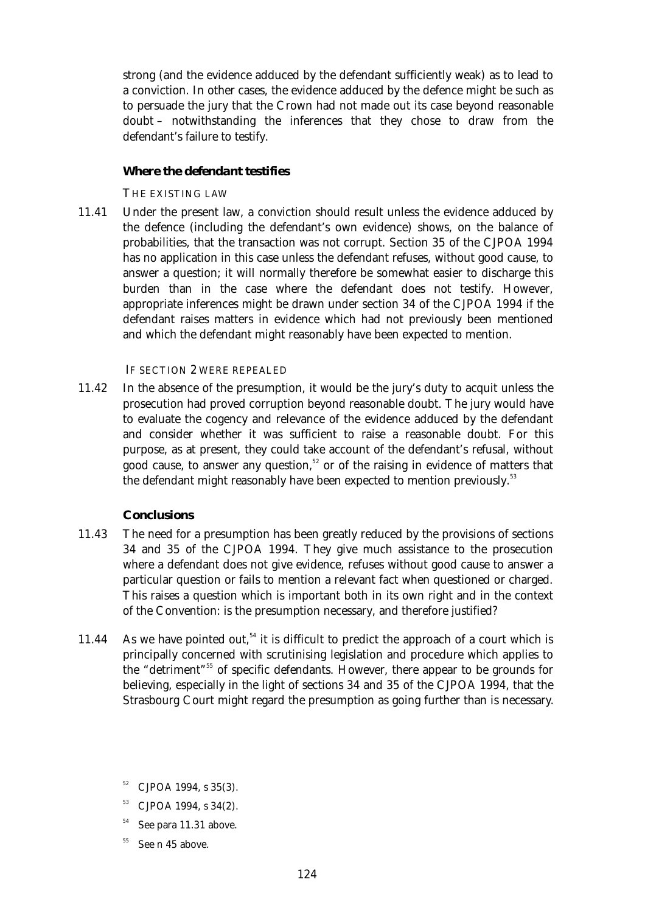strong (and the evidence adduced by the defendant sufficiently weak) as to lead to a conviction. In other cases, the evidence adduced by the defence might be such as to persuade the jury that the Crown had not made out its case beyond reasonable doubt – notwithstanding the inferences that they chose to draw from the defendant's failure to testify.

# *Where the defendant testifies*

# THE EXISTING LAW

 11.41 Under the present law, a conviction should result unless the evidence adduced by the defence (including the defendant's own evidence) shows, on the balance of probabilities, that the transaction was not corrupt. Section 35 of the CJPOA 1994 has no application in this case unless the defendant refuses, without good cause, to answer a question; it will normally therefore be somewhat easier to discharge this burden than in the case where the defendant does not testify. However, appropriate inferences might be drawn under section 34 of the CJPOA 1994 if the defendant raises matters in evidence which had not previously been mentioned and which the defendant might reasonably have been expected to mention.

### IF SECTION 2 WERE REPEALED

 11.42 In the absence of the presumption, it would be the jury's duty to acquit unless the prosecution had proved corruption beyond reasonable doubt. The jury would have to evaluate the cogency and relevance of the evidence adduced by the defendant and consider whether it was sufficient to raise a reasonable doubt. For this purpose, as at present, they could take account of the defendant's refusal, without good cause, to answer any question, $52$  or of the raising in evidence of matters that the defendant might reasonably have been expected to mention previously.<sup>53</sup>

# **Conclusions**

- 11.43 The need for a presumption has been greatly reduced by the provisions of sections 34 and 35 of the CJPOA 1994. They give much assistance to the prosecution where a defendant does not give evidence, refuses without good cause to answer a particular question or fails to mention a relevant fact when questioned or charged. This raises a question which is important both in its own right and in the context of the Convention: is the presumption necessary, and therefore justified?
- 11.44 As we have pointed out.<sup>54</sup> it is difficult to predict the approach of a court which is principally concerned with scrutinising legislation and procedure which applies to the "detriment" <sup>55</sup> of specific defendants. However, there appear to be grounds for believing, especially in the light of sections 34 and 35 of the CJPOA 1994, that the Strasbourg Court might regard the presumption as going further than is necessary.
	- CJPOA 1994, s 35(3).
	- <sup>53</sup> CJPOA 1994, s 34(2).
	- <sup>54</sup> See para 11.31 above.
	- $55$  See n 45 above.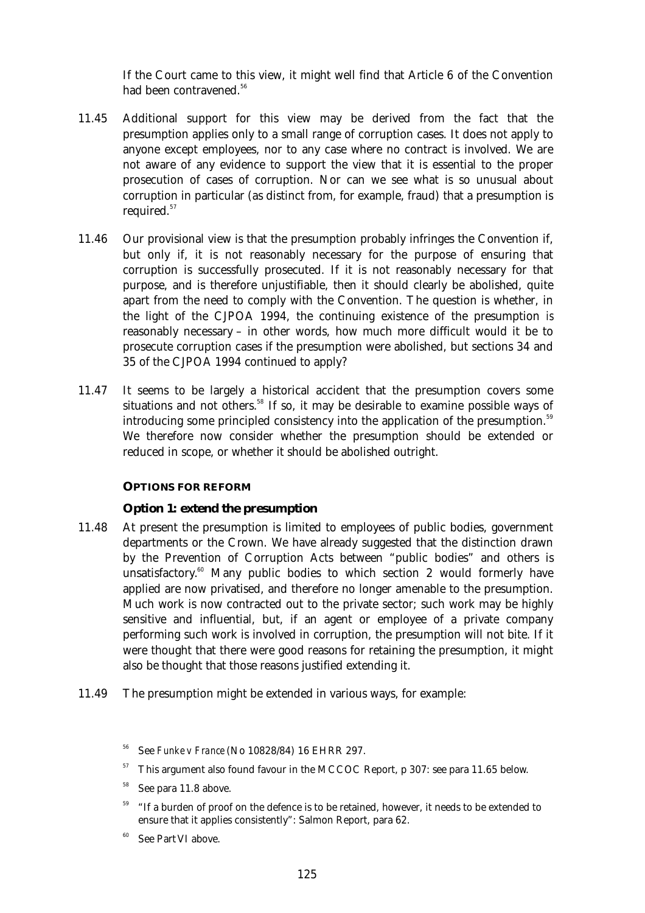If the Court came to this view, it might well find that Article 6 of the Convention had been contravened.<sup>56</sup>

- 11.45 Additional support for this view may be derived from the fact that the presumption applies only to a small range of corruption cases. It does not apply to anyone except employees, nor to any case where no contract is involved. We are not aware of any evidence to support the view that it is essential to the proper prosecution of cases of corruption. Nor can we see what is so unusual about corruption in particular (as distinct from, for example, fraud) that a presumption is required.<sup>57</sup>
- 11.46 Our provisional view is that the presumption probably infringes the Convention if, but only if, it is not reasonably necessary for the purpose of ensuring that corruption is successfully prosecuted. If it is not reasonably necessary for that purpose, and is therefore unjustifiable, then it should clearly be abolished, quite apart from the need to comply with the Convention. The question is whether, in the light of the CJPOA 1994, the continuing existence of the presumption *is* reasonably necessary – in other words, how much more difficult would it be to prosecute corruption cases if the presumption were abolished, but sections 34 and 35 of the CJPOA 1994 continued to apply?
- 11.47 It seems to be largely a historical accident that the presumption covers some situations and not others.<sup>58</sup> If so, it may be desirable to examine possible ways of introducing some principled consistency into the application of the presumption.<sup>59</sup> We therefore now consider whether the presumption should be extended or reduced in scope, or whether it should be abolished outright.

#### **OPTIONS FOR REFORM**

#### **Option 1: extend the presumption**

- 11.48 At present the presumption is limited to employees of public bodies, government departments or the Crown. We have already suggested that the distinction drawn by the Prevention of Corruption Acts between "public bodies" and others is unsatisfactory. <sup>60</sup> Many public bodies to which section 2 would formerly have applied are now privatised, and therefore no longer amenable to the presumption. Much work is now contracted out to the private sector; such work may be highly sensitive and influential, but, if an agent or employee of a private company performing such work is involved in corruption, the presumption will not bite. If it were thought that there were good reasons for retaining the presumption, it might also be thought that those reasons justified extending it.
- 11.49 The presumption might be extended in various ways, for example:
	- <sup>56</sup> See *Funke v France* (No 10828/84) 16 EHRR 297.
	- $57$  This argument also found favour in the MCCOC Report, p 307: see para 11.65 below.
	- <sup>58</sup> See para 11.8 above.
	- <sup>59</sup> "If a burden of proof on the defence is to be retained, however, it needs to be extended to ensure that it applies consistently": Salmon Report, para 62.
	- See Part VI above.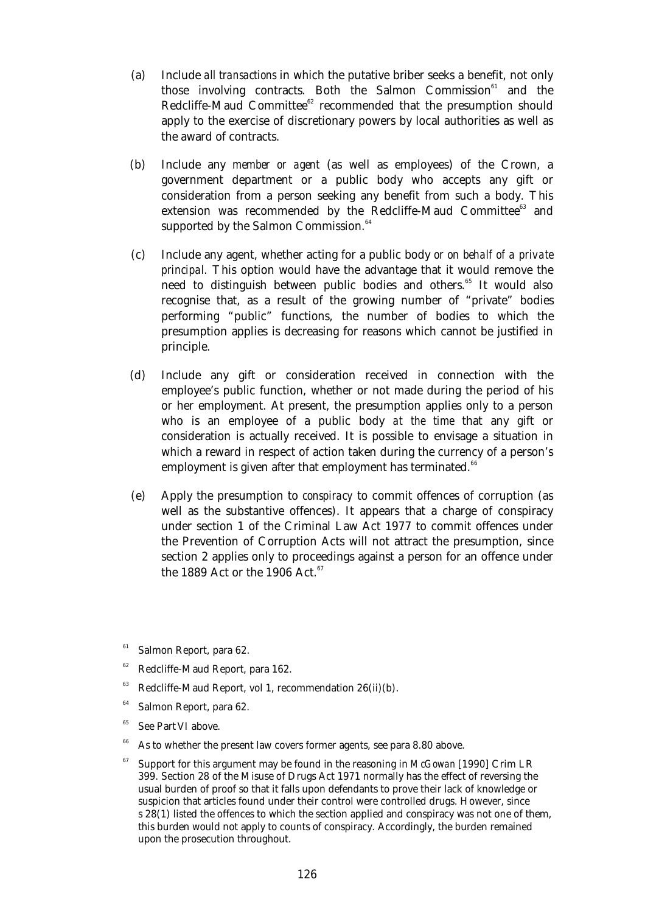- (a) Include *all transactions* in which the putative briber seeks a benefit, not only those involving contracts. Both the Salmon Commission $61$  and the Redcliffe-Maud Committee<sup>62</sup> recommended that the presumption should apply to the exercise of discretionary powers by local authorities as well as the award of contracts.
- (b) Include any *member or agent* (as well as employees) of the Crown, a government department or a public body who accepts any gift or consideration from a person seeking any benefit from such a body. This extension was recommended by the Redcliffe-Maud Committee<sup>63</sup> and supported by the Salmon Commission.<sup>64</sup>
- (c) Include any agent, whether acting for a public body *or on behalf of a private principal.* This option would have the advantage that it would remove the need to distinguish between public bodies and others.<sup>65</sup> It would also recognise that, as a result of the growing number of "private" bodies performing "public" functions, the number of bodies to which the presumption applies is decreasing for reasons which cannot be justified in principle.
- (d) Include any gift or consideration received in connection with the employee's public function, whether or not made during the period of his or her employment. At present, the presumption applies only to a person who is an employee of a public body *at the time* that any gift or consideration is actually received. It is possible to envisage a situation in which a reward in respect of action taken during the currency of a person's employment is given after that employment has terminated.<sup>66</sup>
- (e) Apply the presumption to *conspiracy* to commit offences of corruption (as well as the substantive offences). It appears that a charge of conspiracy under section 1 of the Criminal Law Act 1977 to commit offences under the Prevention of Corruption Acts will not attract the presumption, since section 2 applies only to proceedings against a person for an offence under the 1889 Act or the 1906 Act. $67$
- $61$  Salmon Report, para 62.
- <sup>62</sup> Redcliffe-Maud Report, para 162.
- $63$  Redcliffe-Maud Report, vol 1, recommendation 26(ii)(b).
- <sup>64</sup> Salmon Report, para 62.
- <sup>65</sup> See Part VI above.
- $66$  As to whether the present law covers former agents, see para 8.80 above.
- <sup>67</sup> Support for this argument may be found in the reasoning in *McGowan* [1990] Crim LR 399. Section 28 of the Misuse of Drugs Act 1971 normally has the effect of reversing the usual burden of proof so that it falls upon defendants to prove their lack of knowledge or suspicion that articles found under their control were controlled drugs. However, since s  $28(1)$  listed the offences to which the section applied and conspiracy was not one of them, this burden would not apply to counts of conspiracy. Accordingly, the burden remained upon the prosecution throughout.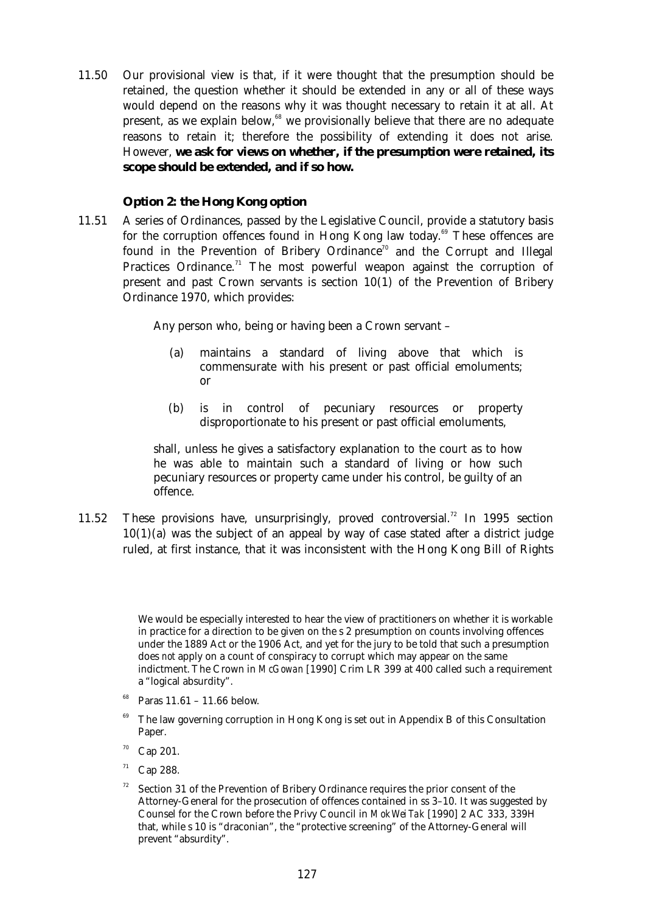11.50 Our provisional view is that, if it were thought that the presumption should be retained, the question whether it should be extended in any or all of these ways would depend on the reasons why it was thought necessary to retain it at all. At present, as we explain below, $68$  we provisionally believe that there are no adequate reasons to retain it; therefore the possibility of extending it does not arise. However, **we ask for views on whether, if the presumption were retained, its scope should be extended, and if so how.**

#### **Option 2: the Hong Kong option**

 11.51 A series of Ordinances, passed by the Legislative Council, provide a statutory basis for the corruption offences found in Hong Kong law today.<sup>69</sup> These offences are found in the Prevention of Bribery Ordinance<sup>70</sup> and the Corrupt and Illegal Practices Ordinance.<sup>71</sup> The most powerful weapon against the corruption of present and past Crown servants is section 10(1) of the Prevention of Bribery Ordinance 1970, which provides:

Any person who, being or having been a Crown servant –

- (a) maintains a standard of living above that which is commensurate with his present or past official emoluments; or
- (b) is in control of pecuniary resources or property disproportionate to his present or past official emoluments.

shall, unless he gives a satisfactory explanation to the court as to how he was able to maintain such a standard of living or how such pecuniary resources or property came under his control, be guilty of an offence.

11.52 These provisions have, unsurprisingly, proved controversial.<sup>72</sup> In 1995 section  $10(1)(a)$  was the subject of an appeal by way of case stated after a district judge ruled, at first instance, that it was inconsistent with the Hong Kong Bill of Rights

> We would be especially interested to hear the view of practitioners on whether it is workable in practice for a direction to be given on the s 2 presumption on counts involving offences under the 1889 Act or the 1906 Act, and yet for the jury to be told that such a presumption does *not* apply on a count of conspiracy to corrupt which may appear on the same indictment. The Crown in *McGowan* [1990] Crim LR 399 at 400 called such a requirement a "logical absurdity".

- $68$  Paras 11.61 11.66 below.
- The law governing corruption in Hong Kong is set out in Appendix B of this Consultation Paper.
- Cap 201.
- $71$  Cap 288.
- $72$  Section 31 of the Prevention of Bribery Ordinance requires the prior consent of the Attorney-General for the prosecution of offences contained in ss 3–10. It was suggested by Counsel for the Crown before the Privy Council in *Mok Wei Tak* [1990] 2 AC 333, 339H that, while s 10 is "draconian", the "protective screening" of the Attorney-General will prevent "absurdity".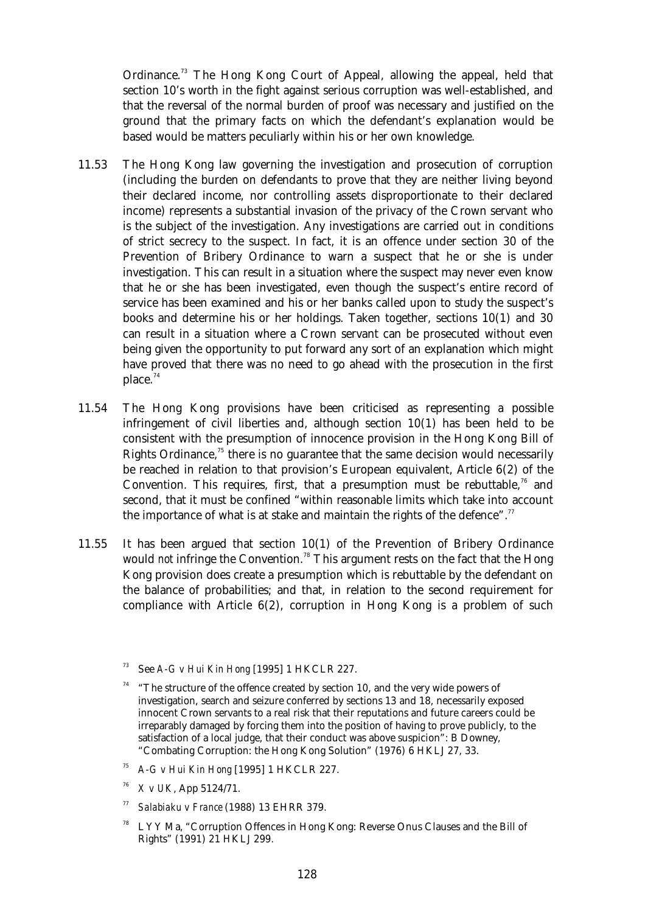Ordinance.<sup>73</sup> The Hong Kong Court of Appeal, allowing the appeal, held that section 10's worth in the fight against serious corruption was well-established, and that the reversal of the normal burden of proof was necessary and justified on the ground that the primary facts on which the defendant's explanation would be based would be matters peculiarly within his or her own knowledge.

- 11.53 The Hong Kong law governing the investigation and prosecution of corruption (including the burden on defendants to prove that they are neither living beyond their declared income, nor controlling assets disproportionate to their declared income) represents a substantial invasion of the privacy of the Crown servant who is the subject of the investigation. Any investigations are carried out in conditions of strict secrecy to the suspect. In fact, it is an offence under section 30 of the Prevention of Bribery Ordinance to warn a suspect that he or she is under investigation. This can result in a situation where the suspect may never even know that he or she has been investigated, even though the suspect's entire record of service has been examined and his or her banks called upon to study the suspect's books and determine his or her holdings. Taken together, sections 10(1) and 30 can result in a situation where a Crown servant can be prosecuted without even being given the opportunity to put forward any sort of an explanation which might have proved that there was no need to go ahead with the prosecution in the first place.<sup>74</sup>
- 11.54 The Hong Kong provisions have been criticised as representing a possible infringement of civil liberties and, although section 10(1) has been held to be consistent with the presumption of innocence provision in the Hong Kong Bill of Rights Ordinance,<sup> $75$ </sup> there is no guarantee that the same decision would necessarily be reached in relation to that provision's European equivalent, Article 6(2) of the Convention. This requires, first, that a presumption must be rebuttable,<sup>76</sup> and second, that it must be confined "within reasonable limits which take into account the importance of what is at stake and maintain the rights of the defence". $^{77}$
- 11.55 It has been argued that section 10(1) of the Prevention of Bribery Ordinance would *not* infringe the Convention.<sup>78</sup> This argument rests on the fact that the Hong Kong provision does create a presumption which is rebuttable by the defendant on the balance of probabilities; and that, in relation to the second requirement for compliance with Article 6(2), corruption in Hong Kong is a problem of such

- <sup>75</sup> *A-G v Hui Kin Hong* [1995] 1 HKCLR 227.
- <sup>76</sup> *X v UK*, App 5124/71.
- <sup>77</sup> *Salabiaku v France* (1988) 13 EHRR 379.
- $78$  LYY Ma, "Corruption Offences in Hong Kong: Reverse Onus Clauses and the Bill of Rights" (1991) 21 HKLJ 299.

<sup>73</sup> See *A-G v Hui Kin Hong* [1995] 1 HKCLR 227.

 $74$  "The structure of the offence created by section 10, and the very wide powers of investigation, search and seizure conferred by sections 13 and 18, necessarily exposed innocent Crown servants to a real risk that their reputations and future careers could be irreparably damaged by forcing them into the position of having to prove publicly, to the satisfaction of a local judge, that their conduct was above suspicion": B Downey, "Combating Corruption: the Hong Kong Solution" (1976) 6 HKLJ 27, 33.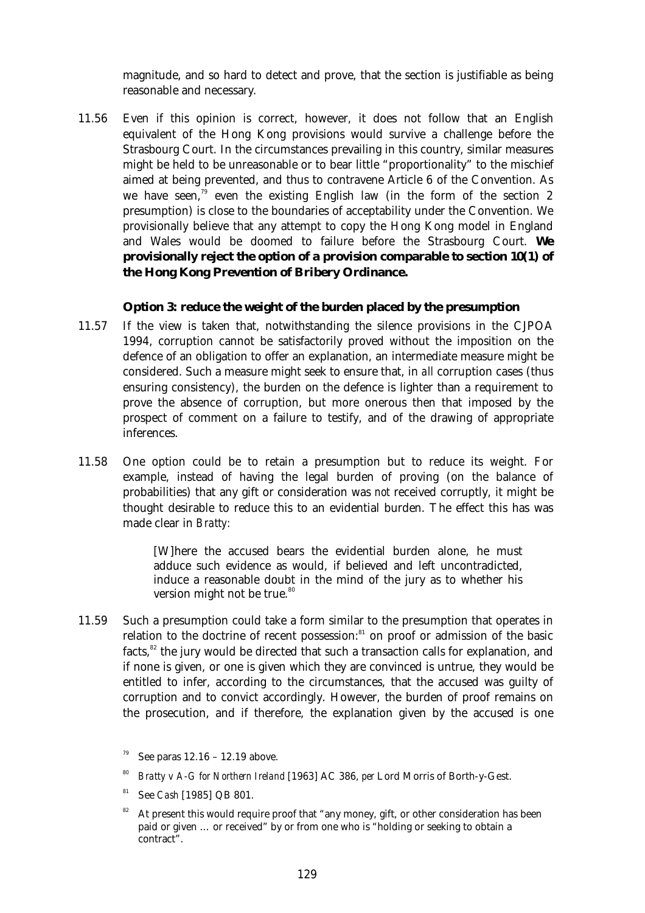magnitude, and so hard to detect and prove, that the section is justifiable as being reasonable and necessary.

 11.56 Even if this opinion is correct, however, it does not follow that an English equivalent of the Hong Kong provisions would survive a challenge before the Strasbourg Court. In the circumstances prevailing in this country, similar measures might be held to be unreasonable or to bear little "proportionality" to the mischief aimed at being prevented, and thus to contravene Article 6 of the Convention. As we have seen,<sup>79</sup> even the existing English law (in the form of the section 2 presumption) is close to the boundaries of acceptability under the Convention. We provisionally believe that any attempt to copy the Hong Kong model in England and Wales would be doomed to failure before the Strasbourg Court. **We provisionally reject the option of a provision comparable to section 10(1) of the Hong Kong Prevention of Bribery Ordinance.**

### **Option 3: reduce the weight of the burden placed by the presumption**

- 11.57 If the view is taken that, notwithstanding the silence provisions in the CJPOA 1994, corruption cannot be satisfactorily proved without the imposition on the defence of an obligation to offer an explanation, an intermediate measure might be considered. Such a measure might seek to ensure that, in *all* corruption cases (thus ensuring consistency), the burden on the defence is lighter than a requirement to prove the absence of corruption, but more onerous then that imposed by the prospect of comment on a failure to testify, and of the drawing of appropriate inferences.
- 11.58 One option could be to retain a presumption but to reduce its weight. For example, instead of having the legal burden of proving (on the balance of probabilities) that any gift or consideration was *not* received corruptly, it might be thought desirable to reduce this to an evidential burden. The effect this has was made clear in *Bratty:*

[W]here the accused bears the evidential burden alone, he must adduce such evidence as would, if believed and left uncontradicted, induce a reasonable doubt in the mind of the jury as to whether his version might not be true.<sup>80</sup>

 11.59 Such a presumption could take a form similar to the presumption that operates in relation to the doctrine of recent possession: $s<sup>1</sup>$  on proof or admission of the basic facts,<sup>82</sup> the jury would be directed that such a transaction calls for explanation, and if none is given, or one is given which they are convinced is untrue, they would be entitled to infer, according to the circumstances, that the accused was guilty of corruption and to convict accordingly. However, the burden of proof remains on the prosecution, and if therefore, the explanation given by the accused is one

- <sup>80</sup> *Bratty v A-G for Northern Ireland* [1963] AC 386, *per* Lord Morris of Borth-y-Gest.
- <sup>81</sup> See *Cash* [1985] QB 801.
- $82$  At present this would require proof that "any money, gift, or other consideration has been paid or given … or received" by or from one who is "holding or seeking to obtain a contract".

See paras 12.16 - 12.19 above.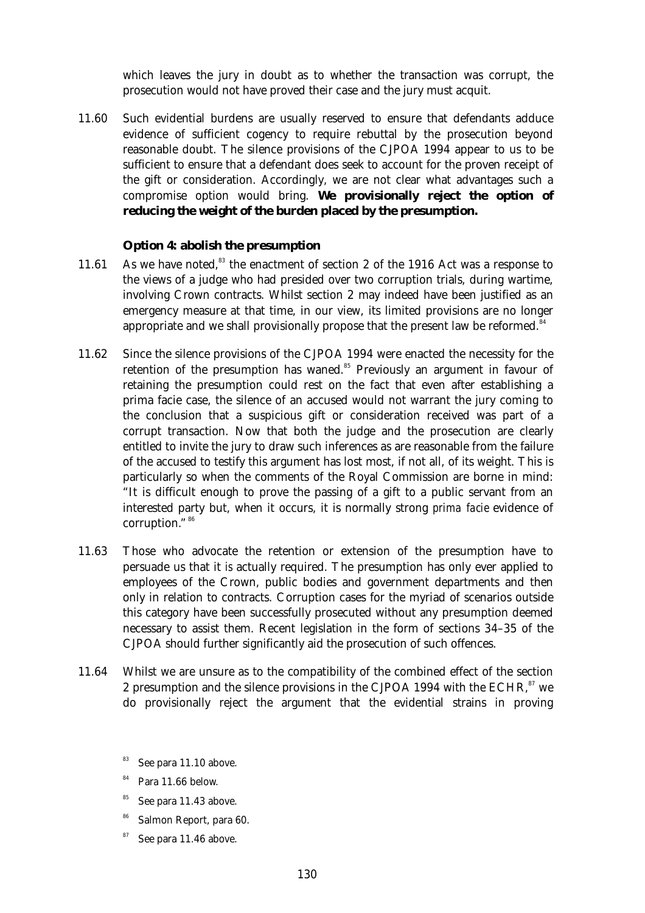which leaves the jury in doubt as to whether the transaction was corrupt, the prosecution would not have proved their case and the jury must acquit.

 11.60 Such evidential burdens are usually reserved to ensure that defendants adduce evidence of sufficient cogency to require rebuttal by the prosecution beyond reasonable doubt. The silence provisions of the CJPOA 1994 appear to us to be sufficient to ensure that a defendant does seek to account for the proven receipt of the gift or consideration. Accordingly, we are not clear what advantages such a compromise option would bring. **We provisionally reject the option of reducing the weight of the burden placed by the presumption.**

### **Option 4: abolish the presumption**

- 11.61 As we have noted.<sup>83</sup> the enactment of section 2 of the 1916 Act was a response to the views of a judge who had presided over two corruption trials, during wartime, involving Crown contracts. Whilst section 2 may indeed have been justified as an emergency measure at that time, in our view, its limited provisions are no longer appropriate and we shall provisionally propose that the present law be reformed. $34$
- 11.62 Since the silence provisions of the CJPOA 1994 were enacted the necessity for the retention of the presumption has waned.<sup>85</sup> Previously an argument in favour of retaining the presumption could rest on the fact that even after establishing a prima facie case, the silence of an accused would not warrant the jury coming to the conclusion that a suspicious gift or consideration received was part of a corrupt transaction. Now that both the judge and the prosecution are clearly entitled to invite the jury to draw such inferences as are reasonable from the failure of the accused to testify this argument has lost most, if not all, of its weight. This is particularly so when the comments of the Royal Commission are borne in mind: "It is difficult enough to prove the passing of a gift to a public servant from an interested party but, when it occurs, it is normally strong *prima facie* evidence of corruption." 86
- 11.63 Those who advocate the retention or extension of the presumption have to persuade us that it *is* actually required. The presumption has only ever applied to employees of the Crown, public bodies and government departments and then only in relation to contracts. Corruption cases for the myriad of scenarios outside this category have been successfully prosecuted without any presumption deemed necessary to assist them. Recent legislation in the form of sections 34–35 of the CJPOA should further significantly aid the prosecution of such offences.
- 11.64 Whilst we are unsure as to the compatibility of the combined effect of the section 2 presumption and the silence provisions in the CJPOA 1994 with the ECHR, $^{\mathrm{87}}$  we do provisionally reject the argument that the evidential strains in proving
	- See para 11.10 above.
	- Para 11.66 below.
	- $85$  See para 11.43 above.
	- <sup>86</sup> Salmon Report, para 60.
	- $87$  See para 11.46 above.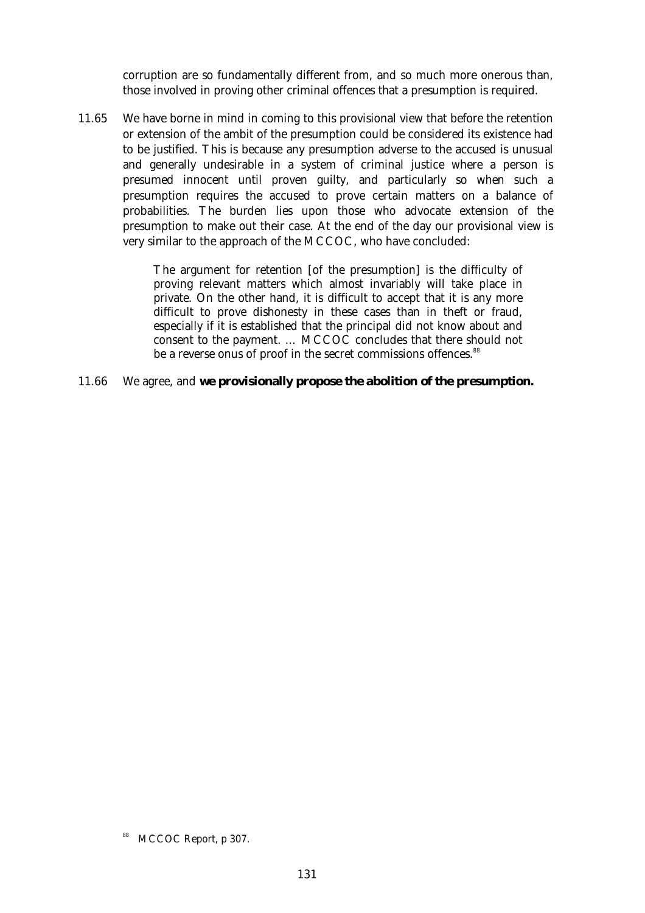corruption are so fundamentally different from, and so much more onerous than, those involved in proving other criminal offences that a presumption is required.

 11.65 We have borne in mind in coming to this provisional view that before the retention or extension of the ambit of the presumption could be considered its existence had to be justified. This is because any presumption adverse to the accused is unusual and generally undesirable in a system of criminal justice where a person is presumed innocent until proven guilty, and particularly so when such a presumption requires the accused to prove certain matters on a balance of probabilities. The burden lies upon those who advocate extension of the presumption to make out their case. At the end of the day our provisional view is very similar to the approach of the MCCOC, who have concluded:

> The argument for retention [of the presumption] is the difficulty of proving relevant matters which almost invariably will take place in private. On the other hand, it is difficult to accept that it is any more difficult to prove dishonesty in these cases than in theft or fraud, especially if it is established that the principal did not know about and consent to the payment. … MCCOC concludes that there should not be a reverse onus of proof in the secret commissions offences.<sup>88</sup>

11.66 We agree, and **we provisionally propose the abolition of the presumption.**

MCCOC Report, p 307.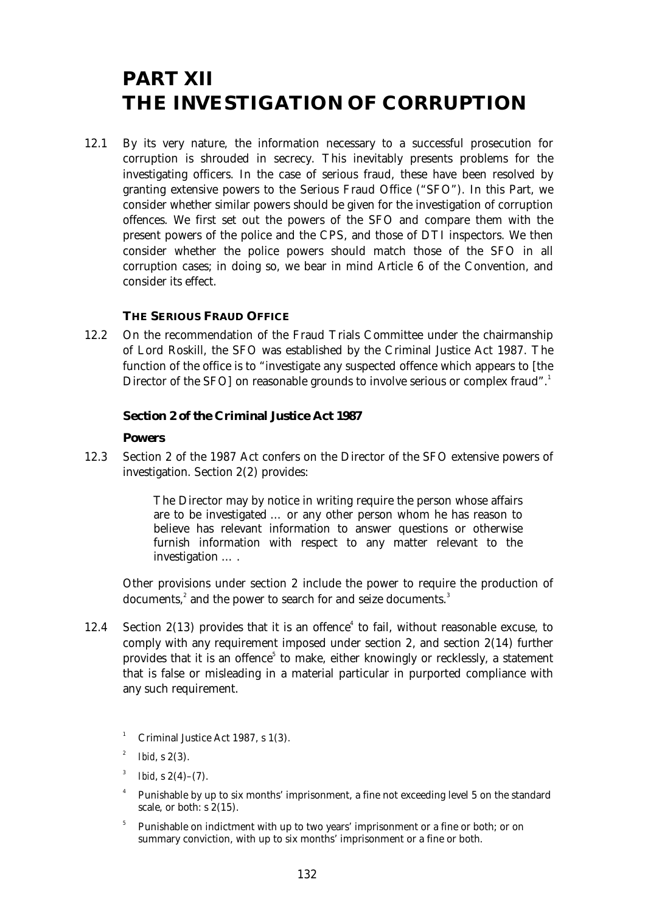# **PART XII THE INVESTIGATION OF CORRUPTION**

 12.1 By its very nature, the information necessary to a successful prosecution for corruption is shrouded in secrecy. This inevitably presents problems for the investigating officers. In the case of serious fraud, these have been resolved by granting extensive powers to the Serious Fraud Office ("SFO"). In this Part, we consider whether similar powers should be given for the investigation of corruption offences. We first set out the powers of the SFO and compare them with the present powers of the police and the CPS, and those of DTI inspectors. We then consider whether the police powers should match those of the SFO in all corruption cases; in doing so, we bear in mind Article 6 of the Convention, and consider its effect.

# **THE SERIOUS FRAUD OFFICE**

 12.2 On the recommendation of the Fraud Trials Committee under the chairmanship of Lord Roskill, the SFO was established by the Criminal Justice Act 1987. The function of the office is to "investigate any suspected offence which appears to [the Director of the SFO] on reasonable grounds to involve serious or complex fraud".<sup>1</sup>

# **Section 2 of the Criminal Justice Act 1987**

#### *Powers*

 12.3 Section 2 of the 1987 Act confers on the Director of the SFO extensive powers of investigation. Section 2(2) provides:

> The Director may by notice in writing require the person whose affairs are to be investigated … or any other person whom he has reason to believe has relevant information to answer questions or otherwise furnish information with respect to any matter relevant to the investigation … .

Other provisions under section 2 include the power to require the production of documents, $^{2}$  and the power to search for and seize documents. $^{3}$ 

- 12.4 Section 2(13) provides that it is an offence<sup>4</sup> to fail, without reasonable excuse, to comply with any requirement imposed under section 2, and section 2(14) further provides that it is an offence<sup>5</sup> to make, either knowingly or recklessly, a statement that is false or misleading in a material particular in purported compliance with any such requirement.
	- <sup>1</sup> Criminal Justice Act 1987, s 1(3).

- 3 *Ibid*, s 2(4)–(7).
- 4 Punishable by up to six months' imprisonment, a fine not exceeding level 5 on the standard scale, or both:  $s$   $2(15)$ .
- 5 Punishable on indictment with up to two years' imprisonment or a fine or both; or on summary conviction, with up to six months' imprisonment or a fine or both.

<sup>2</sup> *Ibid*, s 2(3).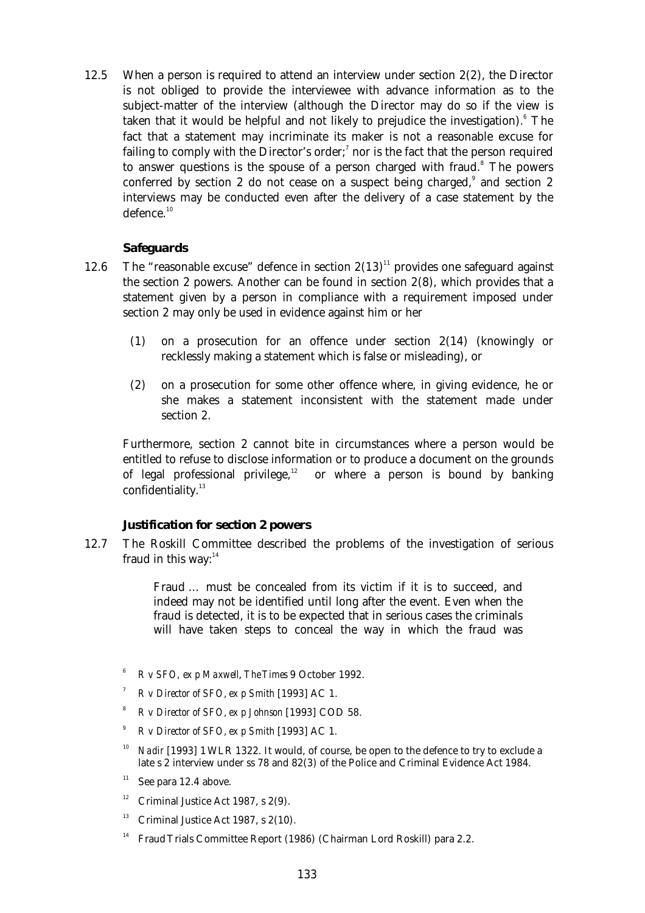12.5 When a person is required to attend an interview under section 2(2), the Director is not obliged to provide the interviewee with advance information as to the subject-matter of the interview (although the Director may do so if the view is taken that it would be helpful and not likely to prejudice the investigation). $^6$  The fact that a statement may incriminate its maker is not a reasonable excuse for failing to comply with the Director's order; $^7$  nor is the fact that the person required to answer questions is the spouse of a person charged with fraud.<sup>8</sup> The powers conferred by section 2 do not cease on a suspect being charged, $9$  and section 2 interviews may be conducted even after the delivery of a case statement by the defence.<sup>10</sup>

# *Safeguards*

- 12.6 The "reasonable excuse" defence in section  $2(13)^{11}$  provides one safeguard against the section 2 powers. Another can be found in section  $2(8)$ , which provides that a statement given by a person in compliance with a requirement imposed under section 2 may only be used in evidence against him or her
	- (1) on a prosecution for an offence under section 2(14) (knowingly or recklessly making a statement which is false or misleading), or
	- (2) on a prosecution for some other offence where, in giving evidence, he or she makes a statement inconsistent with the statement made under section 2.

Furthermore, section 2 cannot bite in circumstances where a person would be entitled to refuse to disclose information or to produce a document on the grounds of legal professional privilege, $12$  or where a person is bound by banking confidentiality.<sup>13</sup>

# *Justification for section 2 powers*

 12.7 The Roskill Committee described the problems of the investigation of serious fraud in this way: $14$ 

> Fraud … must be concealed from its victim if it is to succeed, and indeed may not be identified until long after the event. Even when the fraud is detected, it is to be expected that in serious cases the criminals will have taken steps to conceal the way in which the fraud was

- <sup>6</sup> *R v SFO, ex p Maxwell*, *The Times* 9 October 1992.
- <sup>7</sup> *R v Director of SFO, ex p Smith* [1993] AC 1.
- <sup>8</sup> *R v Director of SFO, ex p Johnson* [1993] COD 58.
- <sup>9</sup> *R v Director of SFO, ex p Smith* [1993] AC 1*.*
- <sup>10</sup> *Nadir* [1993] 1 WLR 1322. It would, of course, be open to the defence to try to exclude a late s 2 interview under ss 78 and 82(3) of the Police and Criminal Evidence Act 1984.
- $11$  See para 12.4 above.
- <sup>12</sup> Criminal Justice Act 1987, s  $2(9)$ .
- <sup>13</sup> Criminal Justice Act 1987, s  $2(10)$ .
- <sup>14</sup> Fraud Trials Committee Report (1986) (Chairman Lord Roskill) para 2.2.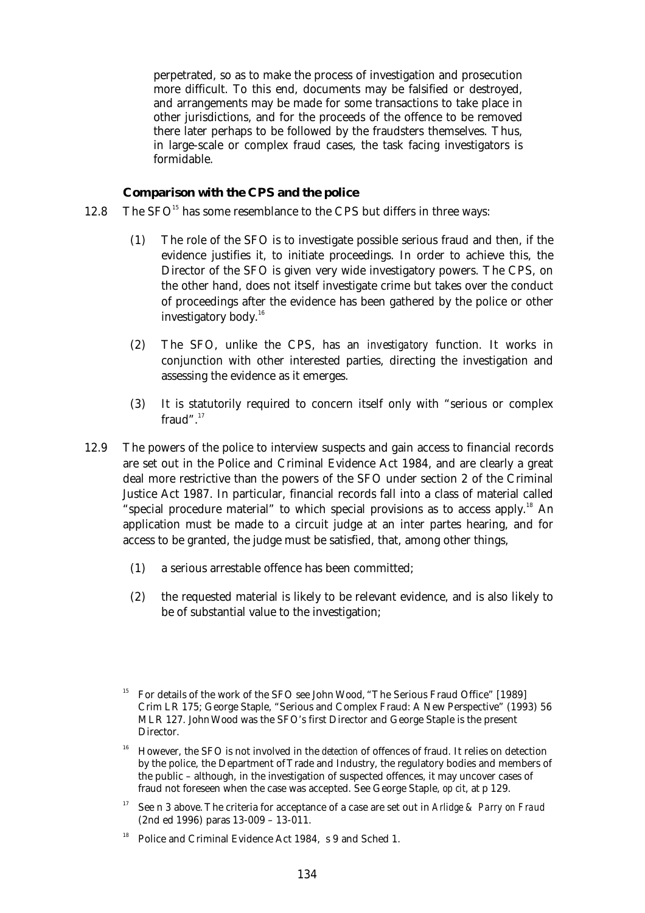perpetrated, so as to make the process of investigation and prosecution more difficult. To this end, documents may be falsified or destroyed, and arrangements may be made for some transactions to take place in other jurisdictions, and for the proceeds of the offence to be removed there later perhaps to be followed by the fraudsters themselves. Thus, in large-scale or complex fraud cases, the task facing investigators is formidable.

#### **Comparison with the CPS and the police**

- 12.8 The SFO<sup>15</sup> has some resemblance to the CPS but differs in three ways:
	- (1) The role of the SFO is to investigate possible serious fraud and then, if the evidence justifies it, to initiate proceedings. In order to achieve this, the Director of the SFO is given very wide investigatory powers. The CPS, on the other hand, does not itself investigate crime but takes over the conduct of proceedings after the evidence has been gathered by the police or other investigatory body.<sup>16</sup>
	- (2) The SFO, unlike the CPS, has an *investigatory* function. It works in conjunction with other interested parties, directing the investigation and assessing the evidence as it emerges.
	- (3) It is statutorily required to concern itself only with "serious or complex fraud". 17
- 12.9 The powers of the police to interview suspects and gain access to financial records are set out in the Police and Criminal Evidence Act 1984, and are clearly a great deal more restrictive than the powers of the SFO under section 2 of the Criminal Justice Act 1987. In particular, financial records fall into a class of material called "special procedure material" to which special provisions as to access apply.<sup>18</sup> An application must be made to a circuit judge at an inter partes hearing, and for access to be granted, the judge must be satisfied, that, among other things,
	- (1) a serious arrestable offence has been committed;
	- (2) the requested material is likely to be relevant evidence, and is also likely to be of substantial value to the investigation;

<sup>17</sup> See n 3 above. The criteria for acceptance of a case are set out in *Arlidge & Parry on Fraud* (2nd ed 1996) paras 13-009 – 13-011.

<sup>15</sup> For details of the work of the SFO see John Wood, "The Serious Fraud Office" [1989] Crim LR 175; George Staple, "Serious and Complex Fraud: A New Perspective" (1993) 56 MLR 127. John Wood was the SFO's first Director and George Staple is the present Director.

<sup>16</sup> However, the SFO is not involved in the *detection* of offences of fraud. It relies on detection by the police, the Department of Trade and Industry, the regulatory bodies and members of the public – although, in the investigation of suspected offences, it may uncover cases of fraud not foreseen when the case was accepted. See George Staple, *op cit*, at p 129.

<sup>18</sup> Police and Criminal Evidence Act 1984, s 9 and Sched 1.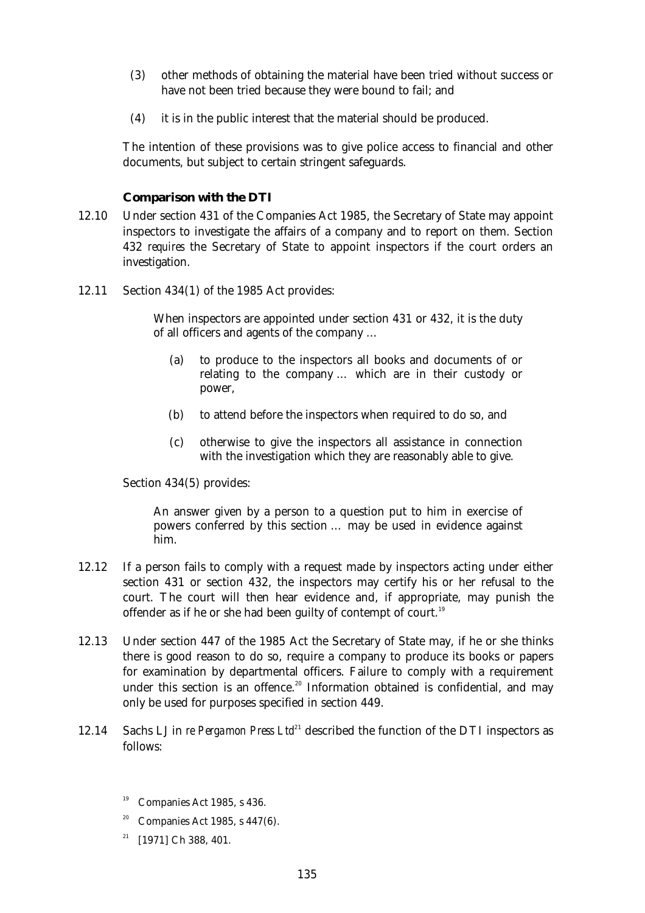- (3) other methods of obtaining the material have been tried without success or have not been tried because they were bound to fail; and
- (4) it is in the public interest that the material should be produced.

The intention of these provisions was to give police access to financial and other documents, but subject to certain stringent safeguards.

# **Comparison with the DTI**

- 12.10 Under section 431 of the Companies Act 1985, the Secretary of State may appoint inspectors to investigate the affairs of a company and to report on them. Section 432 *requires* the Secretary of State to appoint inspectors if the court orders an investigation.
- 12.11 Section 434(1) of the 1985 Act provides:

When inspectors are appointed under section 431 or 432, it is the duty of all officers and agents of the company …

- (a) to produce to the inspectors all books and documents of or relating to the company … which are in their custody or power,
- (b) to attend before the inspectors when required to do so, and
- (c) otherwise to give the inspectors all assistance in connection with the investigation which they are reasonably able to give.

Section 434(5) provides:

An answer given by a person to a question put to him in exercise of powers conferred by this section … may be used in evidence against him.

- 12.12 If a person fails to comply with a request made by inspectors acting under either section 431 or section 432, the inspectors may certify his or her refusal to the court. The court will then hear evidence and, if appropriate, may punish the offender as if he or she had been guilty of contempt of court.<sup>19</sup>
- 12.13 Under section 447 of the 1985 Act the Secretary of State may, if he or she thinks there is good reason to do so, require a company to produce its books or papers for examination by departmental officers. Failure to comply with a requirement under this section is an offence.<sup>20</sup> Information obtained is confidential, and may only be used for purposes specified in section 449.
- 12.14 Sachs LJ in *re Pergamon Press Ltd*<sup>21</sup> described the function of the DTI inspectors as follows:
	- $19$  Companies Act 1985. s 436.
	- <sup>20</sup> Companies Act 1985, s 447(6).
	- $21$  [1971] Ch 388, 401.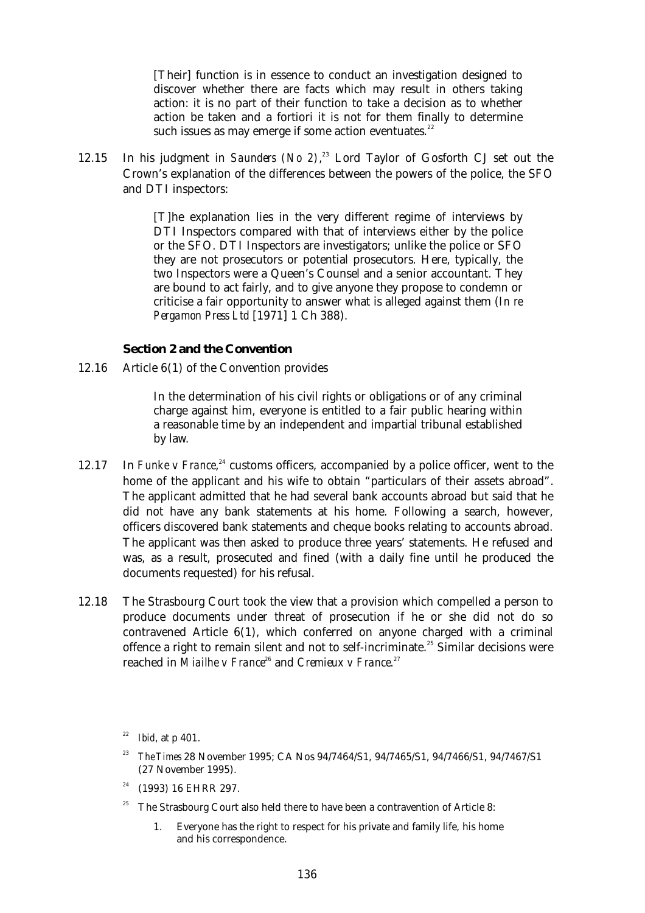[Their] function is in essence to conduct an investigation designed to discover whether there are facts which may result in others taking action: it is no part of their function to take a decision as to whether action be taken and a fortiori it is not for them finally to determine such issues as may emerge if some action eventuates. $22$ 

 12.15 In his judgment in *Saunders (No 2)*, <sup>23</sup> Lord Taylor of Gosforth CJ set out the Crown's explanation of the differences between the powers of the police, the SFO and DTI inspectors:

> [T]he explanation lies in the very different regime of interviews by DTI Inspectors compared with that of interviews either by the police or the SFO. DTI Inspectors are investigators; unlike the police or SFO they are not prosecutors or potential prosecutors. Here, typically, the two Inspectors were a Queen's Counsel and a senior accountant. They are bound to act fairly, and to give anyone they propose to condemn or criticise a fair opportunity to answer what is alleged against them (*In re Pergamon Press Ltd* [1971] 1 Ch 388).

#### **Section 2 and the Convention**

12.16 Article 6(1) of the Convention provides

In the determination of his civil rights or obligations or of any criminal charge against him, everyone is entitled to a fair public hearing within a reasonable time by an independent and impartial tribunal established by law.

- 12.17 In *Funke v France*,<sup>24</sup> customs officers, accompanied by a police officer, went to the home of the applicant and his wife to obtain "particulars of their assets abroad". The applicant admitted that he had several bank accounts abroad but said that he did not have any bank statements at his home. Following a search, however, officers discovered bank statements and cheque books relating to accounts abroad. The applicant was then asked to produce three years' statements. He refused and was, as a result, prosecuted and fined (with a daily fine until he produced the documents requested) for his refusal.
	- 12.18 The Strasbourg Court took the view that a provision which compelled a person to produce documents under threat of prosecution if he or she did not do so contravened Article 6(1), which conferred on anyone charged with a criminal offence a right to remain silent and not to self-incriminate.<sup>25</sup> Similar decisions were reached in *Miailhe v France<sup>26</sup>* and *Cremieux v France.<sup>27</sup>*

- <sup>23</sup> *The Times* 28 November 1995; CA Nos 94/7464/S1, 94/7465/S1, 94/7466/S1, 94/7467/S1 (27 November 1995).
- $24$  (1993) 16 EHRR 297.
- <sup>25</sup> The Strasbourg Court also held there to have been a contravention of Article 8:
	- 1. Everyone has the right to respect for his private and family life, his home and his correspondence.

*Ibid*, at p 401.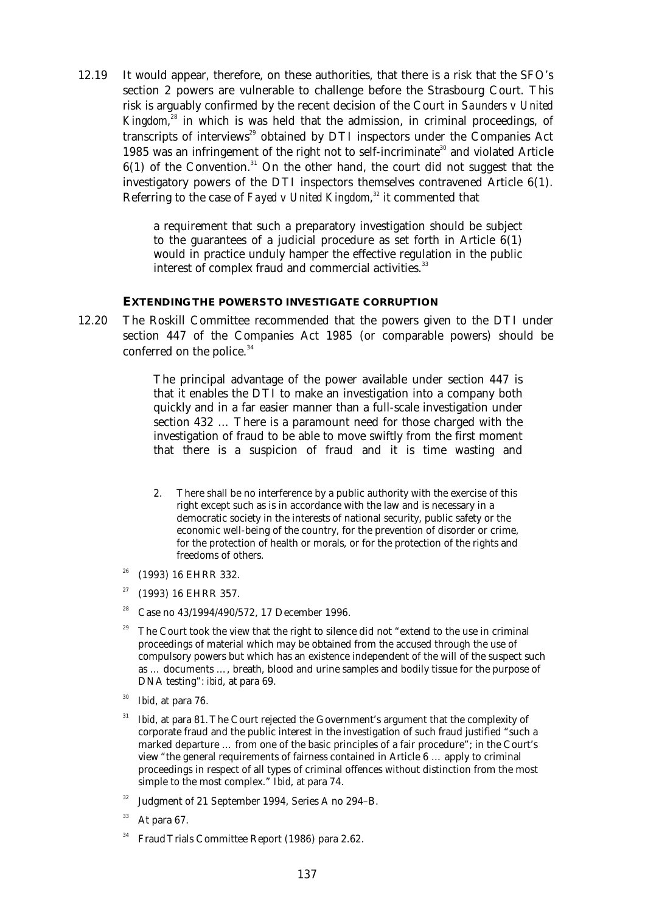12.19 It would appear, therefore, on these authorities, that there is a risk that the SFO's section 2 powers are vulnerable to challenge before the Strasbourg Court. This risk is arguably confirmed by the recent decision of the Court in *Saunders v United* Kingdom,<sup>28</sup> in which is was held that the admission, in criminal proceedings, of transcripts of interviews<sup>29</sup> obtained by DTI inspectors under the Companies Act 1985 was an infringement of the right not to self-incriminate<sup>30</sup> and violated Article  $6(1)$  of the Convention.<sup>31</sup> On the other hand, the court did not suggest that the investigatory powers of the DTI inspectors themselves contravened Article 6(1). Referring to the case of *Fayed v United Kingdom*, <sup>32</sup> it commented that

> a requirement that such a preparatory investigation should be subject to the guarantees of a judicial procedure as set forth in Article 6(1) would in practice unduly hamper the effective regulation in the public interest of complex fraud and commercial activities.<sup>33</sup>

#### **EXTENDING THE POWERS TO INVESTIGATE CORRUPTION**

 12.20 The Roskill Committee recommended that the powers given to the DTI under section 447 of the Companies Act 1985 (or comparable powers) should be conferred on the police. $34$ 

> The principal advantage of the power available under section 447 is that it enables the DTI to make an investigation into a company both quickly and in a far easier manner than a full-scale investigation under section 432 … There is a paramount need for those charged with the investigation of fraud to be able to move swiftly from the first moment that there is a suspicion of fraud and it is time wasting and

- 2. There shall be no interference by a public authority with the exercise of this right except such as is in accordance with the law and is necessary in a democratic society in the interests of national security, public safety or the economic well-being of the country, for the prevention of disorder or crime, for the protection of health or morals, or for the protection of the rights and freedoms of others.
- <sup>26</sup> (1993) 16 EHRR 332.
- $27$  (1993) 16 EHRR 357.
- <sup>28</sup> Case no  $43/1994/490/572$ , 17 December 1996.
- $29$  The Court took the view that the right to silence did not "extend to the use in criminal proceedings of material which may be obtained from the accused through the use of compulsory powers but which has an existence independent of the will of the suspect such as … documents …, breath, blood and urine samples and bodily tissue for the purpose of DNA testing": *ibid*, at para 69.
- <sup>30</sup> *Ibid*, at para 76.
- <sup>31</sup> *Ibid*, at para 81. The Court rejected the Government's argument that the complexity of corporate fraud and the public interest in the investigation of such fraud justified "such a marked departure … from one of the basic principles of a fair procedure"; in the Court's view "the general requirements of fairness contained in Article 6 … apply to criminal proceedings in respect of all types of criminal offences without distinction from the most simple to the most complex." *Ibid*, at para 74.
- $32$  Judgment of 21 September 1994, Series A no 294–B.
- $33$  At para 67.
- <sup>34</sup> Fraud Trials Committee Report (1986) para 2.62.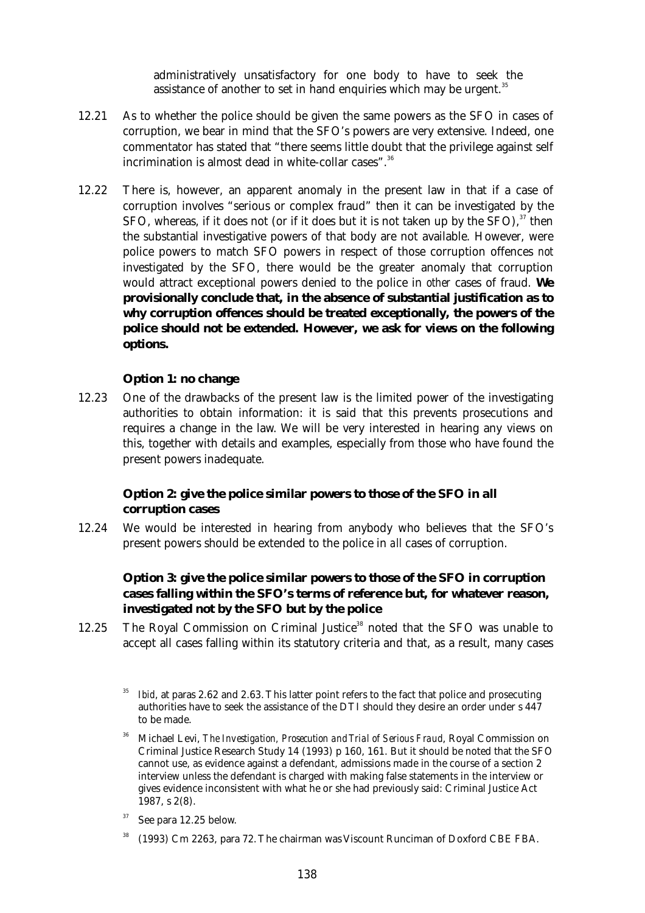administratively unsatisfactory for one body to have to seek the assistance of another to set in hand enquiries which may be urgent.<sup>35</sup>

- 12.21 As to whether the police should be given the same powers as the SFO in cases of corruption, we bear in mind that the SFO's powers are very extensive. Indeed, one commentator has stated that "there seems little doubt that the privilege against self incrimination is almost dead in white-collar cases". 36
- 12.22 There is, however, an apparent anomaly in the present law in that if a case of corruption involves "serious or complex fraud" then it can be investigated by the SFO, whereas, if it does not (or if it does but it is not taken up by the SFO).<sup>37</sup> then the substantial investigative powers of that body are not available. However, were police powers to match SFO powers in respect of those corruption offences *not* investigated by the SFO, there would be the greater anomaly that corruption would attract exceptional powers denied to the police in *other* cases of fraud. **We provisionally conclude that, in the absence of substantial justification as to why corruption offences should be treated exceptionally, the powers of the police should not be extended. However, we ask for views on the following options.**

#### **Option 1: no change**

 12.23 One of the drawbacks of the present law is the limited power of the investigating authorities to obtain information: it is said that this prevents prosecutions and requires a change in the law. We will be very interested in hearing any views on this, together with details and examples, especially from those who have found the present powers inadequate.

#### **Option 2: give the police similar powers to those of the SFO in** *all* **corruption cases**

 12.24 We would be interested in hearing from anybody who believes that the SFO's present powers should be extended to the police in *all* cases of corruption.

# **Option 3: give the police similar powers to those of the SFO in corruption cases falling within the SFO's terms of reference but, for whatever reason, investigated not by the SFO but by the police**

12.25 The Royal Commission on Criminal Justice<sup>38</sup> noted that the SFO was unable to accept all cases falling within its statutory criteria and that, as a result, many cases

- <sup>36</sup> Michael Levi, *The Investigation, Prosecution and Trial of Serious Fraud*, Royal Commission on Criminal Justice Research Study 14 (1993) p 160, 161. But it should be noted that the SFO cannot use, as evidence against a defendant, admissions made in the course of a section 2 interview unless the defendant is charged with making false statements in the interview or gives evidence inconsistent with what he or she had previously said: Criminal Justice Act 1987, s 2(8).
- $37$  See para 12.25 below.
- <sup>38</sup> (1993) Cm 2263, para 72. The chairman was Viscount Runciman of Doxford CBE FBA.

*Ibid*, at paras 2.62 and 2.63. This latter point refers to the fact that police and prosecuting authorities have to seek the assistance of the DTI should they desire an order under s 447 to be made.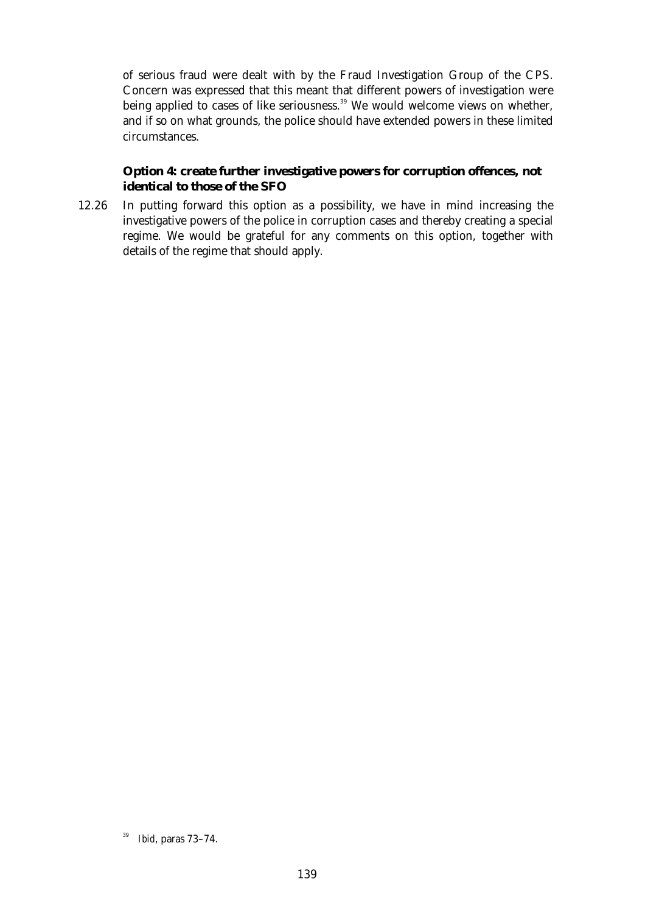of serious fraud were dealt with by the Fraud Investigation Group of the CPS. Concern was expressed that this meant that different powers of investigation were being applied to cases of like seriousness.<sup>39</sup> We would welcome views on whether, and if so on what grounds, the police should have extended powers in these limited circumstances.

# **Option 4: create further investigative powers for corruption offences, not identical to those of the SFO**

 12.26 In putting forward this option as a possibility, we have in mind increasing the investigative powers of the police in corruption cases and thereby creating a special regime. We would be grateful for any comments on this option, together with details of the regime that should apply.

<sup>39</sup> *Ibid*, paras 73–74.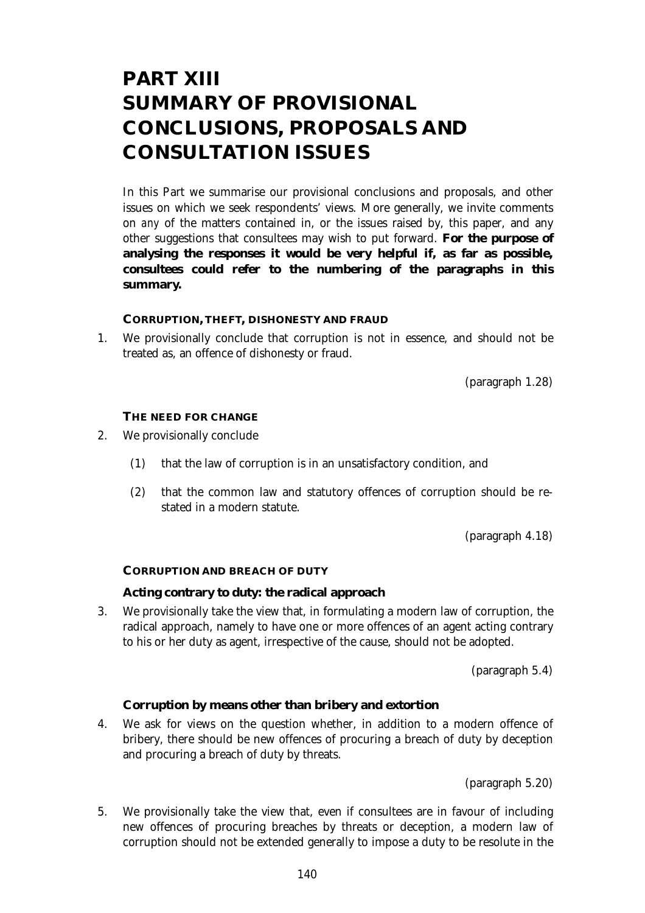# **PART XIII SUMMARY OF PROVISIONAL CONCLUSIONS, PROPOSALS AND CONSULTATION ISSUES**

In this Part we summarise our provisional conclusions and proposals, and other issues on which we seek respondents' views. More generally, we invite comments on *any* of the matters contained in, or the issues raised by, this paper, and any other suggestions that consultees may wish to put forward. **For the purpose of analysing the responses it would be very helpful if, as far as possible, consultees could refer to the numbering of the paragraphs in this summary.**

#### **CORRUPTION, THEFT, DISHONESTY AND FRAUD**

 1. We provisionally conclude that corruption is not in essence, and should not be treated as, an offence of dishonesty or fraud.

(paragraph 1.28)

#### **THE NEED FOR CHANGE**

- 2. We provisionally conclude
	- (1) that the law of corruption is in an unsatisfactory condition, and
	- (2) that the common law and statutory offences of corruption should be restated in a modern statute.

(paragraph 4.18)

#### **CORRUPTION AND BREACH OF DUTY**

#### **Acting contrary to duty: the radical approach**

 3. We provisionally take the view that, in formulating a modern law of corruption, the radical approach, namely to have one or more offences of an agent acting contrary to his or her duty as agent, irrespective of the cause, should not be adopted.

(paragraph 5.4)

#### **Corruption by means other than bribery and extortion**

 4. We ask for views on the question whether, in addition to a modern offence of bribery, there should be new offences of procuring a breach of duty by deception and procuring a breach of duty by threats.

(paragraph 5.20)

 5. We provisionally take the view that, even if consultees are in favour of including new offences of procuring breaches by threats or deception, a modern law of corruption should not be extended generally to impose a duty to be resolute in the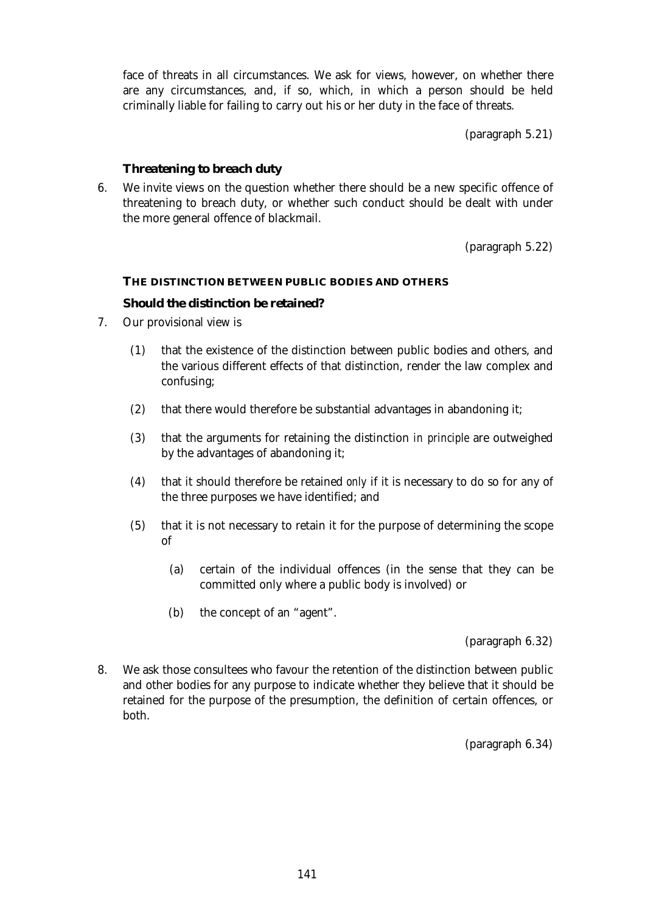face of threats in all circumstances. We ask for views, however, on whether there are any circumstances, and, if so, which, in which a person should be held criminally liable for failing to carry out his or her duty in the face of threats.

(paragraph 5.21)

# *Threatening to breach duty*

 6. We invite views on the question whether there should be a new specific offence of threatening to breach duty, or whether such conduct should be dealt with under the more general offence of blackmail.

(paragraph 5.22)

## **THE DISTINCTION BETWEEN PUBLIC BODIES AND OTHERS**

# **Should the distinction be retained?**

- 7. Our provisional view is
	- (1) that the existence of the distinction between public bodies and others, and the various different effects of that distinction, render the law complex and confusing;
	- (2) that there would therefore be substantial advantages in abandoning it;
	- (3) that the arguments for retaining the distinction *in principle* are outweighed by the advantages of abandoning it;
	- (4) that it should therefore be retained *only* if it is necessary to do so for any of the three purposes we have identified; and
	- (5) that it is not necessary to retain it for the purpose of determining the scope of
		- (a) certain of the individual offences (in the sense that they can be committed only where a public body is involved) or
		- (b) the concept of an "agent".

(paragraph 6.32)

 8. We ask those consultees who favour the retention of the distinction between public and other bodies for any purpose to indicate whether they believe that it should be retained for the purpose of the presumption, the definition of certain offences, or both.

(paragraph 6.34)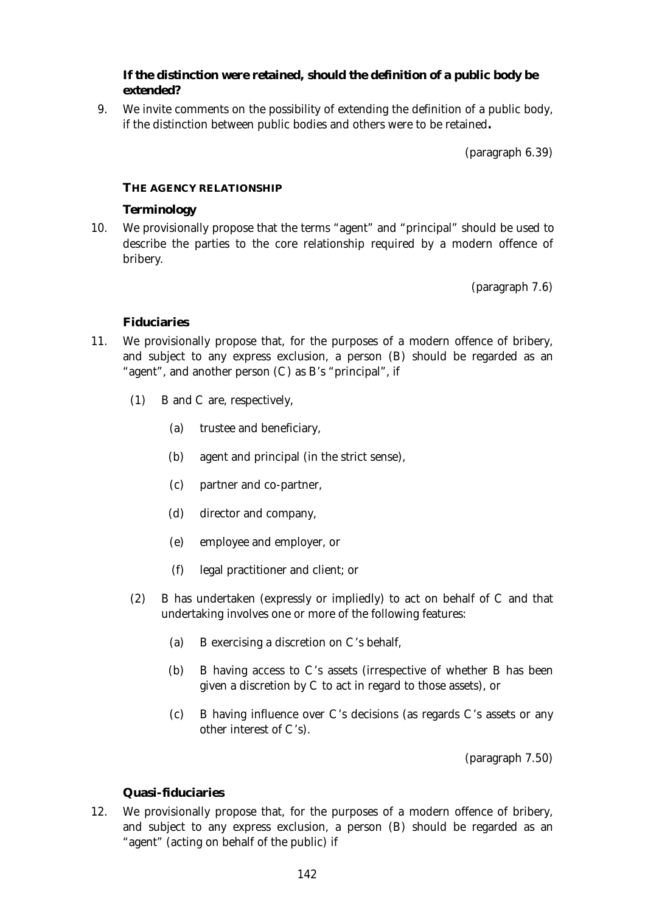# **If the distinction were retained, should the definition of a public body be extended?**

 9. We invite comments on the possibility of extending the definition of a public body, if the distinction between public bodies and others were to be retained**.**

(paragraph 6.39)

## **THE AGENCY RELATIONSHIP**

## **Terminology**

 10. We provisionally propose that the terms "agent" and "principal" should be used to describe the parties to the core relationship required by a modern offence of bribery.

(paragraph 7.6)

# **Fiduciaries**

- 11. We provisionally propose that, for the purposes of a modern offence of bribery, and subject to any express exclusion, a person (B) should be regarded as an "agent", and another person (C) as B's "principal", if
	- (1) B and C are, respectively,
		- (a) trustee and beneficiary,
		- (b) agent and principal (in the strict sense),
		- (c) partner and co-partner,
		- (d) director and company,
		- (e) employee and employer, or
		- (f) legal practitioner and client; or
	- (2) B has undertaken (expressly or impliedly) to act on behalf of C and that undertaking involves one or more of the following features:
		- (a) B exercising a discretion on C's behalf,
		- (b) B having access to C's assets (irrespective of whether B has been given a discretion by C to act in regard to those assets), or
		- (c) B having influence over C's decisions (as regards C's assets or any other interest of C's).

(paragraph 7.50)

# **Quasi-fiduciaries**

 12. We provisionally propose that, for the purposes of a modern offence of bribery, and subject to any express exclusion, a person (B) should be regarded as an "agent" (acting on behalf of the public) if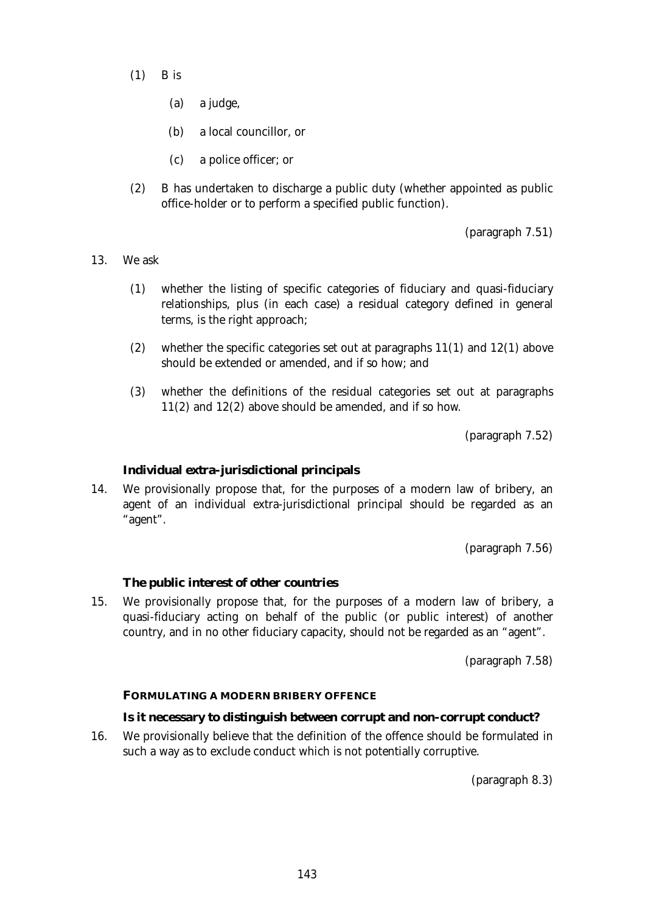- $(1)$  B is
	- (a) a judge,
	- (b) a local councillor, or
	- (c) a police officer; or
- (2) B has undertaken to discharge a public duty (whether appointed as public office-holder or to perform a specified public function).

(paragraph 7.51)

- 13. We ask
	- (1) whether the listing of specific categories of fiduciary and quasi-fiduciary relationships, plus (in each case) a residual category defined in general terms, is the right approach;
	- (2) whether the specific categories set out at paragraphs 11(1) and 12(1) above should be extended or amended, and if so how; and
	- (3) whether the definitions of the residual categories set out at paragraphs 11(2) and 12(2) above should be amended, and if so how.

(paragraph 7.52)

#### **Individual extra-jurisdictional principals**

 14. We provisionally propose that, for the purposes of a modern law of bribery, an agent of an individual extra-jurisdictional principal should be regarded as an "agent".

(paragraph 7.56)

## **The public interest of other countries**

 15. We provisionally propose that, for the purposes of a modern law of bribery, a quasi-fiduciary acting on behalf of the public (or public interest) of another country, and in no other fiduciary capacity, should not be regarded as an "agent".

(paragraph 7.58)

#### **FORMULATING A MODERN BRIBERY OFFENCE**

#### **Is it necessary to distinguish between corrupt and non-corrupt conduct?**

 16. We provisionally believe that the definition of the offence should be formulated in such a way as to exclude conduct which is not potentially corruptive.

(paragraph 8.3)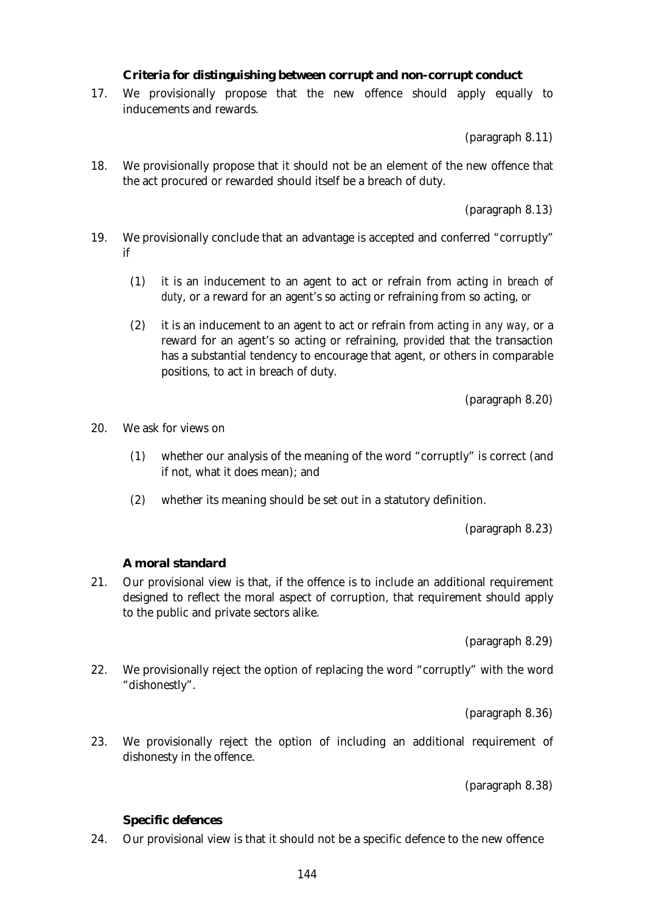## **Criteria for distinguishing between corrupt and non-corrupt conduct**

 17. We provisionally propose that the new offence should apply equally to inducements and rewards.

(paragraph 8.11)

 18. We provisionally propose that it should not be an element of the new offence that the act procured or rewarded should itself be a breach of duty.

(paragraph 8.13)

- 19. We provisionally conclude that an advantage is accepted and conferred "corruptly" if
	- (1) it is an inducement to an agent to act or refrain from acting *in breach of duty*, or a reward for an agent's so acting or refraining from so acting, *or*
	- (2) it is an inducement to an agent to act or refrain from acting *in any way*, or a reward for an agent's so acting or refraining, *provided* that the transaction has a substantial tendency to encourage that agent, or others in comparable positions, to act in breach of duty.

(paragraph 8.20)

- 20. We ask for views on
	- (1) whether our analysis of the meaning of the word "corruptly" is correct (and if not, what it does mean); and
	- (2) whether its meaning should be set out in a statutory definition.

(paragraph 8.23)

## *A moral standard*

 21. Our provisional view is that, if the offence is to include an additional requirement designed to reflect the moral aspect of corruption, that requirement should apply to the public and private sectors alike.

(paragraph 8.29)

 22. We provisionally reject the option of replacing the word "corruptly" with the word "dishonestly".

(paragraph 8.36)

 23. We provisionally reject the option of including an additional requirement of dishonesty in the offence.

(paragraph 8.38)

#### **Specific defences**

24. Our provisional view is that it should not be a specific defence to the new offence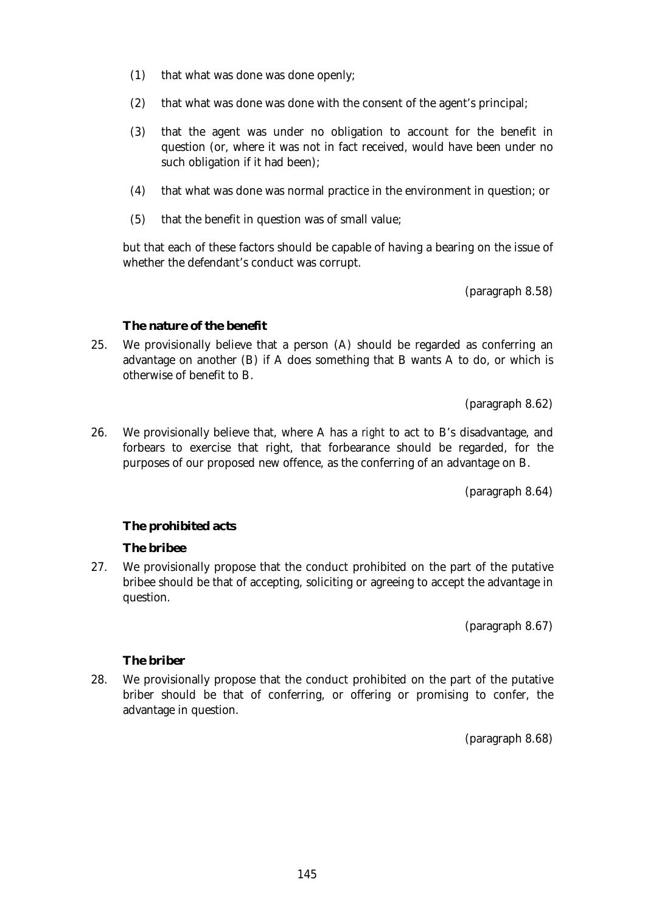- (1) that what was done was done openly;
- (2) that what was done was done with the consent of the agent's principal;
- (3) that the agent was under no obligation to account for the benefit in question (or, where it was not in fact received, would have been under no such obligation if it had been);
- (4) that what was done was normal practice in the environment in question; or
- (5) that the benefit in question was of small value;

but that each of these factors should be capable of having a bearing on the issue of whether the defendant's conduct was corrupt.

(paragraph 8.58)

# **The nature of the benefit**

 25. We provisionally believe that a person (A) should be regarded as conferring an advantage on another (B) if A does something that B wants A to do, or which is otherwise of benefit to B.

(paragraph 8.62)

 26. We provisionally believe that, where A has a *right* to act to B's disadvantage, and forbears to exercise that right, that forbearance should be regarded, for the purposes of our proposed new offence, as the conferring of an advantage on B.

(paragraph 8.64)

# **The prohibited acts**

## *The bribee*

 27. We provisionally propose that the conduct prohibited on the part of the putative bribee should be that of accepting, soliciting or agreeing to accept the advantage in question.

(paragraph 8.67)

## *The briber*

 28. We provisionally propose that the conduct prohibited on the part of the putative briber should be that of conferring, or offering or promising to confer, the advantage in question.

(paragraph 8.68)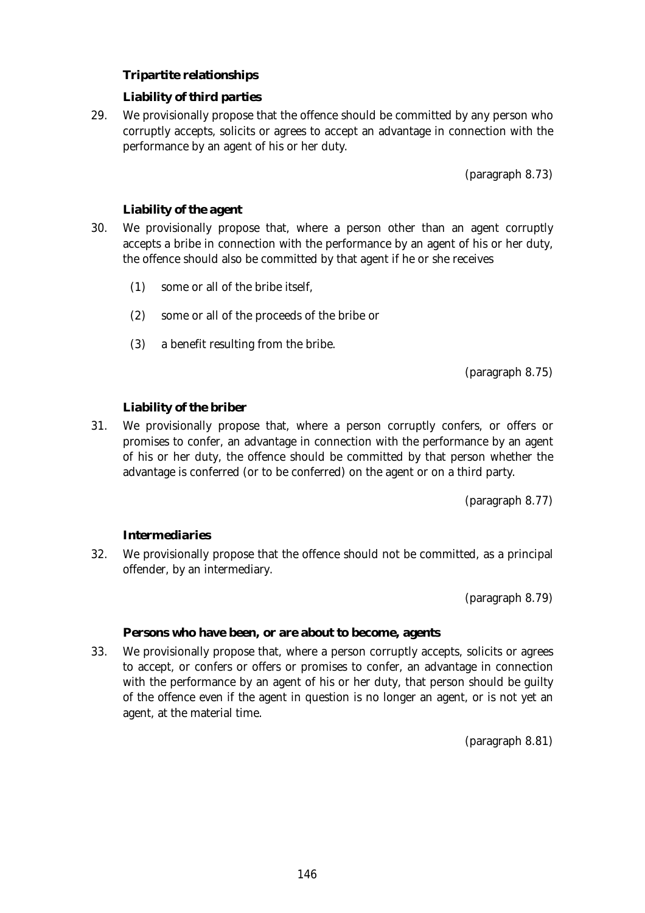# **Tripartite relationships**

# *Liability of third parties*

 29. We provisionally propose that the offence should be committed by any person who corruptly accepts, solicits or agrees to accept an advantage in connection with the performance by an agent of his or her duty.

(paragraph 8.73)

## *Liability of the agent*

- 30. We provisionally propose that, where a person other than an agent corruptly accepts a bribe in connection with the performance by an agent of his or her duty, the offence should also be committed by that agent if he or she receives
	- (1) some or all of the bribe itself,
	- (2) some or all of the proceeds of the bribe or
	- (3) a benefit resulting from the bribe.

(paragraph 8.75)

# *Liability of the briber*

 31. We provisionally propose that, where a person corruptly confers, or offers or promises to confer, an advantage in connection with the performance by an agent of his or her duty, the offence should be committed by that person whether the advantage is conferred (or to be conferred) on the agent or on a third party.

(paragraph 8.77)

## *Intermediaries*

 32. We provisionally propose that the offence should not be committed, as a principal offender, by an intermediary.

(paragraph 8.79)

## **Persons who have been, or are about to become, agents**

 33. We provisionally propose that, where a person corruptly accepts, solicits or agrees to accept, or confers or offers or promises to confer, an advantage in connection with the performance by an agent of his or her duty, that person should be guilty of the offence even if the agent in question is no longer an agent, or is not yet an agent, at the material time.

(paragraph 8.81)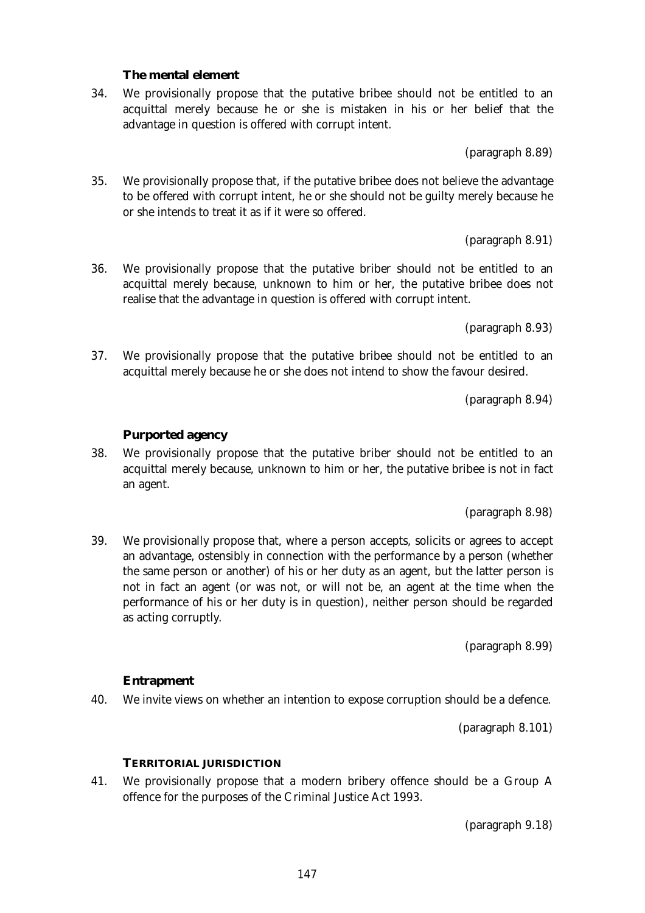#### **The mental element**

 34. We provisionally propose that the putative bribee should not be entitled to an acquittal merely because he or she is mistaken in his or her belief that the advantage in question is offered with corrupt intent.

(paragraph 8.89)

 35. We provisionally propose that, if the putative bribee does not believe the advantage to be offered with corrupt intent, he or she should not be guilty merely because he or she intends to treat it as if it were so offered.

(paragraph 8.91)

 36. We provisionally propose that the putative briber should not be entitled to an acquittal merely because, unknown to him or her, the putative bribee does not realise that the advantage in question is offered with corrupt intent.

(paragraph 8.93)

 37. We provisionally propose that the putative bribee should not be entitled to an acquittal merely because he or she does not intend to show the favour desired.

(paragraph 8.94)

#### **Purported agency**

 38. We provisionally propose that the putative briber should not be entitled to an acquittal merely because, unknown to him or her, the putative bribee is not in fact an agent.

(paragraph 8.98)

 39. We provisionally propose that, where a person accepts, solicits or agrees to accept an advantage, ostensibly in connection with the performance by a person (whether the same person or another) of his or her duty as an agent, but the latter person is not in fact an agent (or was not, or will not be, an agent at the time when the performance of his or her duty is in question), neither person should be regarded as acting corruptly.

(paragraph 8.99)

#### **Entrapment**

40. We invite views on whether an intention to expose corruption should be a defence.

(paragraph 8.101)

#### **TERRITORIAL JURISDICTION**

 41. We provisionally propose that a modern bribery offence should be a Group A offence for the purposes of the Criminal Justice Act 1993.

(paragraph 9.18)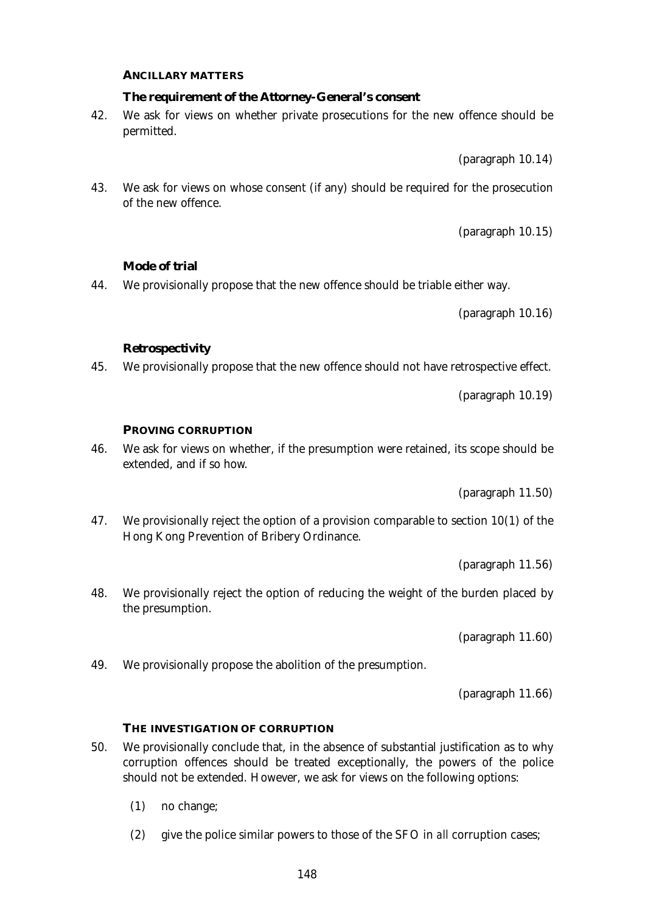## **ANCILLARY MATTERS**

## **The requirement of the Attorney-General's consent**

 42. We ask for views on whether private prosecutions for the new offence should be permitted.

(paragraph 10.14)

 43. We ask for views on whose consent (if any) should be required for the prosecution of the new offence.

(paragraph 10.15)

# **Mode of trial**

44. We provisionally propose that the new offence should be triable either way.

(paragraph 10.16)

# **Retrospectivity**

45. We provisionally propose that the new offence should not have retrospective effect.

(paragraph 10.19)

#### **PROVING CORRUPTION**

 46. We ask for views on whether, if the presumption were retained, its scope should be extended, and if so how.

(paragraph 11.50)

 47. We provisionally reject the option of a provision comparable to section 10(1) of the Hong Kong Prevention of Bribery Ordinance.

(paragraph 11.56)

 48. We provisionally reject the option of reducing the weight of the burden placed by the presumption.

(paragraph 11.60)

49. We provisionally propose the abolition of the presumption.

(paragraph 11.66)

#### **THE INVESTIGATION OF CORRUPTION**

- 50. We provisionally conclude that, in the absence of substantial justification as to why corruption offences should be treated exceptionally, the powers of the police should not be extended. However, we ask for views on the following options:
	- (1) no change;
	- (2) give the police similar powers to those of the SFO in *all* corruption cases;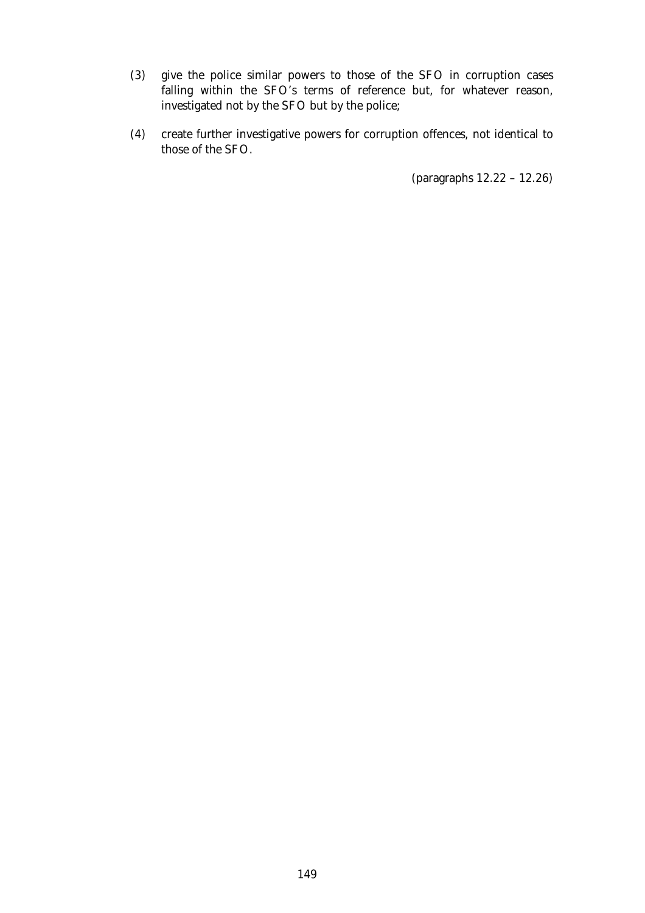- (3) give the police similar powers to those of the SFO in corruption cases falling within the SFO's terms of reference but, for whatever reason, investigated not by the SFO but by the police;
- (4) create further investigative powers for corruption offences, not identical to those of the SFO.

(paragraphs 12.22 – 12.26)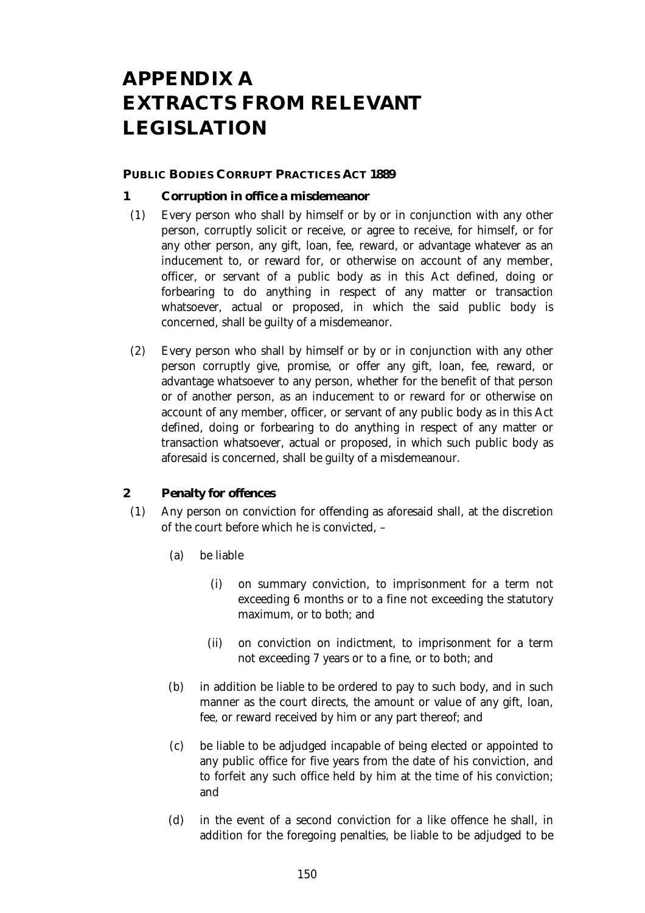# **APPENDIX A EXTRACTS FROM RELEVANT LEGISLATION**

## **PUBLIC BODIES CORRUPT PRACTICES ACT 1889**

# **1 Corruption in office a misdemeanor**

- (1) Every person who shall by himself or by or in conjunction with any other person, corruptly solicit or receive, or agree to receive, for himself, or for any other person, any gift, loan, fee, reward, or advantage whatever as an inducement to, or reward for, or otherwise on account of any member, officer, or servant of a public body as in this Act defined, doing or forbearing to do anything in respect of any matter or transaction whatsoever, actual or proposed, in which the said public body is concerned, shall be guilty of a misdemeanor.
- (2) Every person who shall by himself or by or in conjunction with any other person corruptly give, promise, or offer any gift, loan, fee, reward, or advantage whatsoever to any person, whether for the benefit of that person or of another person, as an inducement to or reward for or otherwise on account of any member, officer, or servant of any public body as in this Act defined, doing or forbearing to do anything in respect of any matter or transaction whatsoever, actual or proposed, in which such public body as aforesaid is concerned, shall be guilty of a misdemeanour.

# **2 Penalty for offences**

- (1) Any person on conviction for offending as aforesaid shall, at the discretion of the court before which he is convicted, –
	- (a) be liable
		- (i) on summary conviction, to imprisonment for a term not exceeding 6 months or to a fine not exceeding the statutory maximum, or to both; and
		- (ii) on conviction on indictment, to imprisonment for a term not exceeding 7 years or to a fine, or to both; and
	- (b) in addition be liable to be ordered to pay to such body, and in such manner as the court directs, the amount or value of any gift, loan, fee, or reward received by him or any part thereof; and
	- (c) be liable to be adjudged incapable of being elected or appointed to any public office for five years from the date of his conviction, and to forfeit any such office held by him at the time of his conviction; and
	- (d) in the event of a second conviction for a like offence he shall, in addition for the foregoing penalties, be liable to be adjudged to be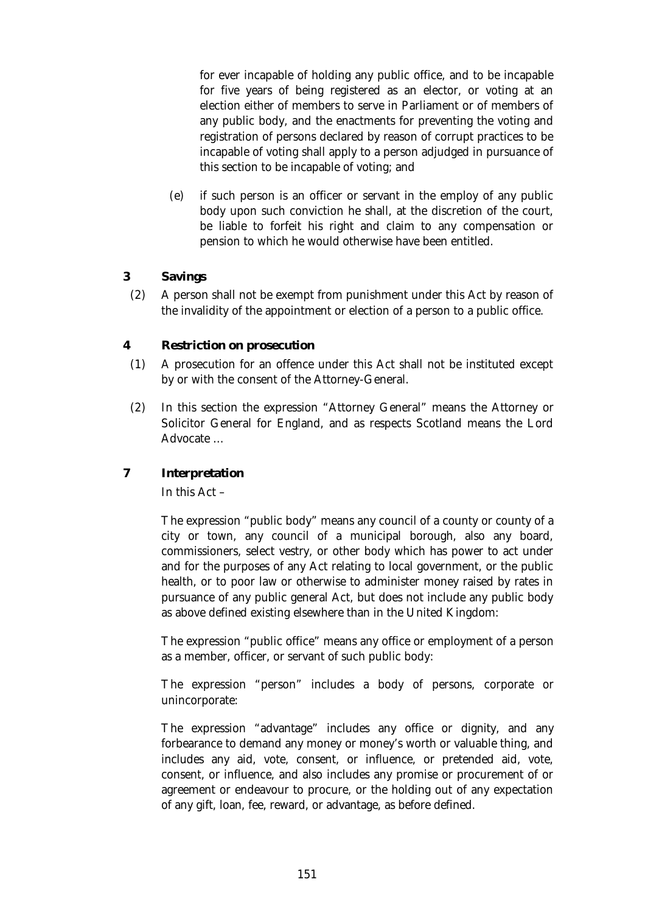for ever incapable of holding any public office, and to be incapable for five years of being registered as an elector, or voting at an election either of members to serve in Parliament or of members of any public body, and the enactments for preventing the voting and registration of persons declared by reason of corrupt practices to be incapable of voting shall apply to a person adjudged in pursuance of this section to be incapable of voting; and

 (e) if such person is an officer or servant in the employ of any public body upon such conviction he shall, at the discretion of the court, be liable to forfeit his right and claim to any compensation or pension to which he would otherwise have been entitled.

## **3 Savings**

 (2) A person shall not be exempt from punishment under this Act by reason of the invalidity of the appointment or election of a person to a public office.

## **4 Restriction on prosecution**

- (1) A prosecution for an offence under this Act shall not be instituted except by or with the consent of the Attorney-General.
- (2) In this section the expression "Attorney General" means the Attorney or Solicitor General for England, and as respects Scotland means the Lord Advocate …

# **7 Interpretation**

In this Act –

The expression "public body" means any council of a county or county of a city or town, any council of a municipal borough, also any board, commissioners, select vestry, or other body which has power to act under and for the purposes of any Act relating to local government, or the public health, or to poor law or otherwise to administer money raised by rates in pursuance of any public general Act, but does not include any public body as above defined existing elsewhere than in the United Kingdom:

The expression "public office" means any office or employment of a person as a member, officer, or servant of such public body:

The expression "person" includes a body of persons, corporate or unincorporate:

The expression "advantage" includes any office or dignity, and any forbearance to demand any money or money's worth or valuable thing, and includes any aid, vote, consent, or influence, or pretended aid, vote, consent, or influence, and also includes any promise or procurement of or agreement or endeavour to procure, or the holding out of any expectation of any gift, loan, fee, reward, or advantage, as before defined.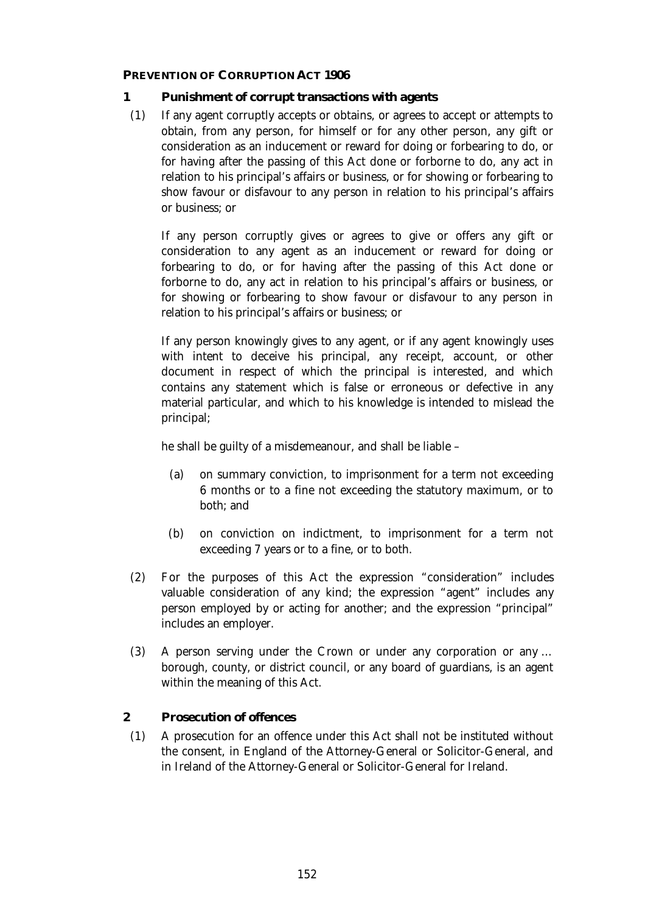#### **PREVENTION OF CORRUPTION ACT 1906**

## **1 Punishment of corrupt transactions with agents**

 (1) If any agent corruptly accepts or obtains, or agrees to accept or attempts to obtain, from any person, for himself or for any other person, any gift or consideration as an inducement or reward for doing or forbearing to do, or for having after the passing of this Act done or forborne to do, any act in relation to his principal's affairs or business, or for showing or forbearing to show favour or disfavour to any person in relation to his principal's affairs or business; or

If any person corruptly gives or agrees to give or offers any gift or consideration to any agent as an inducement or reward for doing or forbearing to do, or for having after the passing of this Act done or forborne to do, any act in relation to his principal's affairs or business, or for showing or forbearing to show favour or disfavour to any person in relation to his principal's affairs or business; or

If any person knowingly gives to any agent, or if any agent knowingly uses with intent to deceive his principal, any receipt, account, or other document in respect of which the principal is interested, and which contains any statement which is false or erroneous or defective in any material particular, and which to his knowledge is intended to mislead the principal;

he shall be guilty of a misdemeanour, and shall be liable –

- (a) on summary conviction, to imprisonment for a term not exceeding 6 months or to a fine not exceeding the statutory maximum, or to both; and
- (b) on conviction on indictment, to imprisonment for a term not exceeding 7 years or to a fine, or to both.
- (2) For the purposes of this Act the expression "consideration" includes valuable consideration of any kind; the expression "agent" includes any person employed by or acting for another; and the expression "principal" includes an employer.
- (3) A person serving under the Crown or under any corporation or any … borough, county, or district council, or any board of guardians, is an agent within the meaning of this Act.

# **2 Prosecution of offences**

 (1) A prosecution for an offence under this Act shall not be instituted without the consent, in England of the Attorney-General or Solicitor-General, and in Ireland of the Attorney-General or Solicitor-General for Ireland.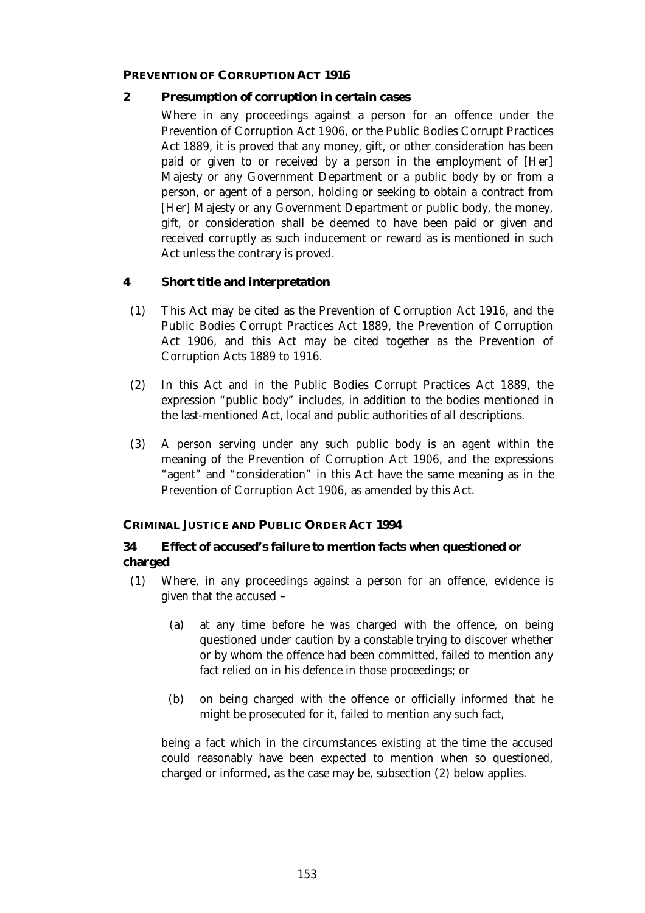#### **PREVENTION OF CORRUPTION ACT 1916**

## **2 Presumption of corruption in certain cases**

Where in any proceedings against a person for an offence under the Prevention of Corruption Act 1906, or the Public Bodies Corrupt Practices Act 1889, it is proved that any money, gift, or other consideration has been paid or given to or received by a person in the employment of [Her] Majesty or any Government Department or a public body by or from a person, or agent of a person, holding or seeking to obtain a contract from [Her] Majesty or any Government Department or public body, the money, gift, or consideration shall be deemed to have been paid or given and received corruptly as such inducement or reward as is mentioned in such Act unless the contrary is proved.

# **4 Short title and interpretation**

- (1) This Act may be cited as the Prevention of Corruption Act 1916, and the Public Bodies Corrupt Practices Act 1889, the Prevention of Corruption Act 1906, and this Act may be cited together as the Prevention of Corruption Acts 1889 to 1916.
- (2) In this Act and in the Public Bodies Corrupt Practices Act 1889, the expression "public body" includes, in addition to the bodies mentioned in the last-mentioned Act, local and public authorities of all descriptions.
- (3) A person serving under any such public body is an agent within the meaning of the Prevention of Corruption Act 1906, and the expressions "agent" and "consideration" in this Act have the same meaning as in the Prevention of Corruption Act 1906, as amended by this Act.

## **CRIMINAL JUSTICE AND PUBLIC ORDER ACT 1994**

# **34 Effect of accused's failure to mention facts when questioned or charged**

- (1) Where, in any proceedings against a person for an offence, evidence is given that the accused –
	- (a) at any time before he was charged with the offence, on being questioned under caution by a constable trying to discover whether or by whom the offence had been committed, failed to mention any fact relied on in his defence in those proceedings; or
	- (b) on being charged with the offence or officially informed that he might be prosecuted for it, failed to mention any such fact,

being a fact which in the circumstances existing at the time the accused could reasonably have been expected to mention when so questioned, charged or informed, as the case may be, subsection (2) below applies.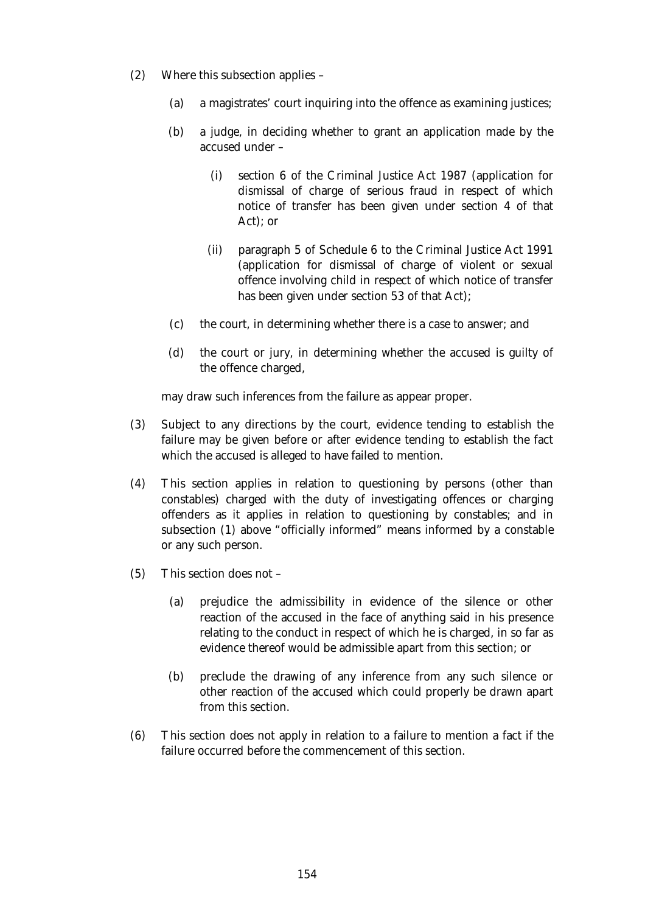- (2) Where this subsection applies
	- (a) a magistrates' court inquiring into the offence as examining justices;
	- (b) a judge, in deciding whether to grant an application made by the accused under –
		- (i) section 6 of the Criminal Justice Act 1987 (application for dismissal of charge of serious fraud in respect of which notice of transfer has been given under section 4 of that Act); or
		- (ii) paragraph 5 of Schedule 6 to the Criminal Justice Act 1991 (application for dismissal of charge of violent or sexual offence involving child in respect of which notice of transfer has been given under section 53 of that Act);
	- (c) the court, in determining whether there is a case to answer; and
	- (d) the court or jury, in determining whether the accused is guilty of the offence charged,

may draw such inferences from the failure as appear proper.

- (3) Subject to any directions by the court, evidence tending to establish the failure may be given before or after evidence tending to establish the fact which the accused is alleged to have failed to mention.
- (4) This section applies in relation to questioning by persons (other than constables) charged with the duty of investigating offences or charging offenders as it applies in relation to questioning by constables; and in subsection (1) above "officially informed" means informed by a constable or any such person.
- (5) This section does not
	- (a) prejudice the admissibility in evidence of the silence or other reaction of the accused in the face of anything said in his presence relating to the conduct in respect of which he is charged, in so far as evidence thereof would be admissible apart from this section; or
	- (b) preclude the drawing of any inference from any such silence or other reaction of the accused which could properly be drawn apart from this section.
- (6) This section does not apply in relation to a failure to mention a fact if the failure occurred before the commencement of this section.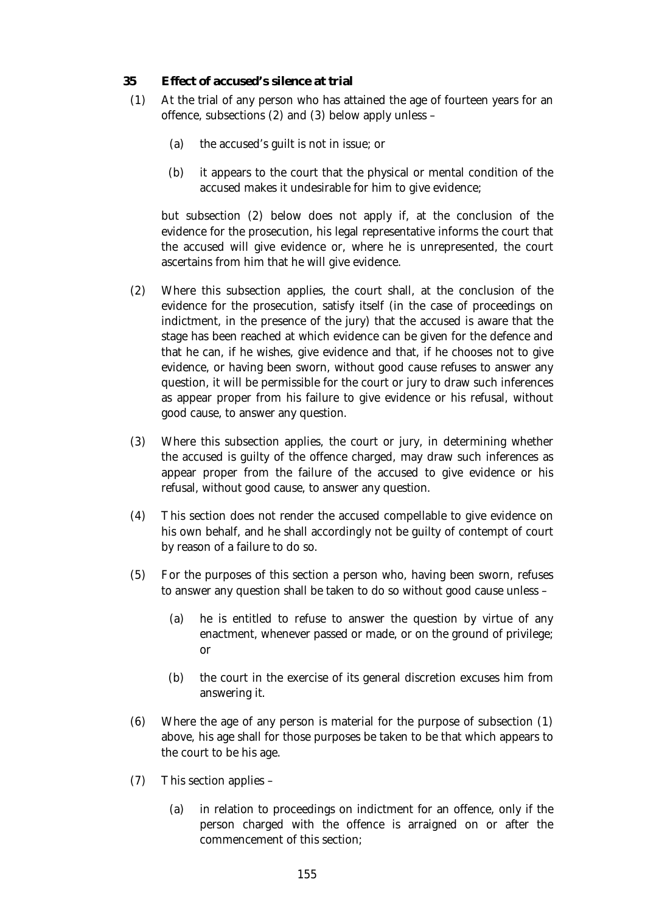#### **35 Effect of accused's silence at trial**

- (1) At the trial of any person who has attained the age of fourteen years for an offence, subsections (2) and (3) below apply unless –
	- (a) the accused's guilt is not in issue; or
	- (b) it appears to the court that the physical or mental condition of the accused makes it undesirable for him to give evidence;

but subsection (2) below does not apply if, at the conclusion of the evidence for the prosecution, his legal representative informs the court that the accused will give evidence or, where he is unrepresented, the court ascertains from him that he will give evidence.

- (2) Where this subsection applies, the court shall, at the conclusion of the evidence for the prosecution, satisfy itself (in the case of proceedings on indictment, in the presence of the jury) that the accused is aware that the stage has been reached at which evidence can be given for the defence and that he can, if he wishes, give evidence and that, if he chooses not to give evidence, or having been sworn, without good cause refuses to answer any question, it will be permissible for the court or jury to draw such inferences as appear proper from his failure to give evidence or his refusal, without good cause, to answer any question.
- (3) Where this subsection applies, the court or jury, in determining whether the accused is guilty of the offence charged, may draw such inferences as appear proper from the failure of the accused to give evidence or his refusal, without good cause, to answer any question.
- (4) This section does not render the accused compellable to give evidence on his own behalf, and he shall accordingly not be guilty of contempt of court by reason of a failure to do so.
- (5) For the purposes of this section a person who, having been sworn, refuses to answer any question shall be taken to do so without good cause unless –
	- (a) he is entitled to refuse to answer the question by virtue of any enactment, whenever passed or made, or on the ground of privilege; or
	- (b) the court in the exercise of its general discretion excuses him from answering it.
- (6) Where the age of any person is material for the purpose of subsection (1) above, his age shall for those purposes be taken to be that which appears to the court to be his age.
- (7) This section applies
	- (a) in relation to proceedings on indictment for an offence, only if the person charged with the offence is arraigned on or after the commencement of this section;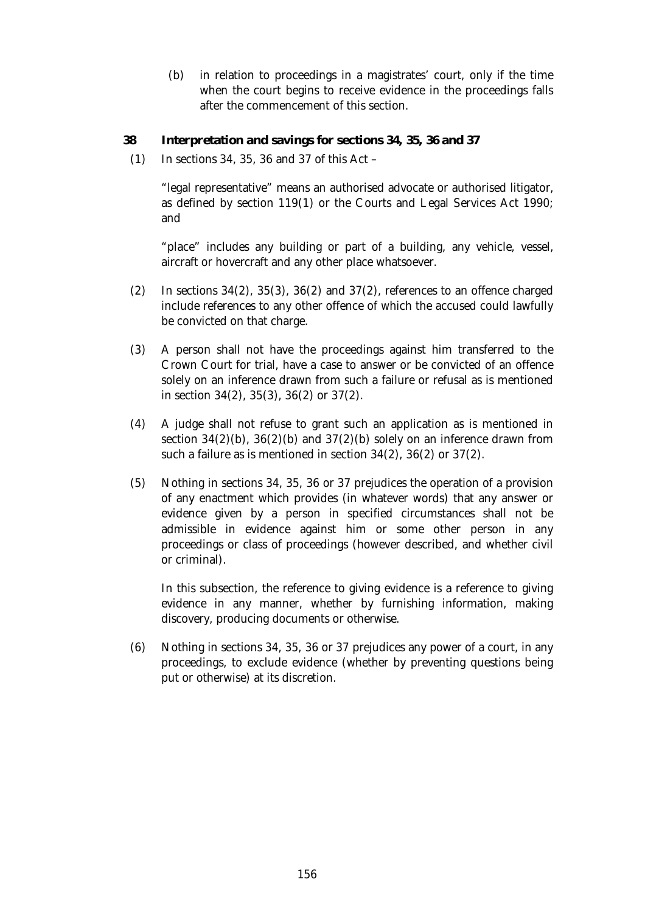(b) in relation to proceedings in a magistrates' court, only if the time when the court begins to receive evidence in the proceedings falls after the commencement of this section.

# **38 Interpretation and savings for sections 34, 35, 36 and 37**

(1) In sections 34, 35, 36 and 37 of this Act –

"legal representative" means an authorised advocate or authorised litigator, as defined by section 119(1) or the Courts and Legal Services Act 1990; and

"place" includes any building or part of a building, any vehicle, vessel, aircraft or hovercraft and any other place whatsoever.

- (2) In sections  $34(2)$ ,  $35(3)$ ,  $36(2)$  and  $37(2)$ , references to an offence charged include references to any other offence of which the accused could lawfully be convicted on that charge.
- (3) A person shall not have the proceedings against him transferred to the Crown Court for trial, have a case to answer or be convicted of an offence solely on an inference drawn from such a failure or refusal as is mentioned in section 34(2), 35(3), 36(2) or 37(2).
- (4) A judge shall not refuse to grant such an application as is mentioned in section  $34(2)(b)$ ,  $36(2)(b)$  and  $37(2)(b)$  solely on an inference drawn from such a failure as is mentioned in section 34(2), 36(2) or 37(2).
- (5) Nothing in sections 34, 35, 36 or 37 prejudices the operation of a provision of any enactment which provides (in whatever words) that any answer or evidence given by a person in specified circumstances shall not be admissible in evidence against him or some other person in any proceedings or class of proceedings (however described, and whether civil or criminal).

In this subsection, the reference to giving evidence is a reference to giving evidence in any manner, whether by furnishing information, making discovery, producing documents or otherwise.

 (6) Nothing in sections 34, 35, 36 or 37 prejudices any power of a court, in any proceedings, to exclude evidence (whether by preventing questions being put or otherwise) at its discretion.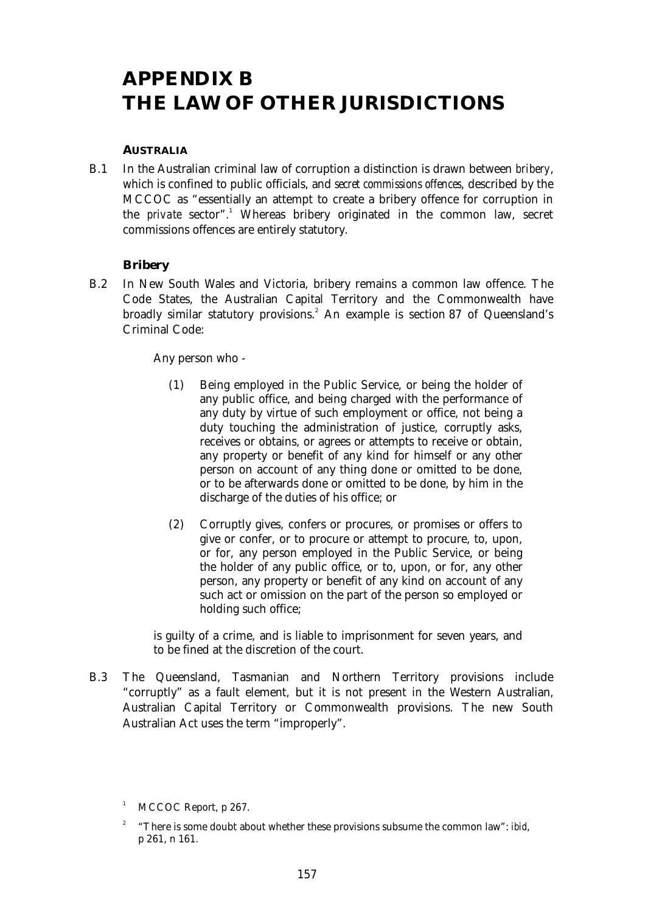# **APPENDIX B THE LAW OF OTHER JURISDICTIONS**

## **AUSTRALIA**

 B.1 In the Australian criminal law of corruption a distinction is drawn between *bribery*, which is confined to public officials, and *secret commissions offences*, described by the MCCOC as "essentially an attempt to create a bribery offence for corruption in the *private* sector". 1 Whereas bribery originated in the common law, secret commissions offences are entirely statutory.

## **Bribery**

 B.2 In New South Wales and Victoria, bribery remains a common law offence. The Code States, the Australian Capital Territory and the Commonwealth have broadly similar statutory provisions.<sup>2</sup> An example is section 87 of Queensland's Criminal Code:

Any person who -

- (1) Being employed in the Public Service, or being the holder of any public office, and being charged with the performance of any duty by virtue of such employment or office, not being a duty touching the administration of justice, corruptly asks, receives or obtains, or agrees or attempts to receive or obtain, any property or benefit of any kind for himself or any other person on account of any thing done or omitted to be done, or to be afterwards done or omitted to be done, by him in the discharge of the duties of his office; or
- (2) Corruptly gives, confers or procures, or promises or offers to give or confer, or to procure or attempt to procure, to, upon, or for, any person employed in the Public Service, or being the holder of any public office, or to, upon, or for, any other person, any property or benefit of any kind on account of any such act or omission on the part of the person so employed or holding such office;

is guilty of a crime, and is liable to imprisonment for seven years, and to be fined at the discretion of the court.

 B.3 The Queensland, Tasmanian and Northern Territory provisions include "corruptly" as a fault element, but it is not present in the Western Australian, Australian Capital Territory or Commonwealth provisions. The new South Australian Act uses the term "improperly".

<sup>1</sup> MCCOC Report, p 267.

<sup>2</sup> "There is some doubt about whether these provisions subsume the common law": *ibid*, p 261, n 161.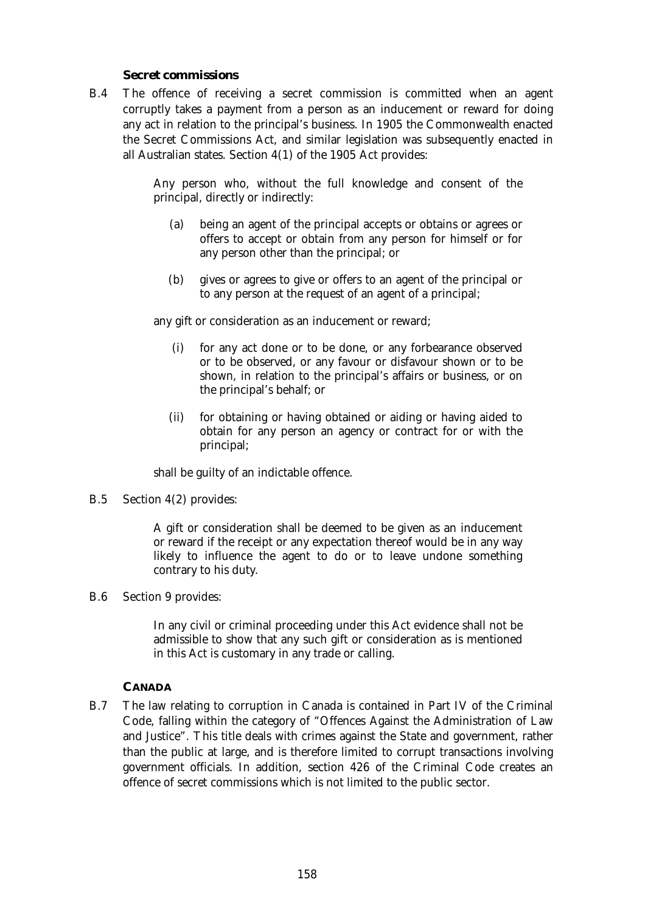#### **Secret commissions**

 B.4 The offence of receiving a secret commission is committed when an agent corruptly takes a payment from a person as an inducement or reward for doing any act in relation to the principal's business. In 1905 the Commonwealth enacted the Secret Commissions Act, and similar legislation was subsequently enacted in all Australian states. Section 4(1) of the 1905 Act provides:

> Any person who, without the full knowledge and consent of the principal, directly or indirectly:

- (a) being an agent of the principal accepts or obtains or agrees or offers to accept or obtain from any person for himself or for any person other than the principal; or
- (b) gives or agrees to give or offers to an agent of the principal or to any person at the request of an agent of a principal;

any gift or consideration as an inducement or reward;

- (i) for any act done or to be done, or any forbearance observed or to be observed, or any favour or disfavour shown or to be shown, in relation to the principal's affairs or business, or on the principal's behalf; or
- (ii) for obtaining or having obtained or aiding or having aided to obtain for any person an agency or contract for or with the principal;

shall be guilty of an indictable offence.

B.5 Section 4(2) provides:

A gift or consideration shall be deemed to be given as an inducement or reward if the receipt or any expectation thereof would be in any way likely to influence the agent to do or to leave undone something contrary to his duty.

#### B.6 Section 9 provides:

In any civil or criminal proceeding under this Act evidence shall not be admissible to show that any such gift or consideration as is mentioned in this Act is customary in any trade or calling.

#### **CANADA**

 B.7 The law relating to corruption in Canada is contained in Part IV of the Criminal Code, falling within the category of "Offences Against the Administration of Law and Justice". This title deals with crimes against the State and government, rather than the public at large, and is therefore limited to corrupt transactions involving government officials. In addition, section 426 of the Criminal Code creates an offence of secret commissions which is not limited to the public sector.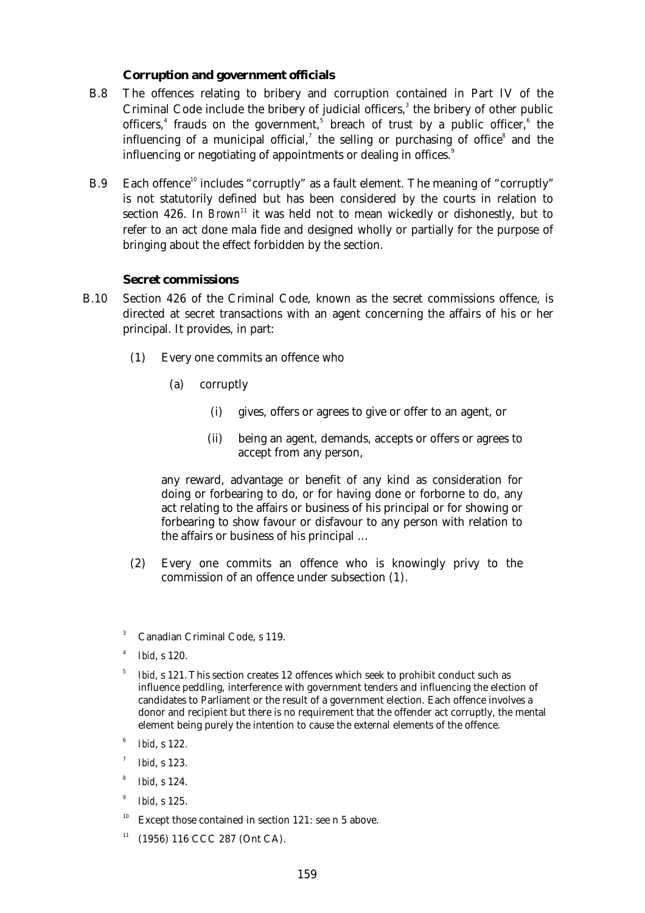#### **Corruption and government officials**

- B.8 The offences relating to bribery and corruption contained in Part IV of the Criminal Code include the bribery of judicial officers, $3$  the bribery of other public officers,<sup>4</sup> frauds on the government,<sup>5</sup> breach of trust by a public officer,<sup>6</sup> the influencing of a municipal official, $^7$  the selling or purchasing of office $^8$  and the influencing or negotiating of appointments or dealing in offices.<sup>9</sup>
- $B.9$  Each offence<sup>10</sup> includes "corruptly" as a fault element. The meaning of "corruptly" is not statutorily defined but has been considered by the courts in relation to section 426. In *Brown*<sup>11</sup> it was held not to mean wickedly or dishonestly, but to refer to an act done mala fide and designed wholly or partially for the purpose of bringing about the effect forbidden by the section.

#### **Secret commissions**

- B.10 Section 426 of the Criminal Code, known as the secret commissions offence, is directed at secret transactions with an agent concerning the affairs of his or her principal. It provides, in part:
	- (1) Every one commits an offence who
		- (a) corruptly
			- (i) gives, offers or agrees to give or offer to an agent, or
			- (ii) being an agent, demands, accepts or offers or agrees to accept from any person,

any reward, advantage or benefit of any kind as consideration for doing or forbearing to do, or for having done or forborne to do, any act relating to the affairs or business of his principal or for showing or forbearing to show favour or disfavour to any person with relation to the affairs or business of his principal …

 (2) Every one commits an offence who is knowingly privy to the commission of an offence under subsection (1).

- 5 *Ibid*, s 121. This section creates 12 offences which seek to prohibit conduct such as influence peddling, interference with government tenders and influencing the election of candidates to Parliament or the result of a government election. Each offence involves a donor and recipient but there is no requirement that the offender act corruptly, the mental element being purely the intention to cause the external elements of the offence.
- 6 *Ibid*, s 122.
- 7 *Ibid*, s 123.
- 8 *Ibid*, s 124.
- 9 *Ibid*, s 125.
- <sup>10</sup> Except those contained in section 121: see n 5 above.
- $11$  (1956) 116 CCC 287 (Ont CA).

<sup>3</sup> Canadian Criminal Code, s 119.

<sup>4</sup> *Ibid*, s 120.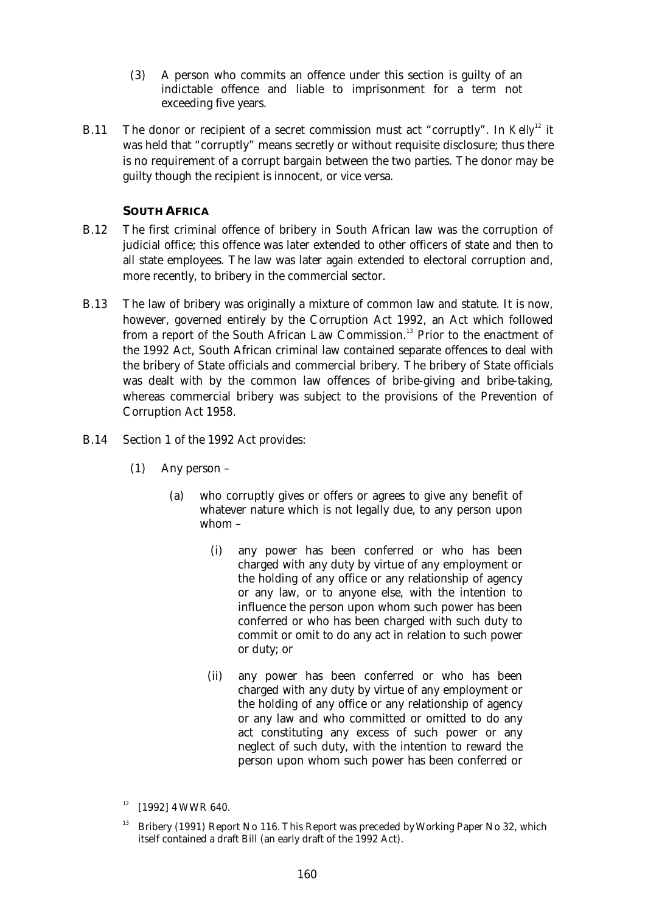- (3) A person who commits an offence under this section is guilty of an indictable offence and liable to imprisonment for a term not exceeding five years.
- B.11 The donor or recipient of a secret commission must act "corruptly". In *Kelly*<sup>12</sup> it was held that "corruptly" means secretly or without requisite disclosure; thus there is no requirement of a corrupt bargain between the two parties. The donor may be guilty though the recipient is innocent, or vice versa.

#### **SOUTH AFRICA**

- B.12 The first criminal offence of bribery in South African law was the corruption of judicial office; this offence was later extended to other officers of state and then to all state employees. The law was later again extended to electoral corruption and, more recently, to bribery in the commercial sector.
- B.13 The law of bribery was originally a mixture of common law and statute. It is now, however, governed entirely by the Corruption Act 1992, an Act which followed from a report of the South African Law Commission.<sup>13</sup> Prior to the enactment of the 1992 Act, South African criminal law contained separate offences to deal with the bribery of State officials and commercial bribery. The bribery of State officials was dealt with by the common law offences of bribe-giving and bribe-taking, whereas commercial bribery was subject to the provisions of the Prevention of Corruption Act 1958.
- B.14 Section 1 of the 1992 Act provides:
	- (1) Any person
		- (a) who corruptly gives or offers or agrees to give any benefit of whatever nature which is not legally due, to any person upon whom –
			- (i) any power has been conferred or who has been charged with any duty by virtue of any employment or the holding of any office or any relationship of agency or any law, or to anyone else, with the intention to influence the person upon whom such power has been conferred or who has been charged with such duty to commit or omit to do any act in relation to such power or duty; or
			- (ii) any power has been conferred or who has been charged with any duty by virtue of any employment or the holding of any office or any relationship of agency or any law and who committed or omitted to do any act constituting any excess of such power or any neglect of such duty, with the intention to reward the person upon whom such power has been conferred or
	- $12$  [1992] 4 WWR 640.
	- <sup>13</sup> Bribery (1991) Report No 116. This Report was preceded by Working Paper No 32, which itself contained a draft Bill (an early draft of the 1992 Act).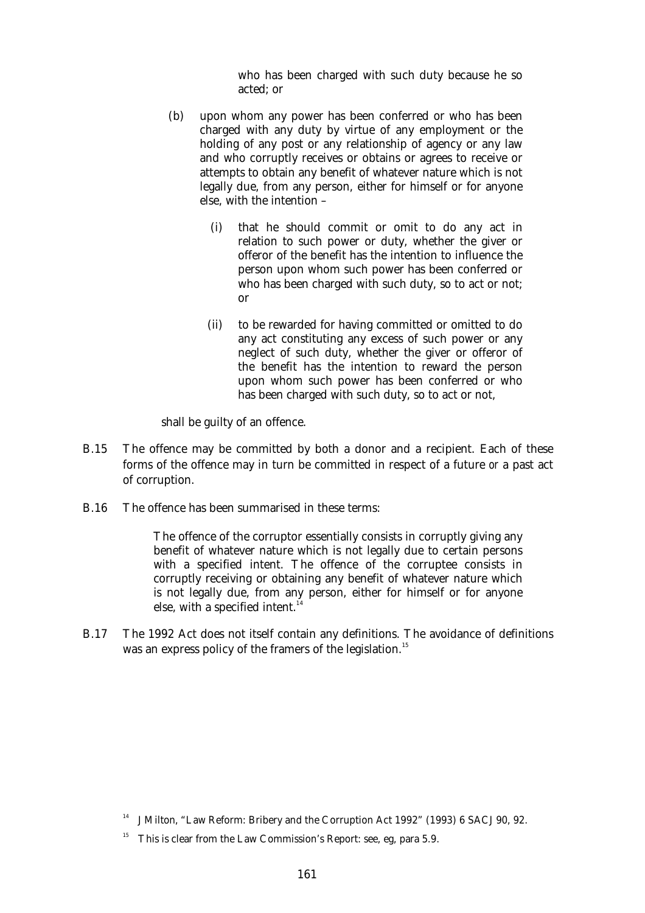who has been charged with such duty because he so acted; or

- (b) upon whom any power has been conferred or who has been charged with any duty by virtue of any employment or the holding of any post or any relationship of agency or any law and who corruptly receives or obtains or agrees to receive or attempts to obtain any benefit of whatever nature which is not legally due, from any person, either for himself or for anyone else, with the intention –
	- (i) that he should commit or omit to do any act in relation to such power or duty, whether the giver or offeror of the benefit has the intention to influence the person upon whom such power has been conferred or who has been charged with such duty, so to act or not; or
	- (ii) to be rewarded for having committed or omitted to do any act constituting any excess of such power or any neglect of such duty, whether the giver or offeror of the benefit has the intention to reward the person upon whom such power has been conferred or who has been charged with such duty, so to act or not,

shall be guilty of an offence.

- B.15 The offence may be committed by both a donor and a recipient. Each of these forms of the offence may in turn be committed in respect of a future *or* a past act of corruption.
- B.16 The offence has been summarised in these terms:

The offence of the corruptor essentially consists in corruptly giving any benefit of whatever nature which is not legally due to certain persons with a specified intent. The offence of the corruptee consists in corruptly receiving or obtaining any benefit of whatever nature which is not legally due, from any person, either for himself or for anyone else, with a specified intent.<sup>1</sup>

 B.17 The 1992 Act does not itself contain any definitions. The avoidance of definitions was an express policy of the framers of the legislation.<sup>15</sup>

<sup>&</sup>lt;sup>14</sup> J Milton, "Law Reform: Bribery and the Corruption Act 1992" (1993) 6 SACJ 90, 92.

<sup>15</sup> This is clear from the Law Commission's Report: see, eg, para 5.9.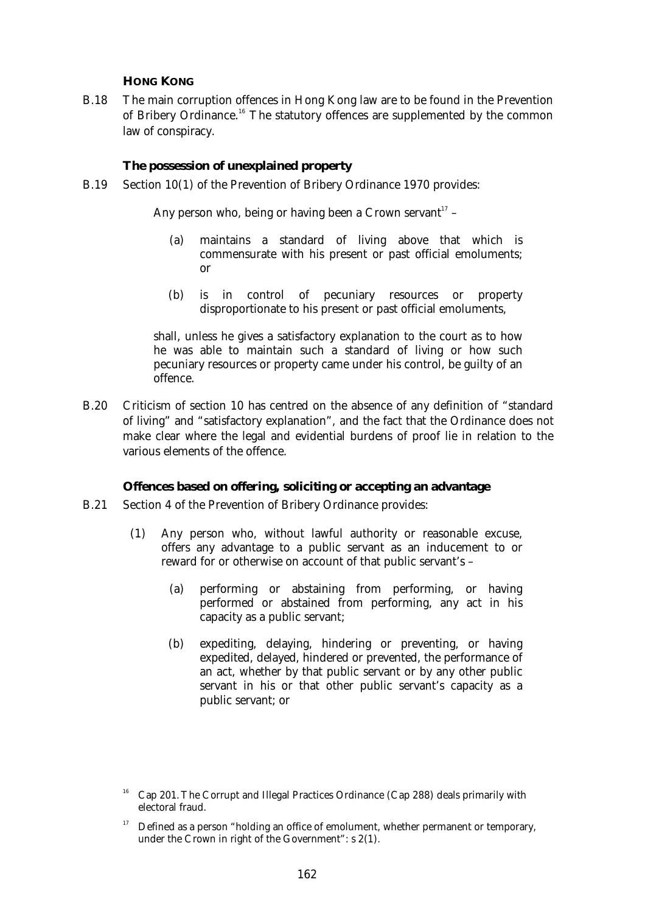## **HONG KONG**

 B.18 The main corruption offences in Hong Kong law are to be found in the Prevention of Bribery Ordinance.<sup>16</sup> The statutory offences are supplemented by the common law of conspiracy.

# **The possession of unexplained property**

B.19 Section 10(1) of the Prevention of Bribery Ordinance 1970 provides:

Any person who, being or having been a Crown servant $17$  –

- (a) maintains a standard of living above that which is commensurate with his present or past official emoluments; or
- (b) is in control of pecuniary resources or property disproportionate to his present or past official emoluments,

shall, unless he gives a satisfactory explanation to the court as to how he was able to maintain such a standard of living or how such pecuniary resources or property came under his control, be guilty of an offence.

 B.20 Criticism of section 10 has centred on the absence of any definition of "standard of living" and "satisfactory explanation", and the fact that the Ordinance does not make clear where the legal and evidential burdens of proof lie in relation to the various elements of the offence.

## **Offences based on offering, soliciting or accepting an advantage**

- B.21 Section 4 of the Prevention of Bribery Ordinance provides:
	- (1) Any person who, without lawful authority or reasonable excuse, offers any advantage to a public servant as an inducement to or reward for or otherwise on account of that public servant's –
		- (a) performing or abstaining from performing, or having performed or abstained from performing, any act in his capacity as a public servant;
		- (b) expediting, delaying, hindering or preventing, or having expedited, delayed, hindered or prevented, the performance of an act, whether by that public servant or by any other public servant in his or that other public servant's capacity as a public servant; or

<sup>&</sup>lt;sup>16</sup> Cap 201. The Corrupt and Illegal Practices Ordinance (Cap 288) deals primarily with electoral fraud.

Defined as a person "holding an office of emolument, whether permanent or temporary, under the Crown in right of the Government": s 2(1).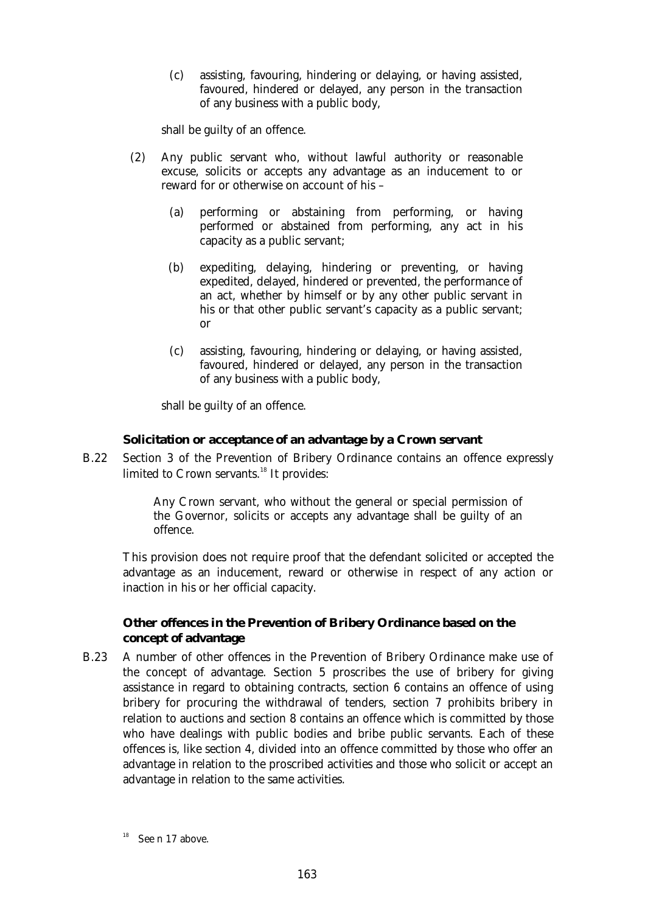(c) assisting, favouring, hindering or delaying, or having assisted, favoured, hindered or delayed, any person in the transaction of any business with a public body,

shall be guilty of an offence.

- (2) Any public servant who, without lawful authority or reasonable excuse, solicits or accepts any advantage as an inducement to or reward for or otherwise on account of his –
	- (a) performing or abstaining from performing, or having performed or abstained from performing, any act in his capacity as a public servant;
	- (b) expediting, delaying, hindering or preventing, or having expedited, delayed, hindered or prevented, the performance of an act, whether by himself or by any other public servant in his or that other public servant's capacity as a public servant; or
	- (c) assisting, favouring, hindering or delaying, or having assisted, favoured, hindered or delayed, any person in the transaction of any business with a public body,

shall be guilty of an offence.

#### **Solicitation or acceptance of an advantage by a Crown servant**

 B.22 Section 3 of the Prevention of Bribery Ordinance contains an offence expressly limited to Crown servants.<sup>18</sup> It provides:

> Any Crown servant, who without the general or special permission of the Governor, solicits or accepts any advantage shall be guilty of an offence.

This provision does not require proof that the defendant solicited or accepted the advantage as an inducement, reward or otherwise in respect of any action or inaction in his or her official capacity.

# **Other offences in the Prevention of Bribery Ordinance based on the concept of advantage**

 B.23 A number of other offences in the Prevention of Bribery Ordinance make use of the concept of advantage. Section 5 proscribes the use of bribery for giving assistance in regard to obtaining contracts, section 6 contains an offence of using bribery for procuring the withdrawal of tenders, section 7 prohibits bribery in relation to auctions and section 8 contains an offence which is committed by those who have dealings with public bodies and bribe public servants. Each of these offences is, like section 4, divided into an offence committed by those who offer an advantage in relation to the proscribed activities and those who solicit or accept an advantage in relation to the same activities.

 $18$  See n 17 above.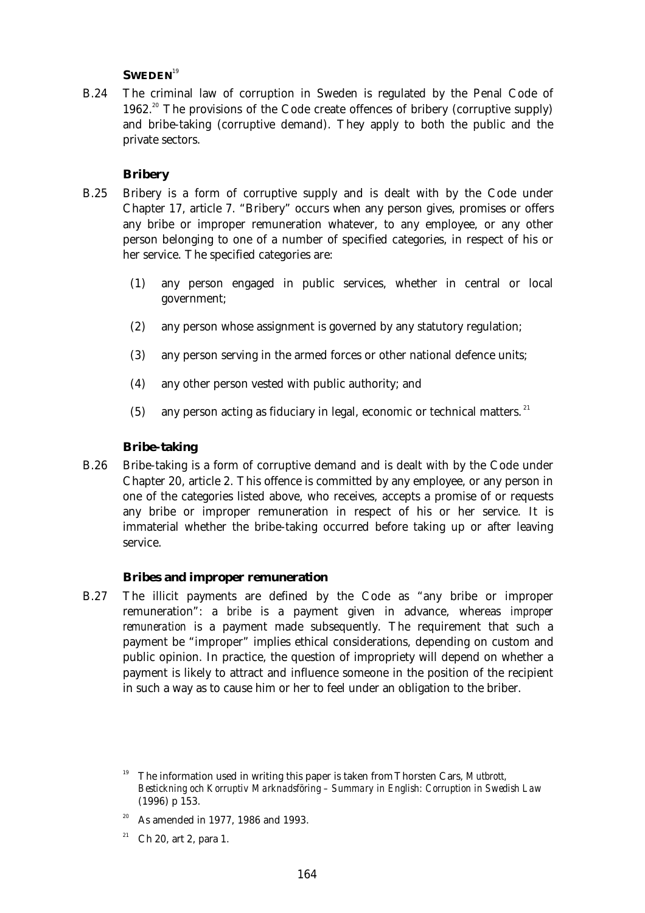## $S$ **WEDEN**<sup>19</sup>

 B.24 The criminal law of corruption in Sweden is regulated by the Penal Code of 1962.<sup>20</sup> The provisions of the Code create offences of bribery (corruptive supply) and bribe-taking (corruptive demand). They apply to both the public and the private sectors.

## **Bribery**

- B.25 Bribery is a form of corruptive supply and is dealt with by the Code under Chapter 17, article 7. "Bribery" occurs when any person gives, promises or offers any bribe or improper remuneration whatever, to any employee, or any other person belonging to one of a number of specified categories, in respect of his or her service. The specified categories are:
	- (1) any person engaged in public services, whether in central or local government;
	- (2) any person whose assignment is governed by any statutory regulation;
	- (3) any person serving in the armed forces or other national defence units;
	- (4) any other person vested with public authority; and
	- (5) any person acting as fiduciary in legal, economic or technical matters.  $21$

#### **Bribe-taking**

 B.26 Bribe-taking is a form of corruptive demand and is dealt with by the Code under Chapter 20, article 2. This offence is committed by any employee, or any person in one of the categories listed above, who receives, accepts a promise of or requests any bribe or improper remuneration in respect of his or her service. It is immaterial whether the bribe-taking occurred before taking up or after leaving service.

#### **Bribes and improper remuneration**

 B.27 The illicit payments are defined by the Code as "any bribe or improper remuneration": a *bribe* is a payment given in advance, whereas *improper remuneration* is a payment made subsequently. The requirement that such a payment be "improper" implies ethical considerations, depending on custom and public opinion. In practice, the question of impropriety will depend on whether a payment is likely to attract and influence someone in the position of the recipient in such a way as to cause him or her to feel under an obligation to the briber.

<sup>19</sup> The information used in writing this paper is taken from Thorsten Cars, *Mutbrott, Bestickning och Korruptiv Marknadsföring – Summary in English: Corruption in Swedish Law* (1996) p 153.

 $20$  As amended in 1977, 1986 and 1993.

<sup>&</sup>lt;sup>21</sup> Ch 20, art 2, para 1.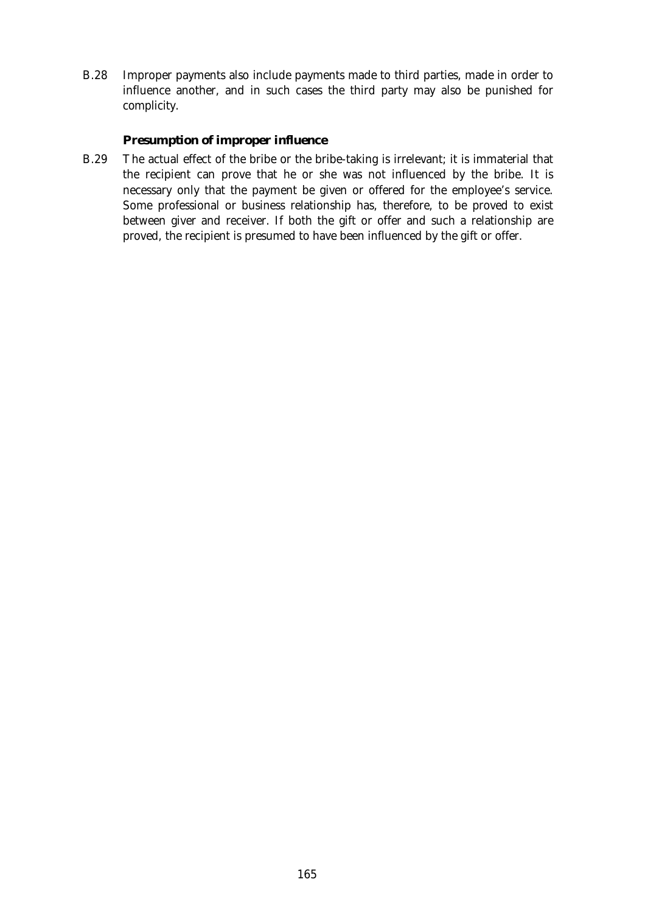B.28 Improper payments also include payments made to third parties, made in order to influence another, and in such cases the third party may also be punished for complicity.

## **Presumption of improper influence**

 B.29 The actual effect of the bribe or the bribe-taking is irrelevant; it is immaterial that the recipient can prove that he or she was not influenced by the bribe. It is necessary only that the payment be given or offered for the employee's service. Some professional or business relationship has, therefore, to be proved to exist between giver and receiver. If both the gift or offer and such a relationship are proved, the recipient is presumed to have been influenced by the gift or offer.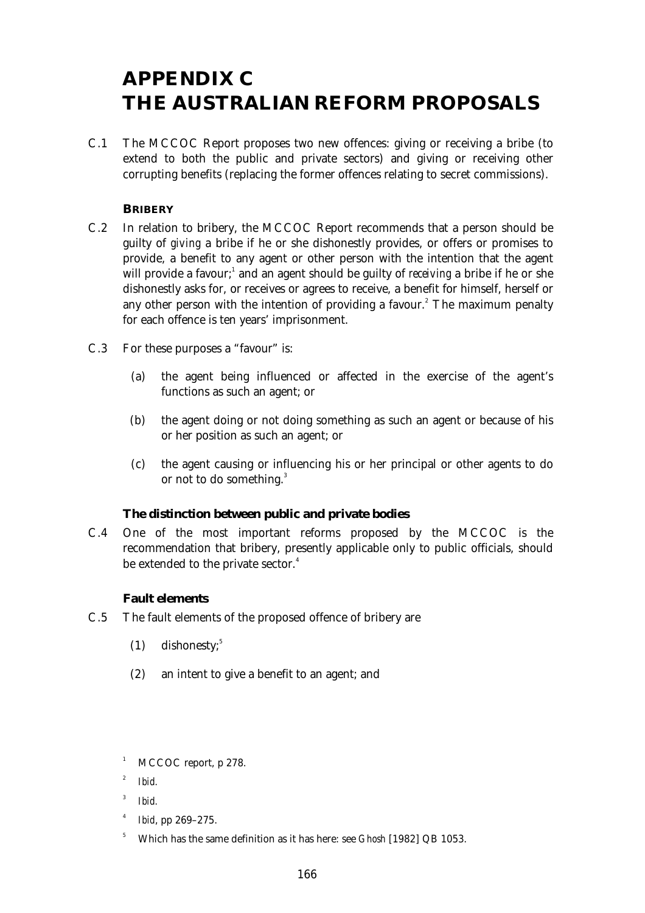# **APPENDIX C THE AUSTRALIAN REFORM PROPOSALS**

 C.1 The MCCOC Report proposes two new offences: giving or receiving a bribe (to extend to both the public and private sectors) and giving or receiving other corrupting benefits (replacing the former offences relating to secret commissions).

## **BRIBERY**

- C.2 In relation to bribery, the MCCOC Report recommends that a person should be guilty of *giving* a bribe if he or she dishonestly provides, or offers or promises to provide, a benefit to any agent or other person with the intention that the agent will provide a favour;<sup>1</sup> and an agent should be guilty of *receiving* a bribe if he or she dishonestly asks for, or receives or agrees to receive, a benefit for himself, herself or any other person with the intention of providing a favour.<sup>2</sup> The maximum penalty for each offence is ten years' imprisonment.
- C.3 For these purposes a "favour" is:
	- (a) the agent being influenced or affected in the exercise of the agent's functions as such an agent; or
	- (b) the agent doing or not doing something as such an agent or because of his or her position as such an agent; or
	- (c) the agent causing or influencing his or her principal or other agents to do or not to do something.<sup>3</sup>

## **The distinction between public and private bodies**

 C.4 One of the most important reforms proposed by the MCCOC is the recommendation that bribery, presently applicable only to public officials, should be extended to the private sector.<sup>4</sup>

## **Fault elements**

- C.5 The fault elements of the proposed offence of bribery are
	- $(1)$  dishonesty;<sup>5</sup>
	- (2) an intent to give a benefit to an agent; and

- 2 *Ibid.*
- 3 *Ibid.*
- 4 *Ibid*, pp 269–275.
- <sup>5</sup> Which has the same definition as it has here: see *Ghosh* [1982] QB 1053.

MCCOC report, p 278.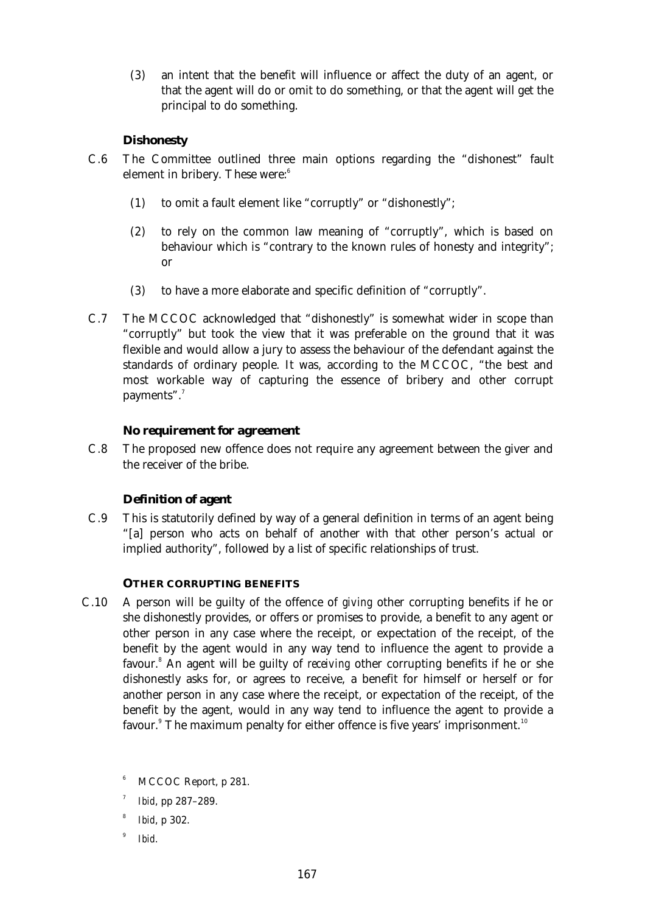(3) an intent that the benefit will influence or affect the duty of an agent, or that the agent will do or omit to do something, or that the agent will get the principal to do something.

# *Dishonesty*

- C.6 The Committee outlined three main options regarding the "dishonest" fault element in bribery. These were:<sup>6</sup>
	- (1) to omit a fault element like "corruptly" or "dishonestly";
	- (2) to rely on the common law meaning of "corruptly", which is based on behaviour which is "contrary to the known rules of honesty and integrity"; or
	- (3) to have a more elaborate and specific definition of "corruptly".
- C.7 The MCCOC acknowledged that "dishonestly" is somewhat wider in scope than "corruptly" but took the view that it was preferable on the ground that it was flexible and would allow a jury to assess the behaviour of the defendant against the standards of ordinary people. It was, according to the MCCOC, "the best and most workable way of capturing the essence of bribery and other corrupt payments".<sup>7</sup>

## *No requirement for agreement*

 C.8 The proposed new offence does not require any agreement between the giver and the receiver of the bribe.

## **Definition of agent**

 C.9 This is statutorily defined by way of a general definition in terms of an agent being "[a] person who acts on behalf of another with that other person's actual or implied authority", followed by a list of specific relationships of trust.

## **OTHER CORRUPTING BENEFITS**

- C.10 A person will be guilty of the offence of *giving* other corrupting benefits if he or she dishonestly provides, or offers or promises to provide, a benefit to any agent or other person in any case where the receipt, or expectation of the receipt, of the benefit by the agent would in any way tend to influence the agent to provide a favour.<sup>8</sup> An agent will be guilty of *receiving* other corrupting benefits if he or she dishonestly asks for, or agrees to receive, a benefit for himself or herself or for another person in any case where the receipt, or expectation of the receipt, of the benefit by the agent, would in any way tend to influence the agent to provide a favour. $^{\circ}$  The maximum penalty for either offence is five years' imprisonment.  $^{\text{\tiny{10}}}$ 
	- MCCOC Report, p 281.
	- 7 *Ibid*, pp 287–289.
	- 8 *Ibid*, p 302.
	- 9 *Ibid*.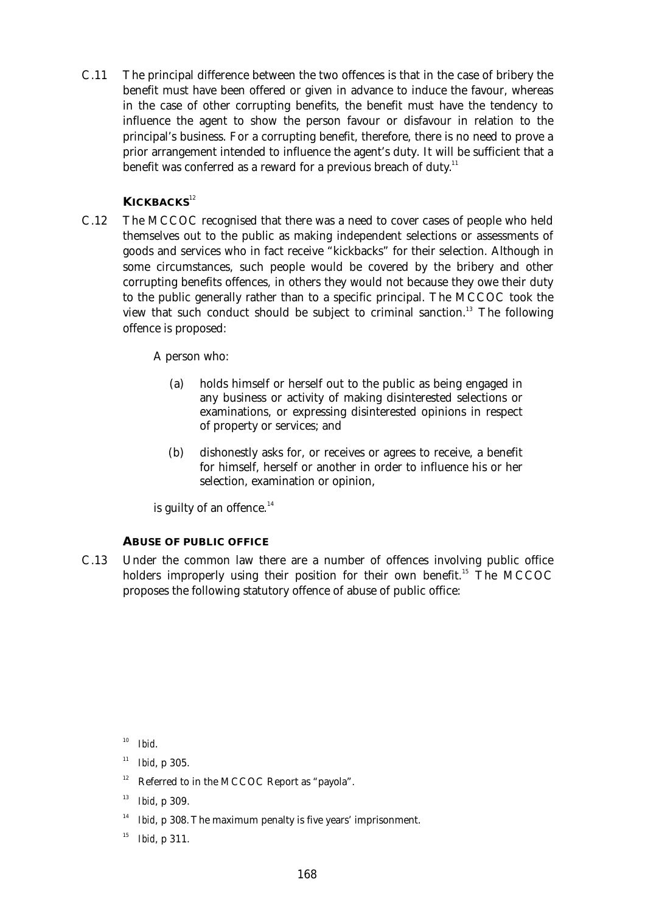C.11 The principal difference between the two offences is that in the case of bribery the benefit must have been offered or given in advance to induce the favour, whereas in the case of other corrupting benefits, the benefit must have the tendency to influence the agent to show the person favour or disfavour in relation to the principal's business. For a corrupting benefit, therefore, there is no need to prove a prior arrangement intended to influence the agent's duty. It will be sufficient that a benefit was conferred as a reward for a previous breach of duty. $^{\rm 11}$ 

# **KICKBACKS**<sup>12</sup>

 C.12 The MCCOC recognised that there was a need to cover cases of people who held themselves out to the public as making independent selections or assessments of goods and services who in fact receive "kickbacks" for their selection. Although in some circumstances, such people would be covered by the bribery and other corrupting benefits offences, in others they would not because they owe their duty to the public generally rather than to a specific principal. The MCCOC took the view that such conduct should be subject to criminal sanction.<sup>13</sup> The following offence is proposed:

A person who:

- (a) holds himself or herself out to the public as being engaged in any business or activity of making disinterested selections or examinations, or expressing disinterested opinions in respect of property or services; and
- (b) dishonestly asks for, or receives or agrees to receive, a benefit for himself, herself or another in order to influence his or her selection, examination or opinion,

is guilty of an offence. $14$ 

#### **ABUSE OF PUBLIC OFFICE**

 C.13 Under the common law there are a number of offences involving public office holders improperly using their position for their own benefit.<sup>15</sup> The MCCOC proposes the following statutory offence of abuse of public office:

<sup>10</sup> *Ibid*.

- *Ibid*, p 305.
- $12$  Referred to in the MCCOC Report as "payola".
- <sup>13</sup> *Ibid*, p 309.
- <sup>14</sup> *Ibid*, p 308. The maximum penalty is five years' imprisonment.
- <sup>15</sup> *Ibid*, p 311.